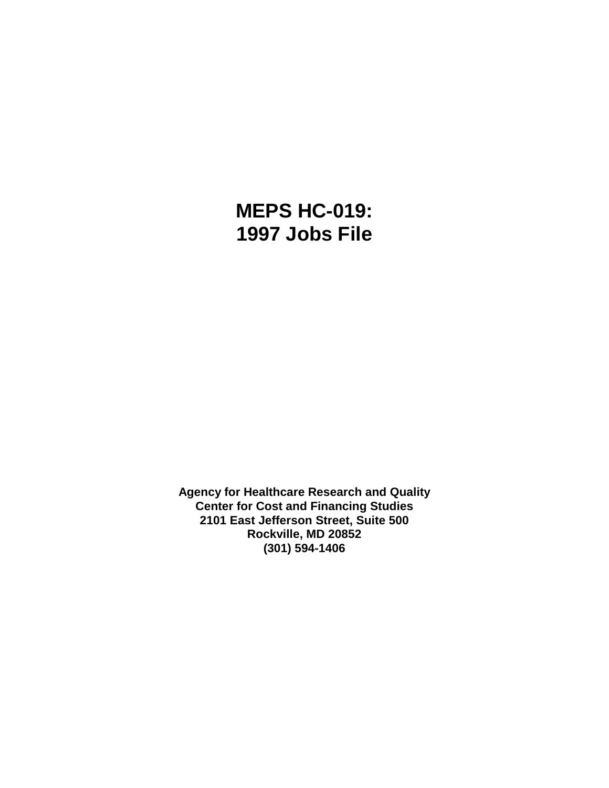# **MEPS HC-019: 1997 Jobs File**

**Agency for Healthcare Research and Quality Center for Cost and Financing Studies 2101 East Jefferson Street, Suite 500 Rockville, MD 20852 (301) 594-1406**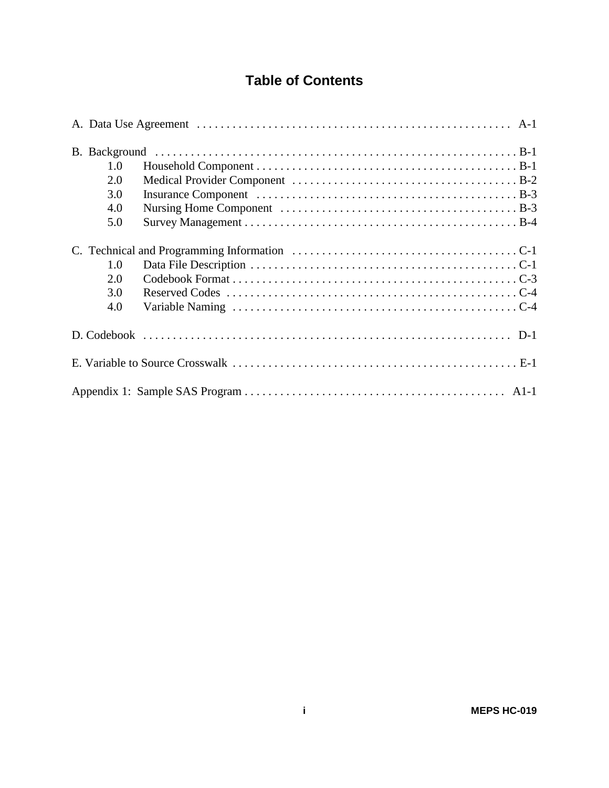## **Table of Contents**

| 1.0 |  |
|-----|--|
| 2.0 |  |
| 3.0 |  |
| 4.0 |  |
| 5.0 |  |
|     |  |
| 1.0 |  |
| 2.0 |  |
| 3.0 |  |
| 4.0 |  |
|     |  |
|     |  |
|     |  |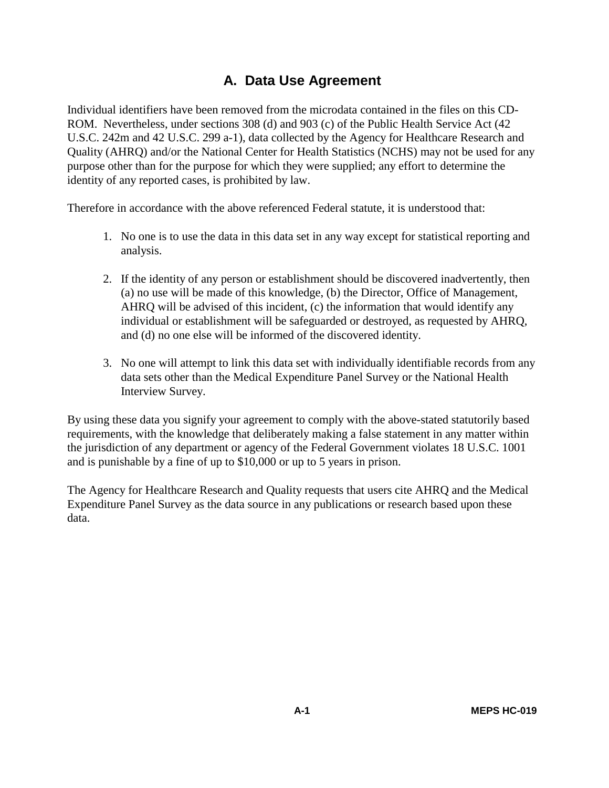## **A. Data Use Agreement**

Individual identifiers have been removed from the microdata contained in the files on this CD-ROM. Nevertheless, under sections 308 (d) and 903 (c) of the Public Health Service Act (42 U.S.C. 242m and 42 U.S.C. 299 a-1), data collected by the Agency for Healthcare Research and Quality (AHRQ) and/or the National Center for Health Statistics (NCHS) may not be used for any purpose other than for the purpose for which they were supplied; any effort to determine the identity of any reported cases, is prohibited by law.

Therefore in accordance with the above referenced Federal statute, it is understood that:

- 1. No one is to use the data in this data set in any way except for statistical reporting and analysis.
- 2. If the identity of any person or establishment should be discovered inadvertently, then (a) no use will be made of this knowledge, (b) the Director, Office of Management, AHRQ will be advised of this incident, (c) the information that would identify any individual or establishment will be safeguarded or destroyed, as requested by AHRQ, and (d) no one else will be informed of the discovered identity.
- 3. No one will attempt to link this data set with individually identifiable records from any data sets other than the Medical Expenditure Panel Survey or the National Health Interview Survey.

By using these data you signify your agreement to comply with the above-stated statutorily based requirements, with the knowledge that deliberately making a false statement in any matter within the jurisdiction of any department or agency of the Federal Government violates 18 U.S.C. 1001 and is punishable by a fine of up to \$10,000 or up to 5 years in prison.

The Agency for Healthcare Research and Quality requests that users cite AHRQ and the Medical Expenditure Panel Survey as the data source in any publications or research based upon these data.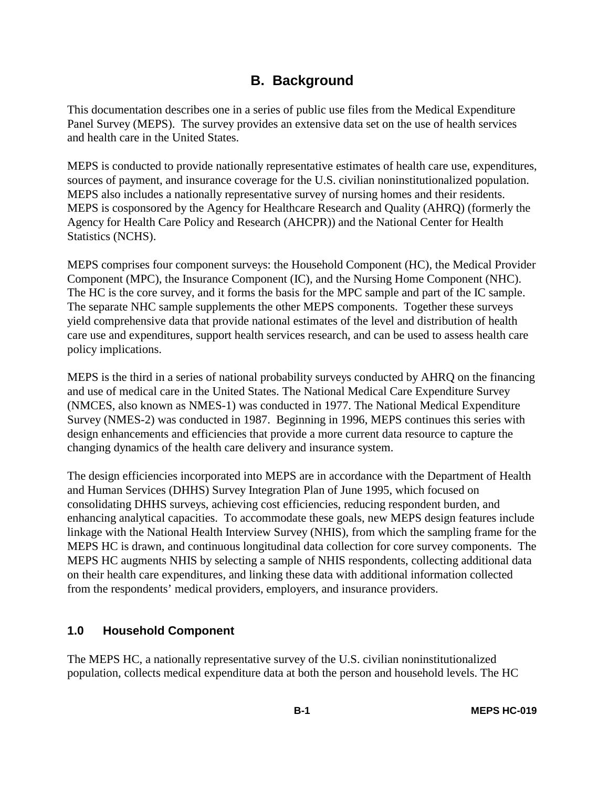## **B. Background**

This documentation describes one in a series of public use files from the Medical Expenditure Panel Survey (MEPS). The survey provides an extensive data set on the use of health services and health care in the United States.

MEPS is conducted to provide nationally representative estimates of health care use, expenditures, sources of payment, and insurance coverage for the U.S. civilian noninstitutionalized population. MEPS also includes a nationally representative survey of nursing homes and their residents. MEPS is cosponsored by the Agency for Healthcare Research and Quality (AHRQ) (formerly the Agency for Health Care Policy and Research (AHCPR)) and the National Center for Health Statistics (NCHS).

MEPS comprises four component surveys: the Household Component (HC), the Medical Provider Component (MPC), the Insurance Component (IC), and the Nursing Home Component (NHC). The HC is the core survey, and it forms the basis for the MPC sample and part of the IC sample. The separate NHC sample supplements the other MEPS components. Together these surveys yield comprehensive data that provide national estimates of the level and distribution of health care use and expenditures, support health services research, and can be used to assess health care policy implications.

MEPS is the third in a series of national probability surveys conducted by AHRQ on the financing and use of medical care in the United States. The National Medical Care Expenditure Survey (NMCES, also known as NMES-1) was conducted in 1977. The National Medical Expenditure Survey (NMES-2) was conducted in 1987. Beginning in 1996, MEPS continues this series with design enhancements and efficiencies that provide a more current data resource to capture the changing dynamics of the health care delivery and insurance system.

The design efficiencies incorporated into MEPS are in accordance with the Department of Health and Human Services (DHHS) Survey Integration Plan of June 1995, which focused on consolidating DHHS surveys, achieving cost efficiencies, reducing respondent burden, and enhancing analytical capacities. To accommodate these goals, new MEPS design features include linkage with the National Health Interview Survey (NHIS), from which the sampling frame for the MEPS HC is drawn, and continuous longitudinal data collection for core survey components. The MEPS HC augments NHIS by selecting a sample of NHIS respondents, collecting additional data on their health care expenditures, and linking these data with additional information collected from the respondents' medical providers, employers, and insurance providers.

## **1.0 Household Component**

The MEPS HC, a nationally representative survey of the U.S. civilian noninstitutionalized population, collects medical expenditure data at both the person and household levels. The HC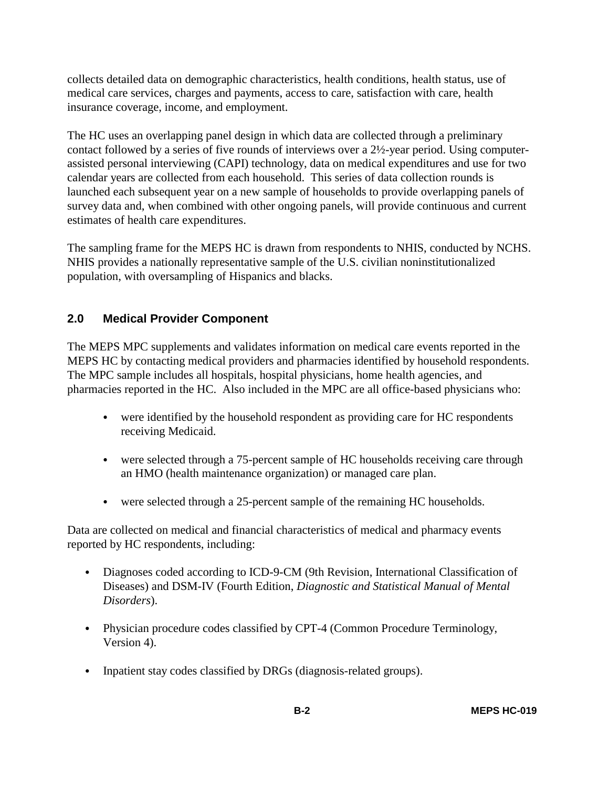collects detailed data on demographic characteristics, health conditions, health status, use of medical care services, charges and payments, access to care, satisfaction with care, health insurance coverage, income, and employment.

The HC uses an overlapping panel design in which data are collected through a preliminary contact followed by a series of five rounds of interviews over a 2½-year period. Using computerassisted personal interviewing (CAPI) technology, data on medical expenditures and use for two calendar years are collected from each household. This series of data collection rounds is launched each subsequent year on a new sample of households to provide overlapping panels of survey data and, when combined with other ongoing panels, will provide continuous and current estimates of health care expenditures.

The sampling frame for the MEPS HC is drawn from respondents to NHIS, conducted by NCHS. NHIS provides a nationally representative sample of the U.S. civilian noninstitutionalized population, with oversampling of Hispanics and blacks.

## **2.0 Medical Provider Component**

The MEPS MPC supplements and validates information on medical care events reported in the MEPS HC by contacting medical providers and pharmacies identified by household respondents. The MPC sample includes all hospitals, hospital physicians, home health agencies, and pharmacies reported in the HC. Also included in the MPC are all office-based physicians who:

- were identified by the household respondent as providing care for HC respondents receiving Medicaid.
- were selected through a 75-percent sample of HC households receiving care through an HMO (health maintenance organization) or managed care plan.
- were selected through a 25-percent sample of the remaining HC households.

Data are collected on medical and financial characteristics of medical and pharmacy events reported by HC respondents, including:

- Diagnoses coded according to ICD-9-CM (9th Revision, International Classification of Diseases) and DSM-IV (Fourth Edition, *Diagnostic and Statistical Manual of Mental Disorders*).
- Physician procedure codes classified by CPT-4 (Common Procedure Terminology, Version 4).
- Inpatient stay codes classified by DRGs (diagnosis-related groups).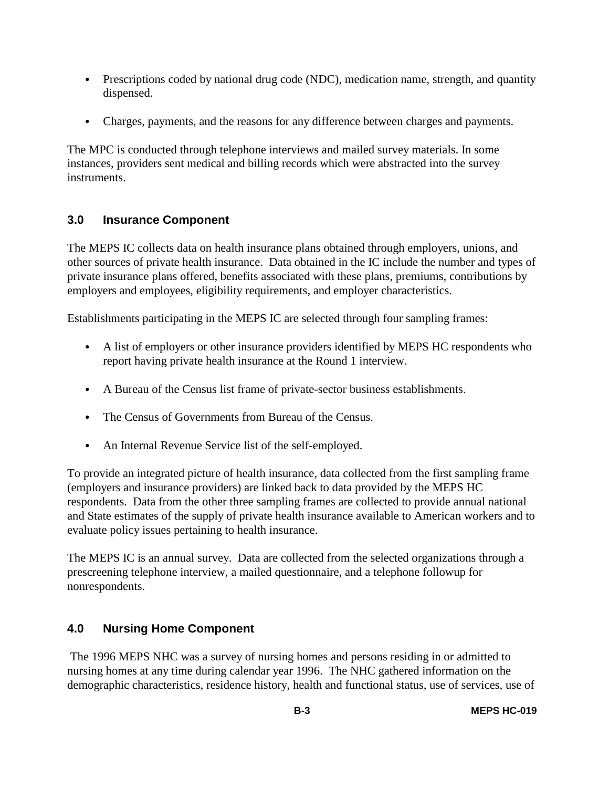- Prescriptions coded by national drug code (NDC), medication name, strength, and quantity dispensed.
- Charges, payments, and the reasons for any difference between charges and payments.

The MPC is conducted through telephone interviews and mailed survey materials. In some instances, providers sent medical and billing records which were abstracted into the survey instruments.

## **3.0 Insurance Component**

The MEPS IC collects data on health insurance plans obtained through employers, unions, and other sources of private health insurance. Data obtained in the IC include the number and types of private insurance plans offered, benefits associated with these plans, premiums, contributions by employers and employees, eligibility requirements, and employer characteristics.

Establishments participating in the MEPS IC are selected through four sampling frames:

- A list of employers or other insurance providers identified by MEPS HC respondents who report having private health insurance at the Round 1 interview.
- A Bureau of the Census list frame of private-sector business establishments.
- The Census of Governments from Bureau of the Census.
- An Internal Revenue Service list of the self-employed.

To provide an integrated picture of health insurance, data collected from the first sampling frame (employers and insurance providers) are linked back to data provided by the MEPS HC respondents. Data from the other three sampling frames are collected to provide annual national and State estimates of the supply of private health insurance available to American workers and to evaluate policy issues pertaining to health insurance.

The MEPS IC is an annual survey. Data are collected from the selected organizations through a prescreening telephone interview, a mailed questionnaire, and a telephone followup for nonrespondents.

## **4.0 Nursing Home Component**

 The 1996 MEPS NHC was a survey of nursing homes and persons residing in or admitted to nursing homes at any time during calendar year 1996. The NHC gathered information on the demographic characteristics, residence history, health and functional status, use of services, use of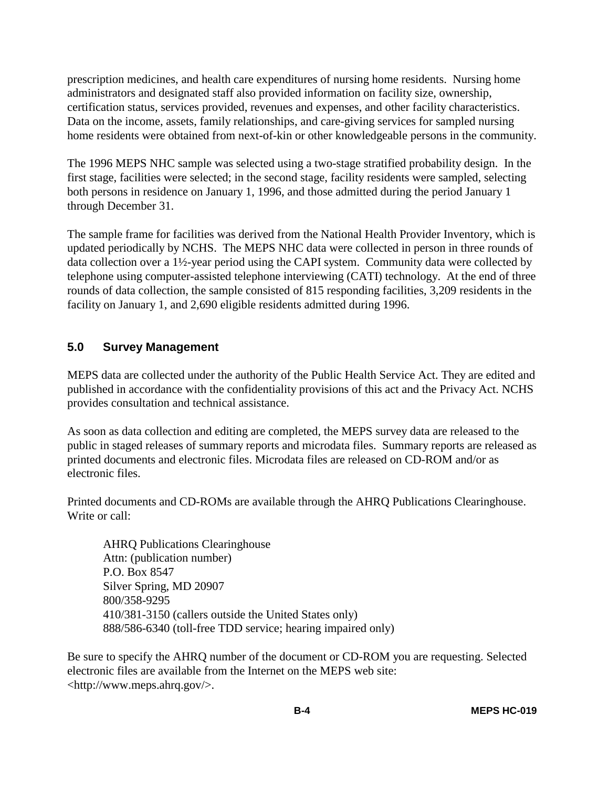prescription medicines, and health care expenditures of nursing home residents. Nursing home administrators and designated staff also provided information on facility size, ownership, certification status, services provided, revenues and expenses, and other facility characteristics. Data on the income, assets, family relationships, and care-giving services for sampled nursing home residents were obtained from next-of-kin or other knowledgeable persons in the community.

The 1996 MEPS NHC sample was selected using a two-stage stratified probability design. In the first stage, facilities were selected; in the second stage, facility residents were sampled, selecting both persons in residence on January 1, 1996, and those admitted during the period January 1 through December 31.

The sample frame for facilities was derived from the National Health Provider Inventory, which is updated periodically by NCHS. The MEPS NHC data were collected in person in three rounds of data collection over a 1½-year period using the CAPI system. Community data were collected by telephone using computer-assisted telephone interviewing (CATI) technology. At the end of three rounds of data collection, the sample consisted of 815 responding facilities, 3,209 residents in the facility on January 1, and 2,690 eligible residents admitted during 1996.

## **5.0 Survey Management**

MEPS data are collected under the authority of the Public Health Service Act. They are edited and published in accordance with the confidentiality provisions of this act and the Privacy Act. NCHS provides consultation and technical assistance.

As soon as data collection and editing are completed, the MEPS survey data are released to the public in staged releases of summary reports and microdata files. Summary reports are released as printed documents and electronic files. Microdata files are released on CD-ROM and/or as electronic files.

Printed documents and CD-ROMs are available through the AHRQ Publications Clearinghouse. Write or call:

AHRQ Publications Clearinghouse Attn: (publication number) P.O. Box 8547 Silver Spring, MD 20907 800/358-9295 410/381-3150 (callers outside the United States only) 888/586-6340 (toll-free TDD service; hearing impaired only)

Be sure to specify the AHRQ number of the document or CD-ROM you are requesting. Selected electronic files are available from the Internet on the MEPS web site: <http://www.meps.ahrq.gov/>.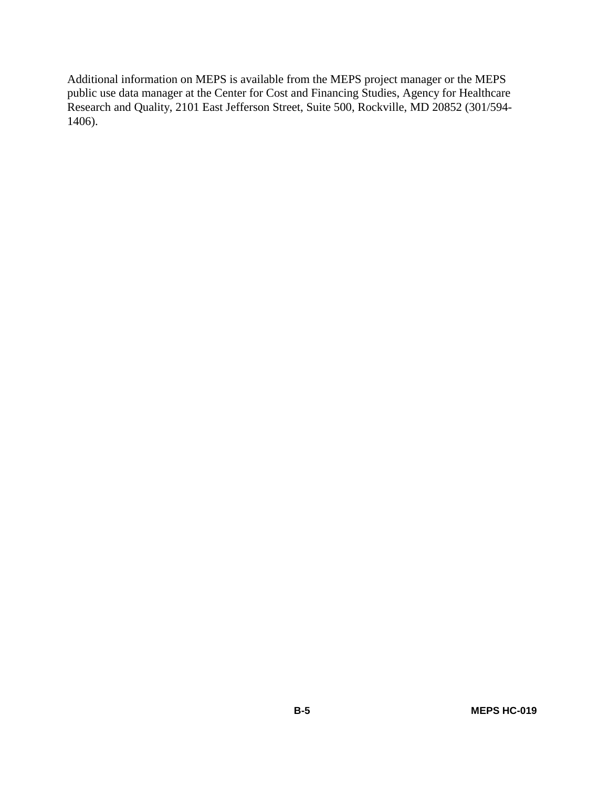Additional information on MEPS is available from the MEPS project manager or the MEPS public use data manager at the Center for Cost and Financing Studies, Agency for Healthcare Research and Quality, 2101 East Jefferson Street, Suite 500, Rockville, MD 20852 (301/594- 1406).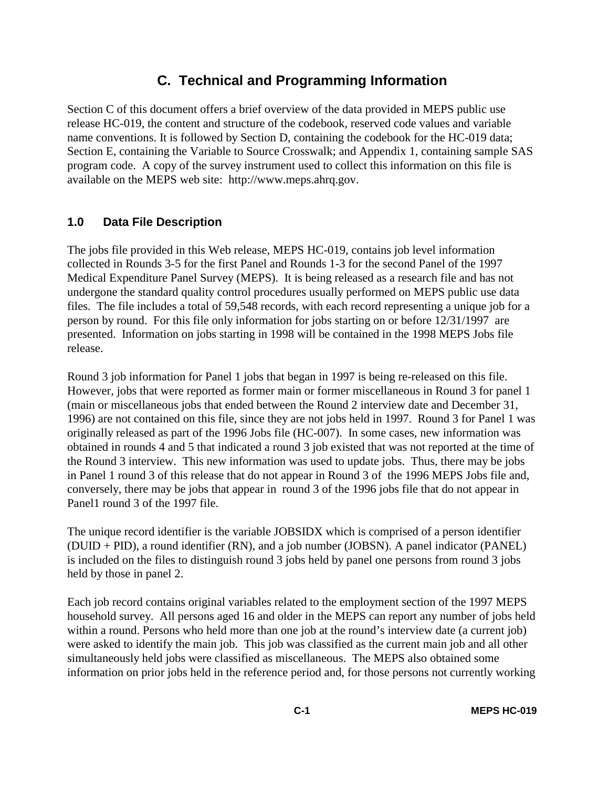## **C. Technical and Programming Information**

Section C of this document offers a brief overview of the data provided in MEPS public use release HC-019, the content and structure of the codebook, reserved code values and variable name conventions. It is followed by Section D, containing the codebook for the HC-019 data; Section E, containing the Variable to Source Crosswalk; and Appendix 1, containing sample SAS program code. A copy of the survey instrument used to collect this information on this file is available on the MEPS web site: http://www.meps.ahrq.gov.

## **1.0 Data File Description**

The jobs file provided in this Web release, MEPS HC-019, contains job level information collected in Rounds 3-5 for the first Panel and Rounds 1-3 for the second Panel of the 1997 Medical Expenditure Panel Survey (MEPS). It is being released as a research file and has not undergone the standard quality control procedures usually performed on MEPS public use data files. The file includes a total of 59,548 records, with each record representing a unique job for a person by round. For this file only information for jobs starting on or before 12/31/1997 are presented. Information on jobs starting in 1998 will be contained in the 1998 MEPS Jobs file release.

Round 3 job information for Panel 1 jobs that began in 1997 is being re-released on this file. However, jobs that were reported as former main or former miscellaneous in Round 3 for panel 1 (main or miscellaneous jobs that ended between the Round 2 interview date and December 31, 1996) are not contained on this file, since they are not jobs held in 1997. Round 3 for Panel 1 was originally released as part of the 1996 Jobs file (HC-007). In some cases, new information was obtained in rounds 4 and 5 that indicated a round 3 job existed that was not reported at the time of the Round 3 interview. This new information was used to update jobs. Thus, there may be jobs in Panel 1 round 3 of this release that do not appear in Round 3 of the 1996 MEPS Jobs file and, conversely, there may be jobs that appear in round 3 of the 1996 jobs file that do not appear in Panel1 round 3 of the 1997 file.

The unique record identifier is the variable JOBSIDX which is comprised of a person identifier (DUID + PID), a round identifier (RN), and a job number (JOBSN). A panel indicator (PANEL) is included on the files to distinguish round 3 jobs held by panel one persons from round 3 jobs held by those in panel 2.

Each job record contains original variables related to the employment section of the 1997 MEPS household survey. All persons aged 16 and older in the MEPS can report any number of jobs held within a round. Persons who held more than one job at the round's interview date (a current job) were asked to identify the main job. This job was classified as the current main job and all other simultaneously held jobs were classified as miscellaneous. The MEPS also obtained some information on prior jobs held in the reference period and, for those persons not currently working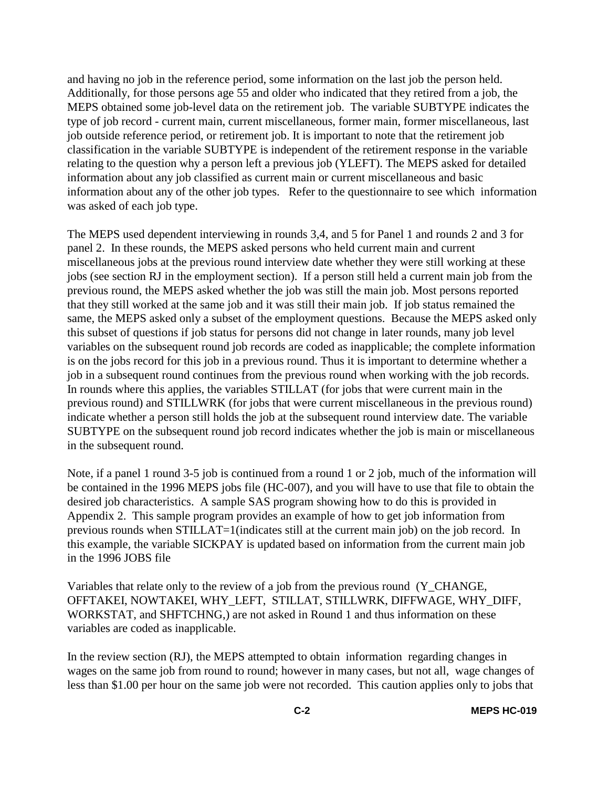and having no job in the reference period, some information on the last job the person held. Additionally, for those persons age 55 and older who indicated that they retired from a job, the MEPS obtained some job-level data on the retirement job. The variable SUBTYPE indicates the type of job record - current main, current miscellaneous, former main, former miscellaneous, last job outside reference period, or retirement job. It is important to note that the retirement job classification in the variable SUBTYPE is independent of the retirement response in the variable relating to the question why a person left a previous job (YLEFT). The MEPS asked for detailed information about any job classified as current main or current miscellaneous and basic information about any of the other job types. Refer to the questionnaire to see which information was asked of each job type.

The MEPS used dependent interviewing in rounds 3,4, and 5 for Panel 1 and rounds 2 and 3 for panel 2. In these rounds, the MEPS asked persons who held current main and current miscellaneous jobs at the previous round interview date whether they were still working at these jobs (see section RJ in the employment section). If a person still held a current main job from the previous round, the MEPS asked whether the job was still the main job. Most persons reported that they still worked at the same job and it was still their main job. If job status remained the same, the MEPS asked only a subset of the employment questions. Because the MEPS asked only this subset of questions if job status for persons did not change in later rounds, many job level variables on the subsequent round job records are coded as inapplicable; the complete information is on the jobs record for this job in a previous round. Thus it is important to determine whether a job in a subsequent round continues from the previous round when working with the job records. In rounds where this applies, the variables STILLAT (for jobs that were current main in the previous round) and STILLWRK (for jobs that were current miscellaneous in the previous round) indicate whether a person still holds the job at the subsequent round interview date. The variable SUBTYPE on the subsequent round job record indicates whether the job is main or miscellaneous in the subsequent round.

Note, if a panel 1 round 3-5 job is continued from a round 1 or 2 job, much of the information will be contained in the 1996 MEPS jobs file (HC-007), and you will have to use that file to obtain the desired job characteristics. A sample SAS program showing how to do this is provided in Appendix 2. This sample program provides an example of how to get job information from previous rounds when STILLAT=1(indicates still at the current main job) on the job record. In this example, the variable SICKPAY is updated based on information from the current main job in the 1996 JOBS file

Variables that relate only to the review of a job from the previous round (Y\_CHANGE, OFFTAKEI, NOWTAKEI, WHY\_LEFT, STILLAT, STILLWRK, DIFFWAGE, WHY\_DIFF, WORKSTAT, and SHFTCHNG,) are not asked in Round 1 and thus information on these variables are coded as inapplicable.

In the review section (RJ), the MEPS attempted to obtain information regarding changes in wages on the same job from round to round; however in many cases, but not all, wage changes of less than \$1.00 per hour on the same job were not recorded. This caution applies only to jobs that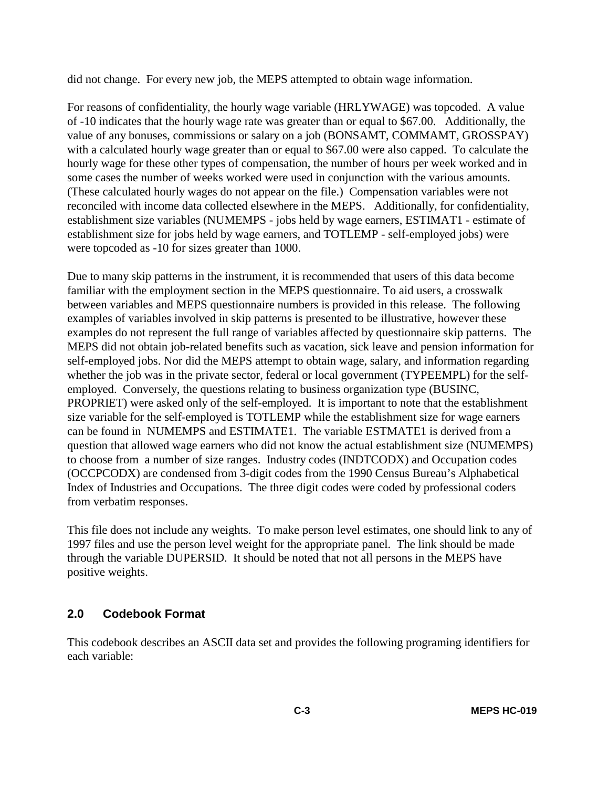did not change. For every new job, the MEPS attempted to obtain wage information.

For reasons of confidentiality, the hourly wage variable (HRLYWAGE) was topcoded. A value of -10 indicates that the hourly wage rate was greater than or equal to \$67.00. Additionally, the value of any bonuses, commissions or salary on a job (BONSAMT, COMMAMT, GROSSPAY) with a calculated hourly wage greater than or equal to \$67.00 were also capped. To calculate the hourly wage for these other types of compensation, the number of hours per week worked and in some cases the number of weeks worked were used in conjunction with the various amounts. (These calculated hourly wages do not appear on the file.) Compensation variables were not reconciled with income data collected elsewhere in the MEPS. Additionally, for confidentiality, establishment size variables (NUMEMPS - jobs held by wage earners, ESTIMAT1 - estimate of establishment size for jobs held by wage earners, and TOTLEMP - self-employed jobs) were were topcoded as -10 for sizes greater than 1000.

Due to many skip patterns in the instrument, it is recommended that users of this data become familiar with the employment section in the MEPS questionnaire. To aid users, a crosswalk between variables and MEPS questionnaire numbers is provided in this release. The following examples of variables involved in skip patterns is presented to be illustrative, however these examples do not represent the full range of variables affected by questionnaire skip patterns. The MEPS did not obtain job-related benefits such as vacation, sick leave and pension information for self-employed jobs. Nor did the MEPS attempt to obtain wage, salary, and information regarding whether the job was in the private sector, federal or local government (TYPEEMPL) for the selfemployed. Conversely, the questions relating to business organization type (BUSINC, PROPRIET) were asked only of the self-employed. It is important to note that the establishment size variable for the self-employed is TOTLEMP while the establishment size for wage earners can be found in NUMEMPS and ESTIMATE1. The variable ESTMATE1 is derived from a question that allowed wage earners who did not know the actual establishment size (NUMEMPS) to choose from a number of size ranges. Industry codes (INDTCODX) and Occupation codes (OCCPCODX) are condensed from 3-digit codes from the 1990 Census Bureau's Alphabetical Index of Industries and Occupations. The three digit codes were coded by professional coders from verbatim responses.

This file does not include any weights. To make person level estimates, one should link to any of 1997 files and use the person level weight for the appropriate panel. The link should be made through the variable DUPERSID. It should be noted that not all persons in the MEPS have positive weights.

## **2.0 Codebook Format**

This codebook describes an ASCII data set and provides the following programing identifiers for each variable: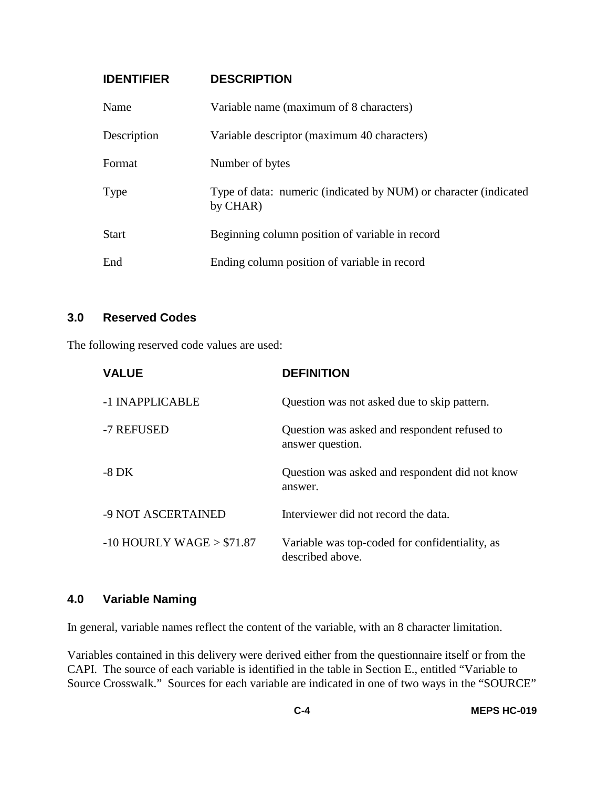## **IDENTIFIER DESCRIPTION**

| Name         | Variable name (maximum of 8 characters)                                      |
|--------------|------------------------------------------------------------------------------|
| Description  | Variable descriptor (maximum 40 characters)                                  |
| Format       | Number of bytes                                                              |
| <b>Type</b>  | Type of data: numeric (indicated by NUM) or character (indicated<br>by CHAR) |
| <b>Start</b> | Beginning column position of variable in record                              |
| End          | Ending column position of variable in record                                 |

## **3.0 Reserved Codes**

The following reserved code values are used:

| <b>VALUE</b>                 | <b>DEFINITION</b>                                                  |
|------------------------------|--------------------------------------------------------------------|
| -1 INAPPLICABLE              | Question was not asked due to skip pattern.                        |
| -7 REFUSED                   | Question was asked and respondent refused to<br>answer question.   |
| $-8\,\mathrm{DK}$            | Question was asked and respondent did not know<br>answer.          |
| -9 NOT ASCERTAINED           | Interviewer did not record the data.                               |
| $-10$ HOURLY WAGE $> $71.87$ | Variable was top-coded for confidentiality, as<br>described above. |

## **4.0 Variable Naming**

In general, variable names reflect the content of the variable, with an 8 character limitation.

Variables contained in this delivery were derived either from the questionnaire itself or from the CAPI. The source of each variable is identified in the table in Section E., entitled "Variable to Source Crosswalk." Sources for each variable are indicated in one of two ways in the "SOURCE"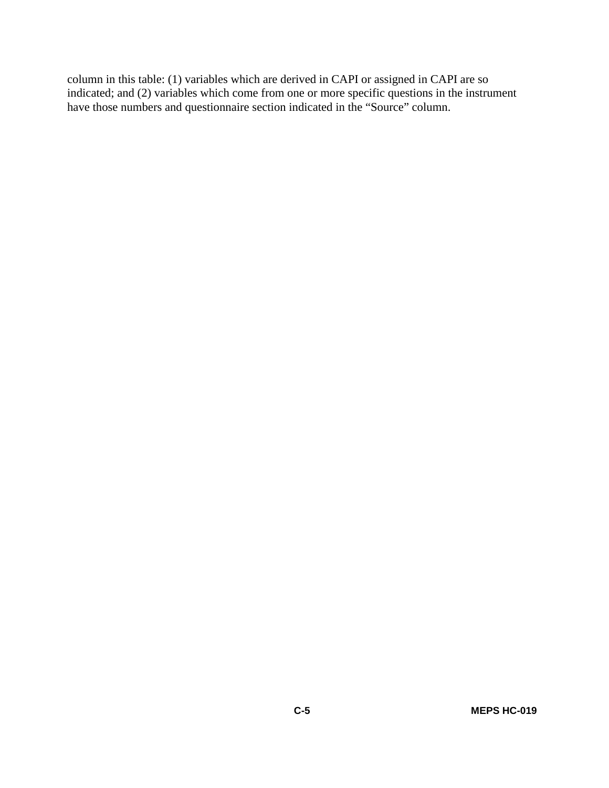column in this table: (1) variables which are derived in CAPI or assigned in CAPI are so indicated; and (2) variables which come from one or more specific questions in the instrument have those numbers and questionnaire section indicated in the "Source" column.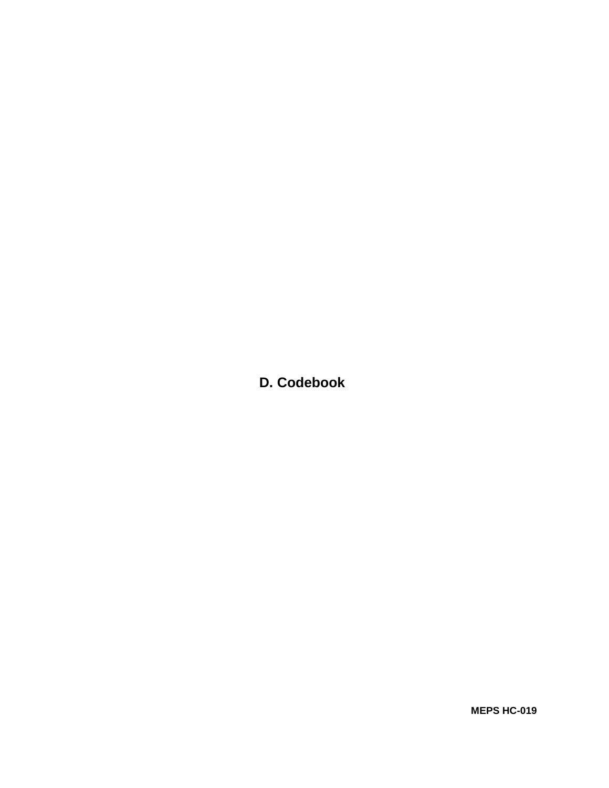**D. Codebook**

**MEPS HC-019**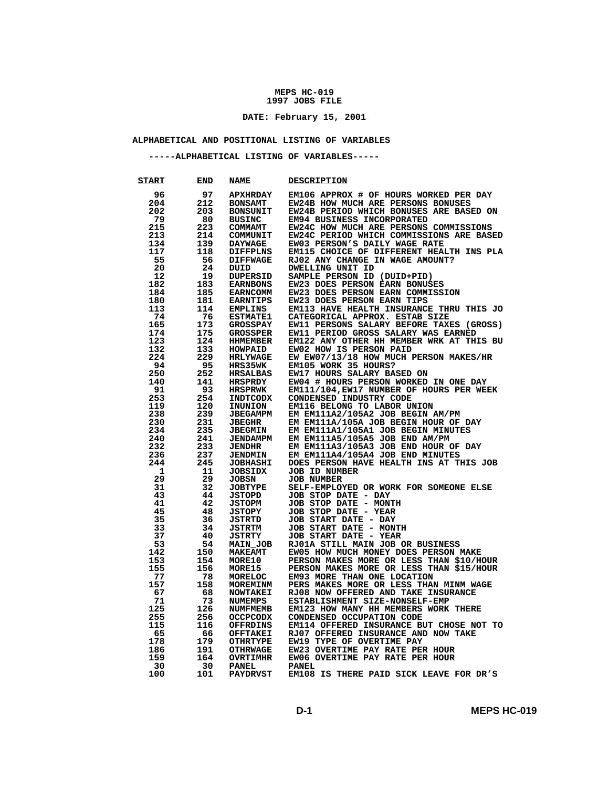### **\_\_\_\_\_\_\_\_\_\_\_\_\_\_\_\_\_\_\_\_\_\_\_\_ DATE: February 15, 2001**

## **ALPHABETICAL AND POSITIONAL LISTING OF VARIABLES**

### **-----ALPHABETICAL LISTING OF VARIABLES-----**

| <b>START</b> | END | <b>NAME</b>     | <b>DESCRIPTION</b>                       |
|--------------|-----|-----------------|------------------------------------------|
| 96           | 97  | <b>APXHRDAY</b> | EM106 APPROX # OF HOURS WORKED PER DAY   |
| 204          | 212 | <b>BONSAMT</b>  | EW24B HOW MUCH ARE PERSONS BONUSES       |
| 202          | 203 | <b>BONSUNIT</b> | EW24B PERIOD WHICH BONUSES ARE BASED ON  |
| 79           | 80  | <b>BUSINC</b>   | EM94 BUSINESS INCORPORATED               |
| 215          | 223 | <b>COMMAMT</b>  | EW24C HOW MUCH ARE PERSONS COMMISSIONS   |
| 213          | 214 | COMMUNIT        | EW24C PERIOD WHICH COMMISSIONS ARE BASED |
| 134          | 139 | <b>DAYWAGE</b>  | EW03 PERSON'S DAILY WAGE RATE            |
| 117          | 118 | <b>DIFFPLNS</b> | EM115 CHOICE OF DIFFERENT HEALTH INS PLA |
| 55           | 56  | <b>DIFFWAGE</b> | RJ02 ANY CHANGE IN WAGE AMOUNT?          |
| 20           | 24  | DUID            | DWELLING UNIT ID                         |
| 12           | 19  | <b>DUPERSID</b> | SAMPLE PERSON ID (DUID+PID)              |
| 182          | 183 | <b>EARNBONS</b> | EW23 DOES PERSON EARN BONUSES            |
| 184          | 185 | <b>EARNCOMM</b> | EW23 DOES PERSON EARN COMMISSION         |
| 180          | 181 | <b>EARNTIPS</b> | EW23 DOES PERSON EARN TIPS               |
| 113          | 114 | <b>EMPLINS</b>  | EM113 HAVE HEALTH INSURANCE THRU THIS JO |
| 74           | 76  | <b>ESTMATE1</b> | CATEGORICAL APPROX. ESTAB SIZE           |
| 165          | 173 | <b>GROSSPAY</b> | EW11 PERSONS SALARY BEFORE TAXES (GROSS) |
| 174          | 175 | <b>GROSSPER</b> | EW11 PERIOD GROSS SALARY WAS EARNED      |
| 123          | 124 | <b>HHMEMBER</b> | EM122 ANY OTHER HH MEMBER WRK AT THIS BU |
| 132          | 133 | HOWPAID         | EW02 HOW IS PERSON PAID                  |
| 224          | 229 | <b>HRLYWAGE</b> | EW EW07/13/18 HOW MUCH PERSON MAKES/HR   |
| 94           | 95  | <b>HRS35WK</b>  | EM105 WORK 35 HOURS?                     |
| 250          | 252 | <b>HRSALBAS</b> | EW17 HOURS SALARY BASED ON               |
| 140          | 141 | <b>HRSPRDY</b>  | EW04 # HOURS PERSON WORKED IN ONE DAY    |
| 91           | 93  | <b>HRSPRWK</b>  | EM111/104, EW17 NUMBER OF HOURS PER WEEK |
| 253          | 254 | <b>INDTCODX</b> | CONDENSED INDUSTRY CODE                  |
| 119          | 120 | INUNION         | EM116 BELONG TO LABOR UNION              |
| 238          | 239 | <b>JBEGAMPM</b> | EM EM111A2/105A2 JOB BEGIN AM/PM         |
| 230          | 231 | <b>JBEGHR</b>   | EM EM111A/105A JOB BEGIN HOUR OF DAY     |
| 234          | 235 | <b>JBEGMIN</b>  | EM EM111A1/105A1 JOB BEGIN MINUTES       |
| 240          | 241 | <b>JENDAMPM</b> | EM EM111A5/105A5 JOB END AM/PM           |
| 232          | 233 | <b>JENDHR</b>   | EM EM111A3/105A3 JOB END HOUR OF DAY     |
| 236          | 237 | <b>JENDMIN</b>  | EM EM111A4/105A4 JOB END MINUTES         |
| 244          | 245 | <b>JOBHASHI</b> | DOES PERSON HAVE HEALTH INS AT THIS JOB  |
| 1            | 11  | <b>JOBSIDX</b>  | <b>JOB ID NUMBER</b>                     |
| 29           | 29  | <b>JOBSN</b>    | <b>JOB NUMBER</b>                        |
| 31           | 32  | <b>JOBTYPE</b>  | SELF-EMPLOYED OR WORK FOR SOMEONE ELSE   |
| 43           | 44  | <b>JSTOPD</b>   | JOB STOP DATE - DAY                      |
| 41           | 42  | <b>JSTOPM</b>   | JOB STOP DATE - MONTH                    |
| 45           | 48  | <b>JSTOPY</b>   | JOB STOP DATE - YEAR                     |
| 35           | 36  | <b>JSTRTD</b>   | JOB START DATE - DAY                     |
| 33           | 34  | <b>JSTRTM</b>   | JOB START DATE - MONTH                   |
| 37           | 40  | <b>JSTRTY</b>   | JOB START DATE - YEAR                    |
| 53           | 54  | MAIN JOB        | RJ01A STILL MAIN JOB OR BUSINESS         |
| 142          | 150 | <b>MAKEAMT</b>  | EW05 HOW MUCH MONEY DOES PERSON MAKE     |
| 153          | 154 | <b>MORE10</b>   | PERSON MAKES MORE OR LESS THAN \$10/HOUR |
| 155          | 156 | <b>MORE15</b>   | PERSON MAKES MORE OR LESS THAN \$15/HOUR |
| 77           | 78  | MORELOC         | EM93 MORE THAN ONE LOCATION              |
| 157          | 158 | <b>MOREMINM</b> | PERS MAKES MORE OR LESS THAN MINM WAGE   |
| 67           | 68  | <b>NOWTAKEI</b> | RJ08 NOW OFFERED AND TAKE INSURANCE      |
| 71           | 73  | <b>NUMEMPS</b>  | ESTABLISHMENT SIZE-NONSELF-EMP           |
| 125          | 126 | <b>NUMFMEMB</b> | EM123 HOW MANY HH MEMBERS WORK THERE     |
| 255          | 256 | <b>OCCPCODX</b> | CONDENSED OCCUPATION CODE                |
| 115          | 116 | <b>OFFRDINS</b> | EM114 OFFERED INSURANCE BUT CHOSE NOT TO |
| 65           | 66  | <b>OFFTAKEI</b> | RJ07 OFFERED INSURANCE AND NOW TAKE      |
| 178          | 179 | <b>OTHRTYPE</b> | EW19 TYPE OF OVERTIME PAY                |
| 186          | 191 | <b>OTHRWAGE</b> | EW23 OVERTIME PAY RATE PER HOUR          |
| 159          | 164 | <b>OVRTIMHR</b> | EW06 OVERTIME PAY RATE PER HOUR          |
| 30           | 30  | <b>PANEL</b>    | <b>PANEL</b>                             |
| 100          | 101 | <b>PAYDRVST</b> | EM108 IS THERE PAID SICK LEAVE FOR DR'S  |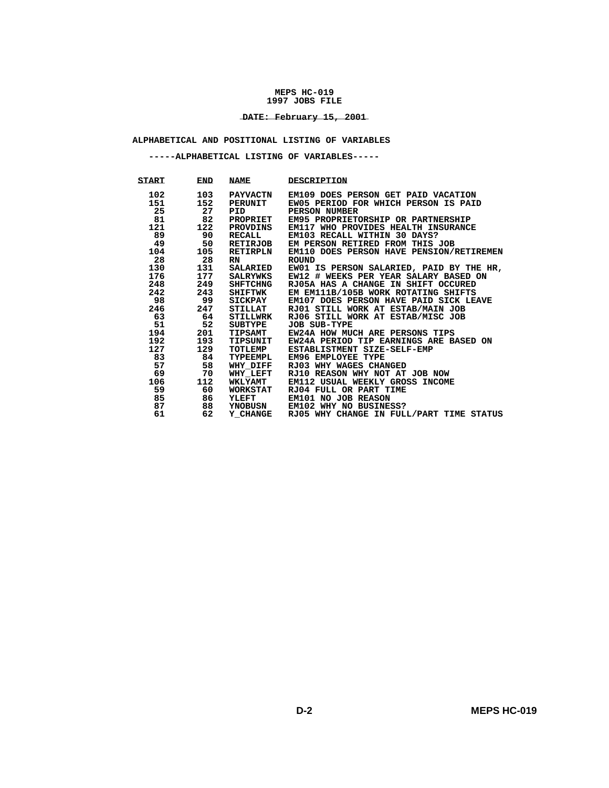### **\_\_\_\_\_\_\_\_\_\_\_\_\_\_\_\_\_\_\_\_\_\_\_\_ DATE: February 15, 2001**

## **ALPHABETICAL AND POSITIONAL LISTING OF VARIABLES**

 **-----ALPHABETICAL LISTING OF VARIABLES-----** 

| START   | <b>END</b> | <b>NAME</b>     | <b>DESCRIPTION</b>                       |
|---------|------------|-----------------|------------------------------------------|
| 102     | 103        | <b>PAYVACTN</b> | EM109 DOES PERSON GET PAID VACATION      |
| 151     | 152        | PERUNIT         | EW05 PERIOD FOR WHICH PERSON IS PAID     |
| 25      | 27         | <b>PID</b>      | PERSON NUMBER                            |
| 81      | 82         | PROPRIET        | EM95 PROPRIETORSHIP OR PARTNERSHIP       |
| 121     | 122        | PROVDINS        | EM117 WHO PROVIDES HEALTH INSURANCE      |
| 89      | 90         | RECALL          | EM103 RECALL WITHIN 30 DAYS?             |
| 49      | 50         | RETIRJOB        | EM PERSON RETIRED FROM THIS JOB          |
| 104     | 105        | RETIRPLN        | EM110 DOES PERSON HAVE PENSION/RETIREMEN |
| 28      | 28         | <b>RN</b>       | <b>ROUND</b>                             |
| 130     | 131        | <b>SALARIED</b> | EW01 IS PERSON SALARIED, PAID BY THE HR, |
| 176 —   | 177        | SALRYWKS        | EW12 # WEEKS PER YEAR SALARY BASED ON    |
| 248     | 249        | SHFTCHNG        | RJ05A HAS A CHANGE IN SHIFT OCCURED      |
| 242     | 243        | SHIFTWK         | EM EM111B/105B WORK ROTATING SHIFTS      |
| 98      | 99         | SICKPAY         | EM107 DOES PERSON HAVE PAID SICK LEAVE   |
| 246     | 247        | STILLAT         | RJ01 STILL WORK AT ESTAB/MAIN JOB        |
| 63      | 64         | STILLWRK        | RJ06 STILL WORK AT ESTAB/MISC JOB        |
| 51      | 52         | SUBTYPE         | <b>JOB SUB-TYPE</b>                      |
| 194     | 201        | TIPSAMT         | EW24A HOW MUCH ARE PERSONS TIPS          |
| 192 192 | 193        | TIPSUNIT        | EW24A PERIOD TIP EARNINGS ARE BASED ON   |
| 127     | 129        | TOTLEMP         | ESTABLISTMENT SIZE-SELF-EMP              |
| 83      | 84         | TYPEEMPL        | EM96 EMPLOYEE TYPE                       |
| 57      | 58         | <b>WHY DIFF</b> | RJ03 WHY WAGES CHANGED                   |
| 69      | 70         | <b>WHY LEFT</b> | RJ10 REASON WHY NOT AT JOB NOW           |
| 106     | 112        | <b>WKLYAMT</b>  | EM112 USUAL WEEKLY GROSS INCOME          |
| 59      | 60         | <b>WORKSTAT</b> | RJ04 FULL OR PART TIME                   |
| 85      | 86         | YLEFT           | EM101 NO JOB REASON                      |
| 87      | 88         | <b>YNOBUSN</b>  | EM102 WHY NO BUSINESS?                   |
| 61      | 62         | <b>Y CHANGE</b> | RJ05 WHY CHANGE IN FULL/PART TIME STATUS |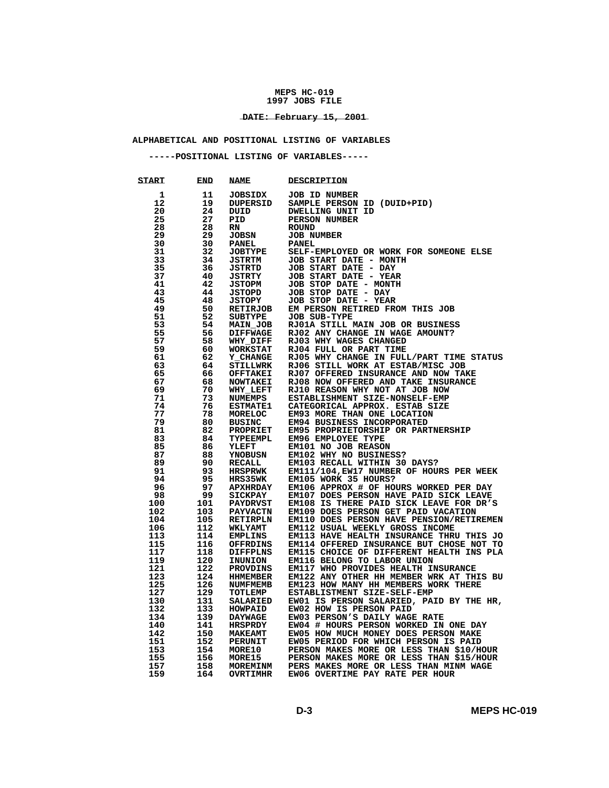### **\_\_\_\_\_\_\_\_\_\_\_\_\_\_\_\_\_\_\_\_\_\_\_\_ DATE: February 15, 2001**

## **ALPHABETICAL AND POSITIONAL LISTING OF VARIABLES**

 **-----POSITIONAL LISTING OF VARIABLES-----** 

| <b>START</b> | END        | <b>NAME</b>                | <b>DESCRIPTION</b>                                                      |
|--------------|------------|----------------------------|-------------------------------------------------------------------------|
| 1            | 11         | <b>JOBSIDX</b>             | <b>JOB ID NUMBER</b>                                                    |
| 12           | 19         | DUPERSID                   | SAMPLE PERSON ID (DUID+PID)                                             |
| 20           | 24         | DUID                       | DWELLING UNIT ID                                                        |
| 25           | 27         | PID                        | <b>PERSON NUMBER</b>                                                    |
| 28           | 28         | RN                         | <b>ROUND</b>                                                            |
| 29           | 29         | <b>JOBSN</b>               | <b>JOB NUMBER</b>                                                       |
| 30           | 30         | <b>PANEL</b>               | <b>PANEL</b>                                                            |
| 31           | 32         | <b>JOBTYPE</b>             | SELF-EMPLOYED OR WORK FOR SOMEONE ELSE                                  |
| 33           | 34         | <b>JSTRTM</b>              | JOB START DATE - MONTH                                                  |
| 35           | 36         | JSTRTD                     | JOB START DATE - DAY                                                    |
| 37           | 40         | <b>JSTRTY</b>              | JOB START DATE - YEAR                                                   |
| 41           | 42         | <b>JSTOPM</b>              | JOB STOP DATE - MONTH                                                   |
| 43           | 44         | JSTOPD                     | JOB STOP DATE - DAY                                                     |
| 45           | 48         | <b>JSTOPY</b>              | JOB STOP DATE - YEAR                                                    |
| 49           | 50         | RETIRJOB                   | EM PERSON RETIRED FROM THIS JOB                                         |
| 51           | 52         | SUBTYPE                    | JOB SUB-TYPE                                                            |
| 53           | 54         | <b>MAIN JOB</b>            | RJ01A STILL MAIN JOB OR BUSINESS                                        |
| 55           | 56         | <b>DIFFWAGE</b>            | RJ02 ANY CHANGE IN WAGE AMOUNT?                                         |
| 57           | 58         | WHY DIFF                   | RJ03 WHY WAGES CHANGED                                                  |
| 59           | 60         | <b>WORKSTAT</b>            | RJ04 FULL OR PART TIME                                                  |
| 61           | 62         | <b>Y CHANGE</b>            | RJ05 WHY CHANGE IN FULL/PART TIME STATUS                                |
| 63           | 64         | STILLWRK                   | RJ06 STILL WORK AT ESTAB/MISC JOB                                       |
| 65           | 66         | <b>OFFTAKEI</b>            | RJ07 OFFERED INSURANCE AND NOW TAKE                                     |
| 67           | 68         | <b>NOWTAKEI</b>            | RJ08 NOW OFFERED AND TAKE INSURANCE                                     |
| 69           | 70         | <b>WHY LEFT</b>            | RJ10 REASON WHY NOT AT JOB NOW                                          |
| 71           | 73         | NUMEMPS                    | ESTABLISHMENT SIZE-NONSELF-EMP                                          |
| 74           | 76         | <b>ESTMATE1</b>            | CATEGORICAL APPROX. ESTAB SIZE                                          |
| 77           | 78         | <b>MORELOC</b>             | EM93 MORE THAN ONE LOCATION                                             |
| 79           | 80         | <b>BUSINC</b>              | EM94 BUSINESS INCORPORATED                                              |
| 81           | 82         | <b>PROPRIET</b>            | EM95 PROPRIETORSHIP OR PARTNERSHIP                                      |
| 83           | 84         | TYPEEMPL                   | EM96 EMPLOYEE TYPE                                                      |
| 85           | 86         | YLEFT                      | EM101 NO JOB REASON                                                     |
| 87           | 88         | <b>YNOBUSN</b>             | EM102 WHY NO BUSINESS?                                                  |
| 89           | 90         | RECALL                     | EM103 RECALL WITHIN 30 DAYS?                                            |
| 91           | 93         | <b>HRSPRWK</b>             | EM111/104, EW17 NUMBER OF HOURS PER WEEK                                |
| 94           | 95         | <b>HRS35WK</b>             | EM105 WORK 35 HOURS?                                                    |
| 96           | 97         | <b>APXHRDAY</b>            | EM106 APPROX # OF HOURS WORKED PER DAY                                  |
| 98           | 99         | <b>SICKPAY</b>             | EM107 DOES PERSON HAVE PAID SICK LEAVE                                  |
| 100          | 101        | <b>PAYDRVST</b>            | EM108 IS THERE PAID SICK LEAVE FOR DR'S                                 |
| 102          | 103        | <b>PAYVACTN</b>            | EM109 DOES PERSON GET PAID VACATION                                     |
| 104          | 105        | <b>RETIRPLN</b>            | EM110 DOES PERSON HAVE PENSION/RETIREMEN                                |
| 106          | 112        | <b>WKLYAMT</b>             | EM112 USUAL WEEKLY GROSS INCOME                                         |
| 113          | 114        | <b>EMPLINS</b>             | <b>EM113 HAVE HEALTH INSURANCE THRU THIS JO</b>                         |
| 115          | 116        | <b>OFFRDINS</b>            | EM114 OFFERED INSURANCE BUT CHOSE NOT TO                                |
| 117          | 118        | DIFFPLNS                   | EM115 CHOICE OF DIFFERENT HEALTH INS PLA                                |
| 119          | 120        | INUNION                    | EM116 BELONG TO LABOR UNION                                             |
| 121          | 122        | PROVDINS                   | EM117 WHO PROVIDES HEALTH INSURANCE                                     |
| 123          | 124<br>126 | <b>HHMEMBER</b>            | EM122 ANY OTHER HH MEMBER WRK AT THIS BU                                |
| 125<br>127   |            | NUMFMEMB                   | EM123 HOW MANY HH MEMBERS WORK THERE                                    |
| 130          | 129<br>131 | TOTLEMP<br><b>SALARIED</b> | ESTABLISTMENT SIZE-SELF-EMP<br>EW01 IS PERSON SALARIED, PAID BY THE HR, |
| 132          | 133        | <b>HOWPAID</b>             | EW02 HOW IS PERSON PAID                                                 |
| 134          | 139        | <b>DAYWAGE</b>             | EW03 PERSON'S DAILY WAGE RATE                                           |
| 140          | 141        | HRSPRDY                    | EW04 # HOURS PERSON WORKED IN ONE DAY                                   |
| 142          | 150        | <b>MAKEAMT</b>             | EW05 HOW MUCH MONEY DOES PERSON MAKE                                    |
| 151          | 152        | PERUNIT                    | EW05 PERIOD FOR WHICH PERSON IS PAID                                    |
| 153          | 154        | <b>MORE10</b>              | PERSON MAKES MORE OR LESS THAN \$10/HOUR                                |
| 155          | 156        | MORE15                     | PERSON MAKES MORE OR LESS THAN \$15/HOUR                                |
| 157          | 158        | <b>MOREMINM</b>            | PERS MAKES MORE OR LESS THAN MINM WAGE                                  |
| 159          | 164        | <b>OVRTIMHR</b>            | EW06 OVERTIME PAY RATE PER HOUR                                         |
|              |            |                            |                                                                         |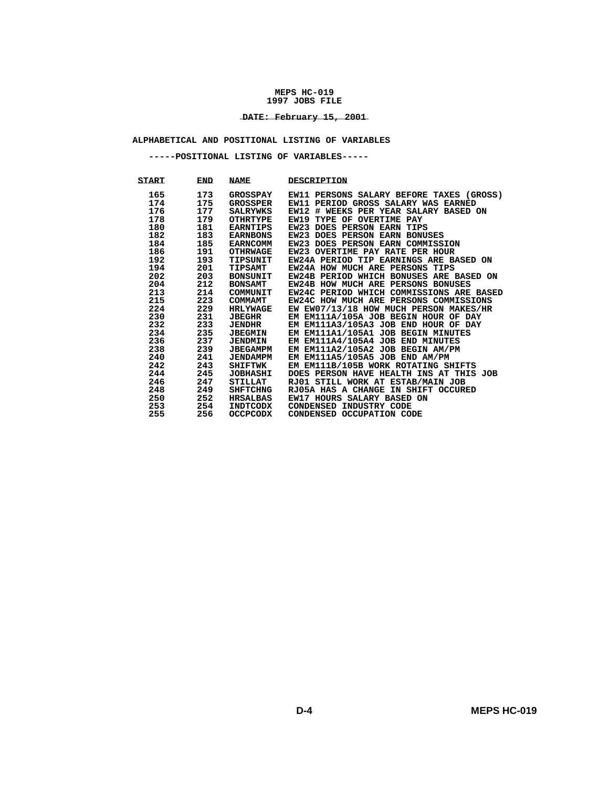### **\_\_\_\_\_\_\_\_\_\_\_\_\_\_\_\_\_\_\_\_\_\_\_\_ DATE: February 15, 2001**

## **ALPHABETICAL AND POSITIONAL LISTING OF VARIABLES**

 **-----POSITIONAL LISTING OF VARIABLES-----** 

| <b>START</b> | <b>END</b> | <b>NAME</b>     | <b>DESCRIPTION</b>                              |
|--------------|------------|-----------------|-------------------------------------------------|
| 165          | 173        | <b>GROSSPAY</b> | <b>EW11 PERSONS SALARY BEFORE TAXES (GROSS)</b> |
| 174          | 175        | GROSSPER        | EW11 PERIOD GROSS SALARY WAS EARNED             |
| 176          | 177        | SALRYWKS        | EW12 # WEEKS PER YEAR SALARY BASED ON           |
| 178          | 179        | OTHRTYPE        | EW19 TYPE OF OVERTIME PAY                       |
| 180          | 181        | EARNTIPS        | <b>EW23 DOES PERSON EARN TIPS</b>               |
| 182          | 183        | <b>EARNBONS</b> | EW23 DOES PERSON EARN BONUSES                   |
| 184          | 185        | <b>EARNCOMM</b> | EW23 DOES PERSON EARN COMMISSION                |
| 186          | 191        | <b>OTHRWAGE</b> | EW23 OVERTIME PAY RATE PER HOUR                 |
| 192          | 193        | TIPSUNIT        | EW24A PERIOD TIP EARNINGS ARE BASED ON          |
| 194          | 201        | TIPSAMT         | EW24A HOW MUCH ARE PERSONS TIPS                 |
| 202          | 203        | BONSUNIT        | EW24B PERIOD WHICH BONUSES ARE BASED ON         |
| 204          | 212        | <b>BONSAMT</b>  | EW24B HOW MUCH ARE PERSONS BONUSES              |
| 213          | 214        | COMMUNIT        | EW24C PERIOD WHICH COMMISSIONS ARE BASED        |
| 215          | 223        | COMMAMT         | EW24C HOW MUCH ARE PERSONS COMMISSIONS          |
| 224          | 229        | <b>HRLYWAGE</b> | EW EW07/13/18 HOW MUCH PERSON MAKES/HR          |
| 230          | 231        | <b>JBEGHR</b>   | EM EM111A/105A JOB BEGIN HOUR OF DAY            |
| 232          | 233        | <b>JENDHR</b>   | EM EM111A3/105A3 JOB END HOUR OF DAY            |
| 234          | 235        | <b>JBEGMIN</b>  | EM EM111A1/105A1 JOB BEGIN MINUTES              |
| 236          | 237        | <b>JENDMIN</b>  | EM EM111A4/105A4 JOB END MINUTES                |
| 238          | 239        | <b>JBEGAMPM</b> | EM EM111A2/105A2 JOB BEGIN AM/PM                |
| 240          | 241        | <b>JENDAMPM</b> | EM EM111A5/105A5 JOB END AM/PM                  |
| 242          | 243        | <b>SHIFTWK</b>  | EM EM111B/105B WORK ROTATING SHIFTS             |
| 244          | 245        | <b>JOBHASHI</b> | DOES PERSON HAVE HEALTH INS AT THIS JOB         |
| 246          | 247        | STILLAT         | RJ01 STILL WORK AT ESTAB/MAIN JOB               |
| 248          | 249        | <b>SHFTCHNG</b> | RJ05A HAS A CHANGE IN SHIFT OCCURED             |
| 250          | 252        | <b>HRSALBAS</b> | EW17 HOURS SALARY BASED ON                      |
| 253          | 254        | INDTCODX        | CONDENSED INDUSTRY CODE                         |
| 255          | 256        | <b>OCCPCODX</b> | CONDENSED OCCUPATION CODE                       |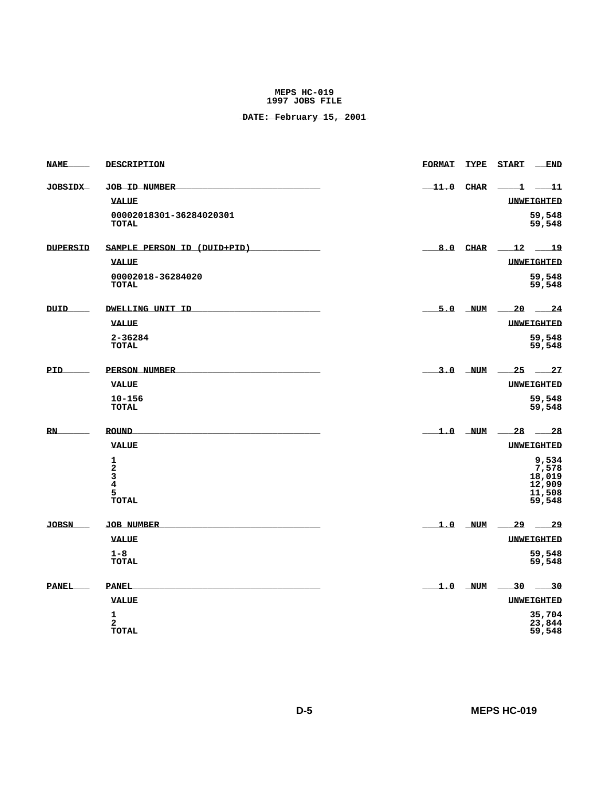| <b>NAME</b>     | DESCRIPTION                             | <b>FORMAT</b> | TYPE        | <b>START</b><br>$\_$ END   |
|-----------------|-----------------------------------------|---------------|-------------|----------------------------|
| <b>JOBSIDX</b>  | <b>JOB ID NUMBER</b>                    | $\_11.0$ CHAR |             | $-11$<br>ᆚ                 |
|                 | <b>VALUE</b>                            |               |             | UNWEIGHTED                 |
|                 | 00002018301-36284020301<br><b>TOTAL</b> |               |             | 59,548<br>59,548           |
| <b>DUPERSID</b> | SAMPLE PERSON ID (DUID+PID)             | 8.0           | <b>CHAR</b> | 12<br>$-19$                |
|                 | <b>VALUE</b>                            |               |             | UNWEIGHTED                 |
|                 | 00002018-36284020<br>TOTAL              |               |             | 59,548<br>59,548           |
| <b>DUID</b>     | DWELLING UNIT ID                        |               | 5.0 NUM     | 20<br>$\frac{24}{1}$       |
|                 | <b>VALUE</b>                            |               |             | UNWEIGHTED                 |
|                 | 2-36284<br><b>TOTAL</b>                 |               |             | 59,548<br>59,548           |
| PID             | PERSON NUMBER                           |               | $3.0$ NUM   | 25<br>$\sim$ 27            |
|                 | <b>VALUE</b>                            |               |             | UNWEIGHTED                 |
|                 | $10 - 156$<br><b>TOTAL</b>              |               |             | 59,548<br>59,548           |
| RN              | <b>ROUND</b>                            |               |             | $1.0$ NUM $-28$ $-28$      |
|                 | <b>VALUE</b>                            |               |             | UNWEIGHTED                 |
|                 | 1<br>$\mathbf{2}$                       |               |             | 9,534<br>7,578             |
|                 | 3                                       |               |             | 18,019                     |
|                 | 4<br>5                                  |               |             | 12,909<br>11,508           |
|                 | <b>TOTAL</b>                            |               |             | 59,548                     |
| <b>JOBSN</b>    | <b>JOB NUMBER</b>                       |               | $1.0$ NUM   | 29<br>$-29$                |
|                 | <b>VALUE</b>                            |               |             | UNWEIGHTED                 |
|                 | $1 - 8$<br><b>TOTAL</b>                 |               |             | 59,548<br>59,548           |
| <b>PANEL</b>    | <b>PANEL</b>                            |               | $1.0$ NUM   | 30 30                      |
|                 | <b>VALUE</b>                            |               |             | UNWEIGHTED                 |
|                 | 1<br>$\mathbf{2}$<br>TOTAL              |               |             | 35,704<br>23,844<br>59,548 |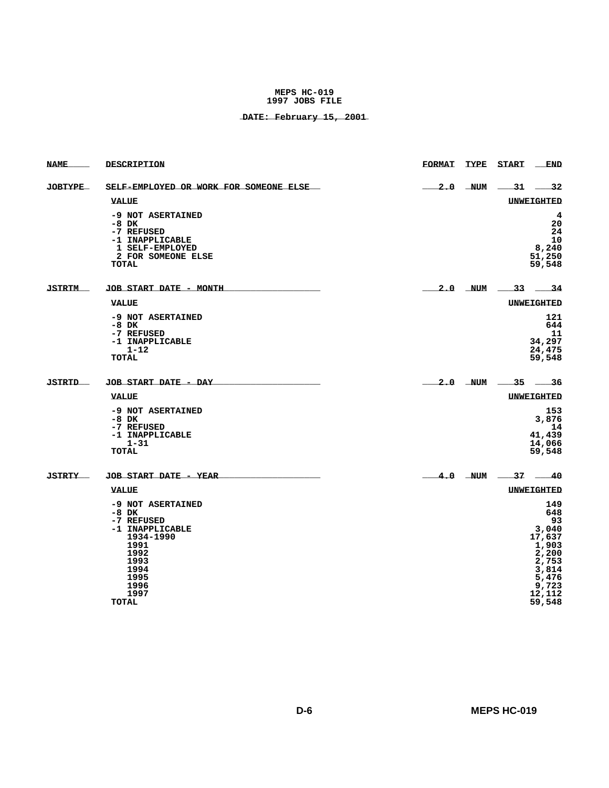| <b>NAME</b>    | DESCRIPTION                                                                                                                                        | <b>FORMAT</b><br><b>TYPE</b><br><b>START</b><br><b>END</b>                                                    |
|----------------|----------------------------------------------------------------------------------------------------------------------------------------------------|---------------------------------------------------------------------------------------------------------------|
| <b>JOBTYPE</b> | SELF-EMPLOYED OR WORK FOR SOMEONE ELSE                                                                                                             | $2.0$ NUM $-31$ $-32$                                                                                         |
|                | <b>VALUE</b>                                                                                                                                       | <b>UNWEIGHTED</b>                                                                                             |
|                | -9 NOT ASERTAINED<br>$-8$ DK<br>-7 REFUSED<br>-1 INAPPLICABLE<br>1 SELF-EMPLOYED<br>2 FOR SOMEONE ELSE<br>TOTAL                                    | 4<br>20<br>24<br>10<br>8,240<br>51,250<br>59,548                                                              |
| <b>JSTRTM</b>  | JOB START DATE - MONTH                                                                                                                             | $2.0$ NUM $33$ $34$                                                                                           |
|                | <b>VALUE</b>                                                                                                                                       | UNWEIGHTED                                                                                                    |
|                | -9 NOT ASERTAINED<br>$-8$ DK<br>-7 REFUSED<br>-1 INAPPLICABLE<br>$1 - 12$<br>TOTAL                                                                 | 121<br>644<br>11<br>34,297<br>24,475<br>59,548                                                                |
| <b>JSTRTD</b>  | JOB START DATE - DAY                                                                                                                               | $2.0$ NUM $35$ 36                                                                                             |
|                | <b>VALUE</b>                                                                                                                                       | UNWEIGHTED                                                                                                    |
|                | -9 NOT ASERTAINED<br>$-8$ DK<br>-7 REFUSED<br>-1 INAPPLICABLE<br>$1 - 31$<br>TOTAL                                                                 | 153<br>3,876<br>14<br>41,439<br>14,066<br>59,548                                                              |
| <b>JSTRTY</b>  | JOB START DATE - YEAR                                                                                                                              | $4.0$ NUM $-37$ $-40$                                                                                         |
|                | <b>VALUE</b>                                                                                                                                       | <b>UNWEIGHTED</b>                                                                                             |
|                | -9 NOT ASERTAINED<br>$-8$ DK<br>-7 REFUSED<br>-1 INAPPLICABLE<br>1934-1990<br>1991<br>1992<br>1993<br>1994<br>1995<br>1996<br>1997<br><b>TOTAL</b> | 149<br>648<br>93<br>3,040<br>17,637<br>1,903<br>2,200<br>2,753<br>3,814<br>5,476<br>9,723<br>12,112<br>59,548 |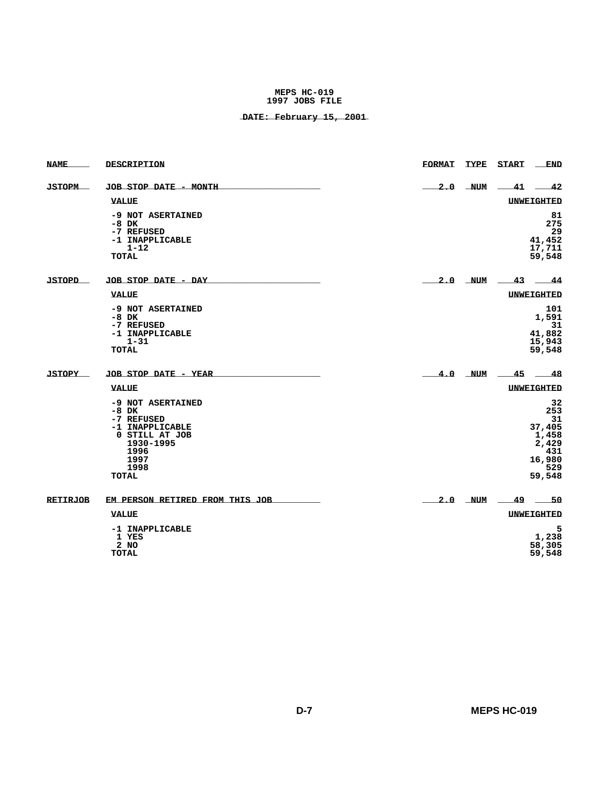| <b>NAME</b>     | DESCRIPTION                                                                                                                   | <b>FORMAT</b> | TYPE       | <b>START</b> | <b>END</b>                                                                    |
|-----------------|-------------------------------------------------------------------------------------------------------------------------------|---------------|------------|--------------|-------------------------------------------------------------------------------|
| <b>JSTOPM</b>   | JOB STOP DATE - MONTH                                                                                                         | 2.0           | <b>NUM</b> | $-41$        | $-42$                                                                         |
|                 | <b>VALUE</b>                                                                                                                  |               |            |              | <b>UNWEIGHTED</b>                                                             |
|                 | -9 NOT ASERTAINED<br>$-8$ DK<br>-7 REFUSED<br>-1 INAPPLICABLE<br>$1 - 12$<br><b>TOTAL</b>                                     |               |            |              | 81<br>275<br>29<br>41,452<br>17,711<br>59,548                                 |
| <b>JSTOPD</b>   | JOB STOP DATE - DAY                                                                                                           |               | $2.0$ NUM  | 43           | - 44                                                                          |
|                 | <b>VALUE</b>                                                                                                                  |               |            |              | <b>UNWEIGHTED</b>                                                             |
|                 | -9 NOT ASERTAINED<br>-8 DK<br>-7 REFUSED<br>-1 INAPPLICABLE<br>$1 - 31$<br><b>TOTAL</b>                                       |               |            |              | 101<br>1,591<br>31<br>41,882<br>15,943<br>59,548                              |
| <b>JSTOPY</b>   | JOB STOP DATE - YEAR                                                                                                          |               | $4.0$ NUM  | 45           | - 48                                                                          |
|                 | <b>VALUE</b>                                                                                                                  |               |            |              | <b>UNWEIGHTED</b>                                                             |
|                 | -9 NOT ASERTAINED<br>$-8$ DK<br>-7 REFUSED<br>-1 INAPPLICABLE<br>0 STILL AT JOB<br>1930-1995<br>1996<br>1997<br>1998<br>TOTAL |               |            |              | 32<br>253<br>31<br>37,405<br>1,458<br>2,429<br>431<br>16,980<br>529<br>59,548 |
| <b>RETIRJOB</b> | EM PERSON RETIRED FROM THIS JOB                                                                                               |               | $2.0$ NUM  | 49           | $-50$                                                                         |
|                 | <b>VALUE</b>                                                                                                                  |               |            |              | <b>UNWEIGHTED</b>                                                             |
|                 | -1 INAPPLICABLE<br>1 YES<br>2 NO<br><b>TOTAL</b>                                                                              |               |            |              | 5<br>1,238<br>58,305<br>59,548                                                |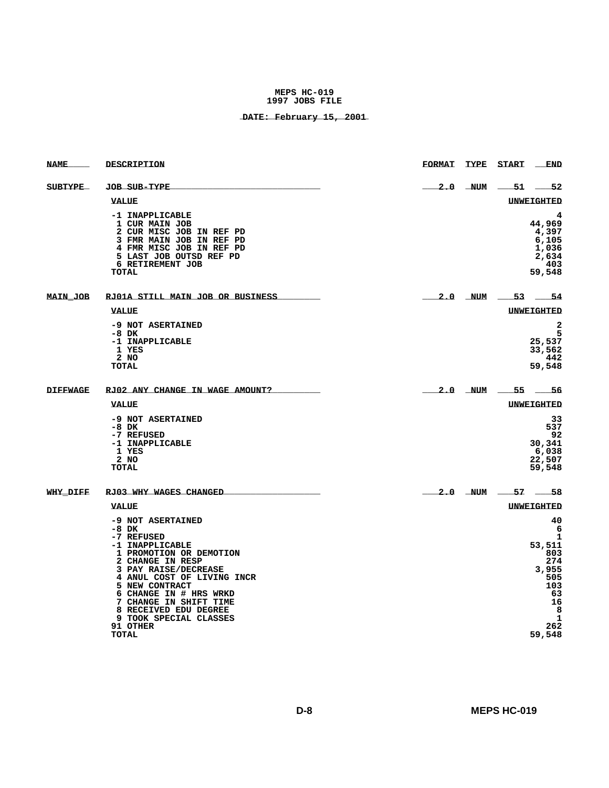| <b>NAME</b>     | DESCRIPTION                                                                                                                                                                                                                                                                                                      | <b>FORMAT</b> | TYPE<br><b>START</b>                | <b>END</b>                                                                     |
|-----------------|------------------------------------------------------------------------------------------------------------------------------------------------------------------------------------------------------------------------------------------------------------------------------------------------------------------|---------------|-------------------------------------|--------------------------------------------------------------------------------|
| <b>SUBTYPE</b>  | <b>JOB SUB-TYPE</b>                                                                                                                                                                                                                                                                                              | 2.0           | <b>NUM</b><br>$51-$                 | $-52$                                                                          |
|                 | <b>VALUE</b>                                                                                                                                                                                                                                                                                                     |               | UNWEIGHTED                          |                                                                                |
|                 | -1 INAPPLICABLE<br>1 CUR MAIN JOB<br>2 CUR MISC JOB IN REF PD<br>3 FMR MAIN JOB IN REF PD<br>4 FMR MISC JOB IN REF PD<br>5 LAST JOB OUTSD REF PD<br>6 RETIREMENT JOB<br>TOTAL                                                                                                                                    |               | 44,969<br>59,548                    | 4<br>4,397<br>6,105<br>1,036<br>2,634<br>403                                   |
| <b>MAIN JOB</b> | RJ01A STILL MAIN JOB OR BUSINESS                                                                                                                                                                                                                                                                                 | $2.0$ NUM     | $-53 - 54$                          |                                                                                |
|                 | <b>VALUE</b>                                                                                                                                                                                                                                                                                                     |               | <b>UNWEIGHTED</b>                   |                                                                                |
|                 | -9 NOT ASERTAINED<br>-8 DK<br>-1 INAPPLICABLE<br>1 YES<br>2 NO<br>TOTAL                                                                                                                                                                                                                                          |               | 25,537<br>33,562<br>59,548          | $\overline{\mathbf{2}}$<br>5<br>442                                            |
| <b>DIFFWAGE</b> | RJ02 ANY CHANGE IN WAGE AMOUNT?                                                                                                                                                                                                                                                                                  | $2.0$ NUM     | $-55$                               | $-56$                                                                          |
|                 | VALUE                                                                                                                                                                                                                                                                                                            |               | UNWEIGHTED                          |                                                                                |
|                 | -9 NOT ASERTAINED<br>$-8$ DK<br>-7 REFUSED<br>-1 INAPPLICABLE<br>1 YES<br>2 NO<br><b>TOTAL</b>                                                                                                                                                                                                                   |               | 30,341<br>6,038<br>22,507<br>59,548 | 33<br>537<br>92                                                                |
| <b>WHY DIFF</b> | RJ03 WHY WAGES CHANGED                                                                                                                                                                                                                                                                                           | $2.0$ NUM     | 57 58                               |                                                                                |
|                 | <b>VALUE</b>                                                                                                                                                                                                                                                                                                     |               | UNWEIGHTED                          |                                                                                |
|                 | -9 NOT ASERTAINED<br>$-8$ DK<br>-7 REFUSED<br>-1 INAPPLICABLE<br>1 PROMOTION OR DEMOTION<br>2 CHANGE IN RESP<br>3 PAY RAISE/DECREASE<br>4 ANUL COST OF LIVING INCR<br>5 NEW CONTRACT<br>6 CHANGE IN # HRS WRKD<br>7 CHANGE IN SHIFT TIME<br>8 RECEIVED EDU DEGREE<br>9 TOOK SPECIAL CLASSES<br>91 OTHER<br>TOTAL |               | 53,511<br>59,548                    | 40<br>6<br>1<br>803<br>274<br>3,955<br>505<br>103<br>63<br>16<br>8<br>1<br>262 |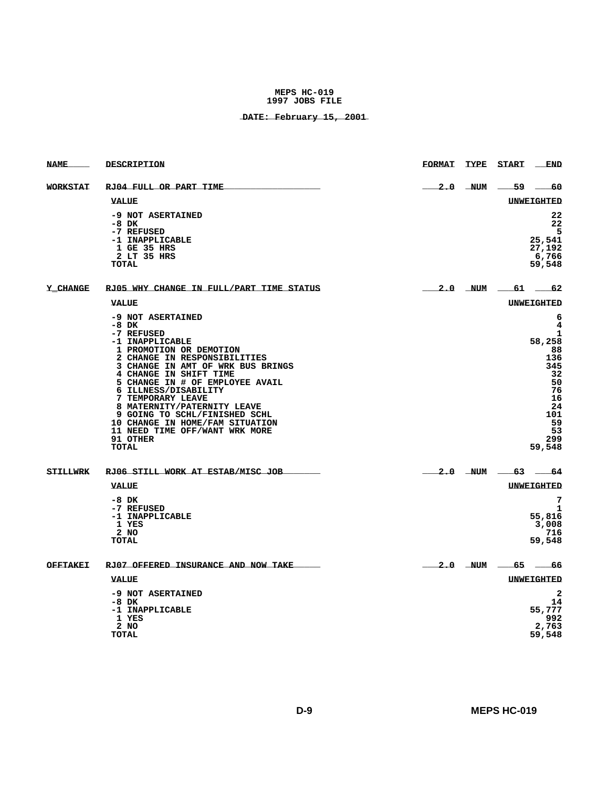| <b>NAME</b>     | DESCRIPTION                                                                                                                                                                                                                                                                                                                                                                                                                              | <b>FORMAT</b> | TYPE START END        |                                                                                                             |
|-----------------|------------------------------------------------------------------------------------------------------------------------------------------------------------------------------------------------------------------------------------------------------------------------------------------------------------------------------------------------------------------------------------------------------------------------------------------|---------------|-----------------------|-------------------------------------------------------------------------------------------------------------|
| <b>WORKSTAT</b> | RJ04 FULL OR PART TIME                                                                                                                                                                                                                                                                                                                                                                                                                   |               | $2.0$ NUM $-59$ $-60$ |                                                                                                             |
|                 | <b>VALUE</b>                                                                                                                                                                                                                                                                                                                                                                                                                             |               |                       | UNWEIGHTED                                                                                                  |
|                 | -9 NOT ASERTAINED<br>-8 DK<br>-7 REFUSED<br>-1 INAPPLICABLE<br>1 GE 35 HRS<br>2 LT 35 HRS<br>TOTAL                                                                                                                                                                                                                                                                                                                                       |               |                       | 22<br>22<br>5<br>25,541<br>27,192<br>6,766<br>59,548                                                        |
| Y CHANGE        | RJ05 WHY CHANGE IN FULL/PART TIME STATUS                                                                                                                                                                                                                                                                                                                                                                                                 |               | $2.0$ NUM 61 62       |                                                                                                             |
|                 | VALUE                                                                                                                                                                                                                                                                                                                                                                                                                                    |               |                       | UNWEIGHTED                                                                                                  |
|                 | -9 NOT ASERTAINED<br>$-8$ DK<br>-7 REFUSED<br>-1 INAPPLICABLE<br>1 PROMOTION OR DEMOTION<br>2 CHANGE IN RESPONSIBILITIES<br>3 CHANGE IN AMT OF WRK BUS BRINGS<br>4 CHANGE IN SHIFT TIME<br>5 CHANGE IN # OF EMPLOYEE AVAIL<br>6 ILLNESS/DISABILITY<br>7 TEMPORARY LEAVE<br>8 MATERNITY/PATERNITY LEAVE<br>9 GOING TO SCHL/FINISHED SCHL<br>10 CHANGE IN HOME/FAM SITUATION<br>11 NEED TIME OFF/WANT WRK MORE<br>91 OTHER<br><b>TOTAL</b> |               |                       | 6<br>4<br>1<br>58,258<br>88<br>136<br>345<br>32<br>50<br>76<br>16<br>24<br>101<br>59<br>53<br>299<br>59,548 |
| <b>STILLWRK</b> | RJ06 STILL WORK AT ESTAB/MISC JOB                                                                                                                                                                                                                                                                                                                                                                                                        |               | $2.0$ NUM 63 64       |                                                                                                             |
|                 | <b>VALUE</b><br>$-8$ DK<br>-7 REFUSED<br>-1 INAPPLICABLE<br>1 YES<br>2 NO<br><b>TOTAL</b>                                                                                                                                                                                                                                                                                                                                                |               |                       | <b>UNWEIGHTED</b><br>7<br>1<br>55,816<br>3,008<br>716<br>59,548                                             |
| <b>OFFTAKEI</b> | RJ07 OFFERED INSURANCE AND NOW TAKE                                                                                                                                                                                                                                                                                                                                                                                                      |               | 2.0 NUM 65 66         |                                                                                                             |
|                 | <b>VALUE</b>                                                                                                                                                                                                                                                                                                                                                                                                                             |               |                       | <b>UNWEIGHTED</b>                                                                                           |
|                 | -9 NOT ASERTAINED<br>$-8$ DK<br>-1 INAPPLICABLE<br>1 YES<br>$2$ NO<br><b>TOTAL</b>                                                                                                                                                                                                                                                                                                                                                       |               |                       | $\overline{a}$<br>14<br>55,777<br>992<br>2,763<br>59,548                                                    |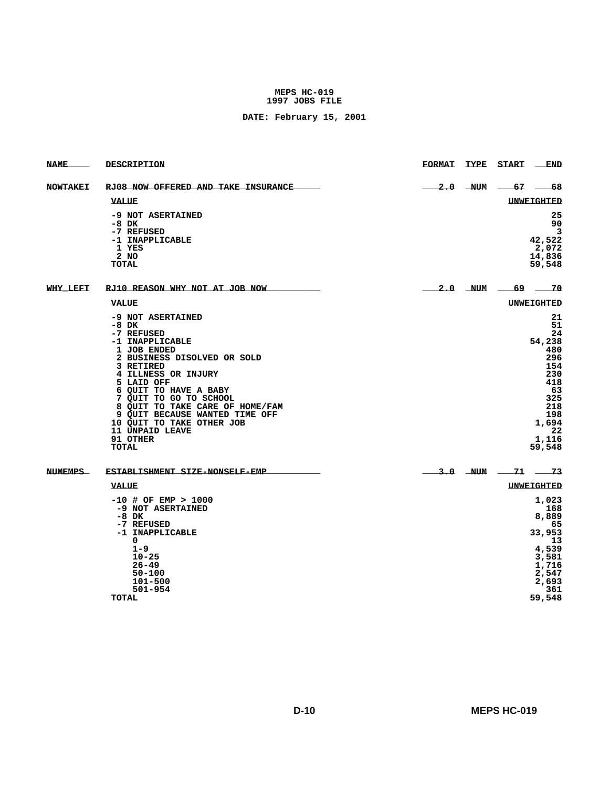| <b>NAME</b>     | <b>DESCRIPTION</b>                                                                                                                                                                                                                                                                                                                                         | <b>FORMAT</b> | <b>TYPE</b> | <b>START</b>          | <b>END</b>                                                                                                               |
|-----------------|------------------------------------------------------------------------------------------------------------------------------------------------------------------------------------------------------------------------------------------------------------------------------------------------------------------------------------------------------------|---------------|-------------|-----------------------|--------------------------------------------------------------------------------------------------------------------------|
| <b>NOWTAKEI</b> | RJ08 NOW OFFERED AND TAKE INSURANCE                                                                                                                                                                                                                                                                                                                        |               | $2.0$ NUM   | $-67$                 |                                                                                                                          |
|                 | <b>VALUE</b>                                                                                                                                                                                                                                                                                                                                               |               |             |                       | <b>UNWEIGHTED</b>                                                                                                        |
|                 | -9 NOT ASERTAINED<br>$-8$ DK<br>-7 REFUSED<br>-1 INAPPLICABLE<br>1 YES<br>2 NO<br><b>TOTAL</b>                                                                                                                                                                                                                                                             |               |             |                       | 25<br>90<br>3<br>42,522<br>2,072<br>14,836<br>59,548                                                                     |
| <b>WHY LEFT</b> | RJ10 REASON WHY NOT AT JOB NOW                                                                                                                                                                                                                                                                                                                             |               | 2.0 NUM     | $-69$ 70              |                                                                                                                          |
|                 | <b>VALUE</b>                                                                                                                                                                                                                                                                                                                                               |               |             |                       | <b>UNWEIGHTED</b>                                                                                                        |
|                 | -9 NOT ASERTAINED<br>$-8$ DK<br>-7 REFUSED<br>-1 INAPPLICABLE<br>1 JOB ENDED<br>2 BUSINESS DISOLVED OR SOLD<br>3 RETIRED<br>4 ILLNESS OR INJURY<br>5 LAID OFF<br>6 QUIT TO HAVE A BABY<br>7 QUIT TO GO TO SCHOOL<br>8 QUIT TO TAKE CARE OF HOME/FAM<br>9 QUIT BECAUSE WANTED TIME OFF<br>10 QUIT TO TAKE OTHER JOB<br>11 UNPAID LEAVE<br>91 OTHER<br>TOTAL |               |             |                       | 21<br>51<br>24<br>54,238<br>480<br>296<br>154<br>230<br>418<br>63<br>325<br>218<br>198<br>1,694<br>22<br>1,116<br>59,548 |
| <b>NUMEMPS</b>  | ESTABLISHMENT SIZE-NONSELF-EMP                                                                                                                                                                                                                                                                                                                             |               |             | $3.0$ NUM $-71$ $-73$ |                                                                                                                          |
|                 | VALUE                                                                                                                                                                                                                                                                                                                                                      |               |             |                       | <b>UNWEIGHTED</b>                                                                                                        |
|                 | $-10$ # OF EMP > 1000<br>-9 NOT ASERTAINED                                                                                                                                                                                                                                                                                                                 |               |             |                       | 1,023<br>168                                                                                                             |
|                 | -8 DK                                                                                                                                                                                                                                                                                                                                                      |               |             |                       | 8,889                                                                                                                    |
|                 | -7 REFUSED<br>-1 INAPPLICABLE<br>0                                                                                                                                                                                                                                                                                                                         |               |             |                       | 65<br>33,953<br>13                                                                                                       |
|                 | $1 - 9$                                                                                                                                                                                                                                                                                                                                                    |               |             |                       | 4,539                                                                                                                    |
|                 | $10 - 25$<br>$26 - 49$                                                                                                                                                                                                                                                                                                                                     |               |             |                       | 3,581<br>1,716                                                                                                           |
|                 | 50-100                                                                                                                                                                                                                                                                                                                                                     |               |             |                       | 2,547                                                                                                                    |
|                 | 101-500<br>501-954                                                                                                                                                                                                                                                                                                                                         |               |             |                       | 2,693<br>361                                                                                                             |
|                 | <b>TOTAL</b>                                                                                                                                                                                                                                                                                                                                               |               |             |                       | 59,548                                                                                                                   |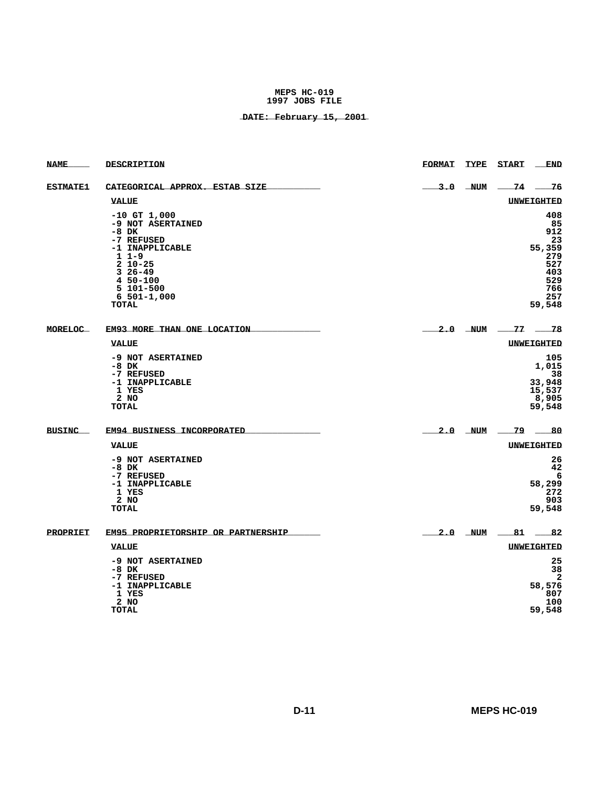| <b>NAME</b>     | <b>DESCRIPTION</b>                                                                                                                                                                      | <b>FORMAT</b> | TYPE      | <b>START</b><br><b>END</b>                                                           |
|-----------------|-----------------------------------------------------------------------------------------------------------------------------------------------------------------------------------------|---------------|-----------|--------------------------------------------------------------------------------------|
| <b>ESTMATE1</b> | CATEGORICAL APPROX. ESTAB SIZE                                                                                                                                                          |               | $3.0$ NUM | -74 -<br>- 76                                                                        |
|                 | <b>VALUE</b>                                                                                                                                                                            |               |           | <b>UNWEIGHTED</b>                                                                    |
|                 | $-10$ GT $1,000$<br>-9 NOT ASERTAINED<br>$-8$ DK<br>-7 REFUSED<br>-1 INAPPLICABLE<br>$11-9$<br>$2 10 - 25$<br>$326 - 49$<br>$450 - 100$<br>5 101-500<br>$6 501 - 1,000$<br><b>TOTAL</b> |               |           | 408<br>85<br>912<br>23<br>55,359<br>279<br>527<br>403<br>529<br>766<br>257<br>59,548 |
| <b>MORELOC</b>  | EM93 MORE THAN ONE LOCATION                                                                                                                                                             |               | $2.0$ NUM | $-77$ $-78$                                                                          |
|                 | VALUE                                                                                                                                                                                   |               |           | UNWEIGHTED                                                                           |
|                 | -9 NOT ASERTAINED<br>$-8$ DK<br>-7 REFUSED<br>-1 INAPPLICABLE<br>1 YES<br>2 NO<br><b>TOTAL</b>                                                                                          |               |           | 105<br>1,015<br>38<br>33,948<br>15,537<br>8,905<br>59,548                            |
| <b>BUSINC</b>   | EM94 BUSINESS INCORPORATED                                                                                                                                                              |               | $2.0$ NUM | $79 -$<br>- 80                                                                       |
|                 | <b>VALUE</b>                                                                                                                                                                            |               |           | <b>UNWEIGHTED</b>                                                                    |
|                 | -9 NOT ASERTAINED<br>$-8$ DK<br>-7 REFUSED<br>-1 INAPPLICABLE<br>1 YES<br>$2$ NO<br><b>TOTAL</b>                                                                                        |               |           | 26<br>42<br>6<br>58,299<br>272<br>903<br>59,548                                      |
| <b>PROPRIET</b> | EM95 PROPRIETORSHIP OR PARTNERSHIP                                                                                                                                                      | 2.0 NUM       |           | $-81 - 82$                                                                           |
|                 | <b>VALUE</b>                                                                                                                                                                            |               |           | <b>UNWEIGHTED</b>                                                                    |
|                 | -9 NOT ASERTAINED<br>$-8$ DK<br>-7 REFUSED<br>-1 INAPPLICABLE<br>1 YES<br>$2$ NO<br><b>TOTAL</b>                                                                                        |               |           | 25<br>38<br>$\overline{2}$<br>58,576<br>807<br>100<br>59,548                         |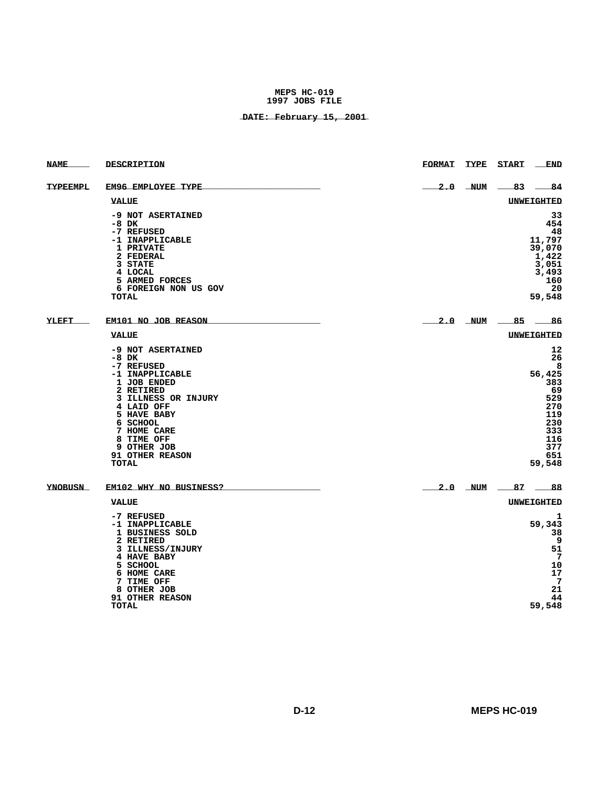| <b>NAME</b>     | DESCRIPTION                                                                                                                                                                                                                              | <b>FORMAT</b> | TYPE      | <b>START</b> | <b>END</b>                                                                                             |
|-----------------|------------------------------------------------------------------------------------------------------------------------------------------------------------------------------------------------------------------------------------------|---------------|-----------|--------------|--------------------------------------------------------------------------------------------------------|
| <b>TYPEEMPL</b> | EM96 EMPLOYEE TYPE                                                                                                                                                                                                                       | 2.0           | NUM       | $-83$        | -84                                                                                                    |
|                 | <b>VALUE</b>                                                                                                                                                                                                                             |               |           |              | <b>UNWEIGHTED</b>                                                                                      |
|                 | -9 NOT ASERTAINED<br>-8 DK<br>-7 REFUSED<br>-1 INAPPLICABLE<br>1 PRIVATE<br>2 FEDERAL<br>3 STATE<br>4 LOCAL<br>5 ARMED FORCES<br>6 FOREIGN NON US GOV<br><b>TOTAL</b>                                                                    |               |           |              | 33<br>454<br>48<br>11,797<br>39,070<br>1,422<br>3,051<br>3,493<br>160<br>20<br>59,548                  |
| <b>YLEFT</b>    | EM101 NO JOB REASON                                                                                                                                                                                                                      |               | 2.0 NUM   | $-85$        | - 86                                                                                                   |
|                 | <b>VALUE</b>                                                                                                                                                                                                                             |               |           |              | <b>UNWEIGHTED</b>                                                                                      |
|                 | -9 NOT ASERTAINED<br>$-8$ DK<br>-7 REFUSED<br>-1 INAPPLICABLE<br>1 JOB ENDED<br>2 RETIRED<br>3 ILLNESS OR INJURY<br>4 LAID OFF<br>5 HAVE BABY<br>6 SCHOOL<br>7 HOME CARE<br>8 TIME OFF<br>9 OTHER JOB<br>91 OTHER REASON<br><b>TOTAL</b> |               |           |              | 12<br>26<br>8<br>56,425<br>383<br>69<br>529<br>270<br>119<br>230<br>333<br>116<br>377<br>651<br>59,548 |
| <b>YNOBUSN</b>  | EM102 WHY NO BUSINESS?                                                                                                                                                                                                                   |               | $2.0$ NUM | 87 _         | 88                                                                                                     |
|                 | <b>VALUE</b>                                                                                                                                                                                                                             |               |           |              | <b>UNWEIGHTED</b>                                                                                      |
|                 | -7 REFUSED<br>-1 INAPPLICABLE<br>1 BUSINESS SOLD<br>2 RETIRED<br>3 ILLNESS/INJURY<br>4 HAVE BABY<br>5 SCHOOL<br>6 HOME CARE<br>7 TIME OFF<br>8 OTHER JOB<br>91 OTHER REASON<br><b>TOTAL</b>                                              |               |           |              | 1<br>59,343<br>38<br>9<br>51<br>7<br>10<br>17<br>7<br>21<br>44<br>59,548                               |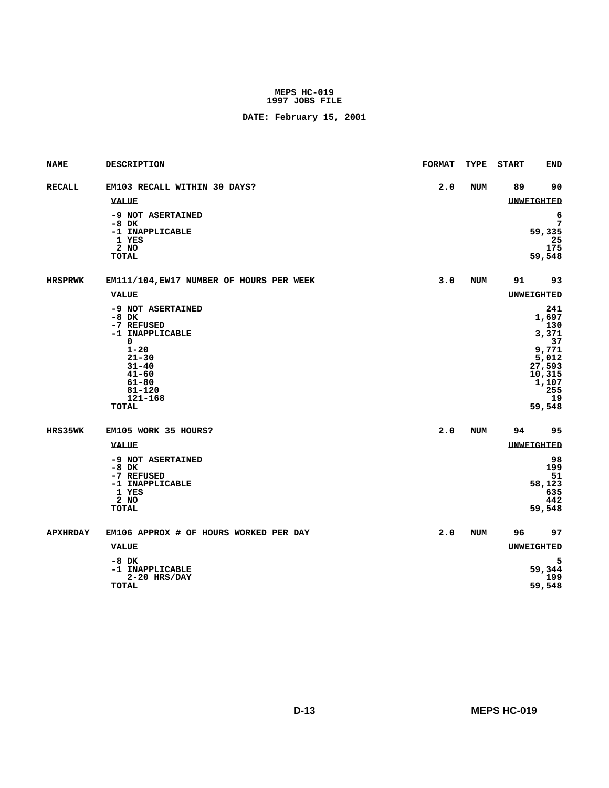| <b>NAME</b>      | DESCRIPTION                                                                                                                                                             | <b>FORMAT</b> | <b>TYPE</b> | <b>START</b>          | <b>END</b>                                                                                                |
|------------------|-------------------------------------------------------------------------------------------------------------------------------------------------------------------------|---------------|-------------|-----------------------|-----------------------------------------------------------------------------------------------------------|
| <b>RECALL___</b> | EM103 RECALL WITHIN 30 DAYS?                                                                                                                                            |               | $2.0$ NUM   | -89                   | ___90                                                                                                     |
|                  | <b>VALUE</b>                                                                                                                                                            |               |             |                       | <b>UNWEIGHTED</b>                                                                                         |
|                  | -9 NOT ASERTAINED<br>$-8$ DK<br>-1 INAPPLICABLE<br>1 YES<br>$2$ NO<br><b>TOTAL</b>                                                                                      |               |             |                       | 6<br>7<br>59,335<br>25<br>175<br>59,548                                                                   |
| <b>HRSPRWK</b>   | EM111/104, EW17 NUMBER OF HOURS PER WEEK                                                                                                                                |               |             | $3.0$ NUM $-91$ $-93$ |                                                                                                           |
|                  | <b>VALUE</b>                                                                                                                                                            |               |             |                       | UNWEIGHTED                                                                                                |
|                  | -9 NOT ASERTAINED<br>$-8$ DK<br>-7 REFUSED<br>-1 INAPPLICABLE<br>0<br>$1 - 20$<br>$21 - 30$<br>$31 - 40$<br>$41 - 60$<br>61-80<br>$81 - 120$<br>121-168<br><b>TOTAL</b> |               |             |                       | 241<br>1,697<br>130<br>3,371<br>37<br>9,771<br>5,012<br>27,593<br>10,315<br>1,107<br>255<br>-19<br>59,548 |
| HRS35WK          | EM105 WORK 35 HOURS?                                                                                                                                                    |               | $2.0$ NUM   |                       | $-94 - 95$                                                                                                |
|                  | <b>VALUE</b>                                                                                                                                                            |               |             |                       | <b>UNWEIGHTED</b>                                                                                         |
|                  | -9 NOT ASERTAINED<br>-8 DK<br>-7 REFUSED<br>-1 INAPPLICABLE<br>1 YES<br>2 NO<br>TOTAL                                                                                   |               |             |                       | 98<br>199<br>51<br>58,123<br>635<br>442<br>59,548                                                         |
| <b>APXHRDAY</b>  | EM106 APPROX # OF HOURS WORKED PER DAY                                                                                                                                  |               |             | $2.0$ NUM $-96$ $-97$ |                                                                                                           |
|                  | <b>VALUE</b>                                                                                                                                                            |               |             |                       | <b>UNWEIGHTED</b>                                                                                         |
|                  | $-8$ DK<br>-1 INAPPLICABLE<br>$2-20$ HRS/DAY<br><b>TOTAL</b>                                                                                                            |               |             |                       | 5<br>59,344<br>199<br>59,548                                                                              |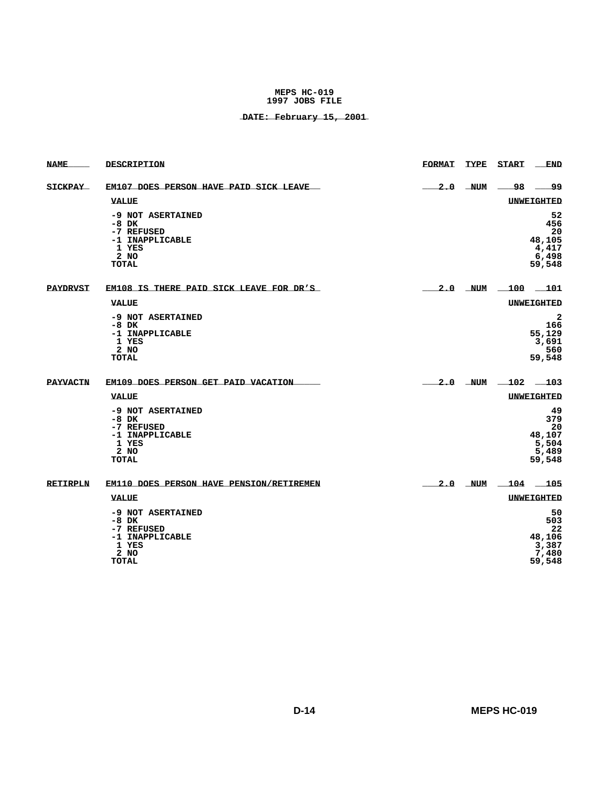| <b>NAME</b>     | DESCRIPTION                                                                                    | <b>FORMAT</b> |           | TYPE START                | <b>END</b>                                              |
|-----------------|------------------------------------------------------------------------------------------------|---------------|-----------|---------------------------|---------------------------------------------------------|
| <b>SICKPAY</b>  | EM107 DOES PERSON HAVE PAID SICK LEAVE                                                         |               | $2.0$ NUM |                           |                                                         |
|                 | <b>VALUE</b>                                                                                   |               |           |                           | <b>UNWEIGHTED</b>                                       |
|                 | -9 NOT ASERTAINED<br>$-8$ DK<br>-7 REFUSED<br>-1 INAPPLICABLE<br>1 YES<br>2 NQ<br><b>TOTAL</b> |               |           |                           | 52<br>456<br>20<br>48,105<br>4,417<br>6,498<br>59,548   |
| <b>PAYDRVST</b> | EM108 IS THERE PAID SICK LEAVE FOR DR'S                                                        |               |           | $2.0$ NUM $\_100$ $\_101$ |                                                         |
|                 | <b>VALUE</b>                                                                                   |               |           |                           | <b>UNWEIGHTED</b>                                       |
|                 | -9 NOT ASERTAINED<br>$-8$ DK<br>-1 INAPPLICABLE<br>1 YES<br>$2$ NO<br><b>TOTAL</b>             |               |           |                           | $\mathbf{2}$<br>166<br>55,129<br>3,691<br>560<br>59,548 |
| <b>PAYVACTN</b> | EM109 DOES PERSON GET PAID VACATION                                                            |               |           | $2.0$ NUM $-102$ $-103$   |                                                         |
|                 | <b>VALUE</b>                                                                                   |               |           |                           | <b>UNWEIGHTED</b>                                       |
|                 | -9 NOT ASERTAINED<br>$-8$ DK<br>-7 REFUSED<br>-1 INAPPLICABLE<br>1 YES<br>2 NO<br><b>TOTAL</b> |               |           |                           | 49<br>379<br>20<br>48,107<br>5,504<br>5,489<br>59,548   |
| <b>RETIRPLN</b> | EM110 DOES PERSON HAVE PENSION/RETIREMEN                                                       |               |           | $2.0$ NUM $-104$ $-105$   |                                                         |
|                 | <b>VALUE</b>                                                                                   |               |           |                           | <b>UNWEIGHTED</b>                                       |
|                 | -9 NOT ASERTAINED<br>-8 DK<br>-7 REFUSED<br>-1 INAPPLICABLE<br>1 YES<br>$2$ NO<br><b>TOTAL</b> |               |           |                           | 50<br>503<br>22<br>48,106<br>3,387<br>7,480<br>59,548   |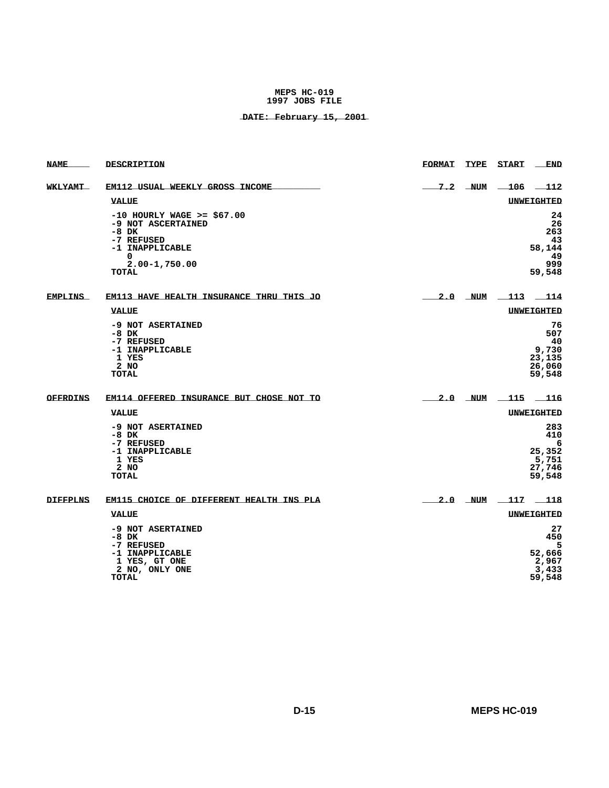| <b>NAME</b>     | DESCRIPTION                                                                                                                              | <b>FORMAT</b>     | <b>TYPE</b> | <b>START</b>           | <b>END</b>                                             |
|-----------------|------------------------------------------------------------------------------------------------------------------------------------------|-------------------|-------------|------------------------|--------------------------------------------------------|
| <b>WKLYAMT</b>  | <b>EM112 USUAL WEEKLY GROSS INCOME</b>                                                                                                   |                   | $7.2$ NUM   | $-106$ $-112$          |                                                        |
|                 | <b>VALUE</b>                                                                                                                             |                   |             |                        | <b>UNWEIGHTED</b>                                      |
|                 | $-10$ HOURLY WAGE >= \$67.00<br>-9 NOT ASCERTAINED<br>$-8$ DK<br>-7 REFUSED<br>-1 INAPPLICABLE<br>0<br>$2.00 - 1,750.00$<br><b>TOTAL</b> |                   |             |                        | 24<br>26<br>263<br>43<br>58,144<br>49<br>999<br>59,548 |
| <b>EMPLINS</b>  | <b>EM113 HAVE HEALTH INSURANCE THRU THIS JO</b>                                                                                          | $2.0$ NUM 113 114 |             |                        |                                                        |
|                 | <b>VALUE</b>                                                                                                                             |                   |             |                        | <b>UNWEIGHTED</b>                                      |
|                 | -9 NOT ASERTAINED<br>$-8$ DK<br>-7 REFUSED<br>-1 INAPPLICABLE<br>1 YES<br>2 NO<br>TOTAL                                                  |                   |             |                        | 76<br>507<br>40<br>9,730<br>23,135<br>26,060<br>59,548 |
| <b>OFFRDINS</b> | EM114 OFFERED INSURANCE BUT CHOSE NOT TO                                                                                                 |                   | $2.0$ NUM   |                        | $-115 - 116$                                           |
|                 | <b>VALUE</b>                                                                                                                             |                   |             |                        | UNWEIGHTED                                             |
|                 | -9 NOT ASERTAINED<br>$-8$ DK<br>-7 REFUSED<br>-1 INAPPLICABLE<br>1 YES<br>2 NO<br>TOTAL                                                  |                   |             |                        | 283<br>410<br>6<br>25,352<br>5,751<br>27,746<br>59,548 |
| <b>DIFFPLNS</b> | EM115 CHOICE OF DIFFERENT HEALTH INS PLA                                                                                                 |                   |             | <u>2.0 NUM 117 118</u> |                                                        |
|                 | <b>VALUE</b>                                                                                                                             |                   |             |                        | UNWEIGHTED                                             |
|                 | -9 NOT ASERTAINED<br>$-8$ DK<br>-7 REFUSED<br>-1 INAPPLICABLE<br>1 YES, GT ONE<br>2 NO, ONLY ONE<br>TOTAL                                |                   |             |                        | 27<br>450<br>5<br>52,666<br>2,967<br>3,433<br>59,548   |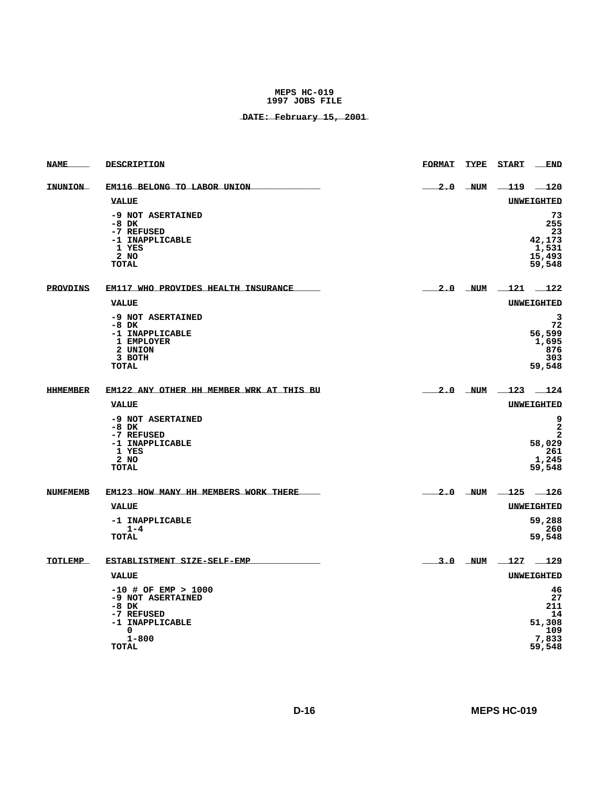| <b>NAME</b>     | DESCRIPTION                                                                                                     | <b>FORMAT</b> | TYPE START                | $_{\rm END}$                                               |
|-----------------|-----------------------------------------------------------------------------------------------------------------|---------------|---------------------------|------------------------------------------------------------|
| INUNION         | EM116 BELONG TO LABOR UNION                                                                                     |               | $2.0$ NUM $-119$ $-120$   |                                                            |
|                 | <b>VALUE</b>                                                                                                    |               | <b>UNWEIGHTED</b>         |                                                            |
|                 | -9 NOT ASERTAINED<br>$-8$ DK<br>-7 REFUSED<br>-1 INAPPLICABLE<br>1 YES<br>2 NO<br><b>TOTAL</b>                  |               |                           | 73<br>255<br>23<br>42,173<br>1,531<br>15,493<br>59,548     |
| <b>PROVDINS</b> | EM117 WHO PROVIDES HEALTH INSURANCE                                                                             |               | $2.0$ NUM $\_121$ $\_122$ |                                                            |
|                 | VALUE                                                                                                           |               | <b>UNWEIGHTED</b>         |                                                            |
|                 | -9 NOT ASERTAINED<br>$-8$ DK<br>-1 INAPPLICABLE<br>1 EMPLOYER<br>2 UNION<br>3 BOTH<br><b>TOTAL</b>              |               |                           | 3<br>72<br>56,599<br>1,695<br>876<br>303<br>59,548         |
| <b>HHMEMBER</b> | EM122 ANY OTHER HH MEMBER WRK AT THIS BU                                                                        |               | $2.0$ NUM $123$ $124$     |                                                            |
|                 | <b>VALUE</b>                                                                                                    |               | <b>UNWEIGHTED</b>         |                                                            |
|                 | -9 NOT ASERTAINED<br>-8 DK<br>-7 REFUSED<br>-1 INAPPLICABLE<br>1 YES<br>2 NO<br><b>TOTAL</b>                    |               |                           | 9<br>$\mathbf{2}$<br>2<br>58,029<br>261<br>1,245<br>59,548 |
| <b>NUMFMEMB</b> | EM123 HOW MANY HH MEMBERS WORK THERE                                                                            |               | $2.0$ NUM $-125$ $-126$   |                                                            |
|                 | <b>VALUE</b>                                                                                                    |               | UNWEIGHTED                |                                                            |
|                 | -1 INAPPLICABLE<br>$1 - 4$<br>TOTAL                                                                             |               |                           | 59,288<br>260<br>59,548                                    |
| TOTLEMP         | ESTABLISTMENT SIZE-SELF-EMP                                                                                     |               | 3.0 NUM 127 129           |                                                            |
|                 | <b>VALUE</b>                                                                                                    |               | <b>UNWEIGHTED</b>         |                                                            |
|                 | $-10$ # OF EMP > 1000<br>-9 NOT ASERTAINED<br>-8 DK<br>-7 REFUSED<br>-1 INAPPLICABLE<br>0<br>$1 - 800$<br>TOTAL |               |                           | 46<br>27<br>211<br>14<br>51,308<br>109<br>7,833<br>59,548  |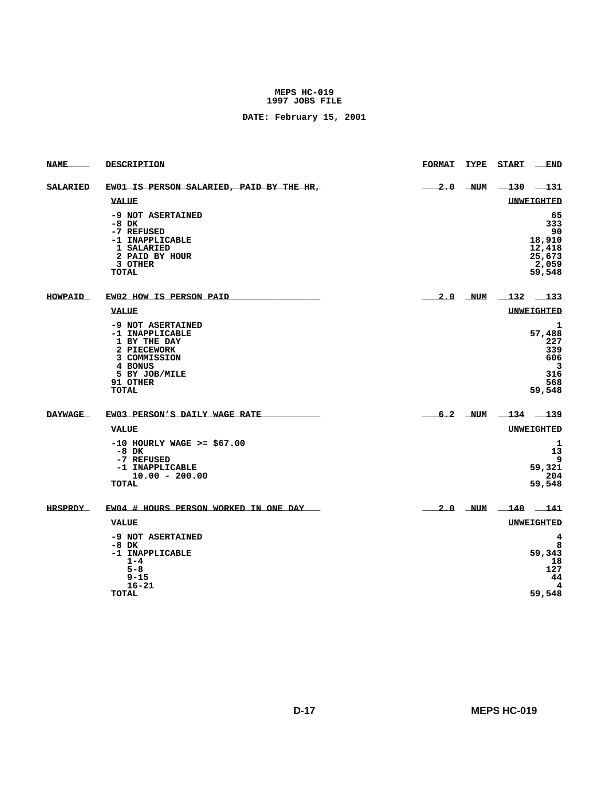| <b>NAME</b>     | DESCRIPTION                                                                                                                                 | <b>FORMAT</b>            | TYPE START _              | <b>END</b>                                                       |
|-----------------|---------------------------------------------------------------------------------------------------------------------------------------------|--------------------------|---------------------------|------------------------------------------------------------------|
| <b>SALARIED</b> | EW01 IS PERSON SALARIED, PAID BY THE HR,                                                                                                    | $-2.0$ NUM $-130$ $-131$ |                           |                                                                  |
|                 | <b>VALUE</b>                                                                                                                                |                          |                           | UNWEIGHTED                                                       |
|                 | -9 NOT ASERTAINED<br>$-8$ DK<br>-7 REFUSED<br>-1 INAPPLICABLE<br>1 SALARIED<br>2 PAID BY HOUR<br>3 OTHER<br>TOTAL                           |                          |                           | 65<br>333<br>90<br>18,910<br>12,418<br>25,673<br>2,059<br>59,548 |
| <b>HOWPAID</b>  | EW02 HOW IS PERSON PAID                                                                                                                     |                          | $2.0$ NUM $\_132$ $\_133$ |                                                                  |
|                 | <b>VALUE</b>                                                                                                                                |                          |                           | <b>UNWEIGHTED</b>                                                |
|                 | -9 NOT ASERTAINED<br>-1 INAPPLICABLE<br>1 BY THE DAY<br>2 PIECEWORK<br>3 COMMISSION<br>4 BONUS<br>5 BY JOB/MILE<br>91 OTHER<br><b>TOTAL</b> |                          |                           | 1<br>57,488<br>227<br>339<br>606<br>3<br>316<br>568<br>59,548    |
| <b>DAYWAGE</b>  | EW03 PERSON'S DAILY WAGE RATE                                                                                                               |                          | $6.2$ NUM $-134$ $-139$   |                                                                  |
|                 | <b>VALUE</b>                                                                                                                                |                          |                           | <b>UNWEIGHTED</b>                                                |
|                 | $-10$ HOURLY WAGE >= \$67.00<br>$-8$ DK<br>-7 REFUSED<br>-1 INAPPLICABLE<br>$10.00 - 200.00$<br><b>TOTAL</b>                                |                          |                           | 1<br>13<br>9<br>59,321<br>204<br>59,548                          |
| <b>HRSPRDY</b>  | EW04 # HOURS PERSON WORKED IN ONE DAY                                                                                                       |                          | $2.0$ NUM $-140$ $-141$   |                                                                  |
|                 | <b>VALUE</b>                                                                                                                                |                          |                           | <b>UNWEIGHTED</b>                                                |
|                 | -9 NOT ASERTAINED<br>$-8$ DK<br>-1 INAPPLICABLE<br>$1 - 4$<br>$5 - 8$<br>$9 - 15$<br>$16 - 21$<br><b>TOTAL</b>                              |                          |                           | 4<br>8<br>59,343<br>18<br>127<br>44<br>4<br>59,548               |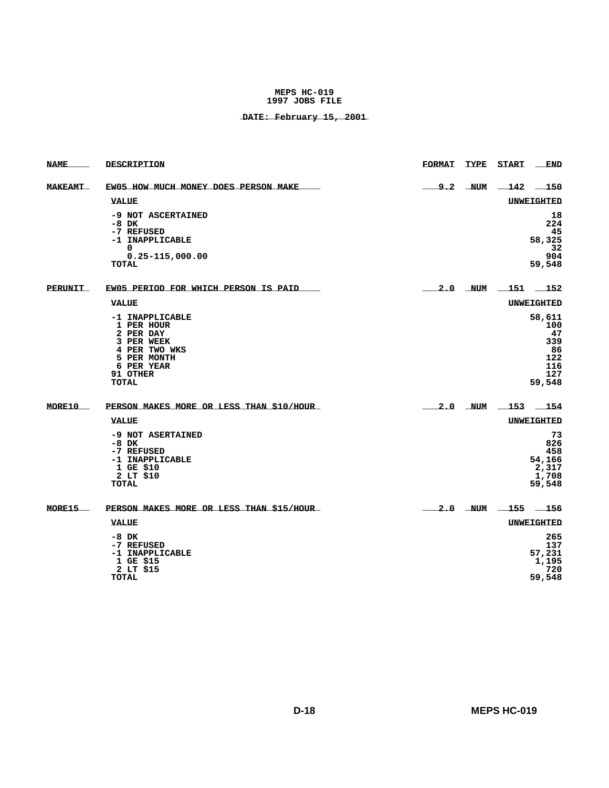| <b>NAME</b>    | DESCRIPTION                                                                                                                        | <b>FORMAT</b> | <b>TYPE</b> | <b>START</b>              | <b>END</b>                                                      |
|----------------|------------------------------------------------------------------------------------------------------------------------------------|---------------|-------------|---------------------------|-----------------------------------------------------------------|
| <b>MAKEAMT</b> | EW05 HOW MUCH MONEY DOES PERSON MAKE                                                                                               | 9.2           | <b>NUM</b>  | $-142$ $-150$             |                                                                 |
|                | <b>VALUE</b>                                                                                                                       |               |             | <b>UNWEIGHTED</b>         |                                                                 |
|                | -9 NOT ASCERTAINED<br>-8 DK<br>-7 REFUSED<br>-1 INAPPLICABLE<br>0<br>$0.25 - 115,000.00$<br><b>TOTAL</b>                           |               |             |                           | 18<br>224<br>45<br>58,325<br>32<br>904<br>59,548                |
| <b>PERUNIT</b> | EW05 PERIOD FOR WHICH PERSON IS PAID                                                                                               |               |             | $2.0$ NUM $151$ 152       |                                                                 |
|                | <b>VALUE</b>                                                                                                                       |               |             | UNWEIGHTED                |                                                                 |
|                | -1 INAPPLICABLE<br>1 PER HOUR<br>2 PER DAY<br>3 PER WEEK<br>4 PER TWO WKS<br>5 PER MONTH<br>6 PER YEAR<br>91 OTHER<br><b>TOTAL</b> |               |             |                           | 58,611<br>100<br>47<br>339<br>86<br>122<br>116<br>127<br>59,548 |
| MORE10         | PERSON MAKES MORE OR LESS THAN \$10/HOUR                                                                                           |               |             | $2.0$ NUM $\_153$ $\_154$ |                                                                 |
|                | <b>VALUE</b>                                                                                                                       |               |             | <b>UNWEIGHTED</b>         |                                                                 |
|                | -9 NOT ASERTAINED<br>$-8$ DK<br>-7 REFUSED<br>-1 INAPPLICABLE<br>1 GE \$10<br>2 LT \$10<br>TOTAL                                   |               |             |                           | 73<br>826<br>458<br>54,166<br>2,317<br>1,708<br>59,548          |
| MORE15         | PERSON MAKES MORE OR LESS THAN \$15/HOUR                                                                                           |               |             | $2.0$ NUM $-155$ $-156$   |                                                                 |
|                | <b>VALUE</b>                                                                                                                       |               |             | <b>UNWEIGHTED</b>         |                                                                 |
|                | $-8$ DK<br>-7 REFUSED<br>-1 INAPPLICABLE<br>1 GE \$15<br>2 LT \$15<br><b>TOTAL</b>                                                 |               |             |                           | 265<br>137<br>57,231<br>1,195<br>720<br>59,548                  |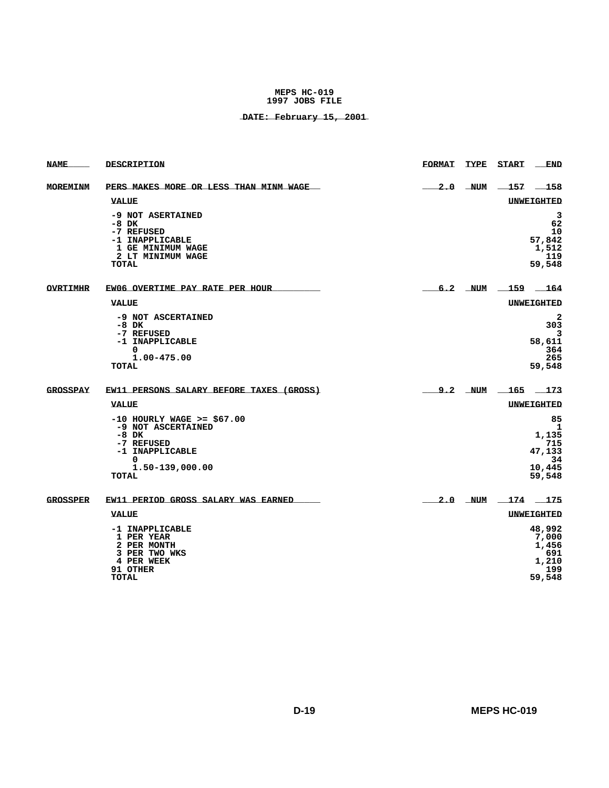| <b>NAME</b>     | DESCRIPTION                                                                                                                            | <b>FORMAT</b> | TYPE | START                     | END                                                         |
|-----------------|----------------------------------------------------------------------------------------------------------------------------------------|---------------|------|---------------------------|-------------------------------------------------------------|
| <b>MOREMINM</b> | PERS MAKES MORE OR LESS THAN MINM WAGE                                                                                                 |               |      | $2.0$ NUM $-157$ $-158$   |                                                             |
|                 | <b>VALUE</b>                                                                                                                           |               |      |                           | UNWEIGHTED                                                  |
|                 | -9 NOT ASERTAINED<br>$-8$ DK<br>-7 REFUSED<br>-1 INAPPLICABLE<br><b>1 GE MINIMUM WAGE</b><br>2 LT MINIMUM WAGE<br><b>TOTAL</b>         |               |      |                           | 3<br>62<br>10<br>57,842<br>1,512<br>119<br>59,548           |
| <b>OVRTIMHR</b> | EW06 OVERTIME PAY RATE PER HOUR                                                                                                        |               |      | $6.2$ NUM $\_159$ $\_164$ |                                                             |
|                 | <b>VALUE</b>                                                                                                                           |               |      |                           | <b>UNWEIGHTED</b>                                           |
|                 | -9 NOT ASCERTAINED<br>$-8$ DK<br>-7 REFUSED<br>-1 INAPPLICABLE<br>0<br>1.00-475.00<br><b>TOTAL</b>                                     |               |      |                           | $\mathbf{2}$<br>303<br>3<br>58,611<br>364<br>265<br>59,548  |
| <b>GROSSPAY</b> | EW11 PERSONS SALARY BEFORE TAXES (GROSS)                                                                                               |               |      | $9.2$ NUM $\_165$ $\_173$ |                                                             |
|                 | <b>VALUE</b>                                                                                                                           |               |      |                           | <b>UNWEIGHTED</b>                                           |
|                 | $-10$ HOURLY WAGE >= \$67.00<br>-9 NOT ASCERTAINED<br>$-8$ DK<br>-7 REFUSED<br>-1 INAPPLICABLE<br>0<br>1.50-139,000.00<br><b>TOTAL</b> |               |      |                           | 85<br>1<br>1,135<br>715<br>47,133<br>34<br>10,445<br>59,548 |
| <b>GROSSPER</b> | EW11 PERIOD GROSS SALARY WAS EARNED                                                                                                    |               |      | 2.0 NUM 174 175           |                                                             |
|                 | VALUE                                                                                                                                  |               |      |                           | UNWEIGHTED                                                  |
|                 | -1 INAPPLICABLE<br>1 PER YEAR<br>2 PER MONTH<br>3 PER TWO WKS<br>4 PER WEEK<br>91 OTHER<br><b>TOTAL</b>                                |               |      |                           | 48,992<br>7,000<br>1,456<br>691<br>1,210<br>199<br>59,548   |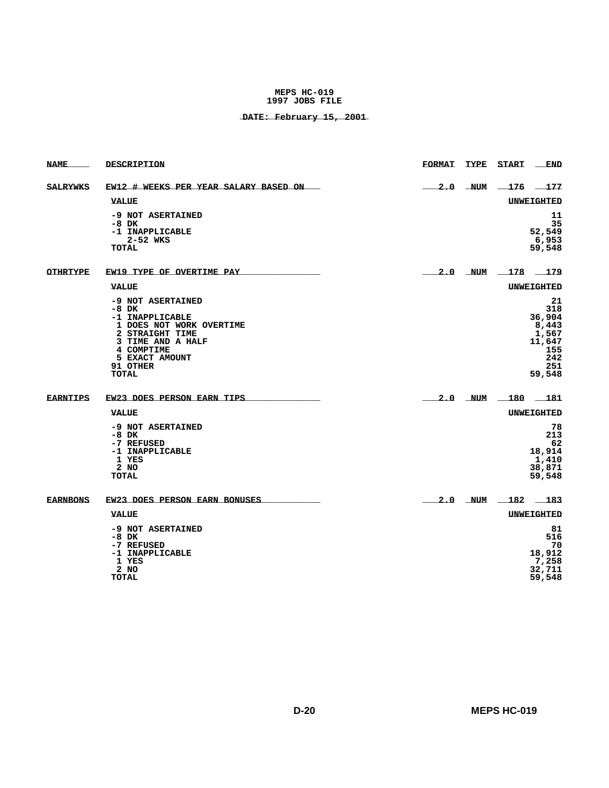| <b>NAME</b>     | DESCRIPTION                                                                                                                                                                     | <b>FORMAT</b>              |           | TYPE START              | END                                                                            |
|-----------------|---------------------------------------------------------------------------------------------------------------------------------------------------------------------------------|----------------------------|-----------|-------------------------|--------------------------------------------------------------------------------|
| <b>SALRYWKS</b> | EW12 # WEEKS PER YEAR SALARY BASED ON                                                                                                                                           |                            |           | $2.0$ NUM $-176$ $-177$ |                                                                                |
|                 | <b>VALUE</b>                                                                                                                                                                    |                            |           |                         | <b>UNWEIGHTED</b>                                                              |
|                 | -9 NOT ASERTAINED<br>-8 DK<br>-1 INAPPLICABLE<br>2-52 WKS<br>TOTAL                                                                                                              |                            |           |                         | 11<br>35<br>52,549<br>6,953<br>59,548                                          |
| <b>OTHRTYPE</b> | EW19 TYPE OF OVERTIME PAY                                                                                                                                                       | $\frac{2.0}{\sqrt{2}}$ NUM |           | $-178$ $-179$           |                                                                                |
|                 | <b>VALUE</b>                                                                                                                                                                    |                            |           |                         | <b>UNWEIGHTED</b>                                                              |
|                 | -9 NOT ASERTAINED<br>$-8$ DK<br>-1 INAPPLICABLE<br>1 DOES NOT WORK OVERTIME<br>2 STRAIGHT TIME<br>3 TIME AND A HALF<br>4 COMPTIME<br>5 EXACT AMOUNT<br>91 OTHER<br><b>TOTAL</b> |                            |           |                         | 21<br>318<br>36,904<br>8,443<br>1,567<br>11,647<br>155<br>242<br>251<br>59,548 |
| <b>EARNTIPS</b> | EW23 DOES PERSON EARN TIPS                                                                                                                                                      |                            | $2.0$ NUM | $-180$ $-181$           |                                                                                |
|                 | <b>VALUE</b>                                                                                                                                                                    |                            |           |                         | <b>UNWEIGHTED</b>                                                              |
|                 | -9 NOT ASERTAINED<br>$-8$ DK<br>-7 REFUSED<br>-1 INAPPLICABLE<br>1 YES<br>$2$ NO<br><b>TOTAL</b>                                                                                |                            |           |                         | 78<br>213<br>62<br>18,914<br>1,410<br>38,871<br>59,548                         |
| <b>EARNBONS</b> | EW23 DOES PERSON EARN BONUSES                                                                                                                                                   |                            | $2.0$ NUM | 182                     | 183                                                                            |
|                 | <b>VALUE</b>                                                                                                                                                                    |                            |           |                         | <b>UNWEIGHTED</b>                                                              |
|                 | -9 NOT ASERTAINED<br>$-8$ DK<br>-7 REFUSED<br>-1 INAPPLICABLE<br>1 YES<br>$2$ NO<br><b>TOTAL</b>                                                                                |                            |           |                         | 81<br>516<br>70<br>18,912<br>7,258<br>32,711<br>59,548                         |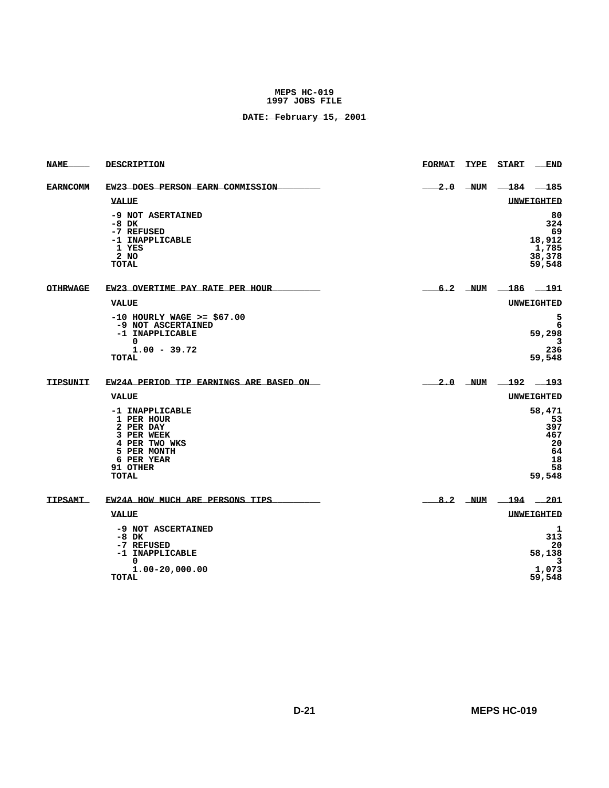| <b>NAME</b>     | DESCRIPTION                                                                                                                 | <b>FORMAT</b> | <b>TYPE</b> | START                     | <b>END</b>                                                   |
|-----------------|-----------------------------------------------------------------------------------------------------------------------------|---------------|-------------|---------------------------|--------------------------------------------------------------|
| <b>EARNCOMM</b> | EW23 DOES PERSON EARN COMMISSION                                                                                            |               | $2.0$ NUM   |                           | $-184$ 185                                                   |
|                 | <b>VALUE</b>                                                                                                                |               |             |                           | <b>UNWEIGHTED</b>                                            |
|                 | -9 NOT ASERTAINED<br>-8 DK<br>-7 REFUSED<br>-1 INAPPLICABLE<br>1 YES<br>2 NO<br>TOTAL                                       |               |             |                           | 80<br>324<br>69<br>18,912<br>1,785<br>38,378<br>59,548       |
| <b>OTHRWAGE</b> | EW23 OVERTIME PAY RATE PER HOUR                                                                                             |               |             | $6.2$ NUM $\_186$ $\_191$ |                                                              |
|                 | <b>VALUE</b>                                                                                                                |               |             |                           | <b>UNWEIGHTED</b>                                            |
|                 | $-10$ HOURLY WAGE $>=$ \$67.00<br>-9 NOT ASCERTAINED<br>-1 INAPPLICABLE<br>0<br>$1.00 - 39.72$<br>TOTAL                     |               |             |                           | 5<br>6<br>59,298<br>3<br>236<br>59,548                       |
| TIPSUNIT        | EW24A PERIOD TIP EARNINGS ARE BASED ON                                                                                      |               | $2.0$ NUM   | $-192$                    | $-193$                                                       |
|                 | <b>VALUE</b>                                                                                                                |               |             |                           | <b>UNWEIGHTED</b>                                            |
|                 | -1 INAPPLICABLE<br>1 PER HOUR<br>2 PER DAY<br>3 PER WEEK<br>4 PER TWO WKS<br>5 PER MONTH<br>6 PER YEAR<br>91 OTHER<br>TOTAL |               |             |                           | 58,471<br>53<br>397<br>467<br>20<br>64<br>18<br>58<br>59,548 |
| TIPSAMT         | EW24A HOW MUCH ARE PERSONS TIPS                                                                                             |               | $8.2$ NUM   | 194                       | 201                                                          |
|                 | <b>VALUE</b>                                                                                                                |               |             |                           | UNWEIGHTED                                                   |
|                 | -9 NOT ASCERTAINED<br>$-8$ DK<br>-7 REFUSED<br>-1 INAPPLICABLE<br>0<br>$1.00 - 20,000.00$<br><b>TOTAL</b>                   |               |             |                           | 1<br>313<br>20<br>58,138<br>3<br>1,073<br>59,548             |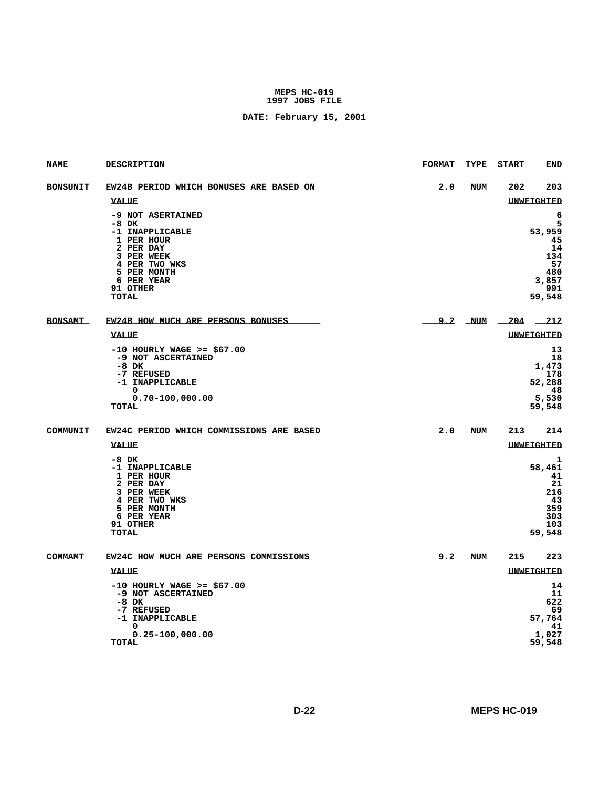| <b>NAME</b>     | DESCRIPTION                                                                                                                                                 | <b>FORMAT</b> | <b>TYPE</b> | <b>START</b>              | <b>END</b>                                                                 |
|-----------------|-------------------------------------------------------------------------------------------------------------------------------------------------------------|---------------|-------------|---------------------------|----------------------------------------------------------------------------|
| <b>BONSUNIT</b> | EW24B PERIOD WHICH BONUSES ARE BASED ON                                                                                                                     |               | $2.0$ NUM   | $-202$                    | 203                                                                        |
|                 | <b>VALUE</b>                                                                                                                                                |               |             | UNWEIGHTED                |                                                                            |
|                 | -9 NOT ASERTAINED<br>$-8$ DK<br>-1 INAPPLICABLE<br>1 PER HOUR<br>2 PER DAY<br>3 PER WEEK<br>4 PER TWO WKS<br>5 PER MONTH<br>6 PER YEAR<br>91 OTHER<br>TOTAL |               |             |                           | 6<br>5<br>53,959<br>45<br>14<br>134<br>57<br>480<br>3,857<br>991<br>59,548 |
| <b>BONSAMT</b>  | EW24B HOW MUCH ARE PERSONS BONUSES                                                                                                                          |               |             | $9.2$ NUM $\_204$ $\_212$ |                                                                            |
|                 | <b>VALUE</b>                                                                                                                                                |               |             |                           | UNWEIGHTED                                                                 |
|                 | $-10$ HOURLY WAGE >= \$67.00<br>-9 NOT ASCERTAINED<br>$-8$ DK<br>-7 REFUSED<br>-1 INAPPLICABLE<br>0<br>$0.70 - 100,000.00$<br><b>TOTAL</b>                  |               |             |                           | 13<br>18<br>1,473<br>178<br>52,288<br>48<br>5,530<br>59,548                |
| COMMUNIT        | EW24C PERIOD WHICH COMMISSIONS ARE BASED                                                                                                                    |               |             | $2.0$ NUM $-213$ $-214$   |                                                                            |
|                 | VALUE                                                                                                                                                       |               |             |                           | <b>UNWEIGHTED</b>                                                          |
|                 | $-8$ DK<br>-1 INAPPLICABLE<br>1 PER HOUR<br>2 PER DAY<br>3 PER WEEK<br>4 PER TWO WKS<br>5 PER MONTH<br>6 PER YEAR<br>91 OTHER<br><b>TOTAL</b>               |               |             |                           | 1<br>58,461<br>41<br>21<br>216<br>43<br>359<br>303<br>103<br>59,548        |
| COMMAMT         | EW24C HOW MUCH ARE PERSONS COMMISSIONS                                                                                                                      |               |             | $9.2$ NUM $-215$ $-223$   |                                                                            |
|                 | <b>VALUE</b>                                                                                                                                                |               |             |                           | <b>UNWEIGHTED</b>                                                          |
|                 | $-10$ HOURLY WAGE >= \$67.00<br>-9 NOT ASCERTAINED<br>$-8$ DK<br>-7 REFUSED<br>-1 INAPPLICABLE<br>$\Omega$<br>$0.25 - 100,000.00$<br>TOTAL                  |               |             |                           | 14<br>11<br>622<br>69<br>57,764<br>41<br>1,027<br>59,548                   |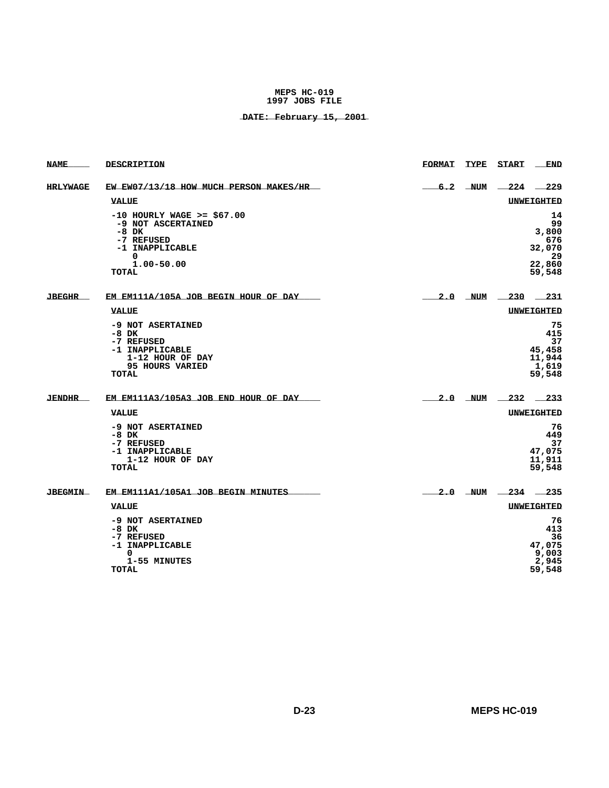| <b>NAME</b>    | <b>DESCRIPTION</b>                                                                                                                      | <b>FORMAT</b> | TYPE    | <b>START</b>              | <b>END</b>                                                   |
|----------------|-----------------------------------------------------------------------------------------------------------------------------------------|---------------|---------|---------------------------|--------------------------------------------------------------|
| HRLYWAGE       | EW EW07/13/18 HOW MUCH PERSON MAKES/HR                                                                                                  |               | 6.2 NUM |                           | $-224$ $-229$                                                |
|                | <b>VALUE</b>                                                                                                                            |               |         |                           | <b>UNWEIGHTED</b>                                            |
|                | $-10$ HOURLY WAGE $>=$ \$67.00<br>-9 NOT ASCERTAINED<br>$-8$ DK<br>-7 REFUSED<br>-1 INAPPLICABLE<br>0<br>$1.00 - 50.00$<br><b>TOTAL</b> |               |         |                           | 14<br>99<br>3,800<br>676<br>32,070<br>29<br>22,860<br>59,548 |
| <b>JBEGHR</b>  | EM EM111A/105A JOB BEGIN HOUR OF DAY                                                                                                    |               |         | $2.0$ NUM $-230$ $-231$   |                                                              |
|                | VALUE                                                                                                                                   |               |         |                           | <b>UNWEIGHTED</b>                                            |
|                | -9 NOT ASERTAINED<br>$-8$ DK<br>-7 REFUSED<br>-1 INAPPLICABLE<br>1-12 HOUR OF DAY<br>95 HOURS VARIED<br>TOTAL                           |               |         |                           | 75<br>415<br>37<br>45,458<br>11,944<br>1,619<br>59,548       |
| <b>JENDHR</b>  | EM EM111A3/105A3 JOB END HOUR OF DAY                                                                                                    |               |         | $2.0$ NUM $-232$ $-233$   |                                                              |
|                | <b>VALUE</b>                                                                                                                            |               |         |                           | UNWEIGHTED                                                   |
|                | -9 NOT ASERTAINED<br>$-8$ DK<br>-7 REFUSED<br>-1 INAPPLICABLE<br>1-12 HOUR OF DAY<br>TOTAL                                              |               |         |                           | 76<br>449<br>37<br>47,075<br>11,911<br>59,548                |
| <b>JBEGMIN</b> | EM EM111A1/105A1 JOB BEGIN MINUTES                                                                                                      |               |         | $2.0$ NUM $\_234$ $\_235$ |                                                              |
|                | <b>VALUE</b>                                                                                                                            |               |         |                           | UNWEIGHTED                                                   |
|                | -9 NOT ASERTAINED<br>$-8$ DK<br>-7 REFUSED<br>-1 INAPPLICABLE<br>0<br>1-55 MINUTES<br><b>TOTAL</b>                                      |               |         |                           | 76<br>413<br>36<br>47,075<br>9,003<br>2,945<br>59,548        |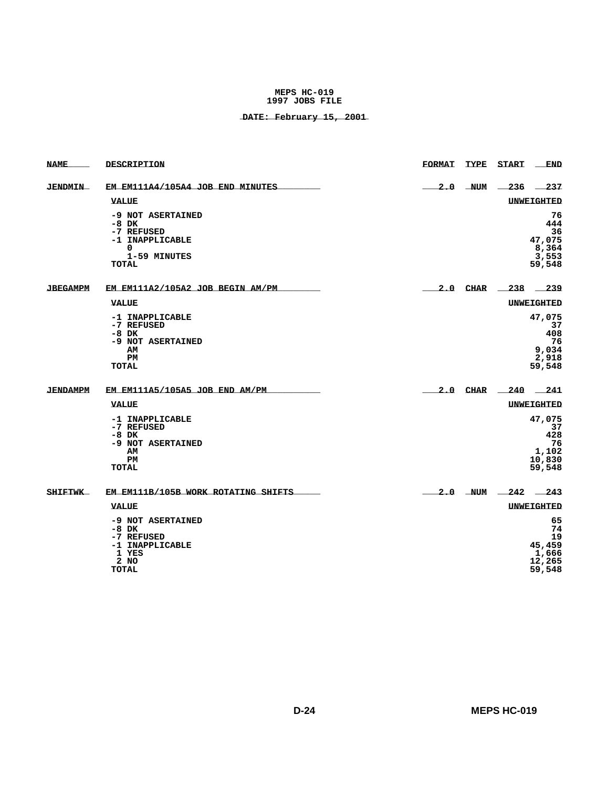| <b>NAME_</b>    | DESCRIPTION                                                                                 | <b>FORMAT</b> | TYPE START END                                         |
|-----------------|---------------------------------------------------------------------------------------------|---------------|--------------------------------------------------------|
| <b>JENDMIN</b>  | EM EM111A4/105A4 JOB END MINUTES                                                            |               | $2.0$ NUM $-236$ $-237$                                |
|                 | <b>VALUE</b>                                                                                |               | <b>UNWEIGHTED</b>                                      |
|                 | -9 NOT ASERTAINED<br>$-8$ DK<br>-7 REFUSED<br>-1 INAPPLICABLE<br>0<br>1-59 MINUTES<br>TOTAL |               | 76<br>444<br>36<br>47,075<br>8,364<br>3,553<br>59,548  |
| <b>JBEGAMPM</b> | EM EM111A2/105A2 JOB BEGIN AM/PM                                                            |               | $2.0$ CHAR $238$ $239$                                 |
|                 | <b>VALUE</b>                                                                                |               | <b>UNWEIGHTED</b>                                      |
|                 | -1 INAPPLICABLE<br>-7 REFUSED<br>$-8$ DK<br>-9 NOT ASERTAINED<br>AМ<br>PМ<br><b>TOTAL</b>   |               | 47,075<br>37<br>408<br>-76<br>9,034<br>2,918<br>59,548 |
| <b>JENDAMPM</b> | EM EM111A5/105A5 JOB END AM/PM                                                              |               | 2.0 CHAR 240 241                                       |
|                 | <b>VALUE</b>                                                                                |               | <b>UNWEIGHTED</b>                                      |
|                 | -1 INAPPLICABLE<br>-7 REFUSED<br>$-8$ DK<br>-9 NOT ASERTAINED<br>AМ<br>PМ<br>TOTAL          |               | 47,075<br>37<br>428<br>76<br>1,102<br>10,830<br>59,548 |
| <b>SHIFTWK</b>  | EM EM111B/105B WORK ROTATING SHIFTS                                                         |               | $2.0$ NUM $242$ $243$                                  |
|                 | <b>VALUE</b>                                                                                |               | UNWEIGHTED                                             |
|                 | -9 NOT ASERTAINED<br>-8 DK<br>-7 REFUSED<br>-1 INAPPLICABLE<br>1 YES<br>2 NO<br>TOTAL       |               | 65<br>74<br>19<br>45,459<br>1,666<br>12,265<br>59,548  |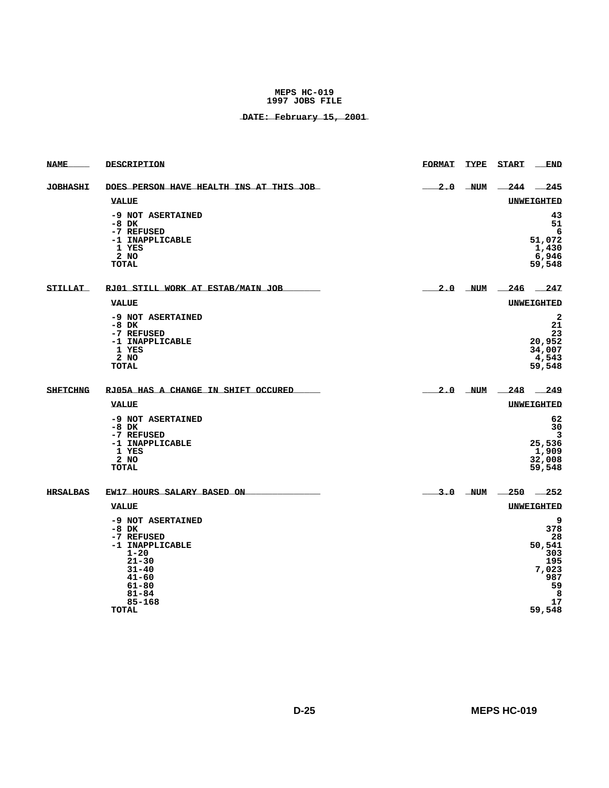| <b>NAME</b>     | DESCRIPTION                                                                                                                                                  | <b>FORMAT</b> | <b>TYPE</b> | START                 | <b>END</b>                                                                          |
|-----------------|--------------------------------------------------------------------------------------------------------------------------------------------------------------|---------------|-------------|-----------------------|-------------------------------------------------------------------------------------|
| <b>JOBHASHI</b> | DOES PERSON HAVE HEALTH INS AT THIS JOB                                                                                                                      |               | $2.0$ NUM   | $-244$ $-$            | 245                                                                                 |
|                 | <b>VALUE</b>                                                                                                                                                 |               |             |                       | <b>UNWEIGHTED</b>                                                                   |
|                 | -9 NOT ASERTAINED<br>$-8$ DK<br>-7 REFUSED<br>-1 INAPPLICABLE<br>1 YES<br>$2$ NO<br><b>TOTAL</b>                                                             |               |             |                       | 43<br>51<br>6<br>51,072<br>1,430<br>6,946<br>59,548                                 |
| <b>STILLAT</b>  | RJ01 STILL WORK AT ESTAB/MAIN JOB                                                                                                                            |               |             | $2.0$ NUM $246$ $247$ |                                                                                     |
|                 | <b>VALUE</b>                                                                                                                                                 |               |             |                       | UNWEIGHTED                                                                          |
|                 | -9 NOT ASERTAINED<br>$-8$ DK<br>-7 REFUSED<br>-1 INAPPLICABLE<br>1 YES<br>2 NO<br>TOTAL                                                                      |               |             |                       | $\overline{a}$<br>21<br>23<br>20,952<br>34,007<br>4,543<br>59,548                   |
| <b>SHFTCHNG</b> | RJ05A HAS A CHANGE IN SHIFT OCCURED                                                                                                                          |               |             | $2.0$ NUM $248$ 249   |                                                                                     |
|                 | <b>VALUE</b>                                                                                                                                                 |               |             |                       | UNWEIGHTED                                                                          |
|                 | -9 NOT ASERTAINED<br>-8 DK<br>-7 REFUSED<br>-1 INAPPLICABLE<br>1 YES<br>2 NO<br><b>TOTAL</b>                                                                 |               |             |                       | 62<br>30<br>3<br>25,536<br>1,909<br>32,008<br>59,548                                |
| <b>HRSALBAS</b> | EW17 HOURS SALARY BASED ON                                                                                                                                   |               |             | $3.0$ NUM $250$ $252$ |                                                                                     |
|                 | VALUE                                                                                                                                                        |               |             |                       | <b>UNWEIGHTED</b>                                                                   |
|                 | -9 NOT ASERTAINED<br>$-8$ DK<br>-7 REFUSED<br>-1 INAPPLICABLE<br>$1 - 20$<br>$21 - 30$<br>$31 - 40$<br>$41 - 60$<br>61-80<br>81-84<br>85-168<br><b>TOTAL</b> |               |             |                       | 9<br>378<br>28<br>50,541<br>303<br>195<br>7,023<br>987<br>59<br>- 8<br>17<br>59,548 |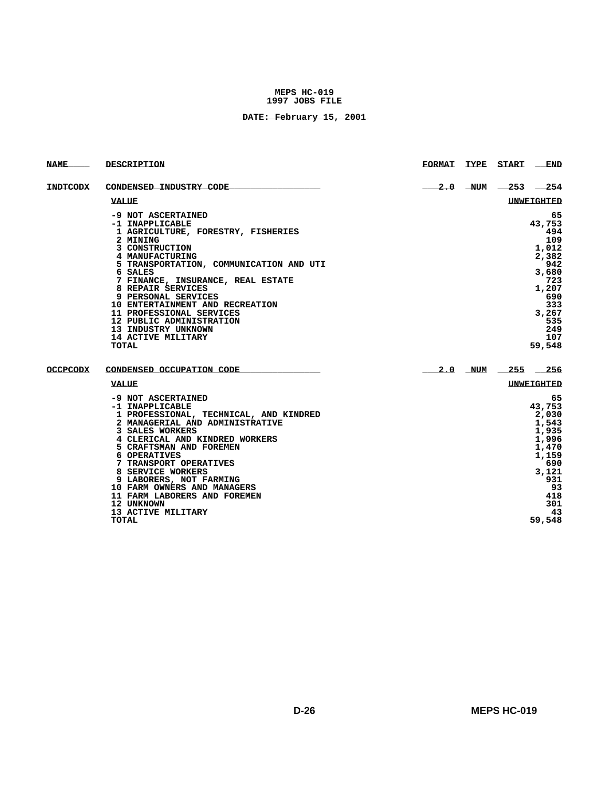| <b>NAME</b>     | <b>DESCRIPTION</b>                                     | <b>FORMAT</b> | TYPE START              | END               |
|-----------------|--------------------------------------------------------|---------------|-------------------------|-------------------|
| <b>INDTCODX</b> | CONDENSED INDUSTRY CODE                                |               | $2.0$ NUM $-253$ $-254$ |                   |
|                 | VALUE                                                  |               |                         | UNWEIGHTED        |
|                 | -9 NOT ASCERTAINED                                     |               |                         | 65                |
|                 | -1 INAPPLICABLE                                        |               |                         | 43,753            |
|                 | 1 AGRICULTURE, FORESTRY, FISHERIES                     |               |                         | 494               |
|                 | 2 MINING                                               |               |                         | 109               |
|                 | 3 CONSTRUCTION<br>4 MANUFACTURING                      |               |                         | 1,012<br>2,382    |
|                 | 5 TRANSPORTATION, COMMUNICATION AND UTI                |               |                         | 942               |
|                 | 6 SALES                                                |               |                         | 3,680             |
|                 | 7 FINANCE, INSURANCE, REAL ESTATE                      |               |                         | 723               |
|                 | 8 REPAIR SERVICES                                      |               |                         | 1,207             |
|                 | 9 PERSONAL SERVICES                                    |               |                         | 690               |
|                 | 10 ENTERTAINMENT AND RECREATION                        |               |                         | 333               |
|                 | 11 PROFESSIONAL SERVICES                               |               |                         | 3,267             |
|                 | 12 PUBLIC ADMINISTRATION                               |               |                         | 535               |
|                 | 13 INDUSTRY UNKNOWN                                    |               |                         | 249               |
|                 | 14 ACTIVE MILITARY                                     |               |                         | 107               |
|                 | TOTAL                                                  |               |                         | 59,548            |
| <b>OCCPCODX</b> | CONDENSED OCCUPATION CODE                              |               | $2.0$ NUM $-255$ $-256$ |                   |
|                 | VALUE                                                  |               |                         | <b>UNWEIGHTED</b> |
|                 | -9 NOT ASCERTAINED                                     |               |                         | 65                |
|                 | -1 INAPPLICABLE                                        |               |                         | 43,753            |
|                 | 1 PROFESSIONAL, TECHNICAL, AND KINDRED                 |               |                         | 2,030             |
|                 | 2 MANAGERIAL AND ADMINISTRATIVE                        |               |                         | 1,543             |
|                 | 3 SALES WORKERS                                        |               |                         | 1,935             |
|                 | 4 CLERICAL AND KINDRED WORKERS                         |               |                         | 1,996             |
|                 | 5 CRAFTSMAN AND FOREMEN                                |               |                         | 1,470             |
|                 | 6 OPERATIVES                                           |               |                         | 1,159             |
|                 | 7 TRANSPORT OPERATIVES                                 |               |                         | 690               |
|                 | 8 SERVICE WORKERS                                      |               |                         | 3,121             |
|                 | 9 LABORERS, NOT FARMING<br>10 FARM OWNERS AND MANAGERS |               |                         | 931<br>93         |
|                 | 11 FARM LABORERS AND FOREMEN                           |               |                         | 418               |
|                 | 12 UNKNOWN                                             |               |                         | 301               |
|                 | 13 ACTIVE MILITARY                                     |               |                         | 43                |
|                 | <b>TOTAL</b>                                           |               |                         | 59,548            |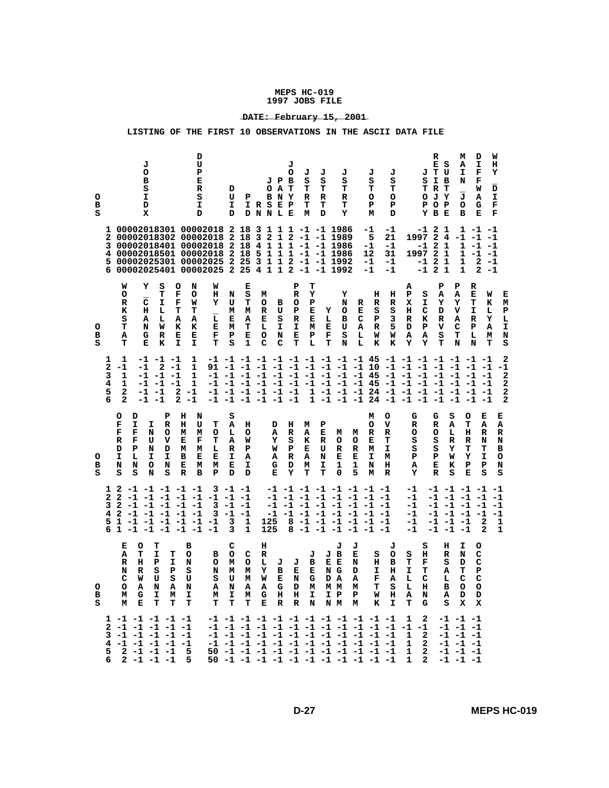# **\_\_\_\_\_\_\_\_\_\_\_\_\_\_\_\_\_\_\_\_\_\_\_\_ DATE: February 15, 2001**

| s<br>P<br>s<br>М<br>Y<br>в<br>Е<br>N G<br>I<br>т<br>т<br>Р<br>N<br>R<br>N<br>м<br>Е<br>D<br>I<br>н<br>А<br>S<br>c<br>с<br>W<br>U<br>U<br>s<br>U<br>М<br>W<br>Е<br>N<br>G<br>D A<br>Α<br>F<br>А<br>Ŀ<br>с<br>L<br>с<br>н<br>N<br>A<br>N<br>A<br>G<br>M M<br>т<br>s<br>L<br>в<br>o<br>o<br>о<br>о<br>Α<br>N<br>Α<br>Α<br>D<br>м<br>м<br>в<br>G<br>I<br>I<br>I<br>G<br>н<br>н<br>I<br>I.<br>$\mathbf{P}$<br>P<br>W<br>н<br>А<br>D<br>М<br>М<br>м<br>М<br>N<br>А<br>D<br>s<br>М<br>Е<br>т<br>т<br>т<br>т<br>т<br>т<br>Е<br>R<br>R<br>N M<br>к<br>I<br>т<br>G<br>s<br>x<br>х<br>N<br>м |
|-----------------------------------------------------------------------------------------------------------------------------------------------------------------------------------------------------------------------------------------------------------------------------------------------------------------------------------------------------------------------------------------------------------------------------------------------------------------------------------------------------------------------------------------------------------------------------------|
|-----------------------------------------------------------------------------------------------------------------------------------------------------------------------------------------------------------------------------------------------------------------------------------------------------------------------------------------------------------------------------------------------------------------------------------------------------------------------------------------------------------------------------------------------------------------------------------|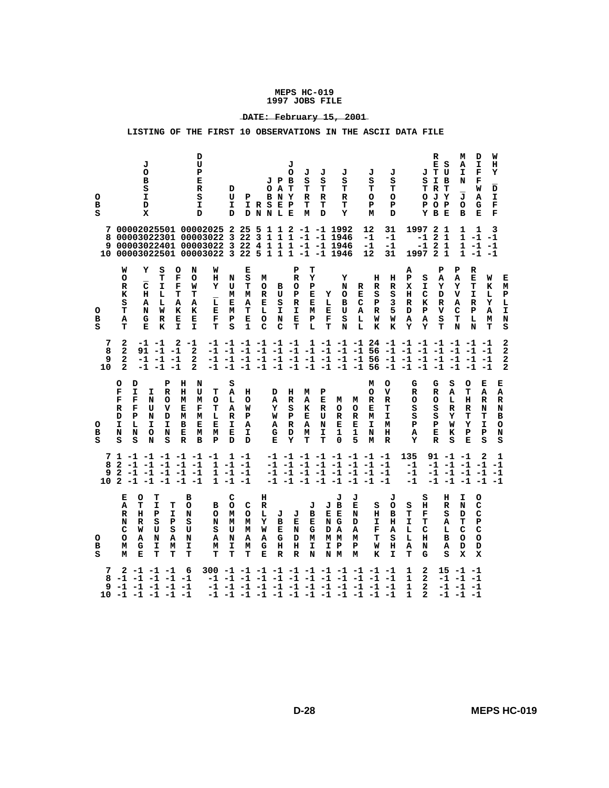# **\_\_\_\_\_\_\_\_\_\_\_\_\_\_\_\_\_\_\_\_\_\_\_\_ DATE: February 15, 2001**

| o<br>в<br>s       |                                                      | J<br>o<br>в<br>s<br>I.<br>D<br>X            |                                      |                                         |                                                                              | D<br>U<br>P<br>Е<br>R<br>s<br>I<br>D                                                                                                  | D<br>U<br>I.<br>D                    | P                                    | IRSEP<br>DNNLE                       | J P B<br>O A T<br>BNY           | J<br>о                                       | J<br>s<br>т<br>R<br>т<br>М           | J<br>s<br>т<br>R<br>т<br>D      | J<br>s<br>т<br>R<br>т<br>Y                                                                                                                                            |                                      | J<br>s<br>т<br>o<br>P<br>М           | J<br>s<br>т<br>o<br>P<br>D                      |                                              | s<br>o<br>P                                         | R<br>ЕS<br>J T U<br>I B<br>T R T<br>JY<br>O P<br>Y B E       | м<br>А<br>I<br>N<br>J<br>$\circ$<br>в                                        | D<br>I<br>F<br>F<br>W<br>A<br>G<br>Е                                                                                                                                                                                   | W<br>н<br>Y<br>D<br>I.<br>F<br>F     |                                 |
|-------------------|------------------------------------------------------|---------------------------------------------|--------------------------------------|-----------------------------------------|------------------------------------------------------------------------------|---------------------------------------------------------------------------------------------------------------------------------------|--------------------------------------|--------------------------------------|--------------------------------------|---------------------------------|----------------------------------------------|--------------------------------------|---------------------------------|-----------------------------------------------------------------------------------------------------------------------------------------------------------------------|--------------------------------------|--------------------------------------|-------------------------------------------------|----------------------------------------------|-----------------------------------------------------|--------------------------------------------------------------|------------------------------------------------------------------------------|------------------------------------------------------------------------------------------------------------------------------------------------------------------------------------------------------------------------|--------------------------------------|---------------------------------|
| 7<br>8<br>9       |                                                      |                                             |                                      |                                         |                                                                              | 00002025501 00002025 2<br>00003022301 00003022 3 22 3<br>00003022401 00003022 3 22<br>10 00003022501 00003022 3 22 5 1 1 1 -1 -1 1946 |                                      | 255                                  | 4                                    | 112<br>1 1 1                    |                                              |                                      |                                 | -1 -1 1992<br>1 1 1 -1 -1 1946<br>-1 -1 1946                                                                                                                          |                                      | 12<br>-1<br>-1<br>12                 | 31<br>-1<br>-1<br>31                            |                                              | 1997<br>-1<br>$-12$                                 | 2 <sub>1</sub><br>2 <sub>1</sub><br>$\mathbf{1}$<br>1997 2 1 | 1<br>$\mathbf{1}$                                                            | 1<br>$1 - 1 - 1$<br>$-1$<br>$1 - 1 - 1$                                                                                                                                                                                | 3<br>$-1$                            |                                 |
| o<br>в<br>s       | W<br>о<br>R<br>к<br>s<br>т<br>Α<br>т                 | Y<br>с<br>н<br>А<br>N<br>G<br>Е             | S<br>т<br>I<br>L<br>г<br>W<br>R<br>к | O<br>F<br>F<br>т<br>А<br>к<br>Е<br>T.   | N<br>o<br>w<br>т<br>Α<br>K<br>Е<br>I.                                        | W<br>н<br>Y<br>$\overline{\mathbf{L}}$<br>Е<br>F<br>т                                                                                 | N<br>U<br>м<br>Е<br>М<br>P<br>s      | Е<br>s<br>т<br>М<br>А<br>т<br>Е<br>1 | М<br>о<br>R<br>Е<br>L<br>о<br>C      | в<br>U<br>s<br>I<br>N<br>C      | P<br>${\bf R}$<br>o<br>Р<br>R<br>I<br>Е<br>T | т<br>Y<br>Р<br>Е<br>Е<br>М<br>P<br>L | Y<br>L<br>Е<br>F<br>т           | Y<br>N<br>о<br>в<br>U<br>s<br>N                                                                                                                                       | R<br>Е<br>с<br>A<br>L<br>L           | н<br>R<br>s<br>P<br>R<br>W<br>к      | н<br>R<br>s<br>3<br>5<br>W<br>к                 | А<br>${\bf P}$<br>х<br>н<br>R<br>D<br>А<br>Y | s<br>I<br>с<br>к<br>P<br>A<br>Y                     | P<br>А<br>Y<br>D<br>R<br>v<br>s<br>т                         | P<br>Α<br>Y<br>v<br>А<br>c<br>т<br>N                                         | R<br>Е<br>т<br>I<br>R<br>P<br>L<br>N                                                                                                                                                                                   | W<br>к<br>L<br>Y<br>A<br>М<br>т      | Е<br>м<br>Р<br>Ŀ<br>I<br>N<br>s |
| 7<br>8<br>9<br>10 | 2<br>2<br>2<br>$\mathbf{2}$                          | 91<br>-1<br>-1                              | $-1 -1$                              | 2<br>$-1 - 1$<br>$-1 -1$<br>$-1 -1$     | $-1$<br>2<br>2<br>$\overline{a}$                                             |                                                                                                                                       | $-1$ $-1$ $-1$ $-1$ $-1$ $-1$        |                                      |                                      |                                 |                                              |                                      |                                 |                                                                                                                                                                       |                                      |                                      |                                                 |                                              |                                                     |                                                              |                                                                              | 1 -1 -1 -1 24 -1 -1 -1 -1 -1 -1 -1<br>-1 -1 -1 -1 -1 -1 -1 -1 -1 -1 -1 56 -1 -1 -1 -1 -1 -1 -1<br>-1 -1 -1 -1 -1 -1 -1 -1 -1 -1 -1 56 -1 -1 -1 -1 -1 -1 -1<br>-1 -1 -1 -1 -1 -1 -1 -1 -1 -1 -1 56 -1 -1 -1 -1 -1 -1 -1 |                                      | 2<br>2<br>2<br>$\mathbf{2}$     |
| o<br>в<br>s       | o<br>F<br>F<br>R<br>D<br>I<br>N<br>s                 | D<br>I.<br>F<br>F<br>P<br>L<br>N<br>s       | I.<br>N<br>U<br>N<br>I.<br>o<br>N    | Р<br>R<br>o<br>v<br>D<br>I<br>N<br>s    | н<br>н<br>M<br>Е<br>М<br>в<br>Е<br>$\mathbf R$                               | N<br>U<br>т<br>М<br>o<br>F<br>т<br>М<br>г<br>Е<br>Е<br>м<br>м<br>B<br>P                                                               | s<br>Α<br>L<br>Α<br>R<br>I<br>Е<br>D | н<br>o<br>W<br>P<br>А<br>I<br>D      |                                      | D<br>А<br>Y<br>W<br>А<br>G<br>Е | н<br>$\mathbb{R}$<br>s<br>Р<br>R<br>D<br>Y   | м<br>A<br>K<br>Е<br>Α<br>М<br>т      | P<br>Е<br>R<br>U<br>N<br>I<br>т | м<br>o<br>R<br>Е<br>1<br>0                                                                                                                                            | м<br>o<br>R<br>Е<br>1<br>5           | м<br>o<br>R<br>Е<br>М<br>I<br>N<br>м | o<br>v<br>R<br>т<br>I.<br>М<br>н<br>$\mathbb R$ | G<br>R<br>o<br>s<br>s<br>P<br>А<br>Y         |                                                     | G<br>R<br>o<br>s<br>s<br>Р<br>Е<br>$\mathbb{R}$              | S<br>o<br>A<br>т<br>н<br>L<br>R<br>R<br>Y<br>т<br>Y<br>W<br>к<br>Р<br>s<br>Е | Е<br>A<br>R<br>N<br>т<br>I<br>Р<br>s                                                                                                                                                                                   | Е<br>Α<br>R<br>N<br>в<br>o<br>N<br>s |                                 |
| 7<br>8<br>9       | 2                                                    |                                             |                                      |                                         | $2 - 1 - 1 - 1 - 1 - 1$<br>$-1$ $-1$ $-1$ $-1$ $-1$<br>$10$ 2 -1 -1 -1 -1 -1 | $1 - 1 - 1 - 1 - 1 - 1$<br>1                                                                                                          | $1 - 1 - 1$<br>$1 - 1 - 1$           | $1 - 1$<br>$-1 -1$                   |                                      |                                 |                                              |                                      |                                 | $-1$ $-1$ $-1$ $-1$ $-1$ $-1$ $-1$ $-1$<br>$-1$ $-1$ $-1$ $-1$ $-1$ $-1$ $-1$ $-1$<br>$-1$ $-1$ $-1$ $-1$ $-1$ $-1$ $-1$ $-1$<br>-1 -1 -1 -1 -1 -1 -1 -1              |                                      |                                      |                                                 | 135<br>-1<br>-1<br>-1                        |                                                     | 91 -1 -1                                                     |                                                                              | $\mathbf{2}$<br>-1 -1 -1 -1 -1<br>-1 -1 -1 -1 -1<br>-1 -1 -1 -1 -1                                                                                                                                                     | 1                                    |                                 |
| o<br>в<br>s       | Е<br>А<br>R<br>N<br>c<br>o<br>м<br>М                 | o<br>т<br>н<br>R<br>W<br>А<br>G<br>Е        | т<br>I<br>P<br>s<br>U<br>N<br>I<br>т | т<br>I<br>${\bf P}$<br>S<br>Α<br>м<br>т | в<br>o<br>N<br>s<br>U<br>N<br>I<br>т                                         | в<br>o<br>N<br>s<br>А<br>м<br>т                                                                                                       | с<br>o<br>М<br>М<br>U<br>N<br>I<br>т | c<br>o<br>м<br>М<br>Α<br>м<br>т      | н<br>R<br>г<br>Y<br>W<br>Α<br>G<br>Е | J<br>в<br>Е<br>G<br>н<br>R      | J<br>Е<br>N<br>D<br>н<br>R                   | J<br>в<br>Е<br>G<br>М<br>I<br>N      |                                 | J<br>J B<br>E E<br>N G<br>D A<br>M M<br>I P<br>N M                                                                                                                    | J<br>Е<br>N<br>D<br>A<br>М<br>P<br>М | s<br>н<br>I<br>F<br>т<br>W<br>к      | J<br>o<br>в<br>н<br>A<br>s<br>н<br>I            | s<br>т<br>I<br>L<br>L<br>А<br>т              | s<br>н<br>F<br>т<br>с<br>н<br>N<br>G                | н<br>R<br>s<br>А<br>L<br>B<br>А<br>s                         | I<br>N<br>D<br>т<br>c<br>o<br>D<br>x                                         | o<br>c<br>c<br>${\bf P}$<br>c<br>$\circ$<br>D<br>x                                                                                                                                                                     |                                      |                                 |
| 7<br>8<br>9       | $-1$ $-1$ $-1$ $-1$ $-1$<br>$10 - 1 - 1 - 1 - 1 - 1$ | $2 - 1 - 1 - 1$<br>$-1$ $-1$ $-1$ $-1$ $-1$ |                                      |                                         | 6                                                                            |                                                                                                                                       |                                      |                                      |                                      |                                 |                                              |                                      |                                 | 300 -1 -1 -1 -1 -1 -1 -1 -1 -1 -1 -1 -1<br>-1 -1 -1 -1 -1 -1 -1 -1 -1 -1 -1 -1 -1<br>-1 -1 -1 -1 -1 -1 -1 -1 -1 -1 -1 -1 -1<br>-1 -1 -1 -1 -1 -1 -1 -1 -1 -1 -1 -1 -1 |                                      |                                      |                                                 | 1<br>1<br>$\mathbf 1$<br>1                   | 2<br>$\mathbf{2}$<br>$\overline{a}$<br>$\mathbf{z}$ |                                                              | $15 - 1 - 1$<br>$-1$ $-1$ $-1$<br>$-1$ $-1$ $-1$<br>$-1$ $-1$ $-1$           |                                                                                                                                                                                                                        |                                      |                                 |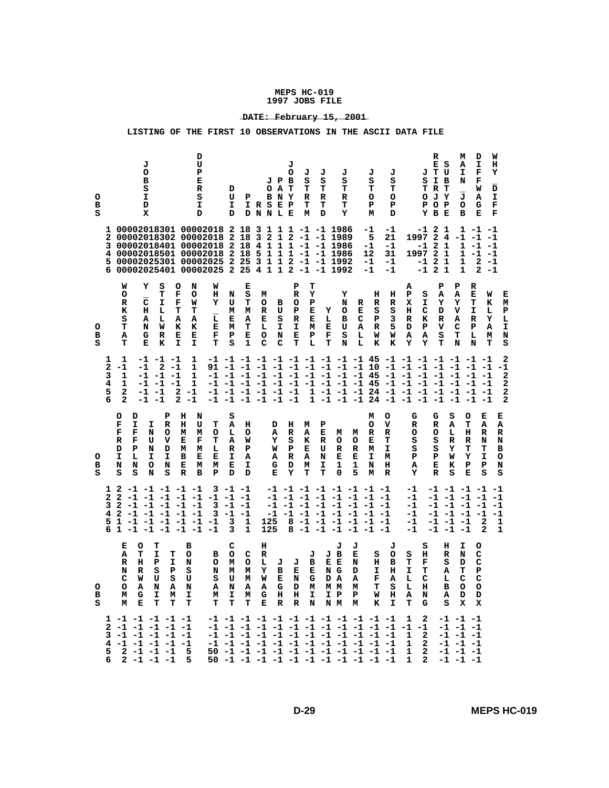# **\_\_\_\_\_\_\_\_\_\_\_\_\_\_\_\_\_\_\_\_\_\_\_\_ DATE: February 15, 2001**

| o<br>в<br>s<br>2<br>3<br>4<br>5<br>6 | W<br>о                               | J<br>о<br>в<br>s<br>I<br>D<br>X<br>Y                     | s<br>т                                                                                                                     | O<br>F                                                                  | D<br>U<br>P<br>Е<br>R<br>s<br>I<br>D<br>1 00002018301 00002018 2 18 3<br>00002018302 00002018 2 18 3<br>00002018401 00002018 2 18<br>00002018501 00002018 2<br>00002025301 00002025<br>00002025401 00002025 2 25 4 1 1 2 -1 -1 1992<br>N<br>W<br>o<br>н | D<br>U<br>I<br>D<br>N                                           | Р<br>18<br>2 2 5<br>Е<br>s      | IRSEP<br>DNNLE<br>$\overline{4}$<br>5<br>$\mathbf{3}$<br>м | JPB<br>o<br>BNY<br>$\mathbf{2}$<br>11<br>$\mathbf{1}$<br>1 | J<br>о<br>АT<br>$1\quad2$<br>1<br>P<br>R | J<br>s<br>т<br>R<br>Т<br>M<br>$-1$<br>т<br>Y | J<br>s<br>т<br>R<br>т<br>D      | J<br>s<br>т<br>R<br>т<br>Y<br>1 1 1 -1 -1 1986<br>-1 1989<br>$-1$ $-1$ 1986<br>$1 - 1 - 1$ 1986<br>$1 1 2 -1 -1 1992$<br>Y                                                                  |                                      | J<br>s<br>т<br>о<br>P<br>М<br>-1<br>5<br>-1<br>12<br>-1<br>$-1$<br>н | J<br>s<br>т<br>o<br>Р<br>D<br>-1<br>21<br>-1<br>31<br>-1<br>$-1$<br>н | А<br>Р                               | s<br>т<br>о<br>P<br>-1<br>1997<br>-1<br>1997<br>-1<br>s | R<br>E S<br>JТU<br>I B<br>R T<br>JY<br>O P<br>Y B E<br>$\overline{\mathbf{2}}$<br>-1<br>24<br>$\mathbf{2}$<br>-1<br>2<br>1<br>-1<br>2<br>$-1$ 2 1<br>P<br>А | М<br>Α<br>I<br>N<br>J<br>o<br>в<br>-1<br>1<br>1<br>1<br>1<br>P<br>A                  | D<br>I<br>F<br>F<br>W<br>А<br>G<br>Е<br>$1 - 1 - 1$<br>$-1$<br>$-1 - 1$<br>$-1 -1$<br>$\mathbf{2}$<br>2<br>R<br>Е                                                                                                                | W<br>н<br>Y<br>D<br>I<br>F<br>F<br>$-1$<br>$-1$<br>$-1$<br>W<br>Е |
|--------------------------------------|--------------------------------------|----------------------------------------------------------|----------------------------------------------------------------------------------------------------------------------------|-------------------------------------------------------------------------|---------------------------------------------------------------------------------------------------------------------------------------------------------------------------------------------------------------------------------------------------------|-----------------------------------------------------------------|---------------------------------|------------------------------------------------------------|------------------------------------------------------------|------------------------------------------|----------------------------------------------|---------------------------------|---------------------------------------------------------------------------------------------------------------------------------------------------------------------------------------------|--------------------------------------|----------------------------------------------------------------------|-----------------------------------------------------------------------|--------------------------------------|---------------------------------------------------------|-------------------------------------------------------------------------------------------------------------------------------------------------------------|--------------------------------------------------------------------------------------|----------------------------------------------------------------------------------------------------------------------------------------------------------------------------------------------------------------------------------|-------------------------------------------------------------------|
| о<br>в<br>s                          | R<br>K<br>s<br>т<br>А<br>т           | c<br>н<br>Α<br>N<br>G<br>Е                               | I<br>г<br>L<br>W<br>${\bf R}$<br>K                                                                                         | F<br>т<br>А<br>к<br>Е<br><b>I</b>                                       | M<br>Y<br>т<br>L<br>А<br>K<br>Е<br>Е<br>F<br>I.<br>т                                                                                                                                                                                                    | U<br>М<br>Е<br>м<br>${\bf P}$<br>S                              | т<br>М<br>Α<br>т<br>Е<br>1      | о<br>R<br>Е<br>Ŀ<br>о<br>c                                 | в<br>U<br>s<br>I<br>N<br>c                                 | o<br>Р<br>R<br>I<br>Е<br>т               | P<br>Е<br>Е<br>М<br>$\mathbf P$<br>L         | Υ<br>L<br>Е<br>F<br>т           | N<br>o<br>в<br>U<br>s<br>N                                                                                                                                                                  | R<br>Е<br>с<br>А<br>L<br>L           | R<br>s<br>Р<br>R<br>W<br>K                                           | R<br>s<br>3<br>5<br>W<br>K                                            | х<br>н<br>R<br>D<br>А<br>Y           | I<br>с<br>к<br>P<br>Α<br>Y                              | Y<br>D<br>R<br>v<br>S<br>т                                                                                                                                  | Y<br>v<br>А<br>c<br>Т<br>N                                                           | т<br>I<br>R<br>P<br>L<br>N                                                                                                                                                                                                       | к<br>М<br>P<br>L<br>L<br>Y<br>I<br>А<br>м<br>N<br>S<br>т          |
| ı<br>2<br>3<br>4<br>5<br>6           | 1<br>-1<br>1<br>1<br>2<br>2          | -1<br>-1<br>-1<br>-1<br>$-1$                             | $-1$ $-1$ $-1$<br>2<br>-1<br>-1<br>$-1$<br>$-1$                                                                            | -1<br>$-1$<br>$-1$<br>2<br>-1<br>$\mathbf{2}$<br>$-1$                   | 1<br>1<br>1<br>1                                                                                                                                                                                                                                        | -1 -1 -1 -1 -1<br>-1 -1 -1 -1 -1 -1<br>-1 -1 -1 -1 -1 -1        |                                 |                                                            |                                                            |                                          |                                              |                                 | -1 -1 -1 -1 -1 -1 -1 -1 -1 -1 -1 45<br>$-1$ $-1$ $-1$ $-1$ $-1$ $45$                                                                                                                        |                                      |                                                                      |                                                                       | $-1$ $-1$ $-1$ $-1$                  |                                                         | $-1$ $-1$ $-1$ $-1$ $-1$                                                                                                                                    |                                                                                      | -1 -1 -1 -1 -1 -1 -1 -1 -1 -1 -1 45 -1 -1 -1 -1 -1 -1 -1<br>91 -1 -1 -1 -1 -1 -1 -1 -1 -1 -1 10 -1 -1 -1 -1 -1 -1 -1<br>$-1$ $-1$ $-1$<br>$-1$<br>-1<br>1 -1 -1 -1 24 -1 -1 -1 -1 -1 -1 -1<br>1 -1 -1 -1 24 -1 -1 -1 -1 -1 -1 -1 | 2<br>-1<br>2<br>2<br>2<br>2                                       |
| o<br>в<br>s                          | O<br>F<br>F<br>R<br>D<br>I<br>N<br>s | D<br>I<br>I<br>F<br>F<br>Р<br>I<br>L<br>N<br>o<br>s<br>N | P<br>R<br>N<br>o<br>v<br>U<br>N<br>D<br>I<br>N<br>s                                                                        | н<br>н<br>м<br>Е<br>М<br>в<br>Е<br>${\bf R}$                            | N<br>U<br>т<br>м<br>o<br>F<br>т<br>М<br>L<br>Е<br>Е<br>м<br>м<br>P<br>в                                                                                                                                                                                 | S<br>Α<br>L<br>Α<br>R<br>I.<br>Е<br>D                           | н<br>o<br>W<br>P<br>А<br>I<br>D |                                                            | D<br>Α<br>Y<br>W<br>А<br>G<br>Е                            | н<br>R<br>s<br>${\bf P}$<br>R<br>D<br>Y  | м<br>A<br>к<br>Е<br>Α<br>М<br>Т              | P<br>Е<br>R<br>U<br>N<br>I<br>T | м<br>o<br>R<br>Е<br>1<br>0                                                                                                                                                                  | м<br>o<br>R<br>Е<br>1<br>5           | м<br>о<br>R<br>Е<br>М<br>I<br>N<br>M                                 | o<br>v<br>R<br>т<br>I<br>М<br>н<br>R                                  | G<br>R<br>о<br>s<br>s<br>P<br>А<br>Y |                                                         | G<br>R<br>о<br>s<br>s<br>Р<br>Е<br>${\bf R}$                                                                                                                | S<br>o<br>A<br>т<br>н<br>L<br>R<br>R<br>Y<br>т<br>Y<br>W<br>P<br>к<br>s<br>Е         | Е<br>Α<br>R<br>N<br>т<br>I<br>Р<br>s                                                                                                                                                                                             | Е<br>А<br>R<br>N<br>в<br>o<br>N<br>s                              |
| 2<br>3<br>4<br>5<br>6                | 2<br>2<br>2<br>1                     |                                                          | $1 2 -1 -1 -1 -1 -1$<br>$-1$ $-1$ $-1$ $-1$ $-1$<br>$-1$ $-1$ $-1$ $-1$ $-1$<br>$-1$ $-1$ $-1$ $-1$<br>$-1$ $-1$ $-1$ $-1$ |                                                                         | $-1$<br>$-1$<br>$-1$<br>1 -1 -1 -1 -1 -1 -1                                                                                                                                                                                                             | $3 - 1 - 1$<br>$-1$ $-1$ $-1$<br>$3 - 1$<br>3<br>$-1$<br>3<br>3 | -1<br>$-1$<br>1<br>1            |                                                            | -1<br>-1<br>125<br>125                                     | 8                                        | $-1$ $-1$ $-1$                               |                                 | $-1$ $-1$ $-1$ $-1$ $-1$ $-1$ $-1$ $-1$<br>$-1$ $-1$ $-1$ $-1$ $-1$ $-1$ $-1$ $-1$<br>$-1$ $-1$ $-1$ $-1$ $-1$ $-1$ $-1$<br>$-1$<br>$-1$ $-1$ $-1$ $-1$<br>8 -1 -1 -1 -1 -1 -1              | $-1$                                 | $-1$<br>$-1 -1$                                                      | $-1$                                                                  | -1<br>-1<br>-1<br>-1<br>-1<br>-1     |                                                         | $-1$ $-1$ $-1$<br>-1 -1 -1<br>-1 -1<br>-1 -1 -1<br>$-1 -1 -1$                                                                                               | $-1$                                                                                 | -1 -1 -1 -1 -1<br>$-1$ $-1$<br>$-1$<br>$-1$<br>2<br>2                                                                                                                                                                            | -1<br>-1<br>1<br>1                                                |
| о<br>в<br>s                          | Е<br>А<br>R<br>N<br>с<br>о<br>М<br>м | o<br>т<br>н<br>R<br>W<br>А<br>G<br>Е                     | т<br>I.<br>P<br>s<br>U<br>N<br>I<br>т                                                                                      | в<br>т<br>o<br>I<br>N<br>P<br>s<br>S<br>U<br>А<br>N<br>I<br>М<br>т<br>т | в<br>о<br>N<br>А<br>м<br>т                                                                                                                                                                                                                              | c<br>o<br>М<br>м<br>s<br>U<br>N<br>I<br>т                       | C<br>o<br>М<br>м<br>А<br>М<br>т | н<br>R<br>г<br>Y<br>W<br>А<br>G<br>Е                       | J<br>в<br>Е<br>G<br>н<br>R                                 | J<br>Е<br>N<br>D<br>н<br>R               | J<br>в<br>Е<br>G<br>М<br>I<br>N              | Е<br>I                          | J<br>J B<br>Е<br>N G<br>D A<br>M M<br>P<br>N M                                                                                                                                              | J<br>Е<br>N<br>D<br>А<br>м<br>Р<br>м | S<br>н<br>I<br>F<br>т<br>W<br>к                                      | J<br>o<br>в<br>н<br>Α<br>s<br>н<br>I                                  | S<br>т<br>I<br>Ŀ<br>L<br>А<br>т      | s<br>н<br>F<br>т<br>с<br>н<br>N<br>G                    | н<br>R<br>s<br>А<br>L<br>в<br>А<br>s                                                                                                                        | I<br>N<br>D<br>т<br>с<br>о<br>D<br>X                                                 | o<br>c<br>с<br>Р<br>с<br>o<br>D<br>x                                                                                                                                                                                             |                                                                   |
| 2<br>3<br>4<br>5<br>6                | -1<br>2                              | $-1$<br>$-1 - 1$<br>2 -1 -1                              | 1 -1 -1 -1 -1 -1<br>$-1$ $-1$ $-1$ $-1$<br>$-1$ $-1$ $-1$ $-1$<br>$-1$<br>$-1$<br>$-1$<br>$-1$                             | $-1$<br>-1<br>-1<br>5<br>5                                              |                                                                                                                                                                                                                                                         | -1 -1 -1 -1 -1                                                  |                                 |                                                            |                                                            |                                          |                                              |                                 | -1 -1 -1 -1 -1 -1 -1 -1 -1 -1 -1 -1 -1<br>-1 -1 -1 -1 -1 -1 -1 -1 -1 -1 -1 -1 -1<br>$-1$ $-1$ $-1$ $-1$<br>50 -1 -1 -1 -1 -1 -1 -1 -1 -1 -1 -1 -1<br>50 -1 -1 -1 -1 -1 -1 -1 -1 -1 -1 -1 -1 | -1                                   | $-1$                                                                 | $-1$<br>$^{-1}$                                                       | 1<br>$-1$<br>1<br>1<br>1<br>1        | 2<br>$-1$<br>2<br>2<br>2<br>2                           | $-1$                                                                                                                                                        | $-1$ $-1$ $-1$<br>$-1$ $-1$ $-1$<br>$-1$ $-1$ $-1$<br>-1 -1<br>$-1$ $-1$<br>-1 -1 -1 | -1                                                                                                                                                                                                                               |                                                                   |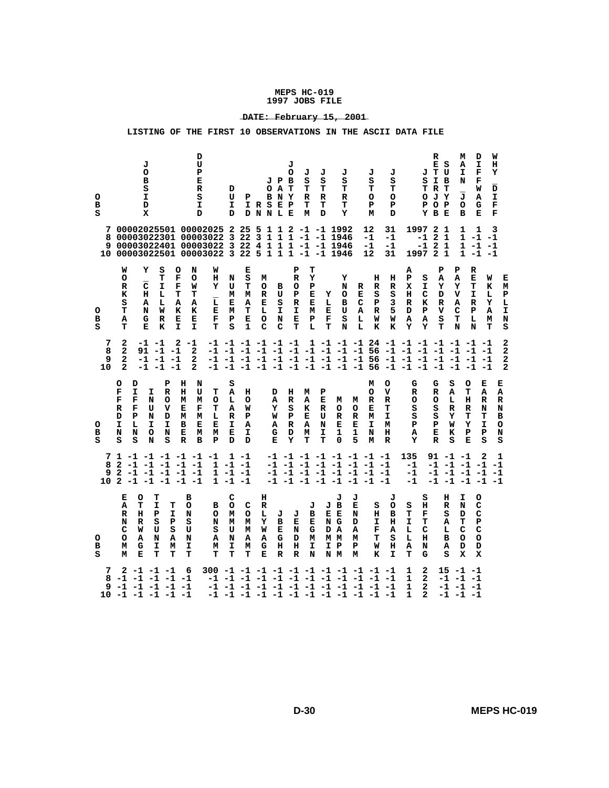# **\_\_\_\_\_\_\_\_\_\_\_\_\_\_\_\_\_\_\_\_\_\_\_\_ DATE: February 15, 2001**

| o<br>в<br>s | 7<br>8<br>9.<br>W<br>о<br>R<br>к<br>s                                        | J<br>o<br>в<br>s<br>I.<br>D<br>x<br>00002025501 00002025 2<br>00003022301 00003022 3<br>00003022401 00003022 3 22<br>10 00003022501 00003022 3 22 5 1 1 1 -1 -1 1946<br>Y<br>s<br>т<br>c<br>I<br>н<br>L<br>Α<br>L | D<br>U<br>P<br>Е<br>R<br>s<br>I<br>D<br>o<br>N<br>F<br>o<br>F<br>W<br>т<br>т<br>Α<br>А  | D<br>U<br>I.<br>D<br>W<br>н<br>N<br>Y<br>U<br>М<br>$\overline{\mathbf{L}}$<br>Е                                                                                       | Р<br>25 5<br>22 <sub>3</sub><br>Е<br>s<br>т<br>М<br>Α | $\circ$<br>IRSEP<br>DNNLE<br>$\overline{4}$<br>$\mathbf{1}$<br>М<br>о<br>R<br>Е | J P B<br>АT<br>B N Y<br>1 1 2<br>$1 1 1$<br>$\mathbf{1}$<br>в<br>U<br>s | J<br>о<br>1<br>P<br>R<br>o<br>${\bf P}$<br>R | J<br>s<br>т<br>R<br>т<br>м<br>т<br>Y<br>Р<br>Е<br>Е | J<br>J<br>s<br>s<br>т<br>т<br>R<br>R<br>т<br>т<br>D<br>Y<br>$-1$ $-1$ 1992<br>-1 -1 1946<br>-1 -1 1946<br>Y<br>N<br>Y<br>o<br>г<br>в     | R<br>Е<br>с                          | J<br>s<br>т<br>o<br>P<br>м<br>12<br>$-1$<br>-1<br>12<br>н<br>R<br>s<br>P | J<br>s<br>т<br>o<br>P<br>D<br>31<br>-1<br>-1<br>31<br>н<br>R<br>s<br>3 | s<br>P<br>1997<br>-1<br>-1<br>Α<br>P<br>s<br>I<br>x<br>н<br>c<br>К<br>R  | R<br>E S<br>JΤU<br>I B<br>T R T<br>олт<br>O P<br>Y B E<br>2 <sub>1</sub><br>2 <sub>1</sub><br>$\mathbf{2}$<br>1<br>1997 2 1<br>Р<br>А<br>Y<br>D<br>R | м<br>А<br>I<br>N<br>J<br>$\circ$<br>в<br>1<br>1<br>Р<br>Α<br>Y<br>v<br>Α     | D<br>I<br>F<br>F<br>W<br>А<br>G<br>Е<br>1<br>$1 - 1 - 1$<br>$-1$<br>-1<br>1 -1 -1<br>R<br>Е<br>W<br>т<br>к<br>I<br>L<br>Y<br>R | W<br>н<br>Y<br>D<br>I<br>F<br>F<br>3<br>Е<br>м<br>${\bf P}$<br>L |
|-------------|------------------------------------------------------------------------------|-------------------------------------------------------------------------------------------------------------------------------------------------------------------------------------------------------------------|-----------------------------------------------------------------------------------------|-----------------------------------------------------------------------------------------------------------------------------------------------------------------------|-------------------------------------------------------|---------------------------------------------------------------------------------|-------------------------------------------------------------------------|----------------------------------------------|-----------------------------------------------------|------------------------------------------------------------------------------------------------------------------------------------------|--------------------------------------|--------------------------------------------------------------------------|------------------------------------------------------------------------|--------------------------------------------------------------------------|------------------------------------------------------------------------------------------------------------------------------------------------------|------------------------------------------------------------------------------|--------------------------------------------------------------------------------------------------------------------------------|------------------------------------------------------------------|
| o<br>в<br>s | т<br>Α<br>т                                                                  | N<br>W<br>G<br>R<br>Е<br>к                                                                                                                                                                                        | к<br>к<br>Е<br>Е<br>I.<br>I.                                                            | Е<br>м<br>F<br>P<br>T<br>s                                                                                                                                            | т<br>E<br>1                                           | L<br>о<br>c                                                                     | I<br>N<br>c                                                             | $\mathbf I$<br>Е<br>T                        | м<br>P<br>L                                         | E<br>U<br>F<br>s<br>т<br>N                                                                                                               | A<br>L<br>L                          | R<br>W<br>к                                                              | 5<br>W<br>к                                                            | ${\bf P}$<br>D<br>Α<br>A<br>Y<br>Y                                       | v<br>s<br>т                                                                                                                                          | c<br>т<br>N                                                                  | P<br>A<br>L<br>м<br>т<br>N                                                                                                     | $\mathbf I$<br>N<br>s                                            |
| 10          | 2<br>7<br>8<br>2<br>2<br>9<br>$\mathbf{2}$                                   | -1 -1<br>91<br>$-1 - 1$<br>-1<br>$-1 - 1$<br>-1<br>$-1 -1$                                                                                                                                                        | 2<br>$-1$<br>2<br>2<br>$\overline{a}$                                                   | $-1$ $-1$ $-1$ $-1$ $-1$ $-1$<br>-1 -1 -1 -1 -1 -1 -1 -1 -1 -1 -1 56 -1 -1 -1 -1 -1 -1 -1<br>-1 -1 -1 -1 -1 -1 -1 -1 -1 -1 -1 56 -1 -1 -1 -1 -1 -1 -1                 |                                                       |                                                                                 |                                                                         |                                              |                                                     |                                                                                                                                          |                                      |                                                                          |                                                                        | 1 -1 -1 -1 24 -1 -1 -1 -1 -1 -1 -1<br>$-1$ $-1$ $-1$ $-1$ $-1$ $-1$ $-1$ |                                                                                                                                                      |                                                                              |                                                                                                                                | 2<br>2<br>2<br>$\mathbf{2}$                                      |
| o<br>в<br>s | o<br>D<br>F<br>I<br>F<br>F<br>F<br>R<br>P<br>D<br>I<br>г<br>N<br>N<br>s<br>s | Р<br>I.<br>R<br>N<br>o<br>U<br>v<br>N<br>D<br>I.<br>I<br>N<br>o<br>N<br>s                                                                                                                                         | н<br>N<br>н<br>U<br>M<br>М<br>Е<br>F<br>M<br>м<br>в<br>Е<br>Е<br>м<br>$\mathbb{R}$<br>B | s<br>т<br>Α<br>L<br>o<br>т<br>Α<br>R<br>L<br>Е<br>I.<br>Е<br>м<br>P<br>D                                                                                              | н<br>o<br>W<br>P<br>А<br>I<br>D                       |                                                                                 | D<br>А<br>Y<br>W<br>Α<br>G<br>Е                                         | н<br>$\mathbb{R}$<br>s<br>P<br>R<br>D<br>Y   | м<br>A<br>K<br>Е<br>Α<br>М<br>т                     | P<br>Е<br>м<br>R<br>o<br>U<br>R<br>N<br>Е<br>I<br>1<br>т<br>0                                                                            | м<br>o<br>R<br>Е<br>1<br>5           | м<br>o<br>R<br>Е<br>M<br>I<br>N<br>м                                     | o<br>v<br>R<br>т<br>I.<br>м<br>н<br>$\mathbb{R}$                       | G<br>R<br>o<br>s<br>s<br>Р<br>А<br>Y                                     | G<br>R<br>o<br>s<br>s<br>Р<br>Е<br>$\mathbb{R}$                                                                                                      | S<br>o<br>A<br>т<br>L<br>н<br>R<br>R<br>Y<br>т<br>Y<br>W<br>Р<br>к<br>s<br>Е | Е<br>A<br>R<br>N<br>т<br>I.<br>Р<br>s                                                                                          | Е<br>Α<br>R<br>N<br>в<br>o<br>N<br>s                             |
| 10          | 7<br>8<br>9<br>2                                                             | $1 - 1 - 1 - 1 - 1 - 1$<br>$2 -1 -1 -1 -1 -1$<br>$-1$ $-1$ $-1$ $-1$ $-1$<br>$2 - 1 - 1 - 1 - 1 - 1$                                                                                                              |                                                                                         | $1 - 1 - 1$<br>1<br>$1 - 1 - 1$                                                                                                                                       | $1 - 1$<br>$-1 -1$                                    |                                                                                 |                                                                         |                                              |                                                     | -1 -1 -1 -1 -1 -1 -1 -1<br>$-1$ $-1$ $-1$ $-1$ $-1$ $-1$ $-1$ $-1$<br>$-1$ $-1$ $-1$ $-1$ $-1$ $-1$ $-1$ $-1$<br>-1 -1 -1 -1 -1 -1 -1 -1 |                                      |                                                                          |                                                                        | 135<br>-1<br>-1<br>-1                                                    | 91 -1 -1<br>-1 -1 -1 -1                                                                                                                              |                                                                              | 2<br>-1 -1 -1 -1 -1<br>-1 -1 -1 -1 -1                                                                                          | 1<br>$-1$                                                        |
| o<br>в<br>s | Е<br>Α<br>R<br>N<br>с<br>о<br>м<br>М                                         | т<br>o<br>т<br>I<br>т<br>н<br>Р<br>I<br>s<br>R<br>Р<br>U<br>s<br>W<br>N<br>Α<br>А<br>G<br>I<br>М<br>Е<br>т<br>т                                                                                                   | в<br>O<br>N<br>s<br>U<br>N<br>I<br>т                                                    | с<br>o<br>в<br>o<br>М<br>N<br>м<br>s<br>U<br>А<br>N<br>I<br>м<br>т<br>т                                                                                               | c<br>o<br>м<br>М<br>Α<br>м<br>т                       | н<br>R<br>Ŀ<br>Y<br>W<br>Α<br>G<br>Е                                            | J<br>в<br>Е<br>G<br>н<br>$\mathbf R$                                    | J<br>Е<br>N<br>D<br>н<br>$\mathbf R$         | J<br>в<br>Е<br>G<br>м<br>I<br>N                     | J<br>J B<br>Е Е<br>ΝG<br>D A<br>мм<br>I P<br>N M                                                                                         | J<br>Е<br>N<br>D<br>А<br>м<br>P<br>м | s<br>н<br>I<br>F<br>т<br>W<br>K                                          | J<br>o<br>в<br>н<br>А<br>s<br>н<br>$\mathbf{I}$                        | s<br>s<br>н<br>т<br>F<br>I<br>т<br>L<br>с<br>н<br>L<br>Α<br>N<br>т<br>G  | н<br>R<br>s<br>А<br>L<br>в<br>А<br>s                                                                                                                 | I<br>N<br>D<br>т<br>с<br>o<br>D<br>x                                         | o<br>с<br>с<br>Р<br>c<br>o<br>D<br>x                                                                                           |                                                                  |
|             | 7<br>8                                                                       | $2 - 1 - 1 - 1$<br>$-1$ $-1$ $-1$ $-1$ $-1$<br>$9 -1 -1 -1 -1 -1$<br>$10 - 1 - 1 - 1 - 1 - 1$                                                                                                                     | 6                                                                                       | 300 -1 -1 -1 -1 -1 -1 -1 -1 -1 -1 -1 -1<br>-1 -1 -1 -1 -1 -1 -1 -1 -1 -1 -1 -1 -1<br>-1 -1 -1 -1 -1 -1 -1 -1 -1 -1 -1 -1 -1<br>-1 -1 -1 -1 -1 -1 -1 -1 -1 -1 -1 -1 -1 |                                                       |                                                                                 |                                                                         |                                              |                                                     |                                                                                                                                          |                                      |                                                                          |                                                                        | 2<br>1<br>1<br>$\mathbf{2}$<br>1<br>$\mathbf{2}$<br>1<br>2               |                                                                                                                                                      | $15 - 1 - 1$<br>$-1$ $-1$ $-1$<br>$-1$ $-1$ $-1$<br>$-1$ $-1$ $-1$           |                                                                                                                                |                                                                  |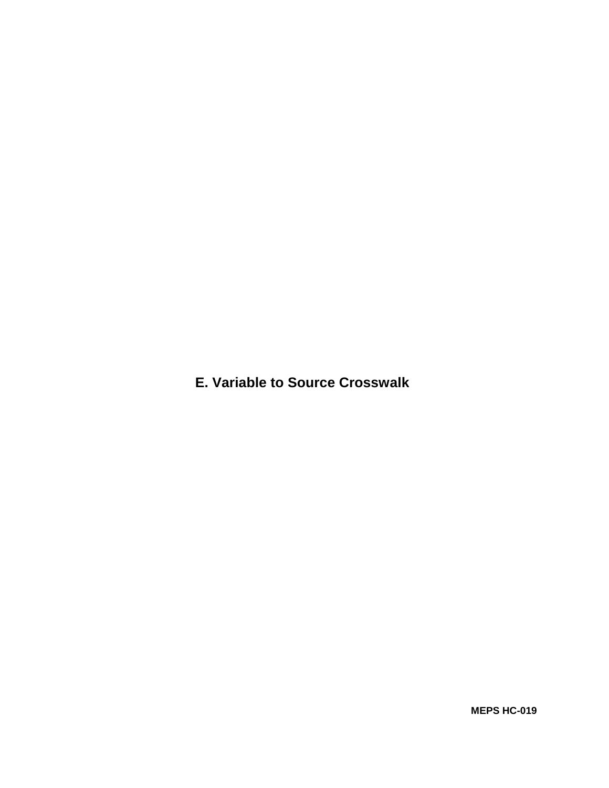**E. Variable to Source Crosswalk**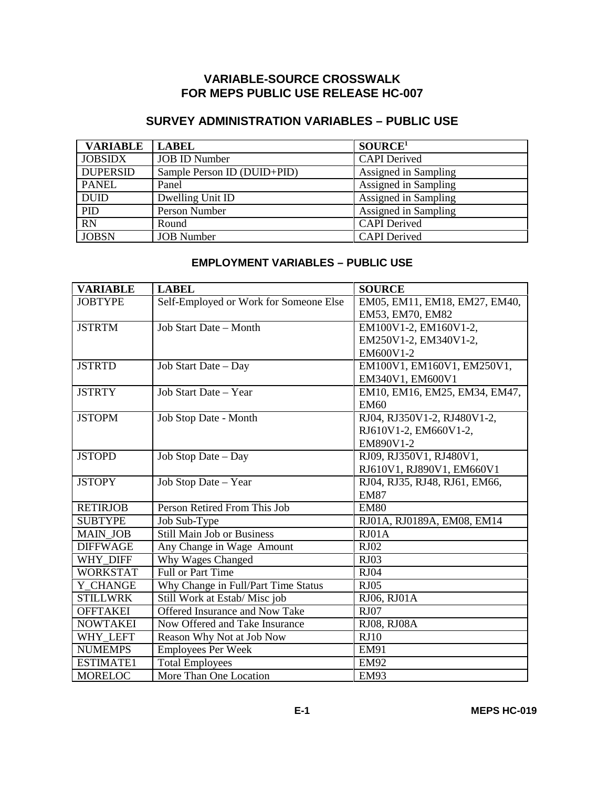# **VARIABLE-SOURCE CROSSWALK FOR MEPS PUBLIC USE RELEASE HC-007**

# **SURVEY ADMINISTRATION VARIABLES – PUBLIC USE**

| <b>VARIABLE</b> | <b>LABEL</b>                | SOURCE <sup>1</sup>  |
|-----------------|-----------------------------|----------------------|
| <b>JOBSIDX</b>  | <b>JOB ID Number</b>        | <b>CAPI</b> Derived  |
| <b>DUPERSID</b> | Sample Person ID (DUID+PID) | Assigned in Sampling |
| <b>PANEL</b>    | Panel                       | Assigned in Sampling |
| <b>DUID</b>     | Dwelling Unit ID            | Assigned in Sampling |
| PID             | Person Number               | Assigned in Sampling |
| $\overline{RN}$ | Round                       | <b>CAPI</b> Derived  |
| <b>JOBSN</b>    | <b>JOB</b> Number           | <b>CAPI</b> Derived  |

# **EMPLOYMENT VARIABLES – PUBLIC USE**

| <b>VARIABLE</b>  | <b>LABEL</b>                           | <b>SOURCE</b>                 |
|------------------|----------------------------------------|-------------------------------|
| <b>JOBTYPE</b>   | Self-Employed or Work for Someone Else | EM05, EM11, EM18, EM27, EM40, |
|                  |                                        | EM53, EM70, EM82              |
| <b>JSTRTM</b>    | Job Start Date - Month                 | EM100V1-2, EM160V1-2,         |
|                  |                                        | EM250V1-2, EM340V1-2,         |
|                  |                                        | EM600V1-2                     |
| <b>JSTRTD</b>    | Job Start Date - Day                   | EM100V1, EM160V1, EM250V1,    |
|                  |                                        | EM340V1, EM600V1              |
| <b>JSTRTY</b>    | Job Start Date - Year                  | EM10, EM16, EM25, EM34, EM47, |
|                  |                                        | <b>EM60</b>                   |
| <b>JSTOPM</b>    | Job Stop Date - Month                  | RJ04, RJ350V1-2, RJ480V1-2,   |
|                  |                                        | RJ610V1-2, EM660V1-2,         |
|                  |                                        | EM890V1-2                     |
| <b>JSTOPD</b>    | Job Stop Date - Day                    | RJ09, RJ350V1, RJ480V1,       |
|                  |                                        | RJ610V1, RJ890V1, EM660V1     |
| <b>JSTOPY</b>    | Job Stop Date - Year                   | RJ04, RJ35, RJ48, RJ61, EM66, |
|                  |                                        | <b>EM87</b>                   |
| <b>RETIRJOB</b>  | Person Retired From This Job           | <b>EM80</b>                   |
| <b>SUBTYPE</b>   | Job Sub-Type                           | RJ01A, RJ0189A, EM08, EM14    |
| <b>MAIN JOB</b>  | <b>Still Main Job or Business</b>      | RJO1A                         |
| <b>DIFFWAGE</b>  | Any Change in Wage Amount              | <b>RJ02</b>                   |
| WHY DIFF         | Why Wages Changed                      | <b>RJ03</b>                   |
| <b>WORKSTAT</b>  | Full or Part Time                      | <b>RJ04</b>                   |
| Y CHANGE         | Why Change in Full/Part Time Status    | RJ05                          |
| <b>STILLWRK</b>  | Still Work at Estab/ Misc job          | RJ06, RJ01A                   |
| <b>OFFTAKEI</b>  | <b>Offered Insurance and Now Take</b>  | <b>RJ07</b>                   |
| <b>NOWTAKEI</b>  | Now Offered and Take Insurance         | RJ08, RJ08A                   |
| WHY_LEFT         | Reason Why Not at Job Now              | RJ10                          |
| <b>NUMEMPS</b>   | <b>Employees Per Week</b>              | <b>EM91</b>                   |
| <b>ESTIMATE1</b> | <b>Total Employees</b>                 | <b>EM92</b>                   |
| <b>MORELOC</b>   | More Than One Location                 | <b>EM93</b>                   |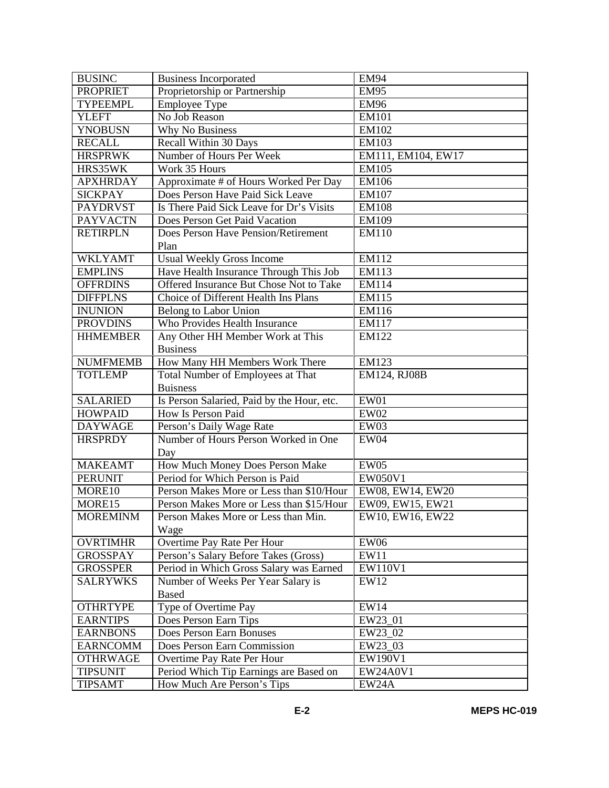| <b>BUSINC</b>   | <b>Business Incorporated</b>               | <b>EM94</b>        |
|-----------------|--------------------------------------------|--------------------|
| <b>PROPRIET</b> | Proprietorship or Partnership              | <b>EM95</b>        |
| <b>TYPEEMPL</b> | Employee Type                              | <b>EM96</b>        |
| <b>YLEFT</b>    | No Job Reason                              | <b>EM101</b>       |
| <b>YNOBUSN</b>  | Why No Business                            | EM102              |
| <b>RECALL</b>   | Recall Within 30 Days                      | <b>EM103</b>       |
| <b>HRSPRWK</b>  | Number of Hours Per Week                   | EM111, EM104, EW17 |
| HRS35WK         | Work 35 Hours                              | <b>EM105</b>       |
| <b>APXHRDAY</b> | Approximate # of Hours Worked Per Day      | <b>EM106</b>       |
| <b>SICKPAY</b>  | Does Person Have Paid Sick Leave           | <b>EM107</b>       |
| <b>PAYDRVST</b> | Is There Paid Sick Leave for Dr's Visits   | <b>EM108</b>       |
| <b>PAYVACTN</b> | Does Person Get Paid Vacation              | EM109              |
| <b>RETIRPLN</b> | Does Person Have Pension/Retirement        | <b>EM110</b>       |
|                 | Plan                                       |                    |
| <b>WKLYAMT</b>  | <b>Usual Weekly Gross Income</b>           | EM112              |
| <b>EMPLINS</b>  | Have Health Insurance Through This Job     | EM113              |
| <b>OFFRDINS</b> | Offered Insurance But Chose Not to Take    | EM114              |
| <b>DIFFPLNS</b> | Choice of Different Health Ins Plans       | EM115              |
| <b>INUNION</b>  | Belong to Labor Union                      | EM116              |
| <b>PROVDINS</b> | Who Provides Health Insurance              | EM117              |
| <b>HHMEMBER</b> | Any Other HH Member Work at This           | EM122              |
|                 | <b>Business</b>                            |                    |
| <b>NUMFMEMB</b> | How Many HH Members Work There             | <b>EM123</b>       |
| <b>TOTLEMP</b>  | Total Number of Employees at That          | EM124, RJ08B       |
|                 | <b>Buisness</b>                            |                    |
| <b>SALARIED</b> | Is Person Salaried, Paid by the Hour, etc. | EW01               |
| <b>HOWPAID</b>  | How Is Person Paid                         | EW02               |
| <b>DAYWAGE</b>  | Person's Daily Wage Rate                   | EW03               |
| <b>HRSPRDY</b>  | Number of Hours Person Worked in One       | EW04               |
|                 | Day                                        |                    |
| <b>MAKEAMT</b>  | How Much Money Does Person Make            | EW05               |
| <b>PERUNIT</b>  | Period for Which Person is Paid            | EW050V1            |
| MORE10          | Person Makes More or Less than \$10/Hour   | EW08, EW14, EW20   |
| MORE15          | Person Makes More or Less than \$15/Hour   | EW09, EW15, EW21   |
| <b>MOREMINM</b> | Person Makes More or Less than Min.        | EW10, EW16, EW22   |
|                 | Wage                                       |                    |
| <b>OVRTIMHR</b> | Overtime Pay Rate Per Hour                 | <b>EW06</b>        |
| <b>GROSSPAY</b> | Person's Salary Before Takes (Gross)       | EW11               |
| <b>GROSSPER</b> | Period in Which Gross Salary was Earned    | EW110V1            |
| <b>SALRYWKS</b> | Number of Weeks Per Year Salary is         | EW12               |
|                 | <b>Based</b>                               |                    |
| <b>OTHRTYPE</b> | Type of Overtime Pay                       | EW14               |
| <b>EARNTIPS</b> | Does Person Earn Tips                      | EW23_01            |
| <b>EARNBONS</b> | Does Person Earn Bonuses                   | EW23_02            |
| <b>EARNCOMM</b> | Does Person Earn Commission                | EW23 03            |
| <b>OTHRWAGE</b> | Overtime Pay Rate Per Hour                 | EW190V1            |
| <b>TIPSUNIT</b> | Period Which Tip Earnings are Based on     | EW24A0V1           |
| <b>TIPSAMT</b>  | How Much Are Person's Tips                 | EW24A              |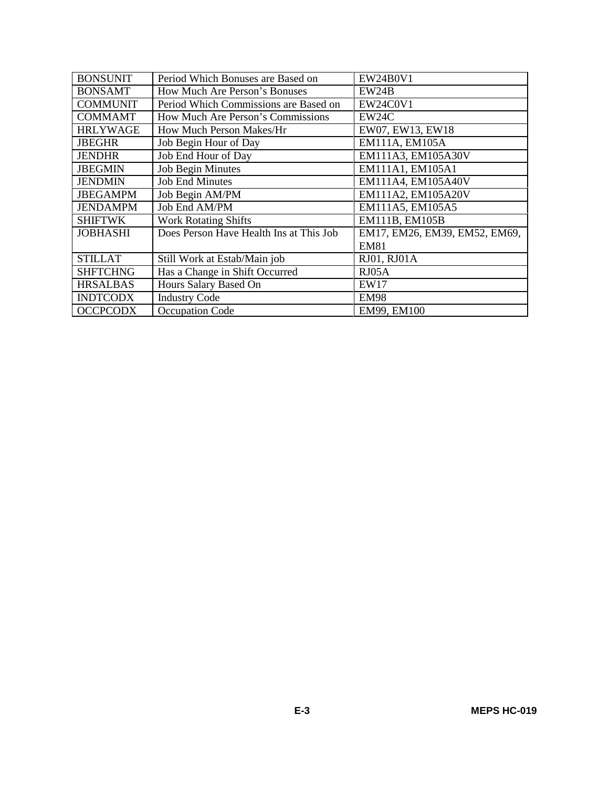| <b>BONSUNIT</b> | Period Which Bonuses are Based on       | <b>EW24B0V1</b>               |
|-----------------|-----------------------------------------|-------------------------------|
| <b>BONSAMT</b>  | How Much Are Person's Bonuses           | EW24B                         |
| <b>COMMUNIT</b> | Period Which Commissions are Based on   | <b>EW24C0V1</b>               |
| <b>COMMAMT</b>  | How Much Are Person's Commissions       | EW24C                         |
| <b>HRLYWAGE</b> | How Much Person Makes/Hr                | EW07, EW13, EW18              |
| <b>JBEGHR</b>   | Job Begin Hour of Day                   | EM111A, EM105A                |
| <b>JENDHR</b>   | Job End Hour of Day                     | EM111A3, EM105A30V            |
| <b>JBEGMIN</b>  | <b>Job Begin Minutes</b>                | EM111A1, EM105A1              |
| <b>JENDMIN</b>  | <b>Job End Minutes</b>                  | EM111A4, EM105A40V            |
| <b>JBEGAMPM</b> | Job Begin AM/PM                         | EM111A2, EM105A20V            |
| <b>JENDAMPM</b> | Job End AM/PM                           | EM111A5, EM105A5              |
| <b>SHIFTWK</b>  | <b>Work Rotating Shifts</b>             | EM111B, EM105B                |
| <b>JOBHASHI</b> | Does Person Have Health Ins at This Job | EM17, EM26, EM39, EM52, EM69, |
|                 |                                         | <b>EM81</b>                   |
| <b>STILLAT</b>  | Still Work at Estab/Main job            | RJ01, RJ01A                   |
| <b>SHFTCHNG</b> | Has a Change in Shift Occurred          | RJ05A                         |
| <b>HRSALBAS</b> | Hours Salary Based On                   | <b>EW17</b>                   |
| <b>INDTCODX</b> | <b>Industry Code</b>                    | <b>EM98</b>                   |
| <b>OCCPCODX</b> | Occupation Code                         | EM99, EM100                   |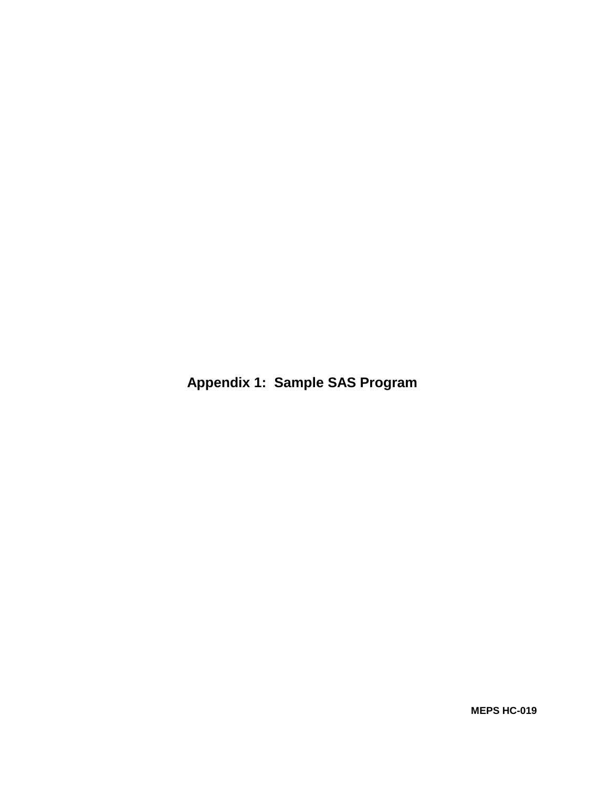**Appendix 1: Sample SAS Program**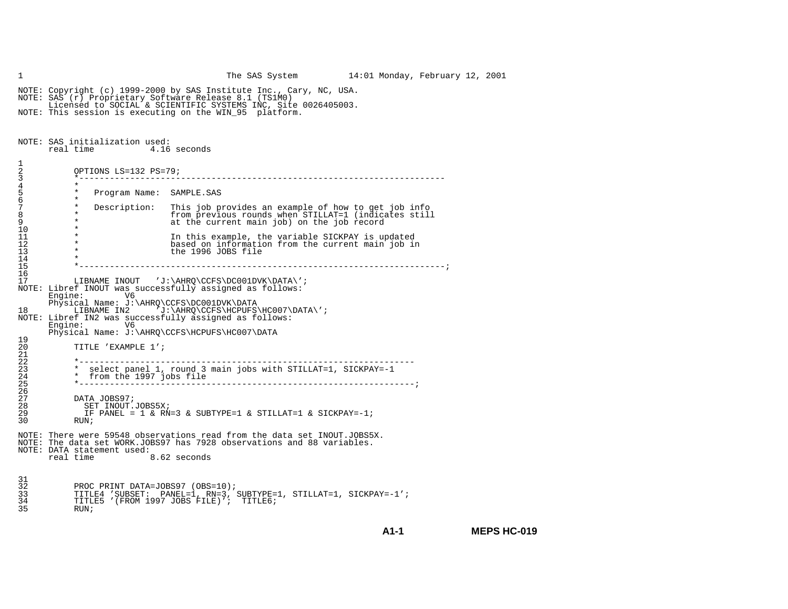1 The SAS System 14:01 Monday, February 12, 2001 NOTE: Copyright (c) 1999-2000 by SAS Institute Inc., Cary, NC, USA. NOTE: SAS (r) Proprietary Software Release 8.1 (TS1M0) Licensed to SOCIAL & SCIENTIFIC SYSTEMS INC, Site 0026405003. NOTE: This session is executing on the WIN\_95 platform. NOTE: SAS initialization used: real time 4.16 seconds1  $\frac{2}{3}$ 2 OPTIONS LS=132 PS=79;\*--------------------------3 \*------------------------------------------------------------------------4 \*Program Name: SAMPLE.SAS 6 \* $\star$ 7 \* Description: This job provides an example of how to get job info 8 \* \* from previous rounds when STILLAT=1 (indicates still<br>9 \* \* at the current main job) on the job record at the current main job) on the job record 10 \*11 \* In this example, the variable SICKPAY is updated 12 \* based on information from the current main job in 11  $*$  In this example, the 1996 JOBS file  $*$  the 1996 JOBS file  $\frac{14}{15}$  15 \*------------------------------------------------------------------------;16 17 LIBNAME INOUT 'J:\AHRQ\CCFS\DC001DVK\DATA\'; NOTE: Libref INOUT was successfully assigned as follows:<br>Engine:  $V6$  Engine: V6 Physical Name: J:\AHRQ\CCFS\DC001DVK\DATA<br>LIBNAME IN2 'J:\AHRO\CCFS\HCPUFS' LIBNAME IN2  $7j:\AHRQ\CCFS\HCPUFS\HC007\DATA\'$ ; NOTE: Libref IN2 was successfully assigned as follows:<br>Engine: V6 Engine: Physical Name: J:\AHRQ\CCFS\HCPUFS\HC007\DATA 19 20 TITLE 'EXAMPLE 1'; 21 22 22 \*------------------------------------------------------------------23 \* select panel 1, round 3 main jobs with STILLAT=1, SICKPAY=-1 \* from the 1997 jobs file 25 \*------------------------------------------------------------------; $\frac{2}{6}$  $\overline{2}\overline{7}$ 27 DATA JOBS97;<br>28 SET INOUT. 28 SET INOUT.JOBS5X; 29 IF PANEL = 1 & RN=3 & SUBTYPE=1 & STILLAT=1 & SICKPAY=-1;30 RUN;NOTE: There were 59548 observations read from the data set INOUT.JOBS5X.NOTE: The data set WORK.JOBS97 has 7928 observations and 88 variables.NOTE: DATA statement used:<br>real time real time 8.62 seconds 31  $\overline{3}2$ 32 PROC PRINT DATA=JOBS97 (OBS=10);<br>33 TITLE4 'SUBSET: PANEL=1, RN=3, 33 TITLE4 'SUBSET: PANEL=1, RN=3, SUBTYPE=1, STILLAT=1, SICKPAY=-1'; 34 TITLE5 '(FROM 1997 JOBS FILE)'; TITLE6; 35 RUN;

**A1-1**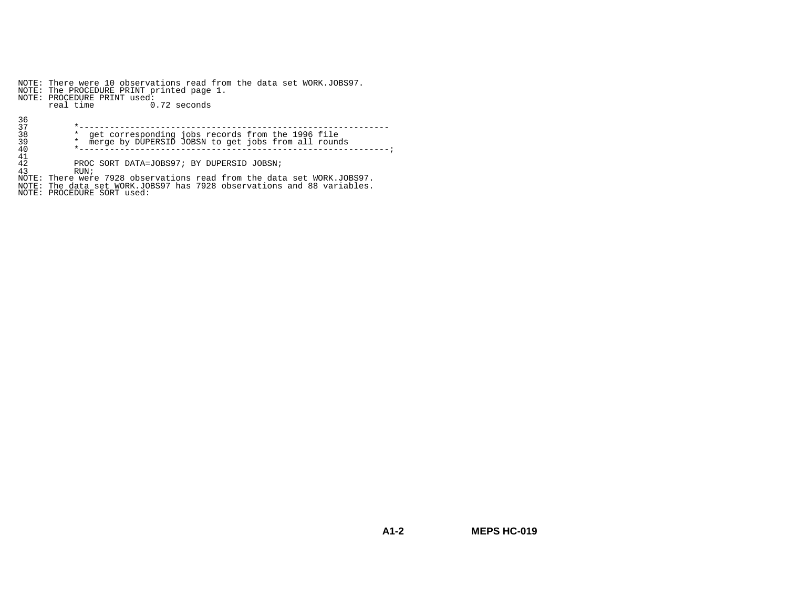NOTE: There were 10 observations read from the data set WORK.JOBS97. NOTE: The PROCEDURE PRINT printed page 1. NOTE: PROCEDURE PRINT used: real time 0.72 seconds36 37 \*-------------------------------------------------------------38 \* get corresponding jobs records from the 1996 file 39 \* merge by DUPERSID JOBSN to get jobs from all rounds 40 \*-------------------------------------------------------------;41

 $\overline{42}$  $\frac{42}{43}$  PROC SORT DATA=JOBS97; BY DUPERSID JOBSN;

43 RUN; NOTE: There were 7928 observations read from the data set WORK.JOBS97. NOTE: The data set WORK.JOBS97 has 7928 observations and 88 variables. NOTE: PROCEDURE SORT used: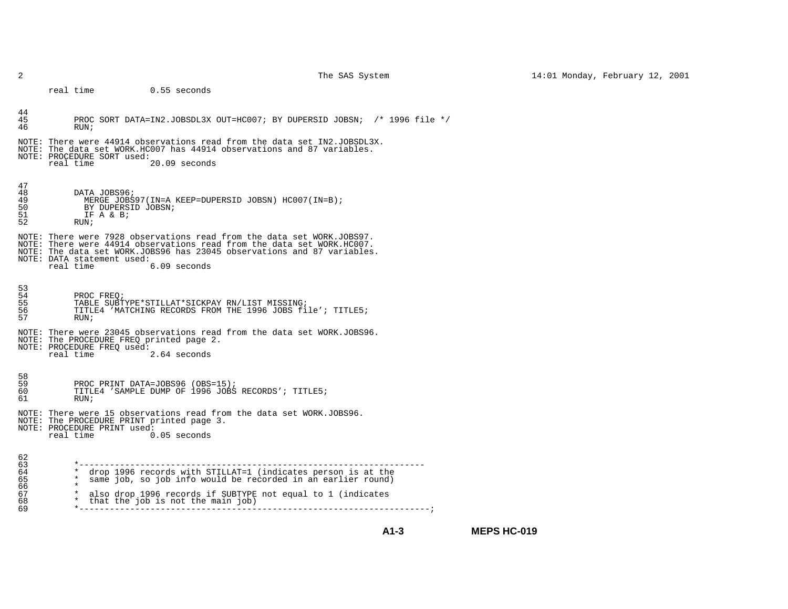real time 0.55 seconds

| 44<br>45<br>46                               | PROC SORT DATA=IN2.JOBSDL3X OUT=HC007; BY DUPERSID JOBSN; /* 1996 file */<br>RUN;                                                                                                                                                                                                      |                    |
|----------------------------------------------|----------------------------------------------------------------------------------------------------------------------------------------------------------------------------------------------------------------------------------------------------------------------------------------|--------------------|
|                                              | NOTE: There were 44914 observations read from the data set IN2.JOBSDL3X.<br>NOTE: The data set WORK.HC007 has 44914 observations and 87 variables.<br>NOTE: PROCEDURE SORT used:<br>20.09 seconds<br>real time                                                                         |                    |
| 47<br>48<br>49<br>50<br>51<br>52             | DATA JOBS96;<br>MERGE JOBS97(IN=A KEEP=DUPERSID JOBSN) HC007(IN=B);<br>BY DUPERSID JOBSN;<br>IF A & B.<br>RUN;                                                                                                                                                                         |                    |
|                                              | NOTE: There were 7928 observations read from the data set WORK.JOBS97.<br>NOTE: There were 44914 observations read from the data set WORK.HC007.<br>NOTE: The data set WORK.JOBS96 has 23045 observations and 87 variables.<br>NOTE: DATA statement used:<br>real time<br>6.09 seconds |                    |
| 53<br>54<br>55<br>56<br>57                   | PROC FREO;<br>TABLE SUBTYPE*STILLAT*SICKPAY RN/LIST MISSING;<br>TITLE4 'MATCHING RECORDS FROM THE 1996 JOBS file'; TITLE5;<br>RUN;                                                                                                                                                     |                    |
|                                              | NOTE: There were 23045 observations read from the data set WORK.JOBS96.<br>NOTE: The PROCEDURE FREO printed page 2.<br>NOTE: PROCEDURE FREQ used:<br>real time<br>2.64 seconds                                                                                                         |                    |
| 58<br>59<br>60<br>61                         | PROC PRINT DATA=JOBS96 (OBS=15);<br>TITLE4 'SAMPLE DUMP OF 1996 JOBS RECORDS'; TITLE5;<br>RUN:                                                                                                                                                                                         |                    |
|                                              | NOTE: There were 15 observations read from the data set WORK.JOBS96.<br>NOTE: The PROCEDURE PRINT printed page 3.<br>NOTE: PROCEDURE PRINT used:<br>real time<br>$0.05$ seconds                                                                                                        |                    |
| 62<br>63<br>64<br>65<br>66<br>67<br>68<br>69 | $\ast$<br>drop 1996 records with STILLAT=1 (indicates person is at the<br>$\star$<br>same job, so job info would be recorded in an earlier round)<br>$\star$<br>also drop 1996 records if SUBTYPE not equal to 1 (indicates<br>$\star$<br>that the job is not the main job)            |                    |
|                                              | $A1-3$                                                                                                                                                                                                                                                                                 | <b>MEPS HC-019</b> |

2 The SAS System 14:01 Monday, February 12, 2001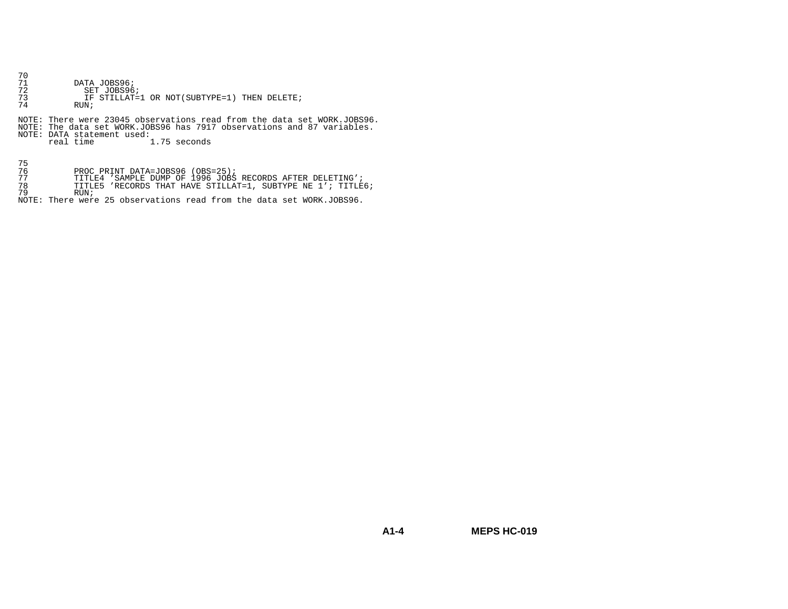- 70
- DATA JOBS96; 72 SET JOBS96;
- 73 IF STILLAT=1 OR NOT(SUBTYPE=1) THEN DELETE;
- $RUN$

NOTE: There were 23045 observations read from the data set WORK.JOBS96. NOTE: The data set WORK.JOBS96 has 7917 observations and 87 variables. NOTE: DATA statement used: real time 1.75 seconds

75

- 
- 
- 76 PROC PRINT DATA=JOBS96 (OBS=25); 77 TITLE4 'SAMPLE DUMP OF 1996 JOBS RECORDS AFTER DELETING'; 78 TITLE5 'RECORDS THAT HAVE STILLAT=1, SUBTYPE NE 1'; TITLE6;

79 RUN;

NOTE: There were 25 observations read from the data set WORK.JOBS96.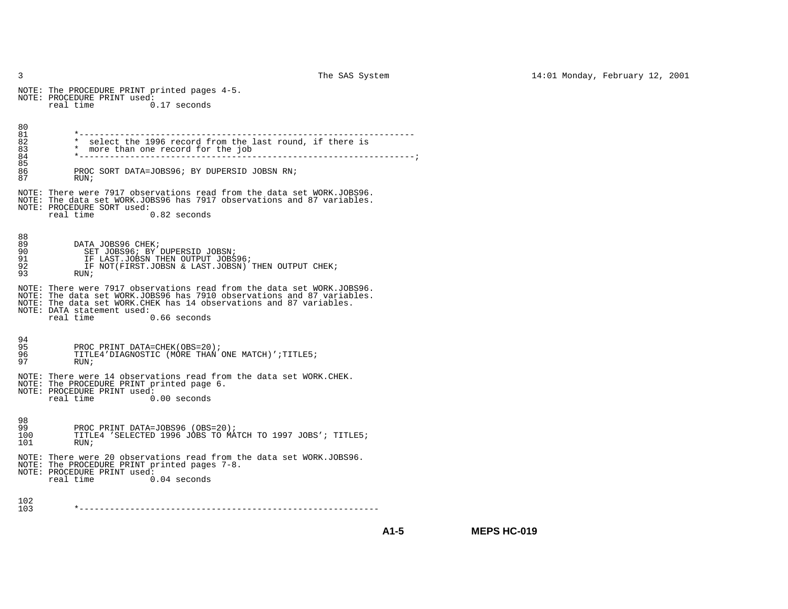NOTE: The PROCEDURE PRINT printed pages 4-5. NOTE: PROCEDURE PRINT used: real time 0.17 seconds80 81 81 \*------------------------------------------------------------------ $82$  \* select the 1996 record from the last round, if there is<br>83 \* more than one record for the job 83 \* more than one record for the job<br>84 \*-----------------------------------84 \*------------------------------------------------------------------;85 86 PROC SORT DATA=JOBS96; BY DUPERSID JOBSN RN; 87 RUN;NOTE: There were 7917 observations read from the data set WORK.JOBS96. NOTE: The data set WORK.JOBS96 has 7917 observations and 87 variables. NOTE: PROCEDURE SORT used: real time 0.82 seconds88  $89$ DATA JOBS96 CHEK; 90 SET JOBS96; BY DUPERSID JOBSN; 91 IF LAST.JOBSN THEN OUTPUT JOBS96; 92 IF NOT(FIRST.JOBSN & LAST.JOBSN) THEN OUTPUT CHEK; 93 RUN;NOTE: There were 7917 observations read from the data set WORK.JOBS96. NOTE: The data set WORK.JOBS96 has 7910 observations and 87 variables.NOTE: The data set WORK.CHEK has 14 observations and 87 variables.NOTE: DATA statement used: real time 0.66 seconds94 95 95 PROC PRINT DATA=CHEK(OBS=20);<br>96 TITLE4'DIAGNOSTIC (MORE THAN 96 TITLE4'DIAGNOSTIC (MORE THAN ONE MATCH)';TITLE5;<br>97 RIIN; RIIN; NOTE: There were 14 observations read from the data set WORK.CHEK. NOTE: The PROCEDURE PRINT printed page 6. NOTE: PROCEDURE PRINT used:<br>real time 0 real time 0.00 seconds98 99 99 PROC PRINT DATA=JOBS96 (OBS=20);<br>100 TITLE4 'SELECTED 1996 JOBS TO MA 100 TITLE4 'SELECTED 1996 JOBS TO MATCH TO 1997 JOBS'; TITLE5;<br>101 RUN;  $RUN$ NOTE: There were 20 observations read from the data set WORK.JOBS96. NOTE: The PROCEDURE PRINT printed pages 7-8. NOTE: PROCEDURE PRINT used:<br>real time 0 real time 0.04 seconds102 103 103 \*-----------------------------------------------------------

**A1-5**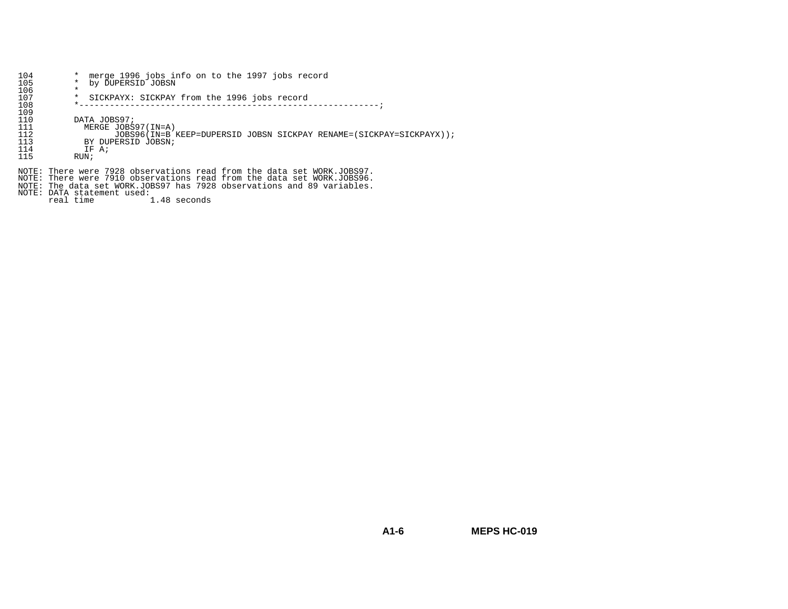| 104 | merge 1996 jobs info on to the 1997 jobs record<br>$\star$          |
|-----|---------------------------------------------------------------------|
| 105 | by DUPERSID JOBSN                                                   |
| 106 | $\star$                                                             |
| 107 | SICKPAYX: SICKPAY from the 1996 jobs record<br>*                    |
| 108 |                                                                     |
| 109 |                                                                     |
| 110 | DATA JOBS97;                                                        |
| 111 | MERGE JOBS97(IN=A)                                                  |
| 112 | JOBS96(IN=B KEEP=DUPERSID JOBSN SICKPAY RENAME=(SICKPAY=SICKPAYX)); |
| 113 | BY DUPERSID JOBSN;                                                  |
| 114 | IF A;                                                               |
| 115 | RUN;                                                                |
|     |                                                                     |

NOTE: There were 7928 observations read from the data set WORK.JOBS97. NOTE: There were 7910 observations read from the data set WORK.JOBS96. NOTE: The data set WORK.JOBS97 has 7928 observations and 89 variables. NOTE: DATA statement used: real time 1.48 seconds

**MEPS HC-019**

**A1-6**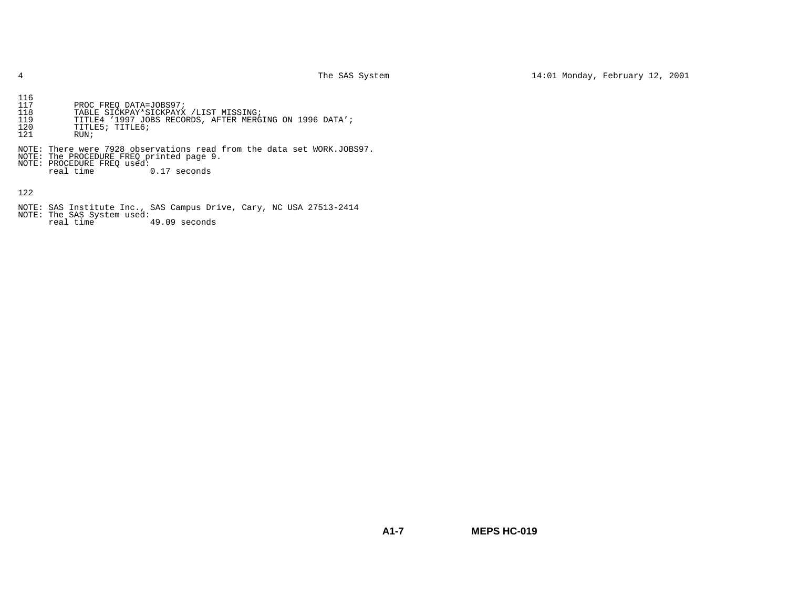- 116 117 PROC FREQ DATA=JOBS97;
- 118 TABLE SICKPAY\*SICKPAYX /LIST MISSING; 119 TITLE4 '1997 JOBS RECORDS, AFTER MERGING ON 1996 DATA';
- 120 TITLE5; TITLE6;
- 121 RUN;
- NOTE: There were 7928 observations read from the data set WORK.JOBS97.
- NOTE: The PROCEDURE FREQ printed page 9. NOTE: PROCEDURE FREQ used:
- - real time  $0.17$  seconds

122

- 
- NOTE: SAS Institute Inc., SAS Campus Drive, Cary, NC USA 27513-2414 NOTE: The SAS System used: real time 49.09 seconds

**A1-7MEPS HC-019**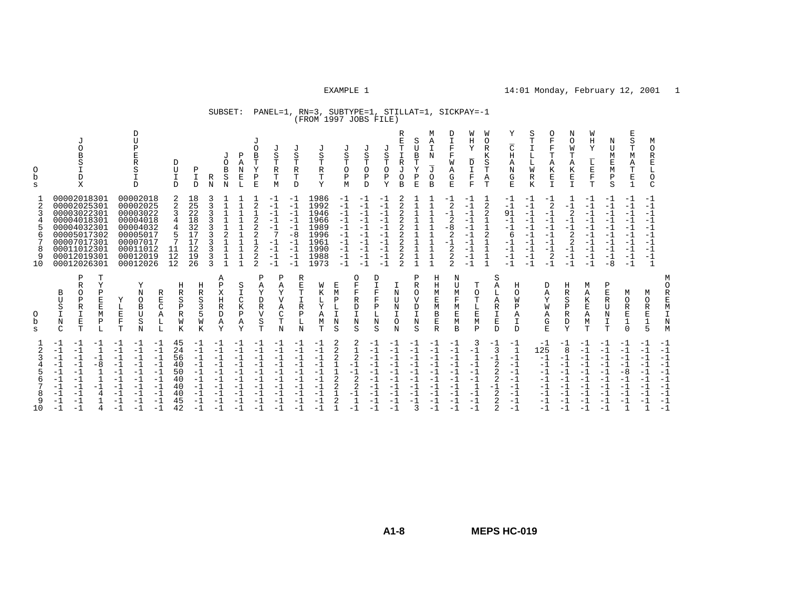# SUBSET: PANEL=1, RN=3, SUBTYPE=1, STILLAT=1, SICKPAY=-1 (FROM 1997 JOBS FILE)

| 0<br>b<br>s<br>$\overline{2}$ | J<br>O<br>B<br>S<br>D<br>X<br>00002018301<br>00002025301                                                                | D<br>$\overline{U}$<br>Ρ<br>E<br>R<br>S<br>D<br>00002018<br>00002025                              | D<br>U<br>I<br>D<br>18<br>25<br>$\overline{2}$                      | J<br>O<br>B<br>P<br>Ι<br>S<br>R<br>N<br>D<br>N                          | Ρ<br>Α<br>N<br>Ε<br>L<br>$\mathbf{1}$ | J<br>O<br>J<br>B<br>S<br>Т<br>Т<br>Υ<br>R<br>Ρ<br>Т<br>E<br>M<br>$-1$<br>2<br>$-1$      | J<br>S<br>Т<br>R<br>т<br>D<br>-1<br>$-1$                                           | J<br>S<br>Т<br>R<br>Т<br>Υ<br>1986<br>1992                   | J<br>S<br>Т<br>$\circ$<br>Ρ<br>M<br>$-1$<br>$-1$             | J<br>S<br>Т<br>$\circ$<br>Ρ<br>D<br>$-1$<br>$-1$<br>$-1$                           | R<br>E<br>T<br>J<br>$\mathbf I$<br>S<br>$\mathbb R$<br>Т<br>J<br>O<br>Ρ<br>O<br>B<br>Y<br>2<br>2<br>$-1$ | S<br>U<br>B<br>Т<br>Υ<br>Ρ<br>E             | М<br>A<br>I<br>N<br>J<br>0<br>B<br>$\mathbf{1}$   | D<br>I<br>F<br>F<br>W<br>Α<br>G<br>E.<br>$-1$<br>2    | W<br>Η<br>Y<br>D<br>I<br>F<br>F<br>-1<br>$-1$            | W<br>$\circ$<br>R<br>Κ<br>S<br>Т<br>Α<br>T<br>1<br>2 | Υ<br>$\overline{\rm C}$<br>Η<br>Α<br>N<br>G<br>$\mathbf E$<br>$-1$<br>$-1$ | S<br>$\Omega$<br>F<br>Т<br>I<br>F<br>Т<br>L<br>L<br>Α<br>K<br>W<br>Ε<br>R<br>K<br>$\mathbf I$<br>$-1$<br>$-1$<br>$\overline{2}$<br>$-1$ | Ν<br>$\Omega$<br>W<br>т<br>Α<br>К<br>E<br>T.<br>$-1$             | W<br>H<br>Y<br>L<br>$\mathbf E$<br>$\mathbf F$<br>T<br>$-1$<br>$-1$ | N<br>U<br>M<br>E<br>M<br>Ρ<br>S<br>$-1$<br>$-1$          | Ε<br>S<br>т<br>М<br>Α<br>T<br>Ε<br>$\mathbf{1}$<br>$-1$<br>$-1$ | М<br>O<br>$\mathbb R$<br>Е<br>L<br>O<br>$\mathcal{C}$<br>$-1$<br>$-1$ |              |
|-------------------------------|-------------------------------------------------------------------------------------------------------------------------|---------------------------------------------------------------------------------------------------|---------------------------------------------------------------------|-------------------------------------------------------------------------|---------------------------------------|-----------------------------------------------------------------------------------------|------------------------------------------------------------------------------------|--------------------------------------------------------------|--------------------------------------------------------------|------------------------------------------------------------------------------------|----------------------------------------------------------------------------------------------------------|---------------------------------------------|---------------------------------------------------|-------------------------------------------------------|----------------------------------------------------------|------------------------------------------------------|----------------------------------------------------------------------------|-----------------------------------------------------------------------------------------------------------------------------------------|------------------------------------------------------------------|---------------------------------------------------------------------|----------------------------------------------------------|-----------------------------------------------------------------|-----------------------------------------------------------------------|--------------|
| 8<br>9<br>10                  | 00003022301<br>00004018301<br>00004032301<br>00005017302<br>00007017301<br>00011012301<br>00012019301<br>00012026301    | 00003022<br>00004018<br>00004032<br>00005017<br>00007017<br>00011012<br>00012019<br>00012026      | 22<br>18<br>32<br>4<br>17<br>17<br>12<br>11<br>12<br>19<br>12<br>26 | $\mathbf{1}$<br>1<br>2<br>$\overline{1}$                                |                                       | $-1$<br>2<br>$-1$<br>2<br>$-1$<br>2<br>Ξ<br>$-1$<br>2<br>$-1$<br>2<br>$-1$<br>2<br>$-1$ | $-1$<br>$-1$<br>$-1$<br>$-8$<br>$-1$<br>$-1$<br>$^{-1}$<br>$-1$                    | 1946<br>1966<br>1989<br>1996<br>1961<br>1990<br>1988<br>1973 | $-1$<br>$-1$<br>$-1$<br>$-1$<br>$-1$<br>$-1$<br>$-1$<br>$-1$ | $-1$<br>$-1$<br>$-1$<br>$-1$<br>$-1$<br>$-1$<br>$^{-1}$<br>$-1$<br>$-1$<br>$-1$    | 2<br>$-1$<br>2<br>$-1$<br>2<br>$-1$<br>2<br>2<br>2<br>$-1$<br>2<br>$^{-1}$<br>$\overline{2}$<br>$-1$     |                                             | $\mathbf{I}$<br>$\mathbf{1}$<br>$\mathbf{I}$      | $-1$<br>2<br>$-8$<br>2<br>$-1$<br>2<br>2<br>$\bigcap$ | $-1$<br>$-1$<br>$-1$<br>$-1$<br>$-1$<br>-1<br>-1<br>$-1$ | 2<br>2                                               | 91<br>$-1$<br>$^{-1}$<br>6<br>-1<br>-1<br>-1<br>$-1$                       | $-1$<br>$-1$<br>$-1$<br>$-1$<br>$-1$<br>$-1$<br>$-1$<br>$-1$<br>$-1$<br>$-1$<br>$-1$<br>$-1$<br>$-1$<br>2<br>$-1$<br>$-1$               | $\overline{2}$<br>$-1$<br>$-1$<br>2<br>2<br>$-1$<br>$-1$<br>$-1$ | $-1$<br>$-1$<br>$-1$<br>$-1$<br>$-1$<br>$-1$<br>$-1$<br>$-1$        | $-1$<br>$-1$<br>$-1$<br>$-1$<br>$-1$<br>$-1$<br>-1<br>-8 | $-1$<br>$-1$<br>$-1$<br>$-1$<br>$-1$<br>$-1$<br>$-1$<br>$-1$    | $-1$<br>$-1$<br>$-1$<br>$-1$<br>$-1$<br>$-1$<br>$-1$<br>$\mathbf{1}$  |              |
| O<br>b<br>S                   | Ρ<br>Т<br>R<br>Y<br>0<br>Ρ<br>B<br>Ρ<br>E<br>ŢJ<br>S<br>R<br>Ε<br>I<br>I<br>M<br>N<br>E<br>Ρ<br>T<br>$\mathcal{C}$<br>L | Y<br>N<br>R<br>E<br>Y<br>O<br>C<br>L<br>B<br>E<br>ŢJ<br>Α<br>$\mathbf F$<br>S<br>Г<br>T<br>L<br>N | Η<br>R<br>S<br>Ρ<br>R<br>W<br>K                                     | Α<br>Ρ<br>Η<br>Χ<br>R<br>S<br>Η<br>3<br>R<br>5<br>D<br>W<br>Α<br>K<br>Y | S<br>C<br>K<br>$\, {\bf P}$<br>Α<br>Y | P<br>A<br>Y<br>D<br>R<br>$\overline{V}$<br>S<br>T                                       | Ρ<br>R<br>E<br>Α<br>Y<br>т<br>$\mathbf{V}$<br>R<br>Α<br>C<br>Ρ<br>т<br>Г<br>N<br>N | W<br>Κ<br>Υ<br>Α<br>М<br>Т                                   | Е<br>M<br>Ρ<br>L<br>I<br>N<br>S                              | O<br>D<br>F<br>$\mathbb{I}$<br>F<br>F<br>R<br>P<br>D<br>L<br>I<br>N<br>N<br>S<br>S | Ι<br>N<br>U<br>Ν<br>I<br>O<br>N                                                                          | Ρ<br>R<br>$\Omega$<br>V<br>D<br>I<br>N<br>S | Η<br>Η<br>M<br>Ε<br>М<br>B<br>E<br>$\overline{R}$ | N<br>ŢŢ<br>М<br>F<br>M<br>E<br>М<br>B                 | т<br>$\Omega$<br>L<br>E<br>M<br>Ρ                        | S<br>Α<br>L<br>Α<br>R<br>I<br>E<br>D                 | Η<br>$\Omega$<br>W<br>P<br>A<br>$\mathbf I$<br>D                           | D<br>Α<br>Υ<br>W<br>Α<br>G<br>E                                                                                                         | Н<br>R<br>S<br>P<br>R<br>D<br>Y                                  | M<br>Α<br>K<br>Ε<br>Α<br>М<br>$\mathbf T$                           | Ρ<br>E<br>R<br>U<br>Ν<br>Ι<br>T                          | M<br>$\circ$<br>R<br>E<br>$\mathbf 1$<br>$\Omega$               | M<br>O<br>$\mathbb R$<br>E<br>$\mathbf{1}$<br>5                       |              |
|                               | $-1$<br>$-1$                                                                                                            | - 1<br>$-1$<br>$-1$                                                                               | 45                                                                  | $-1$<br>$-1$                                                            | $-1$                                  | -1                                                                                      | $-1$<br>$-1$                                                                       | $-1$                                                         | 2                                                            | 2<br>$-1$                                                                          | $-1$                                                                                                     | $-1$<br>$-1$                                | -1                                                | $-1$                                                  | 3                                                        | $-1$                                                 | $-1$                                                                       | $-1$                                                                                                                                    | $-1$<br>8                                                        | $-1$<br>$-1$                                                        | $-1$<br>$-1$                                             | $-1$<br>$-1$                                                    | -1<br>- 1                                                             | $-1$<br>$-1$ |

**A1-8**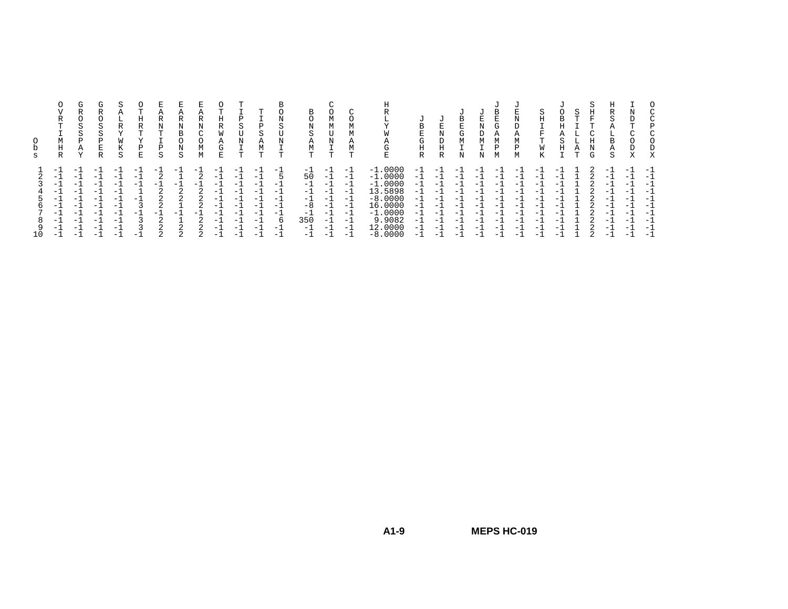| s                       | R<br>m<br>М<br>Η<br>R                                             | G<br>R<br>O<br>S<br>S<br>P<br>Α<br>$\tau$                                                                                                                              | $( + )$<br>ה<br>S<br>S<br>Ρ<br>E<br>R                   | R<br>K<br>S                                                                                                                      | m<br>Η<br>R<br>T<br>Ρ<br>Ε           | А<br>R<br>œ<br>Ρ<br>S                                                          | R<br>Ν<br>В<br>N<br>S                         | Α<br>R<br>N<br>$\sim$<br>$\Omega$<br>М<br>М | Н<br>R<br>W<br>Α<br>G<br>E                                              | D<br>S<br>N<br>m.                                           | ᡣ<br>S<br>А<br>М<br>ᡣ                                    | $\sim$                                                                                         | B<br>$\Omega$<br>N<br>S<br>Α<br>М<br>m.                           | М<br>М<br>N                                                                          | Α<br>m.                                                         | ⊥⊾<br>TAT<br><b>VV</b><br>$\mathbf{A}$<br>$\sim$<br>◡<br>ᡣ                                                                                     | B<br>E<br>G<br>Η<br>R                                              | τJ<br>E<br>Ν<br>D<br>R                                      | B<br>E<br>G<br>М                                                                                  |                                                                              | G.                                                                | U<br>T.<br>N<br>D<br>А<br>M<br>P<br>М                 | S<br>Н<br>m.<br>W                                                                                                                        | в<br>ς<br>Н                                   | Α | F<br>Ν<br>G | R<br>S<br>н.<br>B<br>Α<br>S                                    | D | O<br>Χ                                                                       |
|-------------------------|-------------------------------------------------------------------|------------------------------------------------------------------------------------------------------------------------------------------------------------------------|---------------------------------------------------------|----------------------------------------------------------------------------------------------------------------------------------|--------------------------------------|--------------------------------------------------------------------------------|-----------------------------------------------|---------------------------------------------|-------------------------------------------------------------------------|-------------------------------------------------------------|----------------------------------------------------------|------------------------------------------------------------------------------------------------|-------------------------------------------------------------------|--------------------------------------------------------------------------------------|-----------------------------------------------------------------|------------------------------------------------------------------------------------------------------------------------------------------------|--------------------------------------------------------------------|-------------------------------------------------------------|---------------------------------------------------------------------------------------------------|------------------------------------------------------------------------------|-------------------------------------------------------------------|-------------------------------------------------------|------------------------------------------------------------------------------------------------------------------------------------------|-----------------------------------------------|---|-------------|----------------------------------------------------------------|---|------------------------------------------------------------------------------|
| 5<br>6.<br>8<br>9<br>10 | - 1<br>- 1<br>$-1$<br>$-1$<br>- 1<br>$-1$<br>$-1$<br>$-1$<br>$-1$ | $\overline{\phantom{0}}$<br>$\overline{\phantom{0}}$<br>$-1$<br>$-$<br>$\overline{\phantom{0}}$<br>$\overline{\phantom{0}}$<br>$\overline{\phantom{0}}$<br>$-$<br>$-1$ | -<br>÷<br>- 1<br>- 1<br>- 1<br>- 1<br>- 1<br>- 1<br>- 1 | $\overline{\phantom{0}}$<br>- 1<br>$\overline{\phantom{0}}$<br>$\overline{\phantom{0}}$<br>$-1$<br>$\overline{\phantom{0}}$<br>- | $-1$<br>$-1$<br>$-1$<br>$-1$<br>$-1$ | $-$<br>◠<br>$-1$<br>$\sim$<br>◠<br>$\sim$<br>- 1<br>$\sim$<br>$\sim$<br>$\sim$ | $-$<br>$-1$<br>$\mathcal{D}$<br>2<br>- 1<br>2 | $-1$<br>$-1$<br>⌒                           | -<br>$-1$<br>$-1$<br>$-7$<br>ΞĪ<br>$-1$<br>$-1$<br>$-1$<br>$-1$<br>$-7$ | $-1$<br>$-1$<br>$-1$<br>$-1$<br>- 1<br>$-1$<br>$-1$<br>$-1$ | $-$<br>- 1<br>$-1$<br>$-1$<br>$-1$<br>- 1<br>— I<br>$-1$ | $-$<br>$\overline{\phantom{0}}$<br>$\overline{\phantom{0}}$<br>$-$<br>$-$<br>$-$<br>-6<br>$-1$ | $-1$<br>50<br>$-1$<br>$-1$<br>$-1$<br>$-8$<br>$-1$<br>350<br>$-1$ | $\overline{\phantom{0}}$<br>- 1<br>- 1<br>- 1<br>$-1$<br>$-1$<br>$-1$<br>- 1<br>$-1$ | $-1$<br>- 1<br>- 1<br>- 1<br>$-1$<br>- 1<br>$-1$<br>$-1$<br>- 1 | п.<br>.0000<br>$-1$<br>.0000<br>$-1$<br>.0000<br>$-1$<br>13.5898<br>$-8.0000$<br>0000<br>16.<br>$-1.0000$<br>9.9082<br>0000<br>12<br>$-8.0000$ | - 1<br>- 1.<br>- 1.<br>- 11<br>- 1.<br>- 1<br>- 11<br>- 11<br>— L. | $-$<br>- 1<br>- 1<br>- 1<br>- 1<br>- 1<br>- 1<br>- 1<br>- 1 | $\overline{\phantom{0}}$<br>$ -$<br>$\overline{\phantom{0}}$<br>$-$<br>$-$<br>$-$<br>$-1$<br>$ -$ | -<br>$-$<br>÷<br>$\overline{\phantom{0}}$<br>$-$<br>$-$<br>$-$<br>$-$<br>$-$ | - 1<br>$-1$<br>$-1$<br>$-1$<br>- 1<br>- 1<br>$-1$<br>$-1$<br>$-1$ | - 1<br>- 1<br>- 1<br>$-1$<br>- 1<br>— I<br>— I<br>— I | $-$<br>$\overline{\phantom{0}}$<br>$\overline{\phantom{0}}$<br>$-$<br>$-$<br>$-$<br>$\overline{\phantom{0}}$<br>$\overline{\phantom{0}}$ | -<br>-<br>-<br>-<br>-<br>-<br>-<br>$-$<br>- 1 |   |             | - 1<br>- 1<br>- 1<br>$-1$<br>- 1<br>- 1<br>- 11<br>- 1<br>- 11 |   | $-1$<br>$-1$<br>$-1$<br>$-1$<br>$-1$<br>$-1$<br>$-1$<br>$-1$<br>$-1$<br>$-1$ |

**A1-9**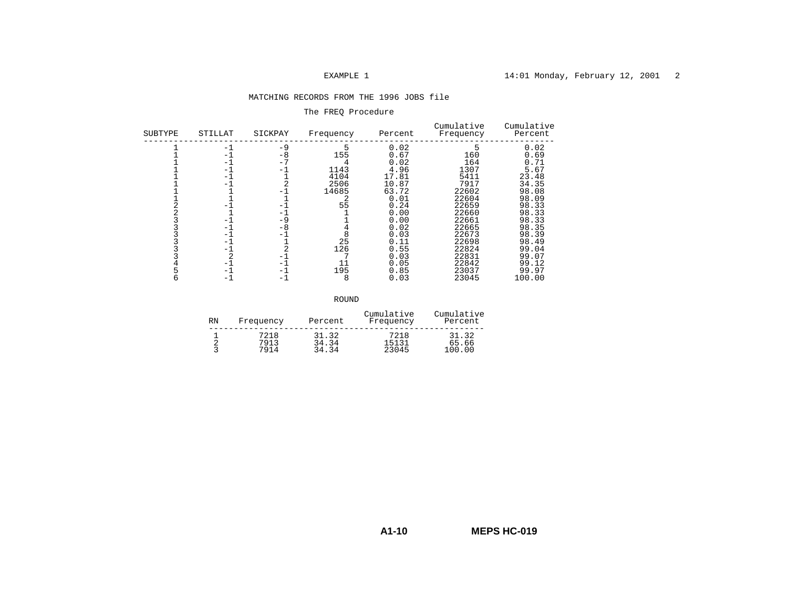## EXAMPLE 1 14:01 Monday, February 12, 2001 2

### MATCHING RECORDS FROM THE 1996 JOBS file

### The FREQ Procedure

| SUBTYPE | STILLAT                                                                                         | SICKPAY                                                                                                      | Frequency                                                           | Percent                                                                                                                                                 | Cumulative<br>Frequency                                                                                                                                 | Cumulative<br>Percent                                                                                                                                                |
|---------|-------------------------------------------------------------------------------------------------|--------------------------------------------------------------------------------------------------------------|---------------------------------------------------------------------|---------------------------------------------------------------------------------------------------------------------------------------------------------|---------------------------------------------------------------------------------------------------------------------------------------------------------|----------------------------------------------------------------------------------------------------------------------------------------------------------------------|
|         | $-1$<br>- 1<br>- 1<br>- 1<br>-1<br>- 1<br>- 1<br>- 1<br>$-1$<br>- 1<br>- 1<br>- 1<br>-1<br>$-1$ | $-9$<br>-8<br>- 7<br>-1<br>$-1$<br>$-1$<br>-9<br>-8<br>$-$<br>$\overline{\phantom{0}}$<br>- 1<br>- 1<br>$-1$ | 155<br>1143<br>4104<br>2506<br>14685<br>55<br>25<br>126<br>195<br>8 | 0.02<br>0.67<br>0.02<br>4.96<br>17.81<br>10.87<br>63.72<br>0.01<br>0.24<br>0.00<br>0.00<br>0.02<br>0.03<br>0.11<br>0.55<br>0.03<br>0.05<br>0.85<br>0.03 | 160<br>164<br>1307<br>5411<br>7917<br>22602<br>22604<br>22659<br>22660<br>22661<br>22665<br>22673<br>22698<br>22824<br>22831<br>22842<br>23037<br>23045 | 0.02<br>0.69<br>0.71<br>5.67<br>23.48<br>34.35<br>98.08<br>98.09<br>98.33<br>98.33<br>98.33<br>98.35<br>98.39<br>98.49<br>99.04<br>99.07<br>99.12<br>99.97<br>100.00 |
|         |                                                                                                 |                                                                                                              |                                                                     |                                                                                                                                                         |                                                                                                                                                         |                                                                                                                                                                      |

results and the contract of the contract of the contract of the contract of the contract of the contract of the

| <b>RN</b>   | Frequency | Percent | Cumulative<br>Frequency | Cumulative<br>Percent |
|-------------|-----------|---------|-------------------------|-----------------------|
|             | 7218      | 31.32   | 7218                    | 31.32                 |
| $\sim$<br>∼ | 7913      | 34.34   | 15131                   | 65.66                 |
|             | 7914      | 34.34   | 23045                   | 100.00                |

**A1-10MEPS HC-019**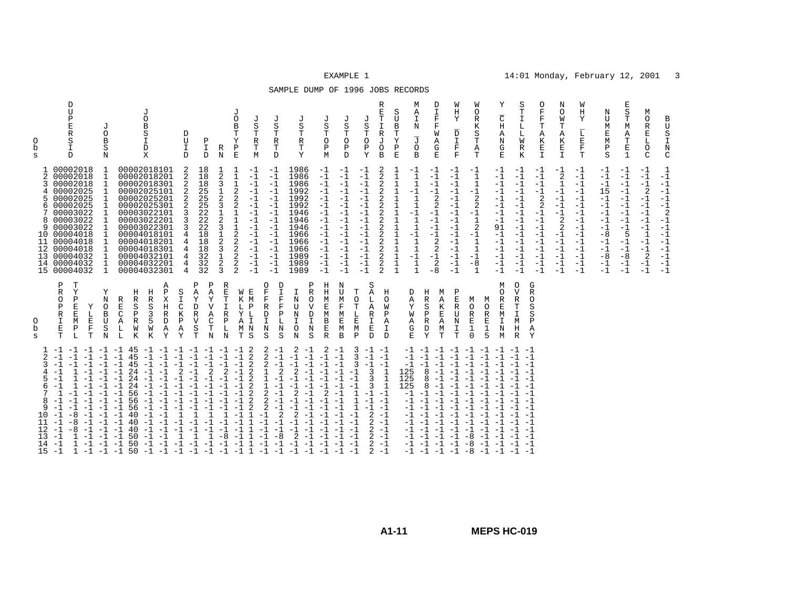| SAMPLE DUMP OF 1996 JOBS RECORDS |  |  |  |  |  |
|----------------------------------|--|--|--|--|--|
|----------------------------------|--|--|--|--|--|

| $\mathcal{L}$<br>3<br>4<br>5.<br>6<br>7<br>8<br>9<br>10<br>11<br>12<br>13                                                                                                                                                                                                 | O<br>b<br>S                                                                                                                                                                                    | 2<br>3<br>5.<br>6<br>7<br>9                                                                                                                                                                                                   | O<br>b<br>S                                                                                |
|---------------------------------------------------------------------------------------------------------------------------------------------------------------------------------------------------------------------------------------------------------------------------|------------------------------------------------------------------------------------------------------------------------------------------------------------------------------------------------|-------------------------------------------------------------------------------------------------------------------------------------------------------------------------------------------------------------------------------|--------------------------------------------------------------------------------------------|
| $-1 -1$<br>$-1$<br>$-1$<br>$-1$<br>$-1$<br>$-1$<br>$-1$<br>1<br>$-1$<br>$-1$<br>$\mathbf{1}$<br>$-1$<br>$-1$<br>$-1$<br>$-1$<br>$-1$<br>$-1$<br>$-8$<br>$-1$<br>$-1$<br>$-8$<br>$-1$<br>$-1$<br>$-8$<br>$-1$<br>$-1$<br>1<br>$-1$<br>$14 - 1$<br>$-1$<br>$15 - 1$<br>$-1$ | $\, {\bf P}$<br>T<br>$\mathbb R$<br>Y<br>$\circ$<br>Ρ<br>$\, {\bf P}$<br>$\mathbf E$<br>Υ<br>$\mathbb R$<br>$\mathbf E$<br>L<br>E<br>I<br>M<br>E<br>$\mathbf F$<br>$\, {\bf P}$<br>L<br>T<br>T | 00002018<br>00002018<br>00002018<br>4 00002025<br>00002025<br>00002025<br>00003022<br>8 00003022<br>00003022<br>10 00004018<br>11 00004018<br>12 00004018<br>13 00004032<br>14 00004032<br>15 00004032                        | D<br>U<br>P<br>$\mathbf E$<br>$\mathbb R$<br>S<br>I<br>D                                   |
| $-1$<br>$-1$<br>$-1$<br>$-1$<br>$-1$<br>$-1$<br>$-1 -1$                                                                                                                                                                                                                   | Υ<br>N<br>$\circ$<br>B<br>U<br>S<br>N                                                                                                                                                          | 1<br>$\mathbf{1}$<br>$\mathbf{1}$<br>$\mathbf{1}$<br><sup>1</sup><br>1<br>$\mathbf{1}$<br>$\mathbf{1}$<br>1<br>1<br>$\mathbf{1}$<br>$\mathbf{1}$<br>$\mathbf{1}$<br>$\mathbf{1}$                                              | J<br>O<br>B<br>S<br>N                                                                      |
| $-1$ 45<br>$-1$<br>45<br>$-1$<br>45<br>24<br>$-1$<br>$-1$<br>24<br>$-1$<br>24<br>$-1$<br>56<br>56<br>$-1$<br>56<br>40<br>$-1$<br>40<br>40<br>$-1$<br>50<br>$-1$<br>50<br>50                                                                                               | Η<br>R<br>$\mathbf E$<br>S<br>$\mathcal{C}$<br>Ρ<br>A<br>$\mathbb R$<br>L<br>W<br>L<br>К                                                                                                       | 00002018101<br>00002018201<br>00002018301<br>00002025101<br>00002025201<br>00002025301<br>00003022101<br>00003022201<br>00003022301<br>00004018101<br>00004018201<br>00004018301<br>00004032101<br>00004032201<br>00004032301 |                                                                                            |
| $-1$<br>$-1$<br>$-1$<br>$-1$<br>$-1$<br>$-1$<br>$-1$<br>$-1$<br>$-1$<br>$-1$<br>$-1$<br>$-1$<br>$-1$<br>$-1$                                                                                                                                                              | Η<br>$\mathbb R$<br>S<br>3<br>5<br>M<br>K                                                                                                                                                      |                                                                                                                                                                                                                               | J<br>$\circ$<br>B<br>S<br>I<br>D<br>X                                                      |
| $-1 -1$<br>$-1$<br>$-1$<br>$-1$<br>$-1$<br>$-1$<br>$-1$<br>$-1$<br>$-1$<br>$-1$<br>$-1$<br>$-1$<br>$-1$                                                                                                                                                                   | Α<br>Ρ<br>Η<br>D<br>Α<br>Y                                                                                                                                                                     |                                                                                                                                                                                                                               |                                                                                            |
| $-1$<br>$-1$<br>$\overline{a}$<br>$-1$<br>$-1$<br>$-1$<br>$-1$<br>$-1$<br>$\mathbf{1}$<br>$-1$<br>$-1$                                                                                                                                                                    | S<br>I<br>$\frac{C}{K}$<br>$\, {\bf P}$<br>Α<br>Y                                                                                                                                              | 2<br>2<br>2<br>$\overline{2}$<br>2<br>3<br>3<br>3<br>4<br>4<br>4<br>4<br>4<br>$\overline{4}$                                                                                                                                  | D<br>U<br>I<br>$\mathcal{D}$                                                               |
| $-1$<br>$-1$<br>$-1$<br>$-1$<br>$-1$<br>$-1$<br>$-1$<br>$-1$<br>$-1$<br>$-1$<br>$-1$<br>$-1$<br>$-1$<br>$-1$<br>-1<br>-1<br>$-1$<br>$-1$<br>$-1$<br>$\mathbf{1}$<br>$\mathbf{1}$<br>$-1$<br>$-1$<br>$-1$<br>$-1$                                                          | Ρ<br>Ρ<br>A<br>$\mathbb A$<br>Υ<br>D<br>$\overline{R}$<br>$\overline{A}$<br>$\overline{V}$<br>S<br>T<br>N<br>T                                                                                 | 18<br>18<br>18<br>25<br>25<br>25<br>22<br>22<br>22<br>18<br>18<br>18<br>32<br>32<br>32                                                                                                                                        | Ρ<br>I.<br>D.                                                                              |
| $-1$<br>$-1$<br>$-1$<br>2<br>$\overline{2}$<br>$-1$<br>$-1$<br>$-1$<br>$-1$<br>$\mathbf{1}$<br>$-1$<br>$-8$<br>$-1$<br>$-1$                                                                                                                                               | R<br>$\mathbf E$<br>Υ<br>Т<br>$\mathbf I$<br>$\mathbb{R}$<br>C<br>$\, {\bf P}$<br>L<br>N                                                                                                       | $\frac{1}{2}$<br>3<br>$\mathbf 1$<br>2<br>3<br>$\mathbf 1$<br>$\sqrt{2}$<br>3<br>$\frac{1}{2}$<br>3<br>$\mathbf 1$<br>$\sqrt{2}$<br>3                                                                                         | $\mathbb R$<br>N                                                                           |
| -1<br>$-1$<br>$-1$<br>$-1$<br>$-1$<br>$-1$<br>$-1$<br>$-1$<br>$-1$<br>$-1$<br>$-1$<br>$-1$<br>$-1$<br>$-1$                                                                                                                                                                | W<br>K<br>L<br>Υ<br>A<br>т                                                                                                                                                                     | 1<br>$\mathbf{1}$<br>$\mathbf{1}$<br>$\sqrt{2}$<br>2<br>$\sqrt{2}$<br>$\frac{1}{1}$<br>$\frac{1}{2}$<br>$\sqrt{2}$<br>2<br>$\sqrt{2}$<br>2<br>2                                                                               | J<br>O<br>B<br>T<br>Υ<br>$\, {\bf P}$<br>$\mathbf E$                                       |
| 2<br>$\overline{2}$<br>$\overline{2}$<br>$\overline{2}$<br>$\overline{2}$<br>$\overline{2}$<br>$\overline{2}$<br>$\overline{c}$<br>2<br>$\mathbf{1}$<br>$-1$<br>$\mathbf{1}$<br>$-1$<br>$\mathbf{1}$<br>$-1$<br>$\mathbf{1}$<br>1<br>$-1$<br>$-1$<br>1                    | E<br>M<br>$\, {\bf P}$<br>$\mathbf L$<br>$\mathbf I$<br>M <sub>N</sub><br>S                                                                                                                    | -1<br>$-1$<br>$-1$<br>$-1$<br>$-1$<br>$-1$<br>$-1$<br>$-1$<br>$-1$<br>$-1$<br>$-1$<br>$-1$<br>$-1$<br>$-1$<br>$-1$                                                                                                            | J<br>S<br>T<br>$\mathbb R$<br>T<br>M                                                       |
| 2<br>$-1$<br>2<br>$-1$<br>2<br>$-1$<br>$\overline{2}$<br>$\mathbf 1$<br>$\mathbf{1}$<br>$-1$<br>$-1$<br>$\mathbf{1}$<br>$-1$<br>2<br>$-1$<br>2<br>$-1$<br>2<br>2<br>$-1$<br>$-1$<br>$-1$<br>$-8$<br>$-1$<br>$-1$                                                          | 0<br>D<br>I<br>F<br>$\mathbf F$<br>F<br>$\mathbf F$<br>$\mathbb R$<br>$\, {\bf P}$<br>D<br>I<br>N<br>N<br>S<br>S                                                                               | $-1$<br>$-1$<br>$-1$<br>$-1$<br>$-1$<br>$-1$<br>$-1$<br>$-1$<br>$-1$<br>$-1$<br>$-1$<br>$-1$<br>$-1$<br>$-1$<br>$-1$                                                                                                          | J<br>S<br>T<br>R<br>T<br><sup>D</sup>                                                      |
| 2<br>-1<br>$-1$<br>$-1$<br>$-1$<br>$-1$<br>$\overline{2}$<br>$-1$<br>$\overline{c}$<br>$-1$<br>$-1$<br>2<br>$-1$<br>$-1$<br>2<br>$-1$<br>$-1$<br>$-1$<br>$-1$                                                                                                             | N<br>U<br>N<br>$\mathbf I$<br>$\circ$<br>$_{\rm N}$                                                                                                                                            | 1986<br>1986<br>1986<br>1992<br>1992<br>1992<br>1946<br>1946<br>1946<br>1966<br>1966<br>1966<br>1989<br>1989<br>1989                                                                                                          | J<br>S<br>T<br>R<br>Т<br>Y                                                                 |
| 2<br>$-1$<br>$-1$<br>$-1$<br>$-1$<br>$-1$<br>$\overline{2}$<br>$-1$<br>$-1$<br>$-1$                                                                                                                                                                                       | Η<br>Ρ<br>$\rm H$<br>$\mathbb R$<br>M<br>O<br>V<br>$\overline{E}$<br>M<br>D<br>$\mathbbm{I}$<br>$\, {\bf B}$<br>$\mathbf{E}% _{0}$<br>N<br>$\mathbb R$<br>S                                    | $-1$<br>$-1$<br>$-1$<br>$-1$<br>$-1$<br>$-1$<br>$-1$<br>$-1$<br>$-1$<br>$-1$<br>$-1$<br>$-1$<br>$-1$<br>$-1$<br>$-1$                                                                                                          | J<br>$\rm S$<br>Т<br>$\circ$<br>$\, {\bf P}$<br>M                                          |
| -1<br>$-1$<br>$-1$<br>$-1$<br>$-1$<br>$-1$<br>$-1$<br>$-1$<br>$-1$                                                                                                                                                                                                        | N<br>U<br>М<br>$\mathbf F$<br>E<br>М<br>B                                                                                                                                                      | $-1$<br>$-1$<br>$-1$<br>$-1$<br>$-1$<br>$-1$<br>$-1$<br>$-1$<br>$-1$<br>$-1$<br>$-1$<br>$-1$<br>$-1$<br>$-1$<br>$-1$                                                                                                          | J<br>S<br>T<br>$\circ$<br>Ρ<br>$\mathcal{D}$                                               |
| 3<br>3<br>3<br>$-1$<br>$-1$<br>$-1$<br>$\mathbf{1}$<br>$\mathbf{1}$<br>$\mathbf{1}$<br>$-1$<br>$-1$<br>-1                                                                                                                                                                 | т<br>$\circ$<br>$\mathbf T$<br>$\mathbf E$<br>M<br>$\mathbf{P}$                                                                                                                                | $-1$<br>$-1$<br>$-1$<br>$-1$<br>$-1$<br>$-1$<br>$-1$<br>$-1$<br>$-1$<br>$-1$<br>$-1$<br>$-1$<br>$-1$<br>$-1$<br>$-1$                                                                                                          | J<br>S<br>Т<br>$\circ$<br>Ρ<br>Y                                                           |
| $-1 -1$<br>$-1 -1$<br>$-1 -1$<br>3<br>1<br>3<br>$\mathbf{1}$<br>3<br>1<br>$-1 -1$<br>$-1 -1$<br>$-1 -1$<br>$\overline{2}$<br>$-1$<br>$2 - 1$<br>$2 - 1$<br>$2 - 1$<br>$2 - 1$<br>$2 - 1$                                                                                  | S<br>Α<br>Η<br>Г<br>O<br>$\mathbb A$<br>W<br>$\mathbb R$<br>$\mathbf{P}$<br>I<br>$\mathbb{A}$<br>E<br>$\mathbf I$<br>D<br>D                                                                    | 2<br>2<br>2<br>$\overline{c}$<br>2<br>2<br>$\overline{c}$<br>2<br>$\frac{2}{2}$<br>$\overline{c}$<br>2<br>2<br>2<br>$\overline{2}$                                                                                            | R<br>E<br>$\mathbf T$<br>$\mathbbm{1}$<br>$\mathbb R$<br>J<br>$\circ$<br>$\mathbf{B}$      |
|                                                                                                                                                                                                                                                                           |                                                                                                                                                                                                | 1<br>$\mathbf{1}$<br>$1\,$<br>$1\,$<br>$\mathbf{1}$<br>$\begin{smallmatrix}1\\1\\1\end{smallmatrix}$<br>$\frac{1}{1}$<br>$\overline{1}$<br>$\frac{1}{1}$<br>$\mathbf{1}$<br>$\mathbf{1}$                                      | S<br>$\mathbf U$<br>B<br>Т<br>Υ<br>$\, {\bf P}$<br>E                                       |
| $-1$<br>$-1$<br>125<br>125<br>125<br>$-1 -1$<br>$-1$<br>$-1$<br>$-1$<br>$-1$<br>$-1$<br>$-1$<br>$-1 -1$<br>$-1 -1$                                                                                                                                                        | D<br>A<br>Υ<br>M<br>Α<br>G<br>E.                                                                                                                                                               | $\frac{-1}{1}$<br>$\begin{smallmatrix}1\\-\bar{1}\end{smallmatrix}$<br>$\mathbf 1$<br>$1\,$<br>$-1$<br>$\mathbf{1}$<br>$\frac{1}{1}$<br>$\mathbf{1}$<br>$\mathbf{1}$<br>$-\overline{1}$<br>$\mathbf{1}$<br>$\mathbf{1}$       | М<br>Α<br>I<br>N<br>$\overline{J}$<br>$\circ$<br>B                                         |
| $-1$ $-1$ $-1$<br>$-1$<br>$-1$<br>$-1 -1$<br>8<br>$-1$<br>8<br>$-1$<br>8<br>$-1$<br>$-1$<br>$-1$<br>$-1$<br>$-1$<br>$-1$<br>$-1$<br>$-1$<br>$-1$<br>$-1$<br>$-1$<br>$-1$                                                                                                  | Η<br>М<br>$\mathbb R$<br>Α<br>$\rm S$<br>K<br>$\, {\bf P}$<br>$\mathbf E$<br>$\mathbb R$<br>Α<br>$\mathbb D$<br>М<br>Y<br>T                                                                    | $-1$<br>$-1$<br>$-1$<br>$-1$<br>$\overline{2}$<br>$\overline{c}$<br>$-1$<br>$-1$<br>$-1$<br>$-1$<br>2<br>2<br>$-1$<br>2<br>$-8$                                                                                               | D<br>$\mathbbm{I}$<br>$\mathbf F$<br>$\mathbf F$<br>M<br>Α<br>G<br>E.                      |
| $-1$<br>$-1$<br>$-1$<br>$-1$<br>$-1$<br>$-1$<br>-1<br>$-1$<br>$-1$<br>$-1$<br>$-1$<br>$-1$<br>$-1$<br>$-1$                                                                                                                                                                | Ρ<br>Ε<br>$\overline{R}$<br>U<br>N<br>I.<br>T                                                                                                                                                  | -1<br>$-1$<br>$-1$<br>$-1$<br>$-1$<br>$-1$<br>$-1$<br>$-1$<br>$-1$<br>$-1$<br>$-1$<br>$-1$<br>$-1$<br>$-1$<br>$-1$                                                                                                            | W<br>Η<br>Υ<br>$\overline{\rm D}$<br>$\mathbf T$<br>$\mathbf F$<br>$\overline{\mathbf{F}}$ |
| $-1$ $-1$ $-1$<br>$-1$<br>$-1$<br>$-1$<br>$-1$<br>$-1$<br>$-1$<br>$-1$<br>$-1$<br>$-1$<br>$-1$<br>$-1$<br>$-1$<br>$-1$<br>$-1$<br>$-1$<br>$-1$<br>$-1$<br>$-1$<br>$-1$<br>$-1$<br>$-1$<br>$-1$<br>$-8$<br>$-1$<br>$-1$<br>-8<br>-8<br>$-1$                                | М<br>O<br>R<br>E<br>$\mathbf 1$<br>$\Omega$                                                                                                                                                    | -1<br>$\mathbf{1}$<br>$\mathbf{1}$<br>$-1$<br>2<br>2<br>$-1$<br>$\mathbf{1}$<br>2<br>$-1$<br>1<br>$\mathbf{1}$<br>$-1$<br>$-8$<br>$\mathbf{1}$                                                                                | W<br>0<br>R<br>K<br>S<br>T<br>Α<br>T                                                       |
| $-1$<br>$-1$<br>$-1$<br>$-1$<br>$-1$<br>$-1$<br>$-1$<br>$-1$<br>$-1$<br>$-1$<br>$-1$<br>$-1$<br>-1<br>$-1$                                                                                                                                                                | М<br>O<br>R<br>М<br>$\circ$<br>E<br>$\mathbb R$<br>M<br>E<br>I<br>1<br>N<br>5<br>M                                                                                                             | $-1$<br>$-1$<br>$-1$<br>$-1$<br>$-1$<br>$-1$<br>$-1$<br>$-1$<br>91<br>$-1$<br>$-1$<br>$-1$<br>$-1$<br>$-1$<br>$-1$                                                                                                            | Υ<br>$\overline{\rm C}$<br>$\rm H$<br>Α<br>$\rm N$<br>G<br>E.                              |
| $-1 -1$<br>$-1$<br>$-1$<br>$-1$<br>$-1$<br>$-1$<br>$-1 -1$<br>$-1$<br>$-1 -1$<br>$-1$<br>$-1$<br>$-1 -1$<br>$-1 -1$<br>$-1 -1$                                                                                                                                            | $\circ$<br>$\mathbf{V}$<br>$\mathbb R$<br>$\mathbf T$<br>$\mathbbm{I}$<br>M<br>Η<br>R                                                                                                          | $-1$<br>$-1$<br>$-1$<br>$-1$<br>$-1$<br>$-1$<br>$-1$<br>$-1$<br>$-1$<br>$-1$<br>$-1$<br>$-1$<br>$-1$<br>$-1$<br>$-1$                                                                                                          | S<br>Т<br>I<br>L<br>L<br>W<br>$\mathbb R$<br>K                                             |
| $-1$<br>$-1$<br>$-1$<br>$-1$<br>$-1$<br>$-1$<br>$-1$                                                                                                                                                                                                                      | G<br>$\mathbb{R}$<br>$\circ$<br>S<br>S<br>P<br>$\mathbb{A}$<br>Y                                                                                                                               | -1<br>$-1$<br>$-1$<br>$-1$<br>2<br>2<br>$-1$<br>$-1$<br>$-1$<br>$-1$<br>$-1$<br>$-1$<br>$-1$<br>$-1$<br>$-1$                                                                                                                  | 0<br>$\mathbf F$<br>F<br>Т<br>Α<br>К<br>E<br>$\mathbf{I}$                                  |
|                                                                                                                                                                                                                                                                           |                                                                                                                                                                                                | $\frac{-1}{2}$<br>$\mathbf 1$<br>$-1$<br>$-1$<br>$-1$<br>$-1$<br>2<br>2<br>$-1$<br>$-1$<br>$-1$<br>$-1$<br>$-1$<br>$-1$                                                                                                       | N<br>O<br>W<br>T<br>Α<br>К<br>E<br>$\mathbb{I}$                                            |
|                                                                                                                                                                                                                                                                           |                                                                                                                                                                                                | -1<br>$-1$<br>$-1$<br>$-1$<br>$-1$<br>$-1$<br>$-1$<br>$-1$<br>$-1$<br>$-1$<br>$-1$<br>$-1$<br>$-1$<br>$-1$<br>$-1$                                                                                                            | W<br>Η<br>Υ<br>$\overline{\text{L}}$<br>$_{\rm F}^{\rm E}$<br>T.                           |
|                                                                                                                                                                                                                                                                           |                                                                                                                                                                                                | $-1$<br>$-1$<br>$-1$<br>15<br>$-1$<br>$-1$<br>$-1$<br>$-1$<br>$-1$<br>$-8$<br>$-1$<br>$-1$<br>$-8$<br>$-1$<br>$-1$                                                                                                            | Ν<br>U<br>М<br>E<br>М<br>$\, {\bf P}$<br>S                                                 |
|                                                                                                                                                                                                                                                                           |                                                                                                                                                                                                | -1<br>$-1$<br>$-1$<br>$-1$<br>$-1$<br>$-1$<br>$-1$<br>$-1$<br>$-1$<br>5<br>$-1$<br>$-1$<br>$-8$<br>$-1$<br>$-1$                                                                                                               | Е<br>S<br>T<br>М<br>Α<br>T<br>$\mathbf E$<br>$\mathbf{1}$                                  |
|                                                                                                                                                                                                                                                                           |                                                                                                                                                                                                | -1<br>$-1$<br>$-1$<br>2<br>$-1$<br>$-1$<br>$-1$<br>$-1$<br>$-1$<br>$\mathbf{1}$<br>$-1$<br>$-1$<br>2<br>$-1$<br>$-1$                                                                                                          | М<br>O<br>R<br>E<br>L<br>$\circ$<br>$\mathcal{C}$                                          |
|                                                                                                                                                                                                                                                                           |                                                                                                                                                                                                | -1<br>$-1$<br>$-1$<br>$-1$<br>$-1$<br>$-1$<br>$\overline{2}$<br>$-1$<br>$-1$<br>$-1$<br>$-1$<br>$-1$<br>$-1$<br>$-1$<br>$-1$                                                                                                  | B<br>U<br>$\rm S$<br>I<br>N<br>$\mathsf{C}$                                                |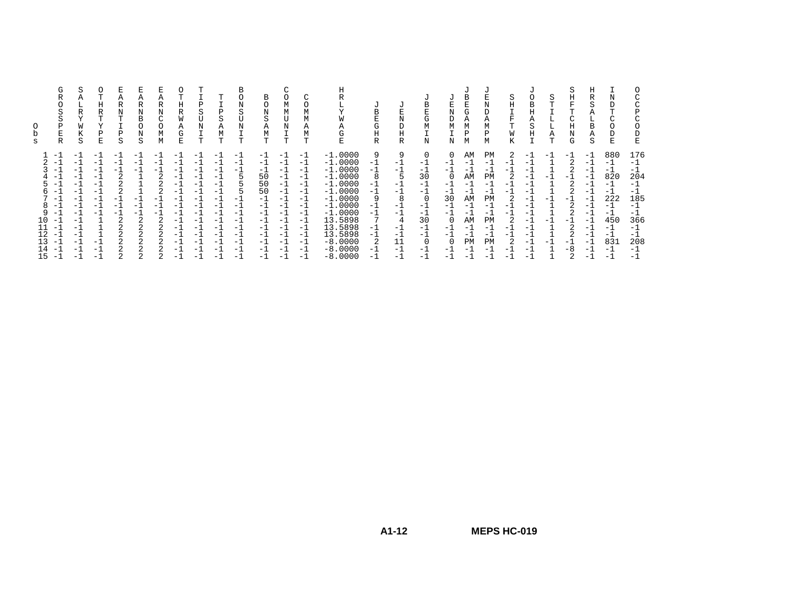| s | G<br>S<br>Ρ<br>Е<br>R                                                                                                                                                                                                                                                 | S<br>R<br>Υ<br>W<br>К<br>S                                                                                               | Η<br>R<br>v<br>Ρ<br>Ε                                                                               | А<br>R<br>Ν<br>т<br>Ρ<br>S                                                             | R<br>N<br>в<br>$\Omega$<br>Ν<br>S         | R<br>Ν<br>C<br>0<br>М<br>М | Η<br>R<br>W<br>Α<br>G<br>E                                                                                     | Ρ<br>S<br>N<br>Т                                                                                               | m<br>P<br>S<br>Α<br>М<br>т                                                                               | В<br>Ω<br>N<br>S<br>N<br>т                                                                                    | в<br>O<br>N<br>S<br>Α<br>М<br>T                                                                       | М<br>М<br>N<br>т                                                                                 | $\sim$<br>Α<br>Μ<br>т                                                                                             | Α<br>G<br>E                                                                                                                                                                               | U<br>B<br>E<br>G<br>Η<br>R                                                   | J<br>N<br>D<br>Η<br>R                                                               | В<br>Ε<br>G<br>М<br>N                                                                                        | Ε<br>N<br>D<br>M<br>N                                                                        | в<br>G<br>Α<br>М<br>Р<br>М                                                                         | Ν<br>D<br>А<br>М<br>P<br>М                                                                         | S<br>Η<br>$\mathbf{r}$<br>W<br>K                                   | J.<br>B<br>Η<br>Α<br>S<br>Η                                                                      | S<br>T<br>Α<br>Т | S<br>Η<br>F<br>т<br>C<br>Η<br>Ν<br>G  | Η<br>R<br>S<br>Α<br>в<br>Α<br>S                                                                     | E                                                                                                      | C<br>С<br>Ρ<br>C<br>D<br>E                                                                                    |
|---|-----------------------------------------------------------------------------------------------------------------------------------------------------------------------------------------------------------------------------------------------------------------------|--------------------------------------------------------------------------------------------------------------------------|-----------------------------------------------------------------------------------------------------|----------------------------------------------------------------------------------------|-------------------------------------------|----------------------------|----------------------------------------------------------------------------------------------------------------|----------------------------------------------------------------------------------------------------------------|----------------------------------------------------------------------------------------------------------|---------------------------------------------------------------------------------------------------------------|-------------------------------------------------------------------------------------------------------|--------------------------------------------------------------------------------------------------|-------------------------------------------------------------------------------------------------------------------|-------------------------------------------------------------------------------------------------------------------------------------------------------------------------------------------|------------------------------------------------------------------------------|-------------------------------------------------------------------------------------|--------------------------------------------------------------------------------------------------------------|----------------------------------------------------------------------------------------------|----------------------------------------------------------------------------------------------------|----------------------------------------------------------------------------------------------------|--------------------------------------------------------------------|--------------------------------------------------------------------------------------------------|------------------|---------------------------------------|-----------------------------------------------------------------------------------------------------|--------------------------------------------------------------------------------------------------------|---------------------------------------------------------------------------------------------------------------|
|   | $-1$<br>$-$<br>$\overline{\phantom{0}}$<br>$\overline{\phantom{0}}$<br>$\overline{\phantom{0}}$<br>$\overline{\phantom{a}}$<br>$\overline{\phantom{0}}$<br>$\overline{\phantom{0}}$<br>$-$<br>10<br>$-$<br>$-1$<br>12<br>$-$<br>13<br>$-1$<br>14<br>$-$<br>15<br>$-1$ | $^{-1}$<br>$-1$<br>$-1$<br>$-1$<br>-1<br>$^{-1}$<br>$-1$<br>-1<br>$-1$<br>$^{-1}$<br>$-1$<br>$-1$<br>$^{-1}$<br>-1<br>-1 | $-1$<br>$-1$<br>$-1$<br>$-1$<br>-1<br>-1<br>- 1<br>$-1$<br>$-1$<br>$-1$<br>$\overline{\phantom{0}}$ | -<br>- 1<br>- 11<br>$\overline{2}$<br>-<br>$-$<br>- 1<br>2<br>$\overline{2}$<br>2<br>2 | - 1<br>- 1<br>- 1<br>-<br>- 1<br>- 1<br>2 | - 1<br>- 1<br>- 1<br>z.    | $-1$<br>$-1$<br>$-1$<br>-1<br>-1<br>$^{-1}$<br>-1<br>$-1$<br>$^{-1}$<br>$-1$<br>$-1$<br>-1<br>-1<br>-1<br>$-1$ | $-$<br>- 1<br>- 1<br>$=$ 1<br>$-1$<br>- 1<br>$ -$<br>- 1<br>- 1<br>$-1$<br>$=$ 1<br>$-1$<br>- 1<br>- 1<br>$ -$ | -<br>$-1$<br>$-1$<br>- 1<br>-1<br>- 1<br>-<br>$-1$<br>$-1$<br>$-1$<br>$-1$<br>$-1$<br>$-1$<br>$-1$<br>-1 | - 1<br>- 1<br>- 1<br>5<br>5<br>$\overline{\phantom{0}}$<br>- 1<br>– ⊥<br>- 1<br>-1<br>-1<br>-1<br>- 1<br>$-1$ | - 1<br>$-1$<br>- 1<br>50<br>50<br>50<br>$-1$<br>- 1<br>$-1$<br>- 1<br>$-1$<br>$-1$<br>-1<br>-1<br>- 1 | - 1<br>- 1<br>- 1<br>-1<br>- 1<br>$-1$<br>- 1<br>- 1<br>- 1<br>$-1$<br>$-1$<br>- 1<br>- 1<br>- 1 | $-1$<br>$-1$<br>$-1$<br>$-1$<br>$-1$<br>$-1$<br>$-1$<br>$-1$<br>-1<br>$-1$<br>$-1$<br>$-1$<br>$-1$<br>$-1$<br>- 1 | $-1.0000$<br>$-1.0000$<br>$-1.0000$<br>$-1.0000$<br>$-1.0000$<br>$-1.0000$<br>$-1.0000$<br>$-1.0000$<br>$-1.0000$<br>13.5898<br>13.5898<br>13.5898<br>$-8.0000$<br>$-8.0000$<br>$-8.0000$ | 9<br>$-1$<br>$-1$<br>8<br>-1<br>$-1$<br>-1<br>-1<br>-1<br>$-1$<br>-1<br>$-1$ | 9<br>$-1$<br>$-1$<br>- 1<br>-1<br>8<br>$-1$<br>-1<br>-1<br>$-1$<br>11<br>-1<br>$-1$ | 0<br>$-1$<br>$-1$<br>30<br>-1<br>$-1$<br>$\Omega$<br>$-1$<br>$-1$<br>30<br>$-1$<br>$-1$<br>0<br>$-1$<br>$-1$ | $\Omega$<br>$-1$<br>$-1$<br>-1<br>-1<br>30<br>$-1$<br>$-1$<br>0<br>$-1$<br>- 1<br>-1<br>$-1$ | AΜ<br>- 1<br>- 1<br>AM<br>- 1<br>$-1$<br>AΜ<br>- 1<br>- 1<br>AΜ<br>$-1$<br>- 1<br>РM<br>$-1$<br>-1 | PM<br>- 1<br>- 1<br>PM<br>- 1<br>- 1<br>PM<br>- 1<br>$-1$<br>PM<br>- 1<br>$-1$<br>PM<br>- 1<br>- 1 | - 1<br>- 1<br>- 1<br>- 1<br>$-$<br>- 1<br>- 1<br>- 1<br>- 1<br>- 1 | $-1$<br>- 1<br>— I<br>$=$ 1.<br>- 1<br>-1<br>- 1<br>-1<br>-1<br>- 1<br>$-1$<br>-1<br>- 1<br>$-1$ | - 1<br>- 1       | -1<br>- 1<br>-<br>-<br>- 1<br>-8<br>2 | - 1<br>- 1<br>- 1<br>-1<br>- 1<br>-1<br>- 1<br>- 1<br>- 1<br>- 1<br>- 1<br>- 1<br>-1<br>$-1$<br>- 1 | 880<br>- 1<br>- 1<br>820<br>- 1<br>- 1<br>222<br>- 1<br>- 1<br>450<br>$-1$<br>- 1<br>831<br>- 1<br>- 1 | 176<br>$-1$<br>$-1$<br>204<br>$-1$<br>$-1$<br>185<br>$-1$<br>$-1$<br>366<br>$-1$<br>$-1$<br>208<br>$-1$<br>-1 |

**A1-12**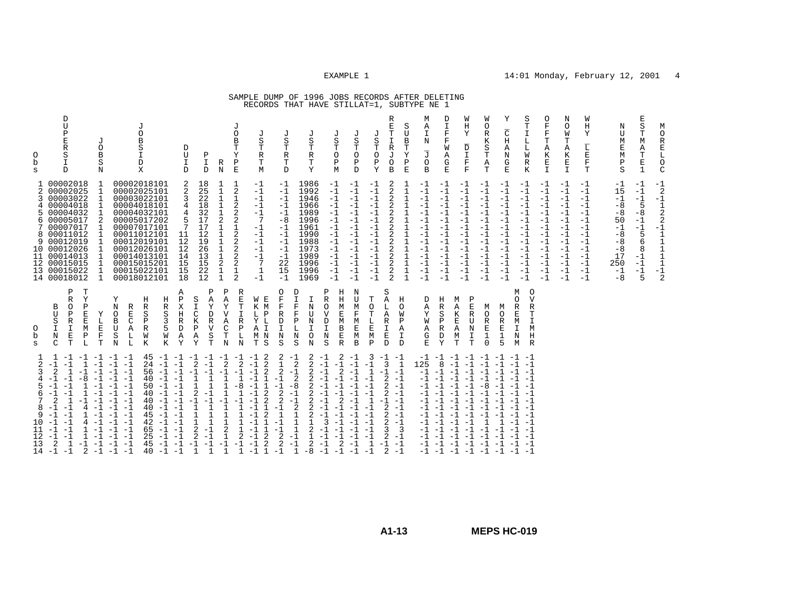# SAMPLE DUMP OF 1996 JOBS RECORDS AFTER DELETING RECORDS THAT HAVE STILLAT=1, SUBTYPE NE 1

| М<br>O<br>R<br>$\mathbf E$<br>$\mathbb L$<br>$\circ$<br>$\mathcal{C}$               | $-1$<br>$\overline{c}$<br>$-1$<br>$\frac{1}{2}$<br>2<br>$-1$<br>$\mathbf{1}$<br>$\frac{1}{1}$<br>$\mathbf{1}$<br>$\mathbf{1}$<br>$-1$<br>2                                                                     |                                                                                                                               |                                                                                                                                                                                                                                                                        |
|-------------------------------------------------------------------------------------|----------------------------------------------------------------------------------------------------------------------------------------------------------------------------------------------------------------|-------------------------------------------------------------------------------------------------------------------------------|------------------------------------------------------------------------------------------------------------------------------------------------------------------------------------------------------------------------------------------------------------------------|
| E<br>S<br>Т<br>M<br>Α<br>Т<br>E<br>$\mathbf{1}$                                     | -1<br>$-1$<br>$-1$<br>5<br>$-8$<br>$-1$<br>$-1$<br>5<br>6<br>8<br>$-1$<br>$-1$<br>$-1$<br>5                                                                                                                    |                                                                                                                               |                                                                                                                                                                                                                                                                        |
| Ν<br>U<br>М<br>Ε<br>М<br>Ρ<br>S                                                     | $-1$<br>15<br>$-1$<br>$-8$<br>$-8$<br>50<br>$-1$<br>$-8$<br>$-8$<br>$-8$<br>17<br>250<br>$-1$<br>$-8$                                                                                                          |                                                                                                                               |                                                                                                                                                                                                                                                                        |
| W<br>Η<br>Υ<br>$\overline{\mathbb{L}}$<br>Ε<br>F<br>T                               | -1<br>$-1$<br>$-1$<br>$-1$<br>$-1$<br>$-1$<br>$-1$<br>$-1$<br>$-1$<br>$-1$<br>$-1$<br>$-1$<br>$-1$<br>$-1$                                                                                                     |                                                                                                                               |                                                                                                                                                                                                                                                                        |
| Ν<br>O<br>W<br>т<br>Α<br>Κ<br>E<br>$\mathbb T$                                      | $-1$<br>$-1$<br>$-1$<br>$-1$<br>$-1$<br>$-1$<br>$-1$<br>$-1$<br>$-1$<br>$-1$<br>$-1$<br>$-1$<br>$-1$<br>$-1$                                                                                                   |                                                                                                                               |                                                                                                                                                                                                                                                                        |
| $\circ$<br>$\mathbf F$<br>$\mathbf F$<br>Т<br>Α<br>K<br>E<br>$\mathbf{I}$           | $-1$<br>$-1$<br>$-1$<br>$-1$<br>$-1$<br>$-1$<br>$-1$<br>$-1$<br>$-1$<br>$-1$<br>$-1$<br>$-1$<br>$-1$<br>$-1$                                                                                                   |                                                                                                                               |                                                                                                                                                                                                                                                                        |
| S<br>Т<br>$\mathbbm{1}$<br>L<br>L<br>W<br>R<br>K                                    | -1<br>$-1$<br>$-1$<br>$-1$<br>$-1$<br>$-1$<br>$-1$<br>$-1$<br>$-1$<br>$-1$<br>$-1$<br>$-1$<br>$-1$<br>$-1$                                                                                                     | М<br>$\circ$<br>$\mathbf v$<br>$\Omega$<br>$\mathbb R$<br>R<br>Т<br>I<br>M<br>$\rm H$<br>$\mathbb R$<br>M                     | $-1 -1$<br>$-1$<br>$-1$<br>$-1 -1$<br>$-1$<br>$-1$<br>$-1$ $-1$<br>$-1$<br>$-1$                                                                                                                                                                                        |
| Υ<br>$\overline{\text{C}}$<br>H<br>Α<br>N<br>G<br>E                                 | $-1$<br>$-1$<br>$-1$<br>$-1$<br>$-1$<br>$-1$<br>$-1$<br>$-1$<br>$-1$<br>$-1$<br>$-1$<br>$-1$<br>$-1$<br>$-1$                                                                                                   | М<br>O<br>$\mathbb R$<br>M<br>E<br>I<br>1<br>N<br>5                                                                           | $-1$<br>$-1$<br>$-1$<br>$-1$<br>$-1$<br>$-1$<br>$-1$<br>$-1$                                                                                                                                                                                                           |
| W<br>O<br>$\mathbb R$<br>К<br>S<br>т<br>Α<br>T                                      | $-1$<br>$-1$<br>$-1$<br>$-1$<br>$-1$<br>$-1$<br>$-1$<br>$-1$<br>$-1$<br>$-1$<br>$-1$<br>$-1$<br>$-1$<br>$-1$                                                                                                   | M<br>O<br>R<br>E<br>1<br>$\Omega$                                                                                             | $-1$<br>$-1$<br>$-1$<br>-8<br>$-1$<br>$-1$<br>$-1$<br>$-1$<br>$-1$<br>$-1$<br>$-1$ $-1$ $-1$<br>$-1$ $-1$ $-1$                                                                                                                                                         |
| W<br>Η<br>Υ<br>$\overline{\text{D}}$<br>$\mathbbm{I}$<br>$\mathbf F$<br>$\mathbf F$ | -1<br>$-1$<br>$-1$<br>$-1$<br>$-1$<br>$-1$<br>$-1$<br>$-1$<br>$-1$<br>$-1$<br>$-1$<br>$-1$<br>$-1$<br>$-1$                                                                                                     | Ρ<br>М<br>E<br>Α<br>$\overline{\mathsf{R}}$<br>K<br>E<br>U<br>$\mathbb N$<br>Α<br>I<br>М<br>$\mathbf T$<br>T                  | $-1$ $-1$ $-1$ $-1$ $-1$ $-1$<br>$-1$<br>$-1$<br>$-1$<br>$-1$<br>$-1$<br>$-1$<br>$-1$<br>$-1$<br>$-1$<br>$-1$<br>$-1$                                                                                                                                                  |
| D<br>$\frac{\mathbb{T}}{\mathbb{F}}$<br>F<br>W<br>Α<br>G<br>$\mathbf{E}% _{t}$      | $-1$<br>$-1$<br>$-1$<br>$-1$<br>$-1$<br>$-1$<br>$-1$<br>$-1$<br>$-1$<br>$-1$<br>$-1$<br>$-1$<br>$-1$<br>$-1$                                                                                                   | Η<br>R<br>$_{\rm P}^{\rm S}$<br>R<br>D<br>Y                                                                                   | 8<br>$-1$<br>$-1$<br>$-1$<br>$-1$<br>$-1$<br>$-1$<br>$-1$<br>$-1$<br>$-1$<br>$-1$<br>$-1$<br>$-1$<br>$-1$ $-1$ $-1$                                                                                                                                                    |
| М<br>Α<br>I<br>Ν<br>$\overline{\mathbb{J}}$<br>$\Omega$<br>B                        | $-1$<br>$-1$<br>$-1$<br>$-1$<br>$-1$<br>$-1$<br>$-1$<br>$-1$<br>$-1$<br>$-1$<br>$-1$<br>$-1$<br>$-1$<br>$-1$                                                                                                   | D<br>Α<br>Υ<br>W<br>Α<br>G<br>E.                                                                                              | 125<br>$-1$<br>$-1$<br>$-1$<br>$-1 -1$<br>$-1$<br>$-1$<br>-1<br>$-1$<br>$-1 -1$<br>$-1$<br>$-1 -1$                                                                                                                                                                     |
| R<br>S<br>Т<br>U<br>B<br>R<br>Т<br>Y<br>J<br>Ρ<br>$\Omega$<br>$\mathbf E$           | 2<br>1<br>2<br>1<br>1<br>$\mathbf 1$<br>1<br>2<br>1<br>2<br>$\mathbf 1$<br>1<br>2<br>$\mathbf{1}$<br>$\overline{a}$<br>$\mathbf{1}$<br>1<br>$\mathbf 1$<br>2<br>2<br>$\mathbf{1}$<br>2<br>$\mathbf{1}$         | Н<br>$\circ$<br>W<br>$\, {\bf P}$<br>A<br>I<br>$\mathbf{D}$                                                                   | $-1$<br>$-1$<br>$2 - 1$<br>$2 - 1$<br>$2 - 1$<br>$-1$<br>$2 - 1$<br>$\overline{\mathbf{3}}$<br>$-1$<br>$-1$                                                                                                                                                            |
| E<br>J<br>S<br>Т<br>O<br>$\, {\bf P}$<br>Y<br>B                                     | $-1$<br>$-1$<br>2<br>$-1$<br>$-1$<br>2<br>2<br>$-1$<br>$-1$<br>$-1$<br>$-1$<br>2<br>$-1$<br>$-1$<br>$\overline{2}$<br>$-1$<br>$-1$<br>$-1$<br>$-1$                                                             | S<br>Т<br>Α<br>$\Omega$<br>L<br>A<br>T<br>$\mathbf L$<br>R<br>$\mathbf E$<br>I<br>M<br>E<br>$\mathbf{P}$<br>$\mathbf{D}$      | 3<br>$\begin{bmatrix} -1 & -1 \\ 3 & 1 \end{bmatrix}$<br>$-1$<br>$\mathbf{1}$<br>$-1$<br>$\overline{2}$<br>$-1$<br>$-1$<br>$-1$<br>$\mathbf{1}$<br>$-1 -1$<br>$-1$<br>$-1$<br>2<br>$-1$<br>$-1$<br>3<br>$-1$<br>2<br>$\mathbf{1}$<br>$-1 -1$<br>$\overline{2}$<br>$-1$ |
| J<br>S<br>Т<br>$\Omega$<br>Ρ<br>D                                                   | $-1$<br>$-1$<br>$-1$<br>$-1$<br>$-1$<br>$-1$<br>$-1$<br>$-1$<br>$-1$<br>$-1$<br>$-1$<br>$-1$<br>$-1$<br>$-1$                                                                                                   | N<br>ŢŢ<br>M<br>E<br>M<br>B                                                                                                   | $^{-1}$<br>$-1$<br>$-1$<br>$-1$<br>$-1$<br>$-1$<br>$-1$<br>$-1$<br>$-1$                                                                                                                                                                                                |
| J<br>$\rm S$<br>T<br>$\circ$<br>Ρ<br>M                                              | $-1$<br>$-1$<br>$-1$<br>$-1$<br>$-1$<br>$-1$<br>$-1$<br>$-1$<br>$-1$<br>$-1$<br>$-1$<br>$-1$<br>$-1$<br>$-1$                                                                                                   | Η<br>Ρ<br>H<br>$\mathbb R$<br>M<br>O<br>$\mathbf E$<br>$\overline{V}$<br>M<br>D<br>B<br>E<br>$\mathbf N$<br>$\mathbb{R}$<br>S | 2<br>$-1$<br>$-1$<br>$-1$<br>$-1$<br>$\overline{2}$<br>$-1$<br>$-1$<br>$-1$<br>$\overline{2}$<br>$-1$<br>3<br>$\substack{ -1\\-1}$<br>$-1$<br>$-1$<br>$-1$<br>2<br>$-1$<br>$-1$                                                                                        |
| J<br>S<br>Т<br>$\mathbb R$<br>т<br>Υ                                                | 1986<br>1992<br>1946<br>1966<br>1989<br>1996<br>1961<br>1990<br>1988<br>1973<br>1989<br>1996<br>1996<br>1969                                                                                                   | D<br>T.<br>F<br>N<br>U<br>F<br>N<br>$\mathbf{P}$<br>N<br>O<br>N<br>S                                                          | 2<br>$\overline{2}$<br>$\overline{2}$<br>$\overline{2}$<br>$\overline{a}$<br>$-8$<br>2<br>2<br>$-1$<br>$\overline{2}$<br>$\overline{2}$<br>2<br>2<br>$\mathbf{1}$<br>$\mathbf{1}$<br>1<br>2<br>$-1$<br>$\mathbf{1}$<br>2<br>$\mathbf{1}$<br>$-8$                       |
| J<br>S<br>Т<br>$\mathbb R$<br>т<br>D                                                | $-1$<br>$-1$<br>$-1$<br>$-1$<br>$-1$<br>$-8$<br>$-1$<br>$-1$<br>$-1$<br>$-1$<br>$-1$<br>22<br>15<br>$-1$                                                                                                       | 0<br>$\mathbf F$<br>$\mathbf F$<br>$\mathbb R$<br>$\mathbb D$<br>$\mathbbm{I}$<br>$\rm N$<br>$\rm S$                          | 2<br>$\frac{-1}{2}$<br>$1\,$<br>$\overline{2}$<br>$-1$<br>$-1$<br>$\sqrt{2}$<br>$-1$<br>$\overline{2}$<br>$-1$<br>$\mathbf{1}$<br>$-1$<br>$^{-1}_{\phantom{-}2}$<br>2<br>$-1$<br>$-1$                                                                                  |
| J<br>S<br>Т<br>R<br>Т<br>M                                                          | $-1$<br>$-1$<br>$-1$<br>$^{\rm -1}$<br>$-1$<br>7<br>$-1$<br>$-1$<br>$-1$<br>$-1$<br>$-1$<br>7<br>$\begin{smallmatrix}1\\-1\end{smallmatrix}$                                                                   | E<br>W<br>K M<br>L<br>$\mathbf{P}$<br>L<br>Υ<br>I<br>A<br>$M$ $N$<br>S<br>T                                                   | 2<br>$^{-1}$<br>$\overline{a}$<br>$-1$<br>$\overline{a}$<br>$\mathbf{1}$<br>$-1$<br>2<br>$-1$<br>$\overline{2}$<br>$\overline{2}$<br>$-1$<br>$\mathbf{1}$<br>$-1$<br>2<br>$-1$<br>2<br>$-1$<br>1                                                                       |
| J<br>0<br>$\, {\bf B}$<br>T<br>Υ<br>Ρ<br>E                                          | 1<br>2<br>$\mathbf{1}$<br>$_2^2$<br>2<br>$\mathbf{1}$<br>2<br>$_2^2$<br>2<br>2<br>$\frac{1}{2}$                                                                                                                | R<br>Ε<br>Т<br>T<br>$\mathbb R$<br>P<br>L<br>$\mathbf N$                                                                      | $\overline{2}$<br>$-1$<br>-8<br>$\overline{1}$<br>$\mathbf{1}$<br>$\mathbf{1}$<br>2<br>$-1$<br>$\mathbf{1}$                                                                                                                                                            |
| R<br>N                                                                              | 1<br>$\mathbf 1$<br>$1\,$<br>$\frac{1}{2}$<br>$\mathbf 1$<br>$\mathbf{1}$<br>$\frac{1}{1}$<br>$\overline{a}$<br>$\frac{1}{1}$                                                                                  | Ρ<br>Α<br>Υ<br>Α<br>C<br>Т<br>N                                                                                               | 2<br>$-1$<br>$\mathbf{1}$<br>1<br>$\mathbf{1}$<br>$\mathbf{1}$<br>2<br>$\mathbf{1}$<br>$-1$<br>$\mathbf{1}$                                                                                                                                                            |
| Ρ<br>I<br>D                                                                         | 18<br>25<br>22<br>18<br>$\overline{32}$<br>17<br>17<br>12<br>19<br>26<br>13<br>15<br>22<br>12                                                                                                                  | Ρ<br>$\overline{A}$<br>S<br>Υ<br>T<br>D<br>$\mathbb R$<br>$\overline{V}$<br>Ρ<br>Α<br>S<br>$\mathbf T$<br>Υ                   | $-1$ $-1$ $-1$ $-1$ $-1$ $-1$<br>$-1$<br>2<br>$-1$<br>$-1$<br>$\mathbf{1}$<br>1<br>2<br>$-1$<br>$-1$<br>$-1$<br>$\mathbf{1}$<br>1<br>$\mathbf{1}$<br>1<br>2<br>$-1$<br>$-1$<br>2<br>$-1$<br>$-1$<br>$\mathbf{1}$<br>$\mathbf 1$                                        |
| D<br>U<br>I<br>D                                                                    | 2<br>2<br>3<br>4<br>5<br>7<br>11<br>12<br>12<br>14<br>15<br>15<br>18                                                                                                                                           | Α<br>Ρ<br>X<br>H<br>$\mathbb R$<br>$\mathbb D$<br>Α<br>Y                                                                      | $-1$<br>$-1$<br>$-1$<br>$-1$<br>$-1$<br>$-1$<br>$-1$<br>$-1$<br>$-1$<br>$-1$                                                                                                                                                                                           |
|                                                                                     |                                                                                                                                                                                                                | Η<br>R<br>S<br>3<br>5<br>W<br>K                                                                                               | 45<br>$-1$<br>24<br>$-1$<br>56<br>$-1$<br>40<br>50<br>$-1$<br>$-1$<br>40<br>40<br>$-1$<br>40<br>45<br>$-1$<br>42<br>$\begin{array}{cc} -1 & -1 \\ -1 & -1 \end{array}$<br>65<br>25<br>$-1$<br>45<br>40<br>$-1$                                                         |
| J<br>O<br>В<br>S<br>I<br>D<br>X                                                     | 00002018101<br>00002025101<br>00003022101<br>00004018101<br>00004032101<br>00005017202<br>00007017101<br>00011012101<br>00012019101<br>00012026101<br>00014013101<br>00015015201<br>00015022101<br>00018012101 | Н<br>R<br>R<br>S<br>Ε<br>C<br>$\mathbf P$<br>Α<br>R<br>W<br>L<br>K<br>L                                                       | $-1$<br>$-1$<br>$-1$<br>$-1$<br>$-1 -1$<br>$-1$<br>$-1 -1$<br>$-1$<br>$-1$<br>$-1 -1$<br>$-1$<br>$-1 -1$<br>$-1$                                                                                                                                                       |
| J<br>0<br>B<br>S<br>$_{\rm N}$                                                      | 1<br>$\mathbf{1}$<br>2<br>1<br>1<br>1                                                                                                                                                                          | Υ<br>N<br>O<br>Y<br>B<br>U<br>Ε<br>$\rm S$<br>$\mathbf F$<br>N<br>T                                                           | $-1$<br>$-1$<br>$-1$<br>$-1$<br>$-1$<br>$-1$<br>$-1$<br>$-1$<br>$-1$<br>$-1$<br>$-1$<br>$-1$<br>$-1$                                                                                                                                                                   |
|                                                                                     |                                                                                                                                                                                                                | $\mathbb{T}$<br>Y<br>Ρ<br>E<br>E<br>M<br>Ρ<br>L                                                                               | $-1$ $-1$ $-1$ $-1$<br>$-1$<br>$-1$<br>$-8$<br>1<br>$-1$<br>4<br>4<br>1<br>$\mathbf{1}$<br>$-1 -1$<br>2                                                                                                                                                                |
| D<br>U<br>$\, {\bf P}$<br>E<br>R<br>S<br>I<br>D                                     | 00002018<br>00002025<br>00003022<br>00004018<br>00004032<br>00005017<br>00007017<br>8 00011012<br>9 00012019<br>10 00012026<br>11 00014013<br>12 00015015<br>13 00015022<br>14 00018012                        | Ρ<br>R<br>B<br>$\Omega$<br>U<br>P<br>S<br>R<br>$\mathbbm{I}$<br>I<br>E<br>N<br>C<br>T                                         | $-1$<br>$\overline{2}$<br>1<br>$-1$<br>-1<br>$-1$<br>$-1$<br>$\overline{2}$<br>-1<br>$-1$<br>$-1$<br>$-1$<br>-1<br>$-1$<br>$-1$<br>$-1$<br>$-1$<br>2<br>1<br>$-1$<br>$-1$                                                                                              |
| $\circ$<br>b<br>S                                                                   | 2<br>3.<br>4<br>5.<br>6<br>7                                                                                                                                                                                   | 0<br>b<br>S                                                                                                                   | 6<br>7<br>8<br>9<br>10<br>11<br>12<br>13<br>14                                                                                                                                                                                                                         |
|                                                                                     |                                                                                                                                                                                                                |                                                                                                                               |                                                                                                                                                                                                                                                                        |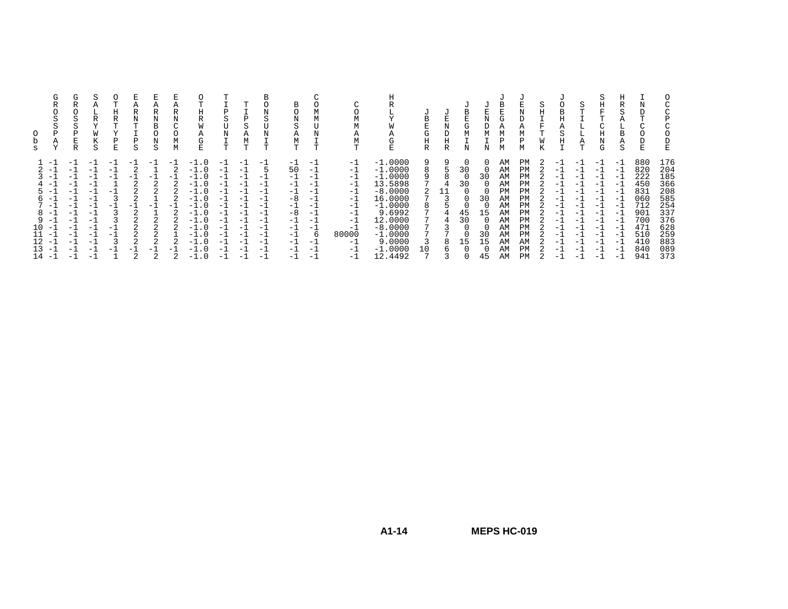|                                                  | G<br>R<br>P<br>Α                                                                                                                        | G<br>R<br>S<br>Ρ<br>R                                                                            | S<br>Α<br>R<br>W<br>S                                                                                   | m.<br>Η<br>R<br>T<br>v<br>Ρ<br>E.                         | Α<br>R<br>N<br>ጥ<br>Ρ<br>S                          | Α<br>R<br>N<br>B<br>$\Omega$<br>N<br>S              | Α<br>R<br>Ν<br>М<br>М | O<br>т<br>Η<br>R<br>W<br>Α<br>G<br>E.                                                                                                    | Ρ<br>S<br>N<br>T                                                                                      | А<br>М<br><b>T</b>                                                                                  | в<br>Ν<br>S<br>Ν<br>T                                                                                     | B<br>N<br>S<br>Α<br>M<br><b>T</b>                                                                    |                                                                                        | М<br>М<br>Α<br>T                                                                                      | W<br>Α<br>◡<br>E                                                                                                                                                     | B<br>E<br>G<br>Η<br>R | U<br>N<br>D<br>Η<br>R | В<br>E.<br>G<br>М<br>Ν          | U<br>E<br>N<br>D<br>М<br>Ν                                                                       | В<br>Е<br>G<br>Α<br>М<br>Ρ<br>М                                                  | U<br>N<br>D<br>Α<br>М<br>Р<br>М                                                         | S<br>H<br>F | в                                                                                                 | S<br>$\mathbf{r}$<br>┶<br>Α<br>Т                                                                         | S<br>Η<br>F<br>T<br>$\sim$<br>Η<br>Ν<br>G                                                                  | Н<br>R<br>$\sim$<br>5<br>Α<br>L.<br>В<br>Α<br>S                                                             | Ν<br>$\sim$                                                                                    | C<br>C<br>Ρ<br>C<br>0<br>D<br>$\mathbf E$                                                      |
|--------------------------------------------------|-----------------------------------------------------------------------------------------------------------------------------------------|--------------------------------------------------------------------------------------------------|---------------------------------------------------------------------------------------------------------|-----------------------------------------------------------|-----------------------------------------------------|-----------------------------------------------------|-----------------------|------------------------------------------------------------------------------------------------------------------------------------------|-------------------------------------------------------------------------------------------------------|-----------------------------------------------------------------------------------------------------|-----------------------------------------------------------------------------------------------------------|------------------------------------------------------------------------------------------------------|----------------------------------------------------------------------------------------|-------------------------------------------------------------------------------------------------------|----------------------------------------------------------------------------------------------------------------------------------------------------------------------|-----------------------|-----------------------|---------------------------------|--------------------------------------------------------------------------------------------------|----------------------------------------------------------------------------------|-----------------------------------------------------------------------------------------|-------------|---------------------------------------------------------------------------------------------------|----------------------------------------------------------------------------------------------------------|------------------------------------------------------------------------------------------------------------|-------------------------------------------------------------------------------------------------------------|------------------------------------------------------------------------------------------------|------------------------------------------------------------------------------------------------|
| 6.<br>8<br>9<br>10<br>11<br>12<br>13<br>$14 - 1$ | $-1$<br>- 1<br>ΞI<br>$\overline{\phantom{0}}$<br>$\overline{\phantom{0}}$<br>$-1$<br>$-1$<br>$-1$<br>$-1$<br>$-$<br>$-1$<br>- 1<br>$-1$ | $-1$<br>- 1<br>- 1<br>$-1$<br>$-1$<br>-1<br>$-1$<br>-1<br>-1<br>$-1$<br>-1<br>$-1$<br>-1<br>$-1$ | $-1$<br>$-1$<br>- 1<br>$-1$<br>$-1$<br>$-1$<br>-1<br>$-1$<br>-1<br>$-1$<br>$-1$<br>$-1$<br>$-1$<br>$-1$ | - 1<br>- 1<br>- 1<br>- 1<br>- 1<br>3<br>-1<br>$-1$<br>- 1 | $-1$<br>- 1<br>2<br>2<br>$-1$<br>2<br>2<br>2<br>- 1 | $-1$<br>$-1$<br>2<br>2<br>$-$<br>2<br>2<br>2<br>- 1 | $-1$<br>- 1<br>$-1$   | $-1.0$<br>$-1.0$<br>$-1.0$<br>$-1.0$<br>$-1.0$<br>$-1.0$<br>$-1.0$<br>$-1.0$<br>$-1.0$<br>$-1.0$<br>$-1.0$<br>$-1.0$<br>$-1.0$<br>$-1.0$ | $-1$<br>-1<br>$-1$<br>$-1$<br>-1<br>-1<br>- 1<br>$-1$<br>$-1$<br>$-1$<br>$-1$<br>$-1$<br>$-1$<br>$-1$ | $-1$<br>- 1<br>- 1<br>$-1$<br>$-1$<br>-1<br>- 1<br>$-1$<br>$-1$<br>- 1<br>- 1<br>$-1$<br>$-1$<br>-1 | $-1$<br>$=$ $\pm$<br>$-1$<br>$-1$<br>$-1$<br>$-1$<br>$-1$<br>$-1$<br>$-1$<br>$-1$<br>$-1$<br>$-1$<br>$-1$ | $-1$<br>50<br>$-1$<br>$-1$<br>-1<br>-8<br>$-1$<br>$-8$<br>$-1$<br>$-1$<br>$-1$<br>$-1$<br>-1<br>$-1$ | -1<br>- 1<br>- 1<br>$-1$<br>-1<br>- 1<br>-1<br>$-1$<br>- 1<br>b<br>$-1$<br>- 1<br>$-1$ | $-1$<br>$-1$<br>-1<br>$-1$<br>-1<br>$-1$<br>$-1$<br>$-1$<br>-1<br>-1<br>80000<br>$-1$<br>$-1$<br>$-1$ | $-1.0000$<br>$-1.0000$<br>$-1.0000$<br>13.5898<br>$-8.0000$<br>16.0000<br>$-1.0000$<br>9.6992<br>12.0000<br>$-8.0000$<br>$-1.0000$<br>9.0000<br>$-1.0000$<br>12.4492 | 9<br>8<br>8<br>10     | Q<br>11               | 30<br>30<br>45<br>30<br>15<br>O | $\Omega$<br>30<br>$\Omega$<br>30<br>$\Omega$<br>15<br><sup>0</sup><br>30<br>15<br>$\Omega$<br>45 | AM<br>AM<br>AM<br>AM<br>PM<br>AM<br>AM<br>AM<br>AM<br>AM<br>AM<br>AM<br>AM<br>AM | PM<br>PM<br>PM<br>PM<br>PM<br>ΡM<br>PM<br>PM<br>PM<br>PM<br>PM<br>AM<br>PM<br><b>PM</b> |             | $-1$<br>- 1<br>- 1<br>- 1<br>- 1<br>- 1<br>$-1$<br>- 1<br>— I<br>- 1<br>$-1$<br>- 1<br>— I<br>- 1 | $-1$<br>$-1$<br>$-1$<br>$-1$<br>$-1$<br>$-1$<br>$-1$<br>$-1$<br>-1<br>- 1<br>$-1$<br>$-1$<br>$-1$<br>$-$ | $-1$<br>$-1$<br>-1<br>$-1$<br>$-1$<br>$-1$<br>$-1$<br>$-1$<br>$-1$<br>$-1$<br>$-1$<br>$-1$<br>$-1$<br>$-1$ | $-1$<br>- 1<br>$-1$<br>$-1$<br>$-1$<br>$-1$<br>$-1$<br>$-1$<br>$-1$<br>$-1$<br>$-1$<br>$-1$<br>$-1$<br>$-1$ | 880<br>820<br>222<br>450<br>831<br>060<br>712<br>901<br>700<br>471<br>510<br>410<br>840<br>941 | 176<br>204<br>185<br>366<br>208<br>585<br>254<br>337<br>376<br>628<br>259<br>883<br>089<br>373 |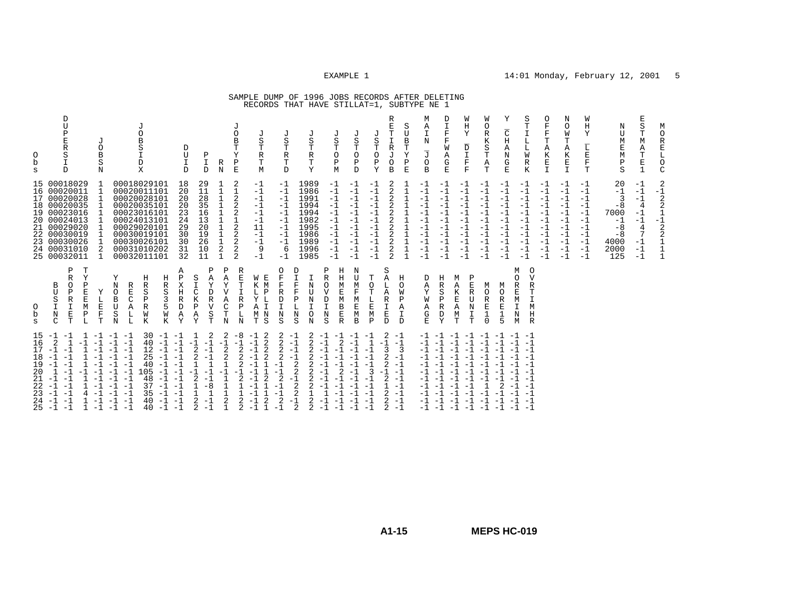# SAMPLE DUMP OF 1996 JOBS RECORDS AFTER DELETING RECORDS THAT HAVE STILLAT=1, SUBTYPE NE 1

|                                                                                                                                                            | O<br>b<br>S                                                                                         |                                                                                                                                                                | O<br>b<br>S                                                               |
|------------------------------------------------------------------------------------------------------------------------------------------------------------|-----------------------------------------------------------------------------------------------------|----------------------------------------------------------------------------------------------------------------------------------------------------------------|---------------------------------------------------------------------------|
| 15<br>16<br>17<br>18<br>19<br>20<br>21<br>22<br>23<br>24<br>25                                                                                             |                                                                                                     | 24                                                                                                                                                             |                                                                           |
| $-1 -1$<br>2<br>$-1$<br>$-1$<br>$-1$<br>$-1$<br>1<br>$-1$<br>$-1$<br>$-1 -1$<br>$-1 -1$<br>$-1$<br>$-1$                                                    | B<br>U<br>S<br>$\mathbf I$<br>$\mathbf N$<br>C                                                      | 15 00018029<br>16 00020011<br>17 00020028<br>18 00020035<br>19 00023016<br>20 00024013<br>21 00029020<br>22 00030019<br>23 00030026<br>00031010<br>25 00032011 | D<br>U<br>P<br>E<br>$\mathbb R$<br>S<br>D                                 |
| 1<br>$-1$<br>$-1$<br>$-1$<br>$-1$<br>$-1$                                                                                                                  | Ρ<br>R<br>O<br>P<br>R<br>I<br>$\mathbf E$<br>т                                                      |                                                                                                                                                                |                                                                           |
| 1<br>$-1$<br>1<br>1<br>4<br>$\mathbf{1}$                                                                                                                   | т<br>Y<br>P<br>Ε<br>$\mathbf E$<br>M<br>$\, {\bf P}$<br>L                                           |                                                                                                                                                                |                                                                           |
| $-1$<br>$-1$<br>$-1$<br>$-1$<br>$-1$<br>$-1$<br>$-1$<br>$-1$                                                                                               | Υ<br>E<br>$\mathbf F$<br>т                                                                          | 1<br>1<br>2<br>п.                                                                                                                                              | $\cdot$ T<br>$\circ$<br>B<br>S<br>N                                       |
| $-1 -1$<br>$-1$<br>$-1$<br>$-1 -1$<br>$-1$<br>$-1$<br>$-1$<br>$-1$<br>$-1$<br>$-1$<br>$-1$<br>$-1$<br>$-1$<br>$-1$<br>$-1$<br>$-1$<br>$-1$<br>$-1$<br>$-1$ | Y<br>N<br>$\circ$<br>B<br>U<br>S<br>N                                                               | 00020011101<br>00024013101<br>00029020101<br>00030019101                                                                                                       |                                                                           |
|                                                                                                                                                            | R<br>E<br>C<br>Α<br>L<br>L                                                                          |                                                                                                                                                                | J<br>$\circ$<br>B<br>S<br>I<br>D<br>X                                     |
| $40 - 1$<br>12<br>25<br>40<br>105<br>48<br>37<br>35<br>40<br>40                                                                                            | Η<br>R<br>S<br>$\, {\bf P}$<br>R<br>W<br>K                                                          | 00018029101<br>00020028101<br>00020035101<br>00023016101<br>00030026101<br>00031010202<br>00032011101                                                          |                                                                           |
| $30 - 1 - 1$<br>$-1$<br>$-1$<br>$-1$<br>$-1$<br>$-1$<br>$-1$<br>$-1$<br>$-1$<br>$-1$                                                                       | Η<br>R<br>S<br>3<br>W<br>Κ                                                                          |                                                                                                                                                                |                                                                           |
| $-1$<br>$-1$<br>$-1$<br>$-1$<br>$-1$<br>$-1$<br>$-1$<br>$-1$<br>$-1$<br>$-1$                                                                               | Α<br>$\mathbf{P}$<br>X<br>H<br>R<br>D<br>A<br>Y                                                     | 18<br>20<br>20<br>20<br>23<br>24<br>29<br>30<br>30<br>31<br>32                                                                                                 | D<br>U<br>$\mathbf{I}$<br>D                                               |
| 1<br>$-1$<br>2<br>2<br>2<br>2<br>2                                                                                                                         | S<br>I<br>C<br>K<br>P<br>Α<br>Y                                                                     | 29<br>11<br>28<br>35<br>16<br>13<br>20<br>19<br>26<br>10<br>11                                                                                                 |                                                                           |
| 2<br>$-1$<br>$-1$<br>$-1$<br>$-1$<br>- 1<br>$-8$<br>$-1$<br>$-1$                                                                                           | Ρ<br>$\overline{A}$<br>Υ<br>D<br>R<br>$\overline{V}$<br>S<br>T                                      |                                                                                                                                                                | P<br>I<br>D                                                               |
| 2<br>$-1$<br>2<br>2<br>2                                                                                                                                   | Ρ<br>Α<br>Y<br>C.<br>N                                                                              | $\mathbf 1$<br>$\mathbf 1$<br>$\mathbf{1}$<br>1<br>2<br>$\mathbf{1}$                                                                                           | R<br>N                                                                    |
| -8<br>$-1$<br>2<br>2<br>2<br>2<br>$\overline{2}$                                                                                                           | R<br>Ε<br>T<br>R<br>P<br>L<br>N                                                                     | 2<br>$\mathbf{1}$<br>2<br>2<br>2<br>1<br>2<br>2<br>2<br>2<br>2                                                                                                 | J<br>$\circ$<br>B<br>T<br>Υ<br>$\, {\bf P}$<br>$\mathbf E$                |
| $-1$<br>-2<br>$-1$<br>2<br>2<br>$-1$<br>2<br>$-1$<br>$\mathbf{1}$<br>2<br>$-1$<br>$-1$<br>1<br>$-1$<br>$-1$<br>$\overline{a}$<br>$-1$<br>$\mathbf{1}$      | $\mathbf E$<br>W<br>K M<br>L<br>Ρ<br>L<br>Y<br>$\mathbf I$<br>A<br>$M$ $N$<br>S<br>Т                | $-1$<br>$-1$<br>$-1$<br>$^{-1}$<br>$-1$<br>$-1$<br>11<br>$-1$<br>$-1$<br>9<br>$-1$                                                                             | J<br>S<br>T<br>R<br>Т<br>М                                                |
| 2<br>2<br>2<br>2<br>$-1$<br>$-1$<br>2<br>$-1$<br>$-1$<br>$\overline{2}$<br>$-1$                                                                            | 0<br>$\mathbf F$<br>$\mathbf F$<br>R<br>$\mathbb D$<br>I<br>$\mathbf N$<br>S                        | $-1$<br>$-1$<br>$-1$<br>$-1$<br>$-1$<br>$-1$<br>$-1$<br>$-1$<br>$-1$<br>6<br>$-1$                                                                              | J<br>S<br>T<br>$\mathbb R$<br>T<br>D                                      |
| $-1$<br>$-1$<br>$-1$<br>$-1$<br>2<br>2<br>$-1$<br>2<br>2<br>$-1$<br>2                                                                                      | D<br>$\mathbf \tau$<br>F<br>F<br>Ρ<br>L<br>N<br>S                                                   |                                                                                                                                                                |                                                                           |
| 2<br>2<br>2<br>2<br>2<br>2<br>2<br>2<br>1<br>2<br>2                                                                                                        | N<br>U<br>N<br>$\mathbf I$<br>O<br>N                                                                | 1989<br>1986<br>1991<br>1994<br>1994<br>1982<br>1995<br>1986<br>1989<br>1996<br>1985                                                                           | J<br>S<br>T<br>$\mathbb R$<br>Т<br>Y                                      |
| $-1$<br>$-1$<br>$-1$<br>$-1$<br>$-1$<br>$-1$                                                                                                               | Ρ<br>Ŕ<br>O<br>$\mathbf v$<br>D<br>I<br>$\mathbf N$<br>S                                            | $-1$<br>$-1$<br>$-1$<br>$-1$<br>$-1$<br>$-1$<br>$-1$<br>$-1$<br>$-1$                                                                                           |                                                                           |
| $-1$<br>2<br>$-1$<br>$\overline{2}$<br>- 1<br>-1<br>-1<br>$-1$                                                                                             | Η<br>Η<br>M<br>E<br>M<br>B<br>$\mathbf E$<br>$\mathbb R$                                            | $-1$<br>$-1$                                                                                                                                                   | J<br>S<br>Т<br>O<br>Ρ<br>M                                                |
| $-1$<br>$-1$<br>$-1$<br>$-1$<br>$-1$<br>$-1$                                                                                                               | N<br>U<br>М<br>F<br>E.<br>M<br>B                                                                    | $-1$<br>$-1$<br>$-1$<br>$-1$<br>$-1$<br>$-1$<br>$-1$<br>$-1$<br>$-1$<br>$-1$<br>$-1$                                                                           | S<br>Т<br>O<br>Ρ<br>D                                                     |
| -1<br>1<br>$-1$<br>$-1$<br>3<br>$-1$<br>$-1$<br>$-1$<br>$-1$                                                                                               | т<br>$\circ$<br>Т<br>E<br>M<br>P                                                                    | $-1$<br>$-1$<br>$-1$<br>$-1$<br>$-1$<br>$-1$<br>$-1$<br>$-1$<br>$-1$<br>$-1$<br>$-1$                                                                           | J<br>S<br>T<br>O<br>Ρ<br>Y                                                |
| 2<br>$-1$<br>-1<br>3<br>2<br>2<br>$-1 -1$<br>$2 - 1$<br>$1 - 1$<br>2<br>2<br>$2 - 1$                                                                       | S<br>Α<br>Α<br>R<br>$\mathbf E$<br>D                                                                | 2<br>2<br>2<br>2<br>2<br>2<br>2<br>2<br>2<br>2<br>2                                                                                                            | R<br>Ε<br>T<br>$\mathbf I$<br>R<br>J<br>O<br>$\mathbf B$                  |
| $-1$<br>$\overline{3}$<br>$-1$<br>$-1$<br>$-1$<br>$-1$                                                                                                     | Η<br>$\Omega$<br>W<br>Ρ<br>A<br>I<br>$\mathcal{D}$                                                  | $\mathbf{1}$<br>$\mathbf{1}$<br>1<br>1                                                                                                                         | S<br>U<br>B<br>т<br>Υ<br>P<br>E                                           |
| $-1 - 1$<br>$-1$<br>$-1$<br>$-1$<br>$-1$<br>$-1$<br>$-1$<br>$-1$<br>$-1$<br>$-1$<br>$-1 -1$                                                                | D<br>Α<br>Υ<br>W<br>Α<br>G<br>E.                                                                    | $-1$<br>$-1$<br>$-1$<br>$-1$<br>$-1$<br>$-1$<br>$-1$<br>- 1<br>$-1$<br>$-1$<br>$-1$                                                                            | M<br>Α<br>I<br>N<br>$\overline{\mathbb{J}}$<br>O<br>B                     |
| $-1$<br>$-1$<br>$-1$<br>$-1$<br>$-1$<br>$-1$<br>$-1$<br>$-1$<br>$-1$<br>$-1$<br>$-1$<br>$-1$                                                               | Η<br>R<br>S<br>Ρ<br>R<br>D<br>Y                                                                     | $-1$<br>$-1$<br>$-1$<br>$-1$<br>$-1$<br>$-1$<br>$-1$<br>$-1$<br>$-1$<br>$-1$<br>$-1$                                                                           | D<br>I<br>F<br>F<br>W<br>Α<br>G<br>E.                                     |
| $-1$<br>$-1$<br>$-1$<br>$-1$<br>$-1$<br>$-1$<br>$-1$<br>$-1$<br>$-1$<br>$-1$                                                                               | Ρ<br>М<br>A<br>Ε<br>К<br>$\mathbb R$<br>E<br>U<br>N<br>Α<br>I<br>М<br>T<br>T                        | $-1$<br>$-1$<br>$-1$<br>$-1$<br>$-1$<br>$-1$<br>$-1$<br>$-1$<br>$-1$<br>$-1$<br>$-1$                                                                           | W<br>Η<br>Υ<br>$\overline{\text{D}}$<br>$\mathbbm{I}$<br>$\mathbf F$<br>F |
| $-1$<br>$-1$<br>$-1 -1$<br>$-1 -1$<br>$-1$ $-1$<br>$-1$<br>$-1$<br>$-1$ $-1$ $-1$ $-1$ $-1$<br>$-1$<br>$-1$ $-1$ $-1$ $-1$ $-1$ $-1$                       | М<br>0<br>R<br>E<br>$\mathbf 1$<br>$\Omega$                                                         | $-1$<br>$-1$<br>$-1$<br>$-1$<br>$-1$<br>$-1$<br>$-1$<br>$^{-1}$<br>$-1$<br>$-1$<br>$-1$                                                                        | W<br>0<br>$\mathbb R$<br>К<br>S<br>T<br>Α<br>T                            |
| $-1$<br>$-1$<br>$-1$ $-1$ $-1$<br>$-1$<br>-1<br>$-1$<br>2<br>$^{-1}$                                                                                       | M<br>O<br>$\mathbb{R}$<br>E<br>1<br>5                                                               | $-1$<br>$-1$<br>$-1$<br>$-1$<br>$-1$<br>$-1$<br>$-1$<br>$-1$<br>$-1$<br>$-1$<br>$-1$                                                                           | Υ<br>$\overline{\rm C}$<br>Н<br>Α<br>N<br>G<br>E                          |
| $-1 - 1$<br>$-1 -1$<br>$-1 -1$<br>$-1$<br>$-1$<br>-1<br>$-1$<br>$-1$<br>$-1$<br>$-1$<br>$-1$                                                               | М<br>O<br>$\mathbf{V}$<br>$\Omega$<br>$\mathbb R$<br>R<br>E<br>T<br>T<br>M<br>I<br>N<br>Η<br>M<br>R | $-1$<br>$-1$<br>$-1$<br>$-1$<br>$-1$<br>$-1$<br>$-1$<br>$-1$<br>$-1$<br>$-1$<br>$-1$                                                                           | S<br>Т<br>I<br>L<br>L<br>W<br>R<br>K                                      |
|                                                                                                                                                            |                                                                                                     | $-1$<br>$-1$<br>$-1$<br>$-1$<br>$-1$<br>$-1$<br>$-1$<br>$-1$<br>$-1$<br>$-1$<br>$-1$                                                                           | 0<br>F<br>$\mathbf F$<br>Т<br>Α<br>K<br>E<br>$\mathbf{I}$                 |
|                                                                                                                                                            |                                                                                                     | $-1$<br>$-1$<br>$-1$<br>$-1$<br>$-1$<br>$-1$<br>$-1$<br>$-1$<br>$-1$<br>$-1$<br>$-1$                                                                           | N<br>$\circ$<br>W<br>т<br>$\mathbb A$<br>K<br>E<br>$\mathbf I$            |
|                                                                                                                                                            |                                                                                                     | $-1$<br>$-1$<br>$-1$<br>$-1$<br>$-1$<br>$-1$<br>$-1$<br>$-1$<br>$-1$<br>$-1$<br>$-1$                                                                           | W<br>Η<br>Υ<br>L<br>E<br>F<br>T                                           |
|                                                                                                                                                            |                                                                                                     | 20<br>$-1$<br>3<br>$-8$<br>7000<br>$-1$<br>$-8$<br>$-8$<br>4000<br>2000<br>125                                                                                 | Ν<br>U<br>M<br>Ε<br>M<br>Ρ<br>S                                           |
|                                                                                                                                                            |                                                                                                     | $-1$<br>$-1$<br>$-1$<br>4<br>$-1$<br>$-1$<br>4<br>7<br>$-1$<br>$-1$<br>$-1$                                                                                    | E<br>S<br>Т<br>М<br>Α<br>Т<br>E<br>1                                      |
|                                                                                                                                                            |                                                                                                     | 2<br>$-1$<br>$\overline{2}$<br>$\overline{2}$<br>$\mathbf 1$<br>$-1$<br>2<br>2<br>$\mathbf 1$<br>1<br>$\mathbf{1}$                                             | M<br>O<br>$\mathbb R$<br>Ε<br>L<br>O<br>C                                 |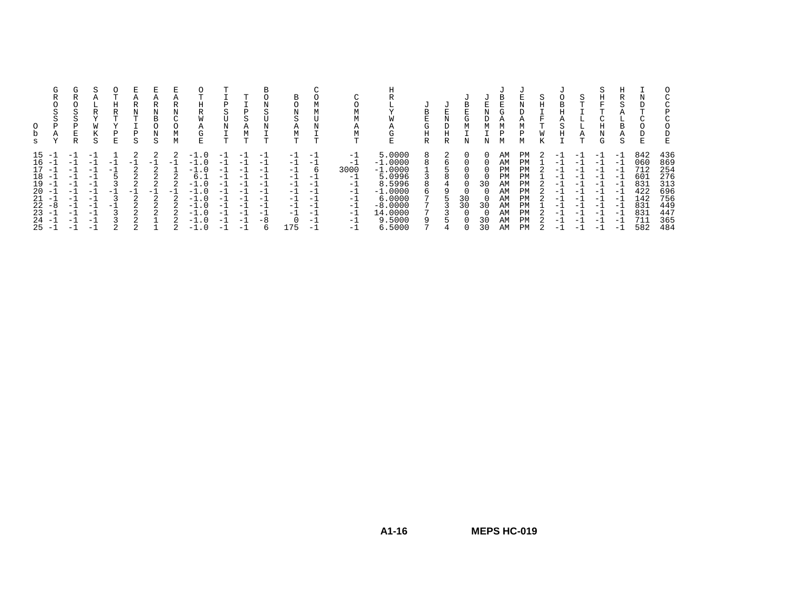| s                                                              | $\sim$<br>G<br>R<br>$\sim$<br>c<br>P<br>Α                                                                                                                    | G<br>R<br>⌒<br>5<br>$\sim$<br>P<br>Ε<br>R                                    | S<br>А<br>R<br>$\tau$<br>W<br>S                                                                                                                                   | ᡣ<br>Н<br>R<br>T<br>Ρ<br>E | Α<br>R<br>N<br>T<br>Ρ<br>S      | А<br>R<br>N<br>B<br>O<br>N<br>S                                             | А<br>R<br>Ν<br>$\sim$<br>М<br>М | <b>TT</b><br>Η<br>R<br>W<br>Α<br>G<br>E                                                                                                                                                                                                             | P<br>S<br>U<br>N<br>m                                                   | $\mathbf{r}$<br>Р<br>$\sim$<br>А<br>М<br>T                                          | S<br>ᡣ                                                             | В<br>Ω<br>N<br>S<br>Α<br>М<br>m.                               | М<br>М                                                                                         | $\sim$<br>М<br>М<br>Α<br>М<br>т                                                      | ш.<br>W<br>А<br>G<br>Ε                                                                                                  | τJ<br>В<br>Ε<br>G<br>Η<br>R | τJ<br>E<br>N<br>D<br>Η<br>R | B<br>E<br>G<br>М | U<br>E<br>Ν<br>D<br>М<br>N | В<br>Е<br>G<br>М<br>D<br>М                                     | J<br>E<br>N<br>D<br>Α<br>М<br>P<br>М                                  | S<br>Η<br>F<br>ᡣ<br>W | τJ<br>B<br>А<br>S<br>Н                                                                                              | S<br>᠇<br>А<br>᠇                                                                                                       | Η<br>F.<br>$\sim$<br>N<br>G                                                         | R<br>S<br>B<br>Α<br>S                                                                                                    | IN.<br>D<br>$\sim$<br>E.                                                  | C<br>P<br>C<br>E                                                          |
|----------------------------------------------------------------|--------------------------------------------------------------------------------------------------------------------------------------------------------------|------------------------------------------------------------------------------|-------------------------------------------------------------------------------------------------------------------------------------------------------------------|----------------------------|---------------------------------|-----------------------------------------------------------------------------|---------------------------------|-----------------------------------------------------------------------------------------------------------------------------------------------------------------------------------------------------------------------------------------------------|-------------------------------------------------------------------------|-------------------------------------------------------------------------------------|--------------------------------------------------------------------|----------------------------------------------------------------|------------------------------------------------------------------------------------------------|--------------------------------------------------------------------------------------|-------------------------------------------------------------------------------------------------------------------------|-----------------------------|-----------------------------|------------------|----------------------------|----------------------------------------------------------------|-----------------------------------------------------------------------|-----------------------|---------------------------------------------------------------------------------------------------------------------|------------------------------------------------------------------------------------------------------------------------|-------------------------------------------------------------------------------------|--------------------------------------------------------------------------------------------------------------------------|---------------------------------------------------------------------------|---------------------------------------------------------------------------|
| 15<br>16<br>17<br>18<br>19<br>20<br>21<br>22<br>23<br>24<br>25 | $\overline{\phantom{0}}$<br>$-$<br>$\overline{\phantom{0}}$<br>$-$<br>$\overline{\phantom{0}}$<br>$-$<br>$-$<br>-8<br>$-$<br>$\overline{\phantom{0}}$<br>$-$ | - 1<br>- 1<br>$-1$<br>- 1<br>$-1$<br>- 1<br>- 1<br>$-1$<br>$-1$<br>$-1$<br>÷ | $-$<br>$-1$<br>$-1$<br>$\overline{\phantom{0}}$<br>$\overline{\phantom{0}}$<br>$\overline{\phantom{0}}$<br>$-$<br>$-1$<br>$-1$<br>$-$<br>$\overline{\phantom{a}}$ | - 1<br>- 1<br>$-1$<br>- 1  | 2<br>$-1$<br>⌒<br>- 1<br>⌒<br>◠ | 2<br>- 1<br>$\mathfrak{D}$<br>$\sim$<br>◠<br>- 1<br>◠<br>$\Omega$<br>$\sim$ | $-1$<br>$-1$                    | . ດ<br>$-$<br>- 1<br>$\cdot$ 0<br>$-1.0$<br>6.<br>$\cdot$ 0<br>$ \overline{\phantom{a}}$<br>$\cdot$ 0<br>$-$<br>$\cdot$ 0<br>$-1$<br>$ \overline{\phantom{a}}$<br>$\cdot$ 0<br>$-1$<br>$\cdot$ . 0<br>- 0<br>$-$<br>. 0<br>$\overline{\phantom{0}}$ | $-$<br>- 1<br>- 1<br>$-$<br>-1<br>- 1<br>-1<br>- 1<br>- 1<br>$-$<br>- 1 | $-1$<br>$-1$<br>$-1$<br>$-1$<br>$-1$<br>$-1$<br>$-1$<br>$-1$<br>$-1$<br>- 1<br>$-1$ | $-$<br>$-$<br>$-$<br>$-$<br>$-$<br>$-1$<br>-1<br>$-$<br>$-1$<br>-8 | $-1$<br>- 1<br>Ξ.<br>- 1<br>Ξ.<br>-1<br>-1<br>- 1<br>- 1<br>75 | - 1<br>$-1$<br>h<br>$\overline{\phantom{0}}$<br>- 1<br>— I<br>- 1<br>- 1<br>$-1$<br>- 1<br>- 1 | $-1$<br>$-1$<br>3000<br>$-1$<br>$-1$<br>$-1$<br>$-1$<br>$-1$<br>$-1$<br>$-1$<br>$-1$ | 5.0000<br>$-1.0000$<br>$-1.0000$<br>5.0996<br>8.5996<br>$-1.0000$<br>6.0000<br>$-8.0000$<br>14.0000<br>9.5000<br>6.5000 |                             | b<br>8                      | 30<br>30         | 30<br>30<br>30<br>30       | AM<br>AM<br>PM<br>PM<br>AM<br>AM<br>AM<br>AM<br>AM<br>AM<br>AM | PM<br><b>PM</b><br>PM<br>PM<br>PM<br>PM<br>PM<br>PM<br>PM<br>PM<br>PM |                       | - 1<br>- 1<br>- 1<br>$-$<br>$-$<br>- 1<br>$-$<br>- 1<br>- 1<br>$\overline{\phantom{0}}$<br>$\overline{\phantom{0}}$ | - 1<br>$-1$<br>$-1$<br>$\overline{\phantom{0}}$<br>$-$<br>- 1<br>- 1<br>- 1<br>- 1<br>$-1$<br>$\overline{\phantom{0}}$ | $-1$<br>$-1$<br>$-1$<br>$-1$<br>$-1$<br>$-1$<br>$-1$<br>$-1$<br>$-1$<br>$-1$<br>- 1 | $-1$<br>- 1<br>$-1$<br>$-$<br>$-$<br>$-1$<br>$\overline{\phantom{a}}$<br>$-1$<br>$-1$<br>$-$<br>$\overline{\phantom{0}}$ | 842<br>060<br>712<br>601<br>831<br>422<br>142<br>831<br>831<br>711<br>582 | 436<br>869<br>254<br>276<br>313<br>696<br>756<br>449<br>447<br>365<br>484 |

**A1-16**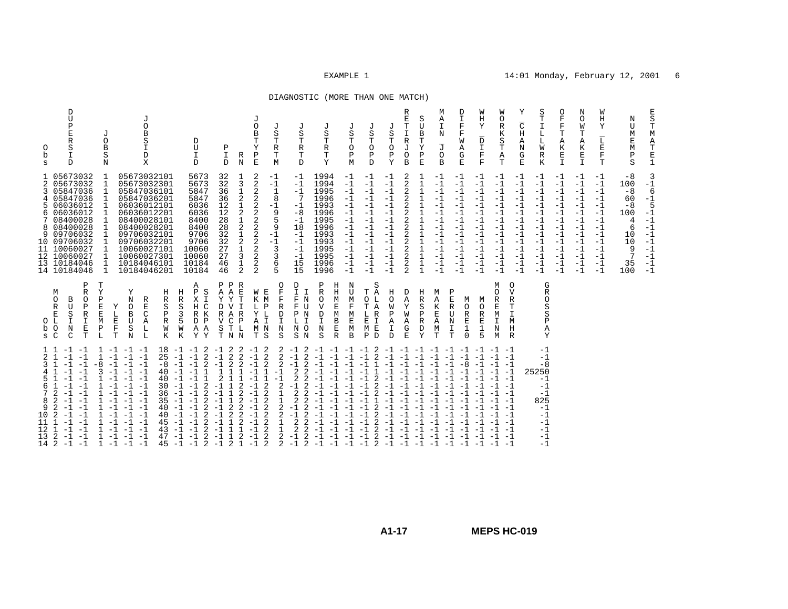## DIAGNOSTIC (MORE THAN ONE MATCH)

| E<br>$\rm S$<br>$\mathbf T$<br>М<br>Α<br>$\begin{array}{c} {\mathbf{T}}\\ {\mathbf{E}}\\ {\mathbf{1}} \end{array}$ | 3<br>$-1$<br>6<br>$-1$<br>5<br>$-1$<br>$-1$<br>$-1$<br>$-1$<br>$-1$<br>$-1$<br>$-1$<br>$-1$<br>$-1$                                                                                                            |                                                                                                                                                                  |                                                                                                                                                                                                                                                      |
|--------------------------------------------------------------------------------------------------------------------|----------------------------------------------------------------------------------------------------------------------------------------------------------------------------------------------------------------|------------------------------------------------------------------------------------------------------------------------------------------------------------------|------------------------------------------------------------------------------------------------------------------------------------------------------------------------------------------------------------------------------------------------------|
| N<br>U<br>M<br>Ε<br>M<br>Ρ<br>S                                                                                    | $-8$<br>100<br>$-8$<br>60<br>$-8$<br>100<br>4<br>6<br>10<br>10<br>9<br>7<br>35<br>100                                                                                                                          |                                                                                                                                                                  |                                                                                                                                                                                                                                                      |
| W<br>Η<br>Y<br>L<br>E<br>$\mathbf F$<br>T                                                                          | $-1$<br>$-1$<br>$-1$<br>$-1$<br>-1<br>$-1$<br>$-1$<br>$-1$<br>$-1$<br>$-1$<br>$-1$<br>$-1$<br>-1<br>-1                                                                                                         |                                                                                                                                                                  |                                                                                                                                                                                                                                                      |
| N<br>$\circ$<br>M<br>Т<br>A<br>K<br>E<br>$\mathbb T$                                                               | -1<br>$-1$<br>$-1$<br>$-1$<br>$-1$<br>-1<br>$-1$<br>$-1$<br>$-1$<br>$-1$<br>$-1$<br>$-1$<br>$-1$<br>$-1$                                                                                                       |                                                                                                                                                                  |                                                                                                                                                                                                                                                      |
| $\circ$<br>F<br>$\mathbf F$<br>Т<br>A<br>K<br>E<br>$\mathbf{I}$                                                    | $-1$<br>$-1$<br>$-1$<br>$-1$<br>$-1$<br>$-1$<br>$-1$<br>$-1$<br>$-1$<br>$-1$<br>$-1$<br>$-1$<br>$-1$<br>$-1$                                                                                                   |                                                                                                                                                                  |                                                                                                                                                                                                                                                      |
| S<br>Т<br>I<br>Г<br>L<br>W<br>R<br>K                                                                               | $-1$<br>$-1$<br>$-1$<br>$-1$<br>$-1$<br>$-1$<br>$-1$<br>$-1$<br>$-1$<br>$-1$<br>$-1$<br>$-1$<br>$-1$<br>$-1$                                                                                                   | G<br>R<br>O<br>S<br>S<br>P<br>A<br>Y                                                                                                                             | $-1$<br>$-1$<br>$-8$<br>25250<br>$-1$<br>$-1$<br>$-1$<br>825<br>$-1$<br>$-1$<br>$-1$<br>$-1$<br>$-1$<br>$-1$                                                                                                                                         |
| Υ<br>$\overline{\rm C}$<br>Η<br>Α<br>N<br>G<br>$\mathbf E$                                                         | -1<br>$-1$<br>$-1$<br>$-1$<br>$-1$<br>$^{-1}$<br>$^{-1}$<br>$-1$<br>$-1$<br>$-1$<br>$-1$<br>$-1$<br>$-1$<br>$-1$                                                                                               | $\Omega$<br>V<br>$\mathbb{R}$<br>т<br>$\mathbf{I}$<br>M<br>Η<br>$\mathbb{R}$                                                                                     |                                                                                                                                                                                                                                                      |
| W<br>O<br>$\mathbb R$<br>Κ<br>S<br>T<br>Α<br>T                                                                     | $-1$<br>$-1$<br>$-1$<br>$-1$<br>$-1$<br>$-1$<br>$-1$<br>$-1$<br>$-1$<br>$-1$<br>$-1$<br>$-1$<br>$-1$<br>$-1$                                                                                                   | М<br>O<br>R<br>$\mathbf E$<br>M<br>$\mathbf I$<br>N<br>M                                                                                                         | $-1 -1$<br>$-1 -1$<br>$-1 -1$<br>$-1$<br>$-1$<br>$-1$<br>$-1$<br>$-1$<br>$-1$                                                                                                                                                                        |
| W<br>Η<br>Υ<br>D<br>$\mathbf T$<br>$\mathbf F$<br>F                                                                | -1<br>$-1$<br>$-1$<br>$-1$<br>$-1$<br>$-1$<br>$-1$<br>$-1$<br>$-1$<br>$-1$<br>$-1$<br>$-1$<br>$-1$<br>$-1$                                                                                                     | M<br>$\Omega$<br>$\mathbb R$<br>E<br>1<br>5                                                                                                                      | $-1 -1$<br>$-1$<br>$-1$                                                                                                                                                                                                                              |
| D<br>I<br>$\mathbf F$<br>$\mathbf F$<br>W<br>Α<br>G<br>$\mathbf E$                                                 | $-1$<br>$-1$<br>$-1$<br>$-1$<br>$-1$<br>$-1$<br>$-1$<br>$-1$<br>$-1$<br>$-1$<br>$-1$<br>$-1$<br>$-1$<br>$-1$                                                                                                   | P<br>Ε<br>M<br>$\mathbb{R}$<br>$\circ$<br>$\mathbb R$<br>U<br>$\mathbf E$<br>N<br>I<br>$\mathbf{1}$<br>$\mathbf 0$<br>T                                          | $-1$<br>$-8$<br>$-1$                                                                                                                                                                                                                                 |
| M<br>Α<br>I<br>N<br>$\overline{\mathbb{J}}$<br>$\circ$<br>B                                                        | $-1$<br>$-1$<br>$-1$<br>$-1$<br>$-1$<br>$-1$<br>$-1$<br>$-1$<br>$-1$<br>$-1$<br>$-1$<br>$-1$<br>$-1$<br>$-1$                                                                                                   | M<br>Α<br>K<br>$\mathbf E$<br>Α<br>М<br>T                                                                                                                        | $-1$ $-1$ $-1$ $-1$ $-1$<br>$-1$<br>$-1$<br>$-1$<br>$-1$<br>$-1$<br>$-1$<br>$-1$                                                                                                                                                                     |
| S<br>U<br>B<br>T<br>Υ<br>P<br>E                                                                                    | 1<br>1<br>$\mathbf 1$<br>1<br>$\mathbf 1$<br>$\mathbf{1}$<br>1<br>1<br>1<br>$\mathbf 1$<br>$\mathbf{1}$                                                                                                        | Η<br>R<br>S<br>$\mathsf{P}$<br>$\mathbb R$<br>D<br>Y                                                                                                             | $-1$<br>$-1$<br>$-1$<br>$-1$<br>$-1$                                                                                                                                                                                                                 |
| R<br>E<br>T<br>I<br>$\mathbb R$<br>J<br>$\circ$<br>$\, {\bf B}$                                                    | 2<br>$\overline{2}$<br>2<br>$\overline{2}$<br>$\overline{2}$<br>2<br>$\overline{2}$<br>2<br>$\overline{2}$<br>$\overline{2}$<br>2<br>$\overline{2}$<br>$\overline{2}$<br>2                                     | D<br>Α<br>Y<br>W<br>Α<br>$_{\rm E}^{\rm G}$                                                                                                                      | $-1$<br>$-1$<br>$-1$<br>$-1$<br>$-1$<br>$-1$<br>$-1$                                                                                                                                                                                                 |
| J<br>S<br>Т<br>$\circ$<br>P<br>Υ                                                                                   | $-1$<br>$-1$<br>$-1$<br>$-1$<br>$-1$<br>$-1$<br>$-1$<br>$-1$<br>$-1$<br>$-1$<br>$-1$<br>$-1$<br>$-1$                                                                                                           | Η<br>O<br>M<br>$\mathbf P$<br>A<br>I<br>D                                                                                                                        | $-1$<br>$-1$<br>$-1$<br>$-1$<br>$-1$<br>$-1$                                                                                                                                                                                                         |
| J<br>S<br>T<br>$\circ$<br>$\mathbf P$<br>D                                                                         | $-1$<br>$-1$<br>$-1$<br>$-1$<br>$-1$<br>$-1$<br>$-1$<br>$-1$<br>$-1$<br>$-1$<br>$-1$<br>$-1$<br>$-1$<br>$-1$                                                                                                   | S<br>Α<br>Т<br>0<br>L<br>$\overline{A}$<br>T<br>L<br>$\mathbb{R}$<br>E<br>$\mathbbm{I}$<br>E<br>M<br>$\mathbb D$<br>Ρ                                            | $\overline{a}$<br>$\overline{2}$<br>$-1$<br>$-1$<br>$\mathbf{1}$<br>2<br>$\overline{2}$<br>$-1$<br>2<br>$-1$<br>1<br>$\overline{2}$<br>2<br>2<br>$\overline{2}$<br>$-1$<br>$-1$<br>2<br>$-1$<br>2                                                    |
| J<br>S<br>T<br>$\circ$<br>Ρ<br>М                                                                                   | $-1$<br>$-1$<br>$-1$<br>$-1$<br>$-1$<br>$-1$<br>$-1$<br>$-1$<br>$-1$<br>$-1$<br>$-1$<br>$-1$<br>$-1$<br>$-1$                                                                                                   | N<br>U<br>M<br>$\mathbf F$<br>M<br>E<br>М<br>B                                                                                                                   | $-1 -1$<br>$-1$<br>$-1$<br>$-1$<br>$-1$                                                                                                                                                                                                              |
| J<br>S<br>T<br>R<br>T<br>Y                                                                                         | 1994<br>1994<br>1995<br>1996<br>1993<br>1996<br>1995<br>1996<br>1993<br>1993<br>1995<br>1995<br>1996<br>1996                                                                                                   | Ρ<br>Η<br>$\mathbb R$<br>Η<br>O<br>М<br>$\overline{V}$<br>E<br>M<br>$\mathop{\Gamma}\limits_{\mathbb{I}}$<br>B<br>$\mathbf N$<br>$\mathbf E$<br>$\mathbb R$<br>S | $-1$ $-1$<br>$-1$<br>$-1$<br>$-1$<br>$-1$<br>$-1$<br>$-1$<br>$-1$<br>$-1$<br>$-1$<br>$-1$<br>$-1$<br>$-1$<br>$-1$                                                                                                                                    |
| J<br>S<br>T<br>R<br>т<br>D                                                                                         | -1<br>$-1$<br>$-1$<br>7<br>$-1$<br>$-8$<br>-1<br>18<br>$-1$<br>$-1$<br>$-1$<br>$-1$<br>15<br>15                                                                                                                | D<br>I.<br>I<br>F<br>N<br>F<br>U<br>N<br>$\, {\bf P}$<br>L<br>I<br>N O<br>$_{\rm N}$<br>S                                                                        | 2<br>$-1$<br>$-1$<br>$\overline{2}$<br>$-1$<br>2<br>$\overline{2}$<br>2<br>2<br>2<br>$-1$<br>2<br>$\overline{2}$<br>2<br>$\overline{2}$<br>2<br>2<br>$-1$<br>2<br>$\overline{2}$<br>2<br>$\overline{2}$<br>$\overline{2}$<br>$-1$<br>2<br>$-1$<br>2  |
| J<br>S<br>T<br>$\mathbb R$<br>Т<br>M                                                                               | $-1$<br>$-1$<br>$\mathbf 1$<br>8<br>$-1$<br>9<br>5<br>9<br>$-1$<br>$-1$<br>3<br>3<br>6<br>5                                                                                                                    | O<br>Е<br>F<br>$\mathbf F$<br>M<br>$\mathbb R$<br>$\mathbf P$<br>$\mathbb D$<br>$\mathbf I$<br>$\mathbf{I}$<br>$\mathbf N$<br>S<br>S                             | 2<br>2<br>2<br>2<br>2<br>$\overline{1}$<br>2<br>2<br>$\overline{2}$<br>$\mathbf{1}$<br>$\overline{2}$<br>$1\,$<br>$\overline{c}$<br>2<br>$\overline{2}$<br>2<br>$\overline{2}$<br>$\mathbf{1}$<br>$\overline{2}$<br>$\mathbf{1}$<br>2<br>2<br>2<br>2 |
| J<br>O<br>B<br>T<br>Υ<br>$\, {\bf p}$<br>$\mathbf E$                                                               | 2<br>$\overline{2}$<br>2<br>$\overline{c}$<br>$\overline{c}$<br>$\overline{c}$<br>$\overline{2}$<br>$\overline{c}$<br>$\overline{2}$<br>$\overline{2}$<br>2<br>$\overline{2}$<br>2<br>$\overline{2}$           | W<br>Κ<br>L<br>Y L<br>Α<br>$M$ $N$<br>Т                                                                                                                          | $-1$ 2<br>$-\overline{1}$<br>$-1$<br>$-1$<br>$-1$<br>$-1$<br>$-1$<br>$-1$<br>$-1$<br>$-1$<br>$-1$                                                                                                                                                    |
| R<br>N                                                                                                             | 3<br>1<br>$\overline{2}$<br>1<br>2<br>2<br>$\mathbf 1$<br>$\overline{2}$<br>1<br>3<br>1<br>$\overline{2}$                                                                                                      | R<br>Е<br>$\mathbf{I}$<br>$\mathbb{R}$<br>$\mathbf{P}$<br>L<br>N N                                                                                               | 2<br>$\overline{a}$<br>2<br>2<br>1<br>2                                                                                                                                                                                                              |
| Ρ<br>I<br>D                                                                                                        | 32<br>32<br>36<br>36<br>12<br>12<br>28<br>28<br>32<br>32<br>27<br>27<br>46<br>46                                                                                                                               | Ρ<br>Ρ<br>$\mathbb A$<br>Α<br>Y<br>Υ<br>D<br>$\mathbf{V}$<br>R A<br>$\overline{V}$<br>C<br>$\rm S$<br>т<br>т                                                     | $\frac{2}{2}$<br>$-1$<br>$-1$<br>$-1$<br>2<br>2<br>$\mathbf{1}$<br>$\mathbf{1}$<br>$\mathbf{1}$<br>$\mathbf 1$<br>$\overline{2}$<br>$\overline{2}$<br>$-1$<br>$\mathbf{1}$<br>$-1$<br>$\mathbf 1$<br>2<br>$-1$                                       |
| D<br>U<br>I<br>D                                                                                                   | 5673<br>5673<br>5847<br>5847<br>6036<br>6036<br>8400<br>8400<br>9706<br>9706<br>10060<br>10060<br>10184<br>10184                                                                                               | Α<br>Ρ<br>S<br>X<br>Н<br>C<br>R K<br>D<br>P<br>Α<br>Α<br>Υ<br>Υ                                                                                                  | $18 -1 -1 2$<br>$25 -1 -1 2$<br>$\overline{2}$<br>$-1$<br>2<br>$-1$<br>$\overline{2}$<br>2<br>$-1$<br>2<br>2<br>$-1$<br>$-1$<br>2<br>$-1$<br>2<br>$-1$<br>2                                                                                          |
|                                                                                                                    |                                                                                                                                                                                                                | Η<br>Η<br>R<br>R<br>S<br>S<br>3<br>5<br>W<br>W<br>K<br>К                                                                                                         | $-1$<br>$-1$<br>$-1$<br>$-1$<br>$-1$<br>$-1$                                                                                                                                                                                                         |
| В<br>S<br>I<br>D<br>X                                                                                              |                                                                                                                                                                                                                | Ε<br>$\, {\bf P}$<br>$\mathbb R$<br>Α                                                                                                                            | 25<br>$-8$<br>40<br>40<br>30<br>36<br>35<br>40<br>40<br>45<br>43<br>47<br>45                                                                                                                                                                         |
| J<br>$\circ$                                                                                                       | 05673032101<br>05673032301<br>05847036101<br>05847036201<br>06036012101<br>06036012201<br>08400028101<br>08400028201<br>09706032101<br>09706032201<br>10060027101<br>10060027301<br>10184046101<br>10184046201 | Υ<br>N<br>R<br>$\circ$<br>B<br>C<br>U<br>$\rm S$<br>L<br>$\mathbb N$<br>L                                                                                        | $-1$ $-1$ $-1$<br>$-1$<br>$-1$<br>$-1$<br>$-1$<br>$-1$<br>$-1$<br>$-1$<br>$-1$<br>$-1$<br>$-1$<br>$-1$<br>$-1$<br>$-1$<br>$-1$<br>$-1$<br>$-1$<br>$-1$<br>$-1$<br>$-1$<br>$-1$<br>$-1$                                                               |
| J<br>O<br>B<br>S<br>N                                                                                              | 1<br>$\mathbf{1}$<br>$\mathbf{1}$<br>$\mathbf 1$<br>1<br>1<br>$\mathbf{1}$<br>1<br>$\mathbf{1}$<br>$\mathbf{1}$<br>$\mathbf{1}$<br>$\mathbf{1}$<br>$\mathbf 1$<br>$\mathbf{1}$                                 | T<br>Y<br>Ρ<br>E<br>E<br>L<br>M<br>E<br>$\, {\bf P}$<br>$\mathbf F$<br>$\mathbb L$<br>$\mathbf T$                                                                | 1<br>$-1$<br>1<br>$-8$<br>$-1$<br>3<br>$-1$<br>$\mathbf{1}$<br>$-1$<br>$-1$<br>$\mathbf{1}$<br>$-1$<br>$\mathbf{1}$                                                                                                                                  |
| D<br>U<br>$\, {\bf P}$<br>E<br>$\mathbb R$<br>S<br>$\mathbbm{I}$<br>D                                              | 1 05673032<br>2 05673032<br>05847036<br>05847036<br>06036012<br>06036012<br>7 08400028<br>8 08400028<br>09706032<br>10 09706032<br>10060027<br>12 10060027<br>13 10184046<br>14 10184046                       | Ρ<br>$\mathbb R$<br>$\circ$<br>B<br>$\, {\bf P}$<br>U<br>S<br>$\mathbb R$<br>$\mathbbm{1}$<br>I<br>$\mathbf N$<br>E<br>$\mathcal{C}$<br>T                        | $-1$<br>-1<br>$-1$<br>$-1$<br>$-1$<br>$-1$<br>$-1$<br>$-1$<br>$-1$<br>-1<br>$-1$<br>$-1$<br>$-1$<br>$-1$<br>$-1$<br>$-1$<br>$-1$<br>$-1$<br>$-1$<br>$-1$<br>$-1$                                                                                     |
| 0<br>b<br>S                                                                                                        | 3<br>4<br>5<br>6<br>9<br>11                                                                                                                                                                                    | М<br>$\circ$<br>$\mathbb{R}$<br>$\mathbf E$<br>O L<br>p o<br>s C                                                                                                 | $1\quad1$<br>2<br>1<br>3<br>$\mathbf{1}$<br>5<br>6<br>1<br>7<br>2<br>8<br>2<br>2<br>9<br>2<br>10<br>11<br>12<br>$\mathbf{1}$<br>13<br>2<br>14 2                                                                                                      |
|                                                                                                                    |                                                                                                                                                                                                                |                                                                                                                                                                  |                                                                                                                                                                                                                                                      |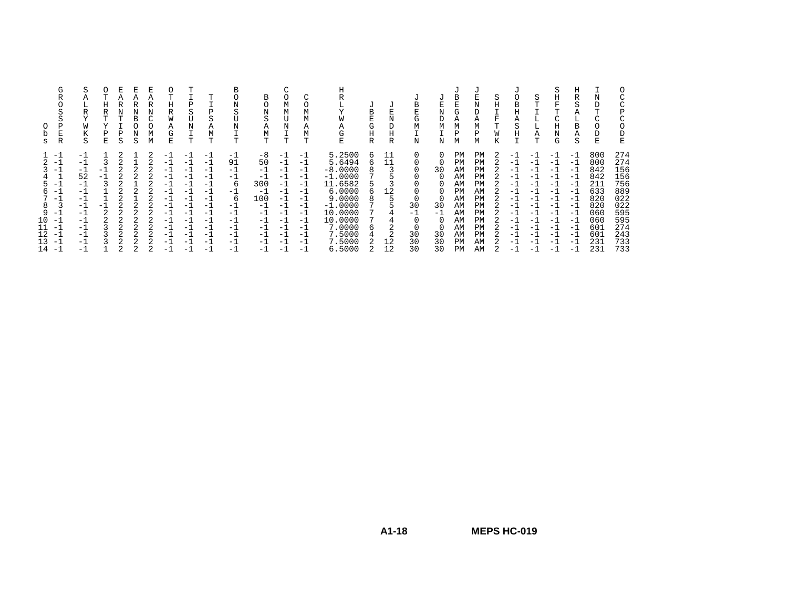| O<br>b<br>S                                    | G<br>R<br>O<br>S<br>Ρ<br>Ε<br>R                                                                                                          | S<br>Α<br>⊥<br>R<br>$\mathbf{v}$<br>M<br>K<br>S                                                    | Н<br>R<br>Ε    | Р<br>S | R<br>в<br>S | Ε<br>А<br>R<br>N<br>C<br>Ο<br>М<br>М | 0<br>Н<br>R<br>Α<br>G<br>E                                                                                       | P<br>S<br>U<br>Ν<br>T                                                                          | т<br>P<br>S<br>Α<br>M<br>T                                                                     | в<br>N<br>S<br>N<br>T                                                                            | В<br>O<br>N<br>S<br>Α<br>М<br>T                                                                    | $\sim$<br>М<br>M<br>ŢJ<br>Ν<br>T                                                                              | O<br>М<br>М<br>Α<br>М<br>T                                                                            | н<br>Y<br>W<br>Α<br>G<br>E                                                                                                                           | U<br>B<br>E<br>G<br>Η<br>$\mathbb R$ | E<br>N<br>D<br>Η<br>R                | -U<br>B<br>E<br>G<br>М<br>N                  | N<br>D<br>М<br>N                  | в<br>G<br>Α<br>М<br>Ρ<br>М                                                              | U<br>N<br>D<br>Α<br>М<br>Ρ<br>М                                                  | S<br>Η<br>F<br>К | U<br>B<br>Η<br>Α<br>S<br>Η                                                                       | S<br>⊥<br>⊥<br>Α<br>T                                                                     | S<br>Η<br>F<br>m<br>$\sim$<br>Η<br>Ν<br>G                                                           | Η<br>R<br>S<br>Α<br>L.<br>В<br>Α<br>S                                                                  | Ν<br>m.<br>E                                                                                   | O<br>С<br>C<br>Ρ<br>C<br>O<br>D<br>E                                                           |
|------------------------------------------------|------------------------------------------------------------------------------------------------------------------------------------------|----------------------------------------------------------------------------------------------------|----------------|--------|-------------|--------------------------------------|------------------------------------------------------------------------------------------------------------------|------------------------------------------------------------------------------------------------|------------------------------------------------------------------------------------------------|--------------------------------------------------------------------------------------------------|----------------------------------------------------------------------------------------------------|---------------------------------------------------------------------------------------------------------------|-------------------------------------------------------------------------------------------------------|------------------------------------------------------------------------------------------------------------------------------------------------------|--------------------------------------|--------------------------------------|----------------------------------------------|-----------------------------------|-----------------------------------------------------------------------------------------|----------------------------------------------------------------------------------|------------------|--------------------------------------------------------------------------------------------------|-------------------------------------------------------------------------------------------|-----------------------------------------------------------------------------------------------------|--------------------------------------------------------------------------------------------------------|------------------------------------------------------------------------------------------------|------------------------------------------------------------------------------------------------|
| 5.<br>6<br>7<br>8<br>9<br>10<br>12<br>L3<br>14 | $-1$<br>$-1$<br>$-1$<br>$\equiv$ $\pm$<br>$\mathcal{L}=\mathcal{L}$<br>-1<br>3<br>. — 1<br>-1<br>$-1$<br>$\mathcal{L}=\pm$<br>-1<br>$-1$ | $-1$<br>$-1$<br>$-1$<br>52<br>$-1$<br>-1<br>$-1$<br>$-1$<br>-1<br>-1<br>$-1$<br>$-1$<br>$-1$<br>-1 | -<br>-1<br>- 1 |        |             |                                      | $^{-1}$<br>$-1$<br>$-1$<br>-1<br>$^{-1}$<br>-1<br>$-1$<br>$-1$<br>$-1$<br>-1<br>$^{-1}$<br>-1<br>$-1$<br>$^{-1}$ | $-1$<br>-1<br>- 1<br>- 1<br>-1<br>$-1$<br>- 1<br>$-1$<br>$-1$<br>- 1<br>- 1<br>- 1<br>-1<br>-1 | $-1$<br>$-1$<br>-1<br>- 1<br>$-1$<br>- 1<br>$-1$<br>- 1<br>-1<br>-1<br>-1<br>- 1<br>- 1<br>- 1 | $^{-1}$<br>91<br>$-1$<br>-1<br>6<br>$-1$<br>6<br>-1<br>$-1$<br>$-1$<br>$-1$<br>-1<br>$-1$<br>- 1 | -8<br>50<br>$-1$<br>$-1$<br>300<br>$-1$<br>100<br>$-1$<br>$-1$<br>-1<br>$-1$<br>$-1$<br>$-1$<br>-1 | $=$ 1.<br>$-1$<br>$-1$<br>$-1$<br>$-1$<br>$-1$<br>$-1$<br>$-1$<br>$-1$<br>$-1$<br>$-1$<br>$-1$<br>$-1$<br>$-$ | $-1$<br>$-1$<br>-1<br>$-1$<br>$-1$<br>$-1$<br>$-1$<br>$-1$<br>-1<br>-1<br>$-1$<br>$-1$<br>$-1$<br>- 1 | 5.2500<br>5.6494<br>$-8.0000$<br>$-1.0000$<br>11.6582<br>6.0000<br>9.0000<br>$-1.0000$<br>10.0000<br>10.0000<br>7.0000<br>7.5000<br>7.5000<br>6.5000 | 6<br>6<br>8<br>6<br>8<br>6           | 11<br>11<br>12<br>4<br>2<br>12<br>12 | 0<br>30<br>- 1<br>$\Omega$<br>30<br>30<br>30 | 30<br>30<br>- 1<br>30<br>30<br>30 | РM<br>PM<br>AM<br>AM<br>AM<br><b>PM</b><br>AM<br>AM<br>AΜ<br>AM<br>AM<br>AM<br>PМ<br>PM | PM<br>PM<br>PM<br>PM<br>PM<br>AM<br>PM<br>PM<br>PM<br>PM<br>PM<br>PM<br>AM<br>AM |                  | $-1$<br>-1<br>$-1$<br>$-1$<br>- 1<br>$-1$<br>- 1<br>$-1$<br>-1<br>- 1<br>- 1<br>- 1<br>- 1<br>-1 | - 1<br>- 1<br>- 1<br>- 1<br>-1<br>-1<br>- 1<br>$-1$<br>-1<br>-1<br>-1<br>-1<br>-1<br>$-1$ | $-1$<br>- 1<br>- 1<br>- 1<br>$-1$<br>- 1<br>- 1<br>- 1<br>$-1$<br>$-1$<br>- 1<br>- 1<br>$-1$<br>- 1 | $-1$<br>-1<br>$-1$<br>$-1$<br>$-1$<br>$-1$<br>$-1$<br>$-1$<br>$-1$<br>-1<br>$-1$<br>-1<br>$-1$<br>$-1$ | 800<br>800<br>842<br>842<br>211<br>633<br>820<br>820<br>060<br>060<br>601<br>601<br>231<br>231 | 274<br>274<br>156<br>156<br>756<br>889<br>022<br>022<br>595<br>595<br>274<br>243<br>733<br>733 |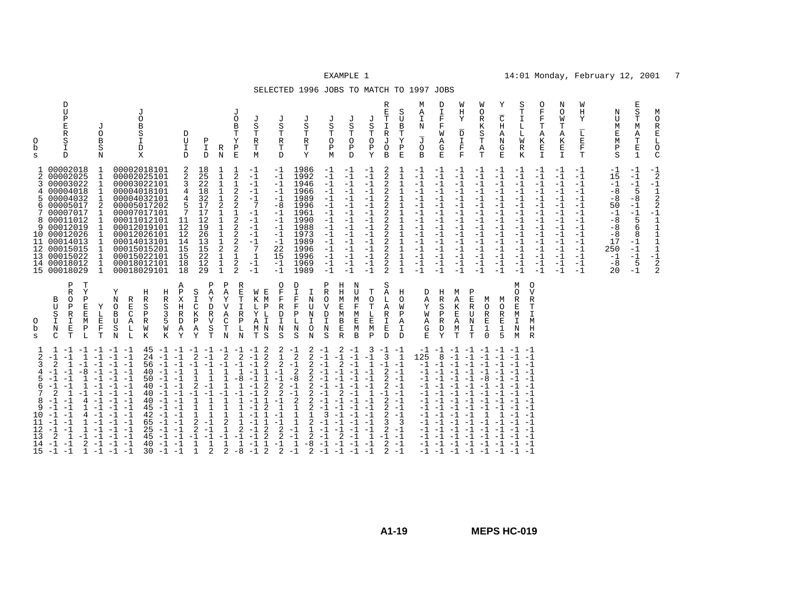### SELECTED 1996 JOBS TO MATCH TO 1997 JOBS

| М<br>$\circ$<br>R<br>$\mathbf{E}% _{0}$<br>$_\mathrm{O}^\mathrm{L}$<br>$\mathsf{C}$ | $^{-1}$ <sub>2</sub><br>$-1$<br>$\frac{1}{2}$<br>2<br>$-1$<br>$\mathbf{1}$<br>$\frac{1}{1}$<br>$\mathbf{1}$<br>$\mathbf{1}$<br>$-1$<br>$_2^2$                                                                                                |                                                                                                                                                                                 |                                                                                                                                                                                                                                                                      |
|-------------------------------------------------------------------------------------|----------------------------------------------------------------------------------------------------------------------------------------------------------------------------------------------------------------------------------------------|---------------------------------------------------------------------------------------------------------------------------------------------------------------------------------|----------------------------------------------------------------------------------------------------------------------------------------------------------------------------------------------------------------------------------------------------------------------|
| $\mathbf E$<br>S<br>T<br>М<br>Α<br>Т<br>$\mathbf E$<br>$\mathbf{1}$                 | $-1$<br>$-1$<br>$-1$<br>5<br>$-8$<br>$-1$<br>$-1$<br>5<br>6<br>8<br>$-1$<br>$-1$<br>$-1$<br>5<br>$-1$                                                                                                                                        |                                                                                                                                                                                 |                                                                                                                                                                                                                                                                      |
| Ν<br>U<br>М<br>Ε<br>M<br>$_{\rm S}^{\rm P}$                                         | $-1$<br>15<br>$-1$<br>$-8$<br>$-8$<br>50<br>$-1$<br>$-8$<br>$-8$<br>$-8$<br>17<br>250<br>$-1$<br>$-8$<br>20                                                                                                                                  |                                                                                                                                                                                 |                                                                                                                                                                                                                                                                      |
| W<br>Η<br>Y<br>$\overline{\text{L}}$<br>E<br>$\mathbf F$<br>т                       | -1<br>$-1$<br>$-1$<br>$-1$<br>$-1$<br>$-1$<br>$-1$<br>$-1$<br>$-1$<br>$-1$<br>$-1$<br>$-1$<br>$-1$<br>$-1$<br>$-1$                                                                                                                           |                                                                                                                                                                                 |                                                                                                                                                                                                                                                                      |
| N<br>O<br>W<br>т<br>Α<br>К<br>Ε<br>$\mathbb{I}$                                     | $-1$<br>$-1$<br>$-1$<br>$-1$<br>$-1$<br>$-1$<br>$-1$<br>$-1$<br>$-1$<br>$-1$<br>$-1$<br>$-1$<br>$-1$<br>$-1$                                                                                                                                 |                                                                                                                                                                                 |                                                                                                                                                                                                                                                                      |
| O<br>F<br>$\mathbf F$<br>Т<br>Α<br>К<br>E<br>I.                                     | $-1$<br>$-1$<br>$-1$<br>$-1$<br>$-1$<br>$-1$<br>$-1$<br>$-1$<br>$-1$<br>$-1$<br>$-1$<br>$-1$<br>$-1$<br>$-1$<br>$-1$                                                                                                                         | $\circ$<br>V<br>R<br>т<br>T<br>M<br>H<br>R                                                                                                                                      |                                                                                                                                                                                                                                                                      |
| S<br>T<br>$\mathbbm{I}$<br>L<br>L<br>M<br>$\mathbb R$<br>K                          | $-1$<br>$-1$<br>$-1$<br>$-1$<br>$-1$<br>$-1$<br>$-1$<br>$-1$<br>$-1$<br>$-1$<br>$-1$<br>$-1$<br>$-1$<br>$-1$<br>$-1$                                                                                                                         | М<br>$\Omega$<br>R<br>$\mathbf E$<br>M<br>I<br>N<br>M                                                                                                                           | $-1$ $-1$ $-1$<br>$-1$<br>$-1$<br>$-1$<br>$-1$<br>$-1 -1$                                                                                                                                                                                                            |
| Υ<br>$\overline{\rm C}$<br>Η<br>Α<br>N<br>G<br>Ε                                    | $-1$<br>$-1$<br>$-1$<br>$-1$<br>$-1$<br>$-1$<br>$-1$<br>$-1$<br>$-1$<br>$-1$<br>$-1$<br>$-1$<br>$-1$<br>$-1$<br>$-1$                                                                                                                         | M<br>$\Omega$<br>R<br>Ε<br>$\mathbf{1}$<br>5                                                                                                                                    | $-1$<br>$-1$                                                                                                                                                                                                                                                         |
| W<br>O<br>$\mathbb R$<br>Κ<br>S<br>Т<br>Α<br>т                                      | $-1$<br>$-1$<br>$-1$<br>$-1$<br>$-1$<br>$-1$<br>$-1$<br>$-1$<br>$-1$<br>$-1$<br>$-1$<br>$-1$<br>$-1$<br>$-1$<br>$-1$                                                                                                                         | P<br>Ε<br>M<br>$\mathbb R$<br>O<br>$\mathbb R$<br>U<br>$\mathbf N$<br>E<br>I<br>$\mathbf{1}$<br>$\mathbf 0$<br>T                                                                | $-1$<br>$-1$<br>$-1$<br>$-8$<br>$-1$<br>$-1$<br>$-1$                                                                                                                                                                                                                 |
| W<br>Η<br>Υ<br>$\overline{\texttt{D}}$<br>I<br>$\mathbf F$<br>$\mathbf F$           | $-1$<br>$-1$<br>$-1$<br>$-1$<br>$-1$<br>$-1$<br>$-1$<br>$-1$<br>$-1$<br>$-1$<br>$-1$<br>$-1$<br>$-1$<br>$-1$<br>$-1$                                                                                                                         | M<br>Α<br>К<br>E<br>Α<br>М<br>T                                                                                                                                                 | $-1$<br>$-1$<br>$-1$<br>$-1$<br>$-1$<br>$-1$<br>$-1$<br>$-1$<br>$-1$<br>$-1$<br>$-1$<br>$-1$                                                                                                                                                                         |
| D<br>I<br>$\mathbf{F}$<br>F<br>W<br>Α<br>G<br>E                                     | $-1$<br>$-1$<br>$-1$<br>$-1$<br>$-1$<br>$-1$<br>$-1$<br>$-1$<br>$-1$<br>$-1$<br>$-1$<br>$-1$<br>$-1$<br>$-1$<br>$-1$                                                                                                                         | Η<br>R<br>S<br>$\mathsf{P}$<br>R<br>D<br>Υ                                                                                                                                      | $-1 -1$<br>8<br>$-1$<br>$-1$<br>$-1 -1$                                                                                                                                                                                                                              |
| М<br>Α<br>I<br>N<br>$\overline{J}$<br>O<br>B                                        | $-1$<br>$-1$<br>$-1$<br>-1<br>$-1$<br>-1<br>$-1$<br>-1<br>$-1$<br>$-1$<br>$-1$<br>$-1$<br>$-1$<br>$-1$<br>$-1$                                                                                                                               | D<br>A<br>Υ<br>W<br>Α<br>G<br>E.                                                                                                                                                | 125<br>$-1$<br>-1<br>-1<br>$-1$<br>$-1$<br>-1<br>-1<br>$-1$                                                                                                                                                                                                          |
| S<br>U<br>$\, {\bf B}$<br>Т<br>Υ<br>Ρ<br>E                                          | 1<br>$\mathbf{1}$<br>$\mathbf{1}$<br>$\mathbf{1}$<br>$\mathbf{1}$<br>$\mathbf{1}$<br>$\mathbf{1}$<br>$\mathbf{1}$<br>$\mathbf{1}$<br>$\mathbf 1$<br>$\mathbf 1$<br>$\mathbf{1}$<br>$\mathbf 1$<br>$\mathbf{1}$                               | H<br>$\circ$<br>W<br>Ρ<br>Α<br>$\mathbf{I}$<br>D                                                                                                                                | 1<br>$-1$<br>$-1$<br>$-1$<br>$-1$<br>$-1$<br>$-1$<br>$-1$<br>$-1$<br>-3<br>$-1$<br>$-1$<br>$-1$<br>$-1$                                                                                                                                                              |
| R<br>E<br>$\mathbf T$<br>$\mathbf I$<br>$\mathbb R$<br>J<br>O<br>B                  | 2<br>2<br>2<br>$\overline{c}$<br>$\overline{c}$<br>$\overline{2}$<br>$\overline{c}$<br>$\overline{2}$<br>$\frac{2}{2}$<br>2<br>2<br>$\overline{2}$<br>2<br>$\overline{2}$                                                                    | S<br>Α<br>L<br>Α<br>R<br>I<br>E<br>$\mathbf{D}$                                                                                                                                 | $-1 -1$<br>3<br>$-1$<br>2<br>$\overline{a}$<br>2<br>$-1$<br>$\overline{2}$<br>$\overline{2}$<br>2<br>3<br>2<br>$-1$<br>$\overline{2}$<br>2                                                                                                                           |
| J<br>J<br>S<br>S<br>$\mathbf T$<br>Т<br>$\circ$<br>$\circ$<br>Ρ<br>Ρ<br>Y<br>D      | $-1$<br>$-1$<br>$-1$<br>$-1$<br>$-1$<br>$-1$<br>$-1$<br>$-1$<br>$-1$<br>$-1$<br>$-1$<br>$-1$<br>$-1$<br>$-1$<br>$-1$<br>$-1$<br>$-1$<br>$-1$<br>$-1$<br>$-1$<br>$-1$<br>$-1$<br>$-1$<br>$-1$<br>$-1$<br>$-1$<br>$-1$<br>$-1$<br>$-1$<br>$-1$ | N<br>ŢŢ<br>т<br>M<br>$\Omega$<br>$\mathbf F$<br>Т<br>M<br>L<br>Ε<br>E<br>M<br>M<br>$\mathbf B$<br>P                                                                             | 3<br>$-1$<br>$-1$<br>$-1$<br>$-1$<br>$\mathbf{1}$<br>$-1$<br>$\mathbf{1}$<br>$-1$<br>-1<br>$-1$<br>$-1$<br>$-1$<br>$-1$                                                                                                                                              |
| J<br>S<br>$\mathbf T$<br>$\circ$<br>$\, {\bf P}$<br>M                               | $-1$<br>$-1$<br>$-1$<br>$-1$<br>$-1$<br>$-1$<br>$-1$<br>$-1$<br>$-1$<br>$-1$<br>$-1$<br>$-1$<br>$-1$<br>$-1$<br>$-1$                                                                                                                         | Ρ<br>Η<br>$\mathbb R$<br>Η<br>$\Omega$<br>M<br>$\mathbf{V}$<br>E<br>D<br>M<br>$\mathbf I$<br>B<br>N<br>E<br>S<br>$\mathbb{R}$                                                   | 2<br>$-1$<br>$-1$<br>$\overline{2}$<br>$\overline{a}$<br>$-1$<br>-1<br>$-1$<br>$-1$                                                                                                                                                                                  |
| J<br>S<br>Т<br>$\mathbb R$<br>T<br>Y                                                | 1986<br>1992<br>1946<br>1966<br>1989<br>1996<br>1961<br>1990<br>1988<br>1973<br>1989<br>1996<br>1996<br>1969<br>1989                                                                                                                         | D<br>$\mathbf I$<br>I<br>$\overline{\mathrm{F}}$<br>N<br>$\mathbf F$<br>U<br>$\, {\bf P}$<br>N<br>L<br>T<br>N<br>$\circ$<br>S<br>N                                              | $-1$<br>2<br>$-1$<br>$\overline{2}$<br>2<br>$-1$<br>$-1$<br>2<br>$\overline{2}$<br>2<br>$-1$<br>$-8$<br>$-1$<br>2<br>$-1$<br>$-1$<br>$\sqrt{2}$<br>$\mathbf{1}$<br>2<br>$\mathbf{1}$<br>$\mathbf{1}$<br>$-1$<br>$-1$<br>2<br>$\mathbf{1}$<br>$-1$<br>-8<br>$-1$<br>2 |
| J<br>S<br>Т<br>$\mathbb R$<br>Т<br>D                                                | $-1$<br>$-1$<br>$-1$<br>$-1$<br>$-1$<br>$-8$<br>$-1$<br>$-1$<br>$-1$<br>$-1$<br>$-1$<br>22<br>15<br>$-1$<br>$-1$                                                                                                                             | O<br>F<br>R<br>D<br>I<br>$\mathbf N$<br>S                                                                                                                                       | 2<br>1<br>2<br>$-1$<br>$\overline{2}$<br>2<br>$\mathbf{1}$<br>$\overline{2}$<br>2<br>$-1$<br>2                                                                                                                                                                       |
| J<br>S<br>Т<br>R<br>Т<br>M                                                          | $-1$<br>$-1$<br>$-1$<br>$-1$<br>$-1$<br>7<br>$-1$<br>$-1$<br>$-1$<br>$-1$<br>$-1$<br>7<br>$\mathbf{1}$<br>$-1$<br>$-1$                                                                                                                       | W<br>Е<br>M<br>K<br>т.<br>Ρ<br>L<br>Y<br>$\mathbf I$<br>Α<br>N<br>M<br>S<br>т                                                                                                   | -2<br>$-1$<br>$-1$<br>$\overline{2}$<br>$\overline{2}$<br>$-1$<br>$\mathbf 1$<br>$\mathbf{1}$<br>$-1$<br>$\overline{a}$<br>$\overline{a}$<br>$\overline{a}$<br>$\mathbf{1}$<br>$\overline{a}$<br>$\overline{a}$<br>$\mathbf{1}$<br>$-1$<br>$\overline{2}$<br>$-1$    |
| J<br>O<br>В<br>Т<br>Υ<br>$\, {\mathbb P}$<br>E                                      | $\frac{1}{2}$<br>$\mathbf{1}$<br>$\overline{c}$<br>$\overline{2}$<br>2<br>1<br>$\overline{2}$<br>$\overline{2}$<br>$\overline{2}$<br>2<br>$\overline{2}$<br>$\mathbf{1}$<br>$\frac{2}{2}$                                                    | R<br>Ε<br>т<br>$\mathbf I$<br>R<br>$\mathbf P$<br>L<br>N                                                                                                                        | $-1 -1$<br>$\overline{2}$<br>$-1$<br>$-8$<br>$\overline{2}$<br>1<br>$-8$                                                                                                                                                                                             |
| R<br>N                                                                              | $\mathbf{1}$<br>$\mathbf{1}$<br>$1\,$<br>$\overline{2}$<br>$\frac{1}{1}$<br>$\mathbf 1$<br>2<br>1<br>$\mathbf{1}$<br>$\mathbf{1}$                                                                                                            | Ρ<br>A<br>Y<br>$\overline{V}$<br>Α<br>С<br>T<br>N                                                                                                                               | 2<br>$-1$<br>$\mathbf{1}$<br>2<br>1<br>2                                                                                                                                                                                                                             |
| Ρ<br>I<br>D                                                                         | 18<br>25<br>22<br>18<br>32<br>17<br>17<br>12<br>19<br>26<br>13<br>15<br>22<br>12<br>29                                                                                                                                                       | Ρ<br>$\overline{A}$<br>S<br>$\mathbf I$<br>Υ<br>$\mathsf C$<br>D<br>$\overline{R}$<br>K<br>Ρ<br>V<br>S<br>Α<br>Υ<br>$\mathbf T$                                                 | $-1$ $-1$ $-1$ $-1$<br>$-1$<br>2<br>$-1$<br>$\mathbf{1}$<br>$\mathbf{1}$<br>1<br>2<br>$\mathbf{1}$<br>$\mathbf{1}$<br>$-1$<br>2<br>$-1$<br>2<br>$\mathbf{1}$<br>$\overline{2}$<br>$\mathbf{1}$                                                                       |
| D<br>U<br>I<br><sup>D</sup>                                                         | 2<br>2<br>3<br>4<br>5<br>11<br>12<br>12<br>14<br>15<br>15<br>18<br>18                                                                                                                                                                        | Α<br>Ρ<br>X<br>H<br>$\mathbb{R}$<br>D<br>Α<br>Y                                                                                                                                 | $-1$<br>$-1$<br>$-1$<br>$-1$<br>$-1$<br>$-1$<br>$-1$<br>$-1$                                                                                                                                                                                                         |
|                                                                                     |                                                                                                                                                                                                                                              | Η<br>R<br>S<br>3<br>5<br>W<br>Κ                                                                                                                                                 | $-1$<br>$-1$<br>$-1$<br>$-1$<br>$-1$<br>$-1$<br>$-1$                                                                                                                                                                                                                 |
| J<br>O<br>B<br>S<br>I<br>D<br>X                                                     |                                                                                                                                                                                                                                              | Н<br>R<br>S<br>Ρ<br>$\mathbb R$<br>W<br>К                                                                                                                                       | 45<br>24<br>56<br>40<br>50<br>40<br>40<br>40<br>45<br>42<br>65<br>25<br>45<br>40<br>30                                                                                                                                                                               |
|                                                                                     | 00002018101<br>00002025101<br>00003022101<br>00004018101<br>00004032101<br>00005017202<br>00007017101<br>00011012101<br>00012019101<br>00012026101<br>00014013101<br>00015015201<br>00015022101<br>00018012101<br>00018029101                | Υ<br>N<br>R<br>O<br>Ε<br>B<br>C<br>U<br>Α<br>S<br>L<br>N<br>L                                                                                                                   | $-1$ $-1$<br>$-1$<br>$-1$<br>$-1$<br>$-1$<br>$-1$<br>$-1$<br>$-1$<br>$-1$<br>$-1$<br>$-1$<br>-1<br>$-1$<br>$-1$<br>$-1$<br>$-1$<br>$-1$                                                                                                                              |
| J<br>O<br>$\, {\bf B}$<br>S<br>N                                                    | 1<br>1<br>1<br>1<br>1<br>2<br>1<br>1<br>1<br>1<br>1<br>1<br>1<br>$\mathbf{1}$<br>1                                                                                                                                                           | Υ<br>L<br>$\mathbf E$<br>F<br>т                                                                                                                                                 | $-1$<br>$-1$                                                                                                                                                                                                                                                         |
| D<br>U<br>$\, {\bf p}$<br>Ε<br>R<br>S<br>I<br>D                                     | 00002018<br>00002025<br>00003022<br>00004018<br>00004032<br>00005017<br>00007017<br>8 00011012<br>00012019<br>10 00012026<br>11 00014013<br>12 00015015<br>00015022<br>14 00018012<br>15 00018029                                            | Ρ<br>T<br>R<br>Y<br>$\Omega$<br>$\mathbf{P}$<br>B<br>$\mathbf E$<br>U<br>Ρ<br>$\mathbb R$<br>E<br>S<br>$\mathbbm{I}$<br>M<br>I<br>$\mathbf E$<br>$_{\rm N}$<br>Ρ<br>т<br>L<br>C | 1<br>$-1 -1$<br>-1<br>2<br>1<br>$-8$<br>$\overline{2}$<br>1<br>$-1$<br>4<br>4<br>-1<br>$-1$<br>$-1$<br>1<br>$\overline{2}$<br>1<br>-1<br>2<br>$-1$<br>$-1$<br>$-1$<br>$-1$<br>1                                                                                      |
| 0<br>b<br>S                                                                         | 2<br>3<br>4<br>5.<br>6<br>7.<br>9<br>13                                                                                                                                                                                                      | O<br>b<br>S                                                                                                                                                                     | 2<br>3<br>8<br>q<br>10<br>12<br>13<br>14<br>15                                                                                                                                                                                                                       |
|                                                                                     |                                                                                                                                                                                                                                              |                                                                                                                                                                                 |                                                                                                                                                                                                                                                                      |

# **A1-19**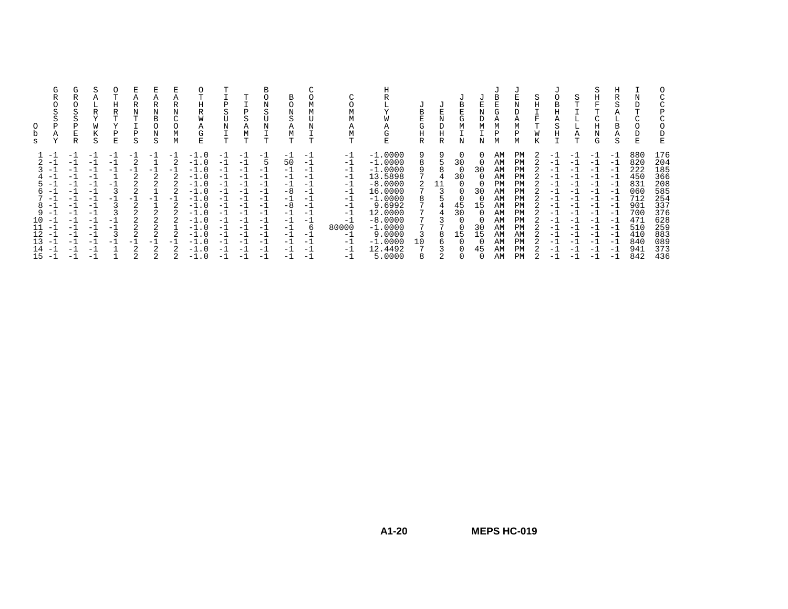| $-1.0000$<br>a<br>9<br>$-1.0$<br>-1<br>PM<br>-1<br>- 1<br>AΜ<br>$-1$<br>-1<br>$-1$<br>-1<br>$-1$<br>- 1<br>$-1$<br>$-1$<br>$-1$<br>$-$<br>- 1<br>$-1$<br>- 1<br>- 1<br>$-1.0000$<br>50<br>30<br>PM<br>8<br>AM<br>-1<br>$-1.0$<br>-1<br>$-1$<br>$\mathcal{P}$<br>$-1$<br>-1<br>$-1$<br>- 1<br>$-$<br>$-1$<br>$-1$<br>$-1$<br>- 1<br>$-1.0000$<br>30<br>9<br>$-1.0$<br>PM<br>- 1<br>AΜ<br>-1<br>- 1<br>-1<br>- 1<br>$-1$<br>- 1<br>$-1$<br>$-1$<br>$-1$<br>$-1$<br>$-$<br>$-1$<br>- 1<br>$-1$<br>$-1$<br>- 1<br>13.5898<br>30<br>PM<br>AM<br>$-1.0$<br>-1<br>-1<br>- 1<br>- 1<br>$-1$<br>- 1<br>$-1$<br>- 1<br>$-1$<br>- 1<br>$-1$<br>$-1$<br>$-1$<br>$-8.0000$<br>PM<br>PM<br>$-1$<br>-1<br>$-1.0$<br>-1<br>- 1<br>$-1$<br>- 1<br>- 1<br>-1<br>$\overline{\phantom{0}}$<br>$-1$<br>- 1<br>- 1<br>$\overline{\phantom{0}}$<br>16.0000<br>30<br>AΜ<br>PM<br>-1<br>$-1.0$<br>$-1$<br>-8<br>-1<br>-1<br>$-1$<br>$-1$<br>- 1<br>h<br>$-1$<br>- 1<br>$-1$<br>- 1<br>- 1<br>$-1.0000$<br>PM<br>-1<br>$-1.0$<br>AM<br>-1<br>-1<br>$\Omega$<br>$=$ 1<br>$-1$<br>$-1$<br>$\overline{\phantom{0}}$<br>$-1$<br>Ξ.<br>- 1<br>$-$<br>$-1$<br>- 1<br>9.6992<br>8<br>$-1$<br>$-1.0$<br>-8<br>45<br>15<br>PM<br>-1<br>AM<br>-1<br>$-1$<br>- 1<br>$-1$<br>$-1$<br>- 1<br>$-1$<br>$-1$<br>$-1$<br>$-1$<br>12,0000<br>30<br>q<br>$-1$<br>AM<br>PM<br>$-1.0$<br>-1<br>- 1<br>$\overline{\phantom{0}}$<br>$-1$<br>$-1$<br>$-1$<br>- 1<br>- 1<br>$-1$<br>- 1<br>$-1$<br>$-1$<br>$-8.0000$<br>10<br>PM<br>-1<br>$-1.0$<br>-1<br>AM<br>-1<br>-1<br>$-1$<br>- 1<br>$=$ 1<br>- 1<br>$-$<br>$\overline{\phantom{0}}$<br>- 1<br>$\overline{\phantom{0}}$<br>$-1$<br>$-1$<br>$-1.0000$<br>11<br>80000<br>30<br>$-1$<br>$-1.0$<br>-1<br>-1<br>PM<br>-1<br>6<br>AΜ<br>- 1<br>- 1<br>$-1$<br>- 1<br>$-1$<br>$-1$<br>$-1$<br>$-1$<br>9.0000<br>12<br>15<br>15<br>$-1.0$<br>3<br>AM<br>AΜ<br>8<br>$-1$<br>$-1$<br>- 1<br>$-1$<br>- 1<br>$-1$<br>$-1$<br>$-1$<br>— I<br>$-1$<br>$-1$<br>$-1$<br>- 1<br>$-1.0000$<br>PM<br>13<br>10<br>AM<br>$-1.0$<br>-1<br>-1<br>-1<br>- 11<br>- 1<br>- 1<br>$-1$<br>- 1<br>- 1<br>- 1<br>- 1<br>$-1$<br>- 1<br>$-1$<br>$-1$<br>$\overline{\phantom{0}}$<br>12.4492<br>PM<br>AM<br>14<br>-1<br>45<br>$-1.0$<br>-1<br>$-1$<br>- 1<br>$-1$<br>- 1<br>- 1<br>- 1<br>$-$<br>- 1<br>$-$<br>- 1 | s | G<br>P<br>Α<br>Y | G<br>S<br>Ρ<br>E<br>R | Α<br>R<br>W<br>S | Ω<br>Н<br>R<br>m<br>v<br>Р<br>E | R<br>N<br>S | N<br>В<br>N<br>S | R<br>Ν<br>⌒<br>М<br>М | Η<br>R<br>W<br>Α<br>$\sim$<br><b>C</b><br>E | Ρ<br>N<br>т | D<br>Α<br>М | В<br>N<br>S<br>N<br>т | B<br>Ν<br>S<br>Α<br>М<br>Т | А<br>m | Η<br>А<br>ί÷<br>E | B<br>G<br>Η<br>R | D<br>Η<br>R | В<br>G<br>M<br>N | Ν<br>М<br>Ν | G<br>М<br>М | U<br>N<br>D<br>Α<br>М<br>Р<br>М | Κ | Α<br>S<br>H | S<br>⊥<br>L.<br>Α<br>т | S<br>Η<br>Η<br>N<br>G | Н<br>R<br>Α<br>B<br>Α<br>S | Ε                                                                                                     | D<br>E                                                                                                |
|---------------------------------------------------------------------------------------------------------------------------------------------------------------------------------------------------------------------------------------------------------------------------------------------------------------------------------------------------------------------------------------------------------------------------------------------------------------------------------------------------------------------------------------------------------------------------------------------------------------------------------------------------------------------------------------------------------------------------------------------------------------------------------------------------------------------------------------------------------------------------------------------------------------------------------------------------------------------------------------------------------------------------------------------------------------------------------------------------------------------------------------------------------------------------------------------------------------------------------------------------------------------------------------------------------------------------------------------------------------------------------------------------------------------------------------------------------------------------------------------------------------------------------------------------------------------------------------------------------------------------------------------------------------------------------------------------------------------------------------------------------------------------------------------------------------------------------------------------------------------------------------------------------------------------------------------------------------------------------------------------------------------------------------------------------------------------------------------------------------------------------------------------------------------------------------------------------------------------------------------------------------------------------------|---|------------------|-----------------------|------------------|---------------------------------|-------------|------------------|-----------------------|---------------------------------------------|-------------|-------------|-----------------------|----------------------------|--------|-------------------|------------------|-------------|------------------|-------------|-------------|---------------------------------|---|-------------|------------------------|-----------------------|----------------------------|-------------------------------------------------------------------------------------------------------|-------------------------------------------------------------------------------------------------------|
| 5.0000<br>15<br>AM<br>PM<br>-1<br>$-1.0$<br>$-1$<br>- 1<br>$-1$<br>$\overline{\phantom{0}}$<br>$-1$<br>$-1$<br>$-$<br>$-$<br>$\overline{\phantom{0}}$<br>$-1$<br>$\overline{\phantom{0}}$<br>$-$                                                                                                                                                                                                                                                                                                                                                                                                                                                                                                                                                                                                                                                                                                                                                                                                                                                                                                                                                                                                                                                                                                                                                                                                                                                                                                                                                                                                                                                                                                                                                                                                                                                                                                                                                                                                                                                                                                                                                                                                                                                                                      |   |                  |                       |                  |                                 |             |                  |                       |                                             |             |             |                       |                            |        |                   |                  |             |                  |             |             |                                 |   |             |                        |                       |                            | 880<br>820<br>222<br>450<br>831<br>060<br>712<br>901<br>700<br>471<br>510<br>410<br>840<br>941<br>842 | 176<br>204<br>185<br>366<br>208<br>585<br>254<br>337<br>376<br>628<br>259<br>883<br>089<br>373<br>436 |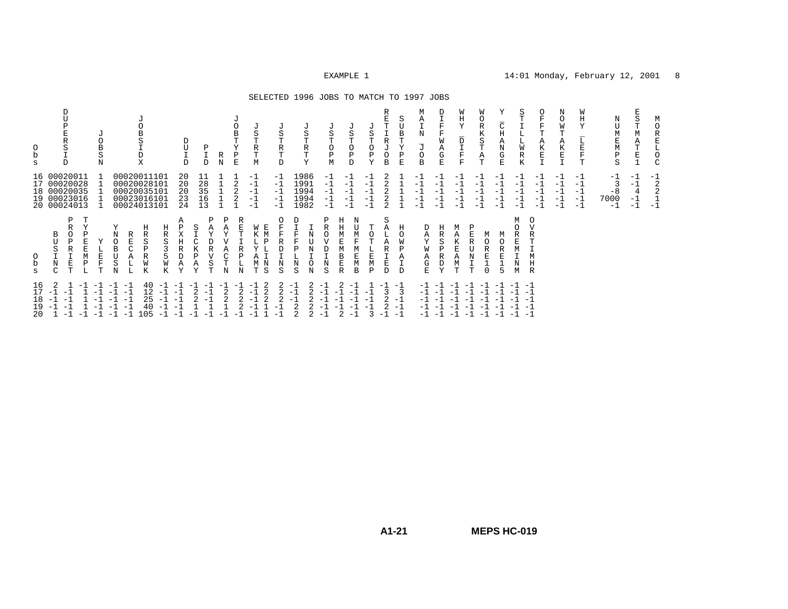#### SELECTED 1996 JOBS TO MATCH TO 1997 JOBS

| b<br>S                        | D<br><b>TT</b><br>R<br>S<br>D                                                 | J<br>S<br>N                        | B<br>S<br>D<br>X                                                                                                                         | D<br>U<br>$_\mathrm{D}^\mathrm{I}$ | Ρ<br>I<br>$\mathbb D$                           | J<br>O<br>B<br>T<br>Υ<br>Ρ<br>R<br>$\rm N$<br>E | J<br>S<br>R<br>$\mathbb T$<br>M                                             | J<br>$\rm S$<br>Т<br>R<br>$\mathbb T$<br>$\mathbb D$ | J<br>S<br>T<br>$\mathbb R$<br>T<br>Y              | $\rm S$<br>Т<br>$\circ$<br>$\, {\bf P}$<br>М           | J<br>S<br>T<br>$\circ$<br>$_{\rm D}^{\rm P}$       | R<br>J<br>S<br>R<br>J<br>O<br>$\frac{P}{Y}$<br>$\circ$<br>B | S<br>U<br>B<br>Ρ<br>E           | М<br>Α<br>$\mathbf N$<br>$\overline{\mathbb{J}}$<br>O<br>B | $\overline{\mathrm{F}}$<br>$\mathbf F$<br>W<br>Α<br>G<br>E | W<br>Η<br>Υ<br>$\overline{\phantom{m}}$<br>D<br>$\mathbf \tau$<br>T<br>$\mathbf F$<br>$\mathbf F$ | W<br>$\circ$<br>$\mathbb R$<br>К<br>S<br>Т<br>$_{\rm T}^{\rm A}$                                                          | $\overline{\overline{C}}$<br>$\mathbf H$<br>A<br>N<br>$_{\rm E}^{\rm G}$ | S<br>⊥<br>L.<br>M<br>R<br>K    | O<br>F<br>$\mathbf F$<br>$\mathbf T$<br>Α<br>К<br>$\frac{E}{\tau}$ | Ν<br>O<br>W<br>T<br>Α<br>К<br>$_{\rm I}^{\rm E}$ | W<br>Η<br>Y<br>E<br>F<br>T           | Ν<br>U<br>М<br>Ε<br>М<br>Ρ<br>S   | S<br>T<br>М<br>Α<br>T<br>E      | М<br>O<br>R<br>E<br>Г<br>О<br>$\mathsf{C}$ |
|-------------------------------|-------------------------------------------------------------------------------|------------------------------------|------------------------------------------------------------------------------------------------------------------------------------------|------------------------------------|-------------------------------------------------|-------------------------------------------------|-----------------------------------------------------------------------------|------------------------------------------------------|---------------------------------------------------|--------------------------------------------------------|----------------------------------------------------|-------------------------------------------------------------|---------------------------------|------------------------------------------------------------|------------------------------------------------------------|---------------------------------------------------------------------------------------------------|---------------------------------------------------------------------------------------------------------------------------|--------------------------------------------------------------------------|--------------------------------|--------------------------------------------------------------------|--------------------------------------------------|--------------------------------------|-----------------------------------|---------------------------------|--------------------------------------------|
| 17                            | 16 00020011<br>00020028<br>18 00020035<br>19 00023016<br>20 00024013          |                                    | 00020011101<br>00020028101<br>00020035101<br>00023016101<br>00024013101                                                                  | 20<br>20<br>20<br>23<br>24         | 11<br>28<br>35<br>16<br>13                      | 2<br>2<br>2                                     | $-1$<br>$-1$<br>$-1$<br>$-1$<br>$-1$                                        | $-1$<br>$-1$<br>$^{-1}$<br>$-1$<br>$-1$              | 1986<br>1991<br>1994<br>1994<br>1982              | $-1$<br>$-1$<br>$-1$<br>$-1$<br>$-1$                   | $-1$<br>$-1$<br>$-1$<br>$-1$<br>$-1$               | 2<br>-1<br>$^{-1}$<br>$-1$<br>$^{-1}$<br>$-1$<br>2          |                                 | $-1$<br>$-1$<br>$-1$<br>$-1$<br>$-1$                       | $-1$<br>$-1$<br>$-1$<br>$-1$<br>$-1$                       | $-1$<br>$-1$<br>$-1$<br>$-1$<br>$-1$                                                              | -1<br>- 1<br>$-1$<br>-1<br>$-1$                                                                                           | -1<br>-1<br>$-1$<br>$-1$<br>$-1$                                         | $-1$<br>-1<br>$-1$<br>-1<br>-1 | $-1$<br>-1<br>$-1$<br>$-1$<br>$-1$                                 | -1<br>-1<br>$-1$<br>$-1$<br>$-1$                 | $-1$<br>$-1$<br>$-1$<br>$-1$<br>$-1$ | $-1$<br>3<br>$-8$<br>7000<br>$-1$ | -1<br>$-1$<br>4<br>$-1$<br>$-1$ | $^{-1}$<br>2<br>2<br>$-1$                  |
| $\Omega$<br>b<br>$\mathbf{s}$ | Ρ<br>T<br>Y<br>R<br>В<br>U<br>D<br>S<br>R<br>M<br>$\rm N$<br>E<br>Ρ<br>C<br>Т | E<br>T                             | Υ<br>Η<br>N<br>R<br>R<br>S<br>Ω<br>В<br>Ρ<br>R<br>S<br>W<br>N<br>K                                                                       | Α<br>R<br>А<br>$\overline{v}$      | Ρ<br>R<br>T<br>S<br>T                           | N                                               | Е<br>W<br>D<br>D<br>N<br>М<br>N<br>S<br>т                                   | F<br>R<br>N<br>S                                     | N<br>N<br>O<br>N<br>S                             | Ρ<br>Η<br>Η<br>F.<br>в<br>N<br>E<br>$\mathbb{R}$<br>S  | B                                                  | S<br>M<br>E<br>P<br>D                                       | Η<br>O<br>W<br>D<br>D           | Α<br>G<br>E.                                               | R<br>р<br>R<br>D<br>Y                                      | <b>T</b>                                                                                          | Ε<br>R<br>T<br>$\Omega$                                                                                                   | $\Omega$<br>R<br>묘<br>5                                                  | М<br>R<br>E<br>M               | $\circ$<br>R<br>Η<br>$\mathbb{R}$                                  |                                                  |                                      |                                   |                                 |                                            |
| 16<br>17<br>18<br>19<br>20    | 2<br>$-1$<br>$-1$<br>$-1$<br>$-1$<br>$-1$<br>$-1$<br>$-1$<br>$-1$<br>$1 - 1$  | $-1$<br>-1<br>$-1$<br>$-1$<br>$-1$ | $-1$<br>40<br>-1<br>$-1$<br>12<br>$-1$<br>-1<br>$-1$<br>25<br>$-1$<br>$-1$<br>$-1$<br>40<br>$-1$<br>-1<br>$-1$<br>$-1 -1$<br>105<br>$-1$ | - 1<br>-1<br>$-$<br>$-$<br>$-1$    | $-1$<br>-1<br>$-1$<br>2<br>$-1$<br>$-1$<br>$-1$ | - 1<br>$-$<br>$-1$<br>$-1$                      | 2<br>$-1$<br>2<br>$-1$<br>2<br>2<br>$\overline{2}$<br>$-$<br>$\sim$<br>$-1$ | 2<br>2<br>$\overline{2}$<br>-1<br>$-1$               | -1<br>$-1$<br>$-1$<br>2<br>$-1$<br>$-1$<br>2<br>2 | -1<br>2<br>$-1$<br>$-1$<br>- 1<br>$^{-1}$<br>2<br>$-1$ | $-1$<br>-1<br>$-1$<br>$-1$<br>$-1$<br>$-1$<br>$-1$ | $-1$<br>3<br>$-1$<br>$-1$<br>3                              | $-1$<br>3<br>$-1$<br>-1<br>$-1$ | $-1$<br>$-1$<br>$-1$<br>$-1$                               | $-1$<br>$-1$<br>$-1$<br>- 1<br>$-1$ $-1$ $-1$              | -1<br>$-1$<br>$-1$<br>$-1$                                                                        | $-1$ $-1$ $-1$ $-1$ $-1$<br>$-1$ $-1$ $-1$ $-1$ $-1$<br>$-1$ $-1$ $-1$ $-1$ $-1$<br>$-1$ $-1$<br>$-1$ $-1$ $-1$ $-1$ $-1$ | $-1$                                                                     | $-1$<br>- 1                    |                                                                    |                                                  |                                      |                                   |                                 |                                            |

**A1-21**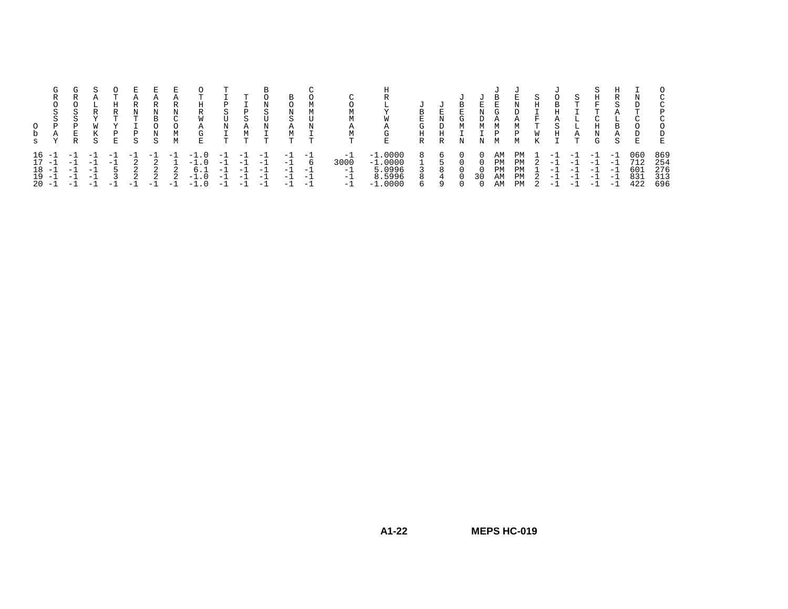| S  | R<br>S<br>$\sim$<br>P<br>А                         | R<br>S<br>S<br>P<br>E.<br>R         | R<br>W<br>К<br>S             | R<br>m.<br>P<br>Е              | А<br>R<br>Ν<br>T<br>Þ<br>S          | R<br>N<br>B<br>$\cap$<br>N<br>S | Ν<br>C<br>М<br>М       | R<br>W<br>Α<br>G<br>Е                     | S<br>$\mathbf{H}$<br>N<br>ᡣ                              | D<br>S<br>М<br>m.                    | ∩<br>N<br>S<br>N<br><b>T</b>         | B<br>$\sim$<br>А<br>$\mathbf{T}$     |                                    | m.                                  | Lт<br>E.                                                           | в<br>E.<br>G<br>H<br>$\mathbb{R}$ | F.<br>D<br>H<br>R | B<br>E.<br>G<br>М<br>Ν | N<br>М       | B<br>G<br>M<br>P           | E.<br>D<br>А<br>М<br>P<br>м | S<br>Η<br>F<br>т<br>W<br>Κ | O<br>B<br>ਸ<br>S<br>H               | S.<br>m.<br>А<br>m.                 | Н<br>묘<br>m.<br>Η<br>Ν<br>G                              | A<br><sub>R</sub><br>A<br>S         | $\mathbf{r}$<br>$\sim$<br>E     |                                 |
|----|----------------------------------------------------|-------------------------------------|------------------------------|--------------------------------|-------------------------------------|---------------------------------|------------------------|-------------------------------------------|----------------------------------------------------------|--------------------------------------|--------------------------------------|--------------------------------------|------------------------------------|-------------------------------------|--------------------------------------------------------------------|-----------------------------------|-------------------|------------------------|--------------|----------------------------|-----------------------------|----------------------------|-------------------------------------|-------------------------------------|----------------------------------------------------------|-------------------------------------|---------------------------------|---------------------------------|
| 18 | $16 -$<br>$17 - 1$<br>$-1$<br>$19 - 1$<br>$20 - 1$ | - 1<br>$-1$<br>$-1$<br>$-1$<br>$-1$ | $-1$<br>$-1$<br>$-1$<br>$-1$ | $-1$<br>$-1$<br>5<br>3<br>$-1$ | $-1$<br>$\overline{2}$<br>2<br>$-1$ | $-$<br>$\Omega$<br>2<br>$-1$    | $-1$<br>2<br>2<br>- 11 | $-1$<br>$-1.0$<br>6.1<br>$-1.0$<br>$-1.0$ | $\overline{\phantom{0}}$<br>$-1$<br>$-1$<br>$-1$<br>$-1$ | $-1$<br>$-1$<br>$-1$<br>$-1$<br>$-1$ | $-1$<br>$-1$<br>$-1$<br>$-1$<br>$-1$ | $-1$<br>$-1$<br>$-1$<br>$-1$<br>$-1$ | $-1$<br>Б<br>$-1$<br>$-1$<br>. – 1 | $-1$<br>3000<br>$-1$<br>$-1$<br>- 1 | .0000<br>$^{-1}$<br>$-1.0000$<br>5.0996<br>8.5996<br>.0000<br>$-1$ | 8<br>8<br>6                       | 6<br>8<br>4<br>Q  | $\cap$                 | $\cap$<br>30 | ΆM<br>PM<br>PM<br>AM<br>AM | PМ<br>PM<br>PM<br>PM<br>PM  |                            | - 1<br>$-1$<br>$-1$<br>$-1$<br>$-1$ | - 1<br>$-1$<br>$-1$<br>$-1$<br>$-1$ | $\overline{\phantom{0}}$<br>$-1$<br>$-1$<br>$-1$<br>$-1$ | $-1$<br>- 1<br>$-1$<br>$-1$<br>$-1$ | 060<br>712<br>601<br>831<br>422 | 869<br>254<br>276<br>313<br>696 |

**MEPS HC-019**

**A1-22**